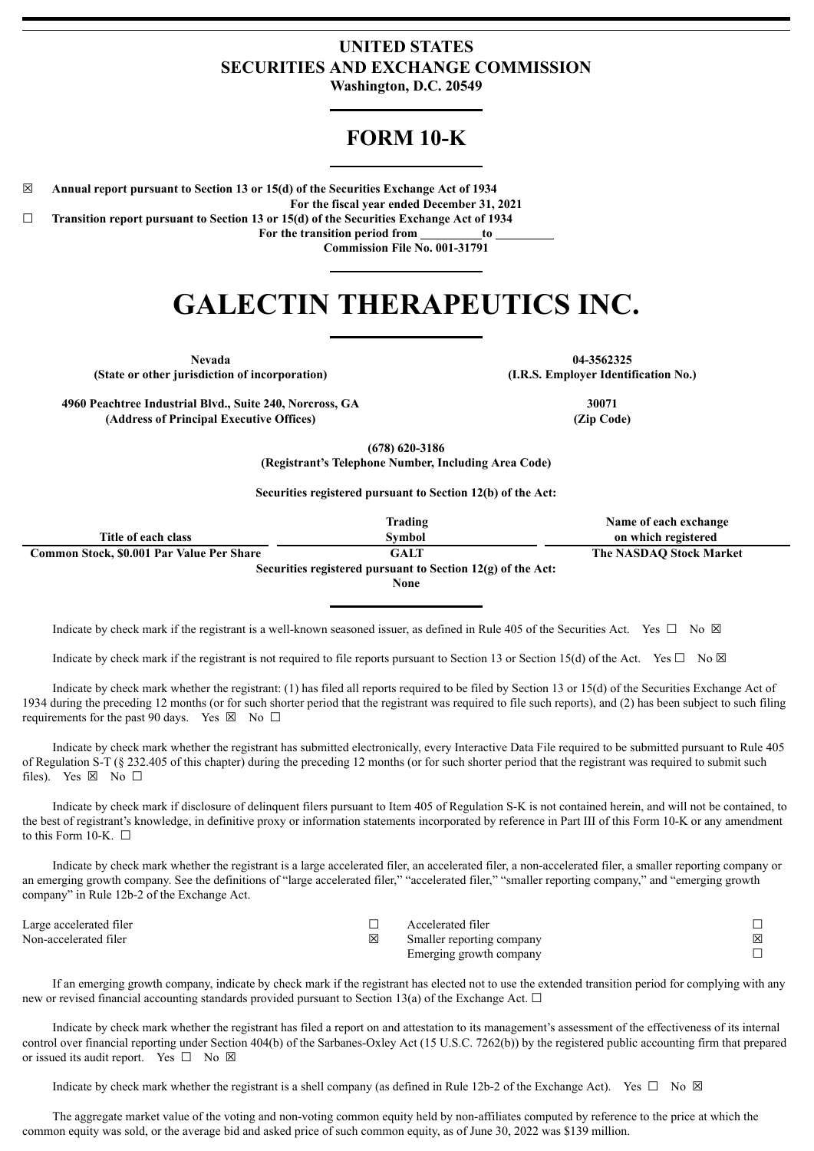# **UNITED STATES SECURITIES AND EXCHANGE COMMISSION**

**Washington, D.C. 20549**

# **FORM 10-K**

☒ **Annual report pursuant to Section 13 or 15(d) of the Securities Exchange Act of 1934 For the fiscal year ended December 31, 2021** ☐ **Transition report pursuant to Section 13 or 15(d) of the Securities Exchange Act of 1934 For the transition period from to**

**Commission File No. 001-31791**

# **GALECTIN THERAPEUTICS INC.**

**Nevada 04-3562325 (State or other jurisdiction of incorporation) (I.R.S. Employer Identification No.)**

**4960 Peachtree Industrial Blvd., Suite 240, Norcross, GA 30071 (Address of Principal Executive Offices) (Zip Code)**

**(678) 620-3186**

**(Registrant's Telephone Number, Including Area Code)**

**Securities registered pursuant to Section 12(b) of the Act:**

|                                                               | Trading     | Name of each exchange          |
|---------------------------------------------------------------|-------------|--------------------------------|
| Title of each class                                           | Symbol      | on which registered            |
| Common Stock, \$0.001 Par Value Per Share                     | <b>GALT</b> | <b>The NASDAO Stock Market</b> |
| Securities registered pursuant to Section $12(g)$ of the Act: |             |                                |
|                                                               | None        |                                |

Indicate by check mark if the registrant is a well-known seasoned issuer, as defined in Rule 405 of the Securities Act. Yes  $\Box$  No  $\boxtimes$ 

Indicate by check mark if the registrant is not required to file reports pursuant to Section 13 or Section 15(d) of the Act. Yes  $\square$  No  $\boxtimes$ 

Indicate by check mark whether the registrant: (1) has filed all reports required to be filed by Section 13 or 15(d) of the Securities Exchange Act of 1934 during the preceding 12 months (or for such shorter period that the registrant was required to file such reports), and (2) has been subject to such filing requirements for the past 90 days. Yes  $\boxtimes$  No  $\Box$ 

Indicate by check mark whether the registrant has submitted electronically, every Interactive Data File required to be submitted pursuant to Rule 405 of Regulation S-T (§ 232.405 of this chapter) during the preceding 12 months (or for such shorter period that the registrant was required to submit such files). Yes ⊠ No □

Indicate by check mark if disclosure of delinquent filers pursuant to Item 405 of Regulation S-K is not contained herein, and will not be contained, to the best of registrant's knowledge, in definitive proxy or information statements incorporated by reference in Part III of this Form 10-K or any amendment to this Form 10-K.  $\square$ 

Indicate by check mark whether the registrant is a large accelerated filer, an accelerated filer, a non-accelerated filer, a smaller reporting company or an emerging growth company. See the definitions of "large accelerated filer," "accelerated filer," "smaller reporting company," and "emerging growth company" in Rule 12b-2 of the Exchange Act.

| Large accelerated filer |  |
|-------------------------|--|
| Non-accelerated filer   |  |

| Large accelerated filer | Accelerated filer         |   |
|-------------------------|---------------------------|---|
| Non-accelerated filer   | Smaller reporting company | 区 |
|                         | Emerging growth company   |   |

If an emerging growth company, indicate by check mark if the registrant has elected not to use the extended transition period for complying with any new or revised financial accounting standards provided pursuant to Section 13(a) of the Exchange Act.  $\Box$ 

Indicate by check mark whether the registrant has filed a report on and attestation to its management's assessment of the effectiveness of its internal control over financial reporting under Section 404(b) of the Sarbanes-Oxley Act (15 U.S.C. 7262(b)) by the registered public accounting firm that prepared or issued its audit report. Yes  $\Box$  No  $\boxtimes$ 

Indicate by check mark whether the registrant is a shell company (as defined in Rule 12b-2 of the Exchange Act). Yes  $\Box$  No  $\boxtimes$ 

The aggregate market value of the voting and non-voting common equity held by non-affiliates computed by reference to the price at which the common equity was sold, or the average bid and asked price of such common equity, as of June 30, 2022 was \$139 million.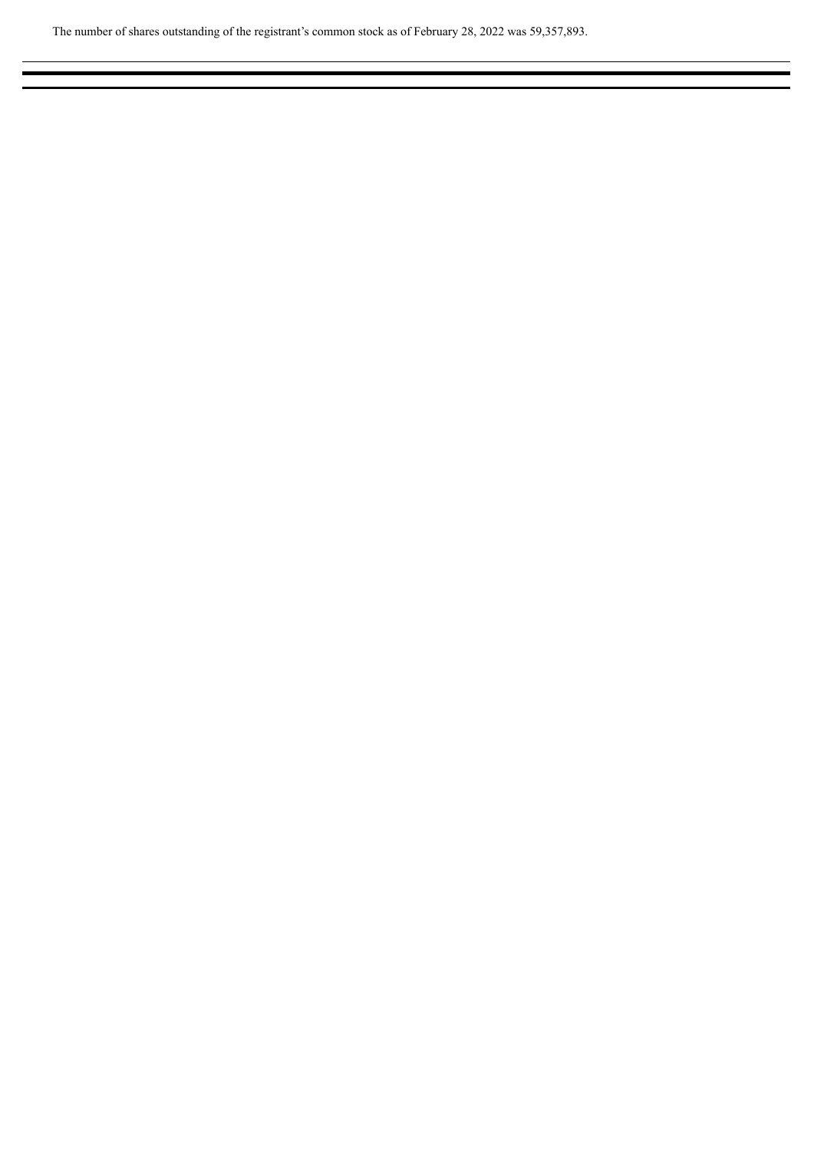The number of shares outstanding of the registrant's common stock as of February 28, 2022 was 59,357,893.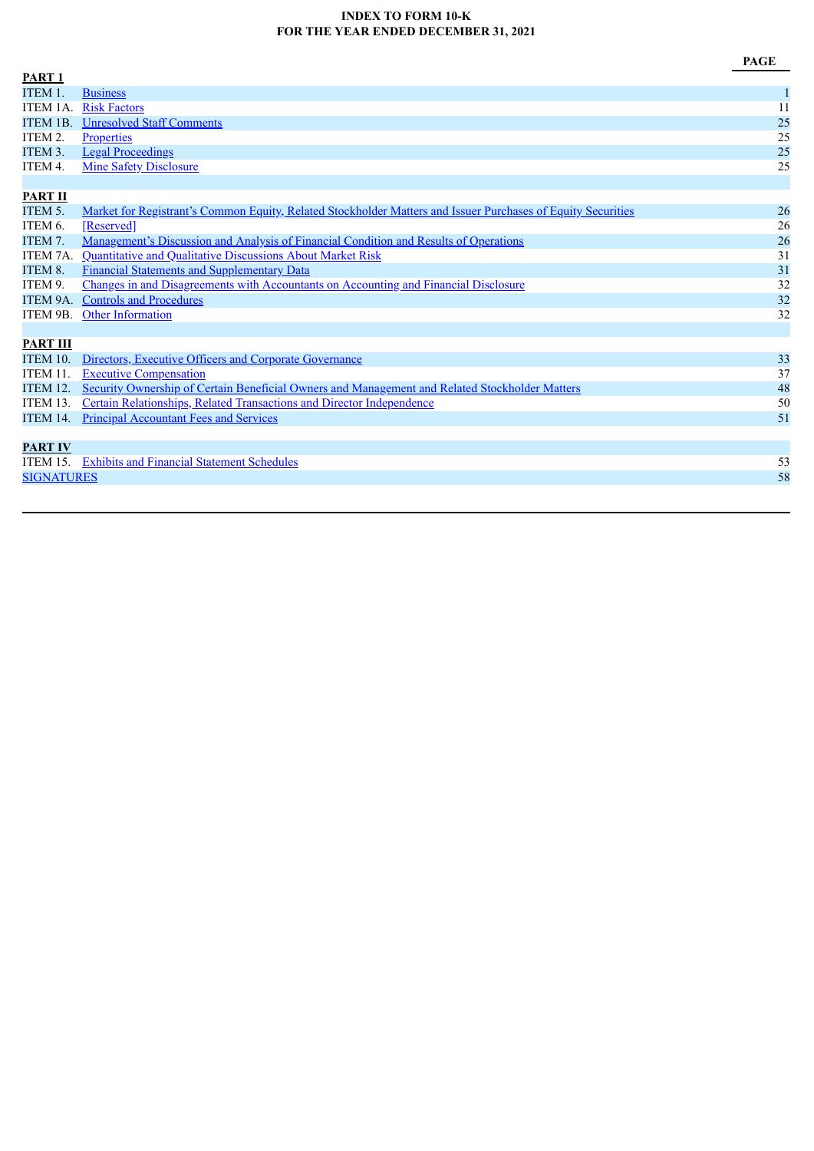# **INDEX TO FORM 10-K FOR THE YEAR ENDED DECEMBER 31, 2021**

<span id="page-2-0"></span>

|                   |                                                                                                              | PAGE         |
|-------------------|--------------------------------------------------------------------------------------------------------------|--------------|
| PART <sub>1</sub> |                                                                                                              |              |
| ITEM 1.           | <b>Business</b>                                                                                              | $\mathbf{1}$ |
| ITEM 1A.          | <b>Risk Factors</b>                                                                                          | 11           |
| ITEM 1B.          | <b>Unresolved Staff Comments</b>                                                                             | 25           |
| ITEM 2.           | <b>Properties</b>                                                                                            | 25           |
| ITEM 3.           | <b>Legal Proceedings</b>                                                                                     | 25           |
| ITEM 4.           | <b>Mine Safety Disclosure</b>                                                                                | 25           |
|                   |                                                                                                              |              |
| <b>PART II</b>    |                                                                                                              |              |
| ITEM 5.           | Market for Registrant's Common Equity, Related Stockholder Matters and Issuer Purchases of Equity Securities | 26           |
| ITEM 6.           | [Reserved]                                                                                                   | 26           |
| ITEM 7.           | <u>Management's Discussion and Analysis of Financial Condition and Results of Operations</u>                 | 26           |
| ITEM 7A.          | Quantitative and Qualitative Discussions About Market Risk                                                   | 31           |
| ITEM 8.           | <b>Financial Statements and Supplementary Data</b>                                                           | 31           |
| ITEM 9.           | Changes in and Disagreements with Accountants on Accounting and Financial Disclosure                         | 32           |
| ITEM 9A.          | <b>Controls and Procedures</b>                                                                               | 32           |
|                   | ITEM 9B. Other Information                                                                                   | 32           |
|                   |                                                                                                              |              |
| <b>PART III</b>   |                                                                                                              |              |
| ITEM 10.          | Directors, Executive Officers and Corporate Governance                                                       | 33           |
| ITEM 11.          | <b>Executive Compensation</b>                                                                                | 37           |
| <b>ITEM 12.</b>   | Security Ownership of Certain Beneficial Owners and Management and Related Stockholder Matters               | 48           |
| ITEM 13.          | Certain Relationships, Related Transactions and Director Independence                                        | 50           |
| ITEM 14.          | <b>Principal Accountant Fees and Services</b>                                                                | 51           |
|                   |                                                                                                              |              |
| <b>PART IV</b>    |                                                                                                              |              |
| ITEM 15.          | <b>Exhibits and Financial Statement Schedules</b>                                                            | 53           |
| <b>SIGNATURES</b> |                                                                                                              | 58           |
|                   |                                                                                                              |              |

**PAGE**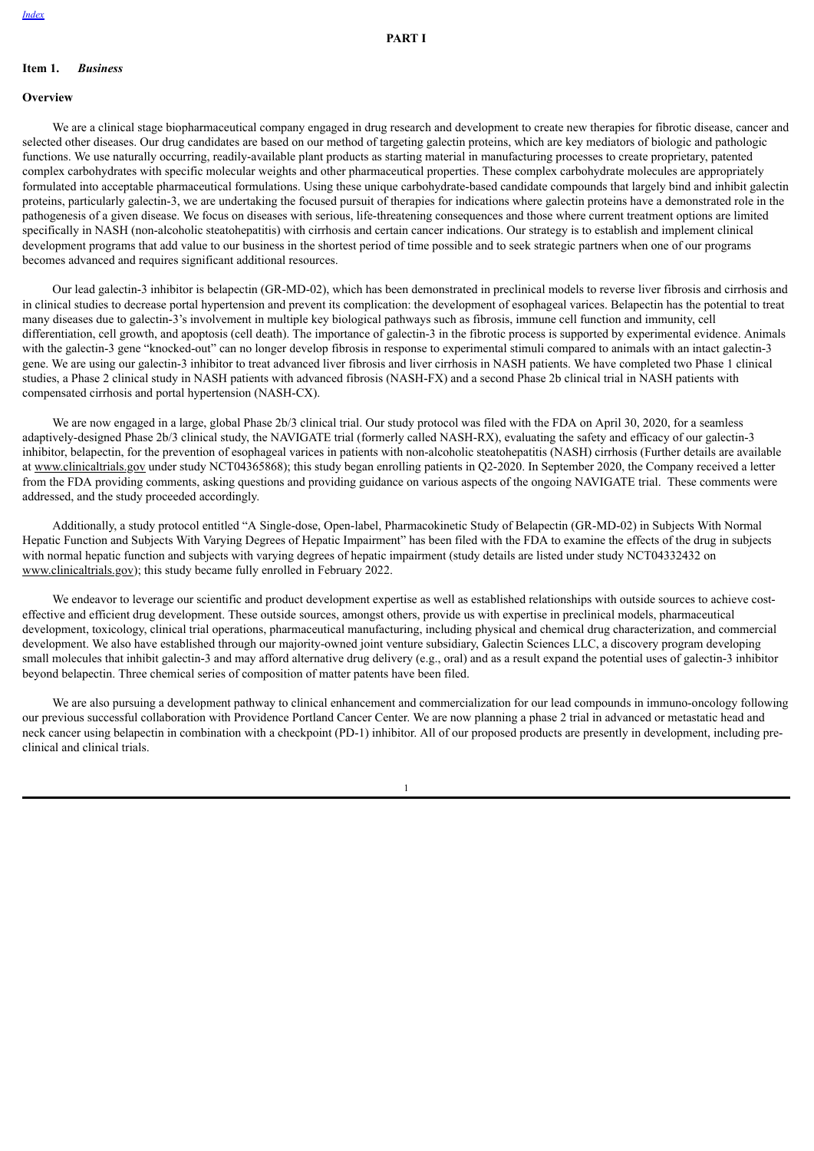# <span id="page-3-0"></span>**Item 1.** *Business*

# **Overview**

We are a clinical stage biopharmaceutical company engaged in drug research and development to create new therapies for fibrotic disease, cancer and selected other diseases. Our drug candidates are based on our method of targeting galectin proteins, which are key mediators of biologic and pathologic functions. We use naturally occurring, readily-available plant products as starting material in manufacturing processes to create proprietary, patented complex carbohydrates with specific molecular weights and other pharmaceutical properties. These complex carbohydrate molecules are appropriately formulated into acceptable pharmaceutical formulations. Using these unique carbohydrate-based candidate compounds that largely bind and inhibit galectin proteins, particularly galectin-3, we are undertaking the focused pursuit of therapies for indications where galectin proteins have a demonstrated role in the pathogenesis of a given disease. We focus on diseases with serious, life-threatening consequences and those where current treatment options are limited specifically in NASH (non-alcoholic steatohepatitis) with cirrhosis and certain cancer indications. Our strategy is to establish and implement clinical development programs that add value to our business in the shortest period of time possible and to seek strategic partners when one of our programs becomes advanced and requires significant additional resources.

Our lead galectin-3 inhibitor is belapectin (GR-MD-02), which has been demonstrated in preclinical models to reverse liver fibrosis and cirrhosis and in clinical studies to decrease portal hypertension and prevent its complication: the development of esophageal varices. Belapectin has the potential to treat many diseases due to galectin-3's involvement in multiple key biological pathways such as fibrosis, immune cell function and immunity, cell differentiation, cell growth, and apoptosis (cell death). The importance of galectin-3 in the fibrotic process is supported by experimental evidence. Animals with the galectin-3 gene "knocked-out" can no longer develop fibrosis in response to experimental stimuli compared to animals with an intact galectin-3 gene. We are using our galectin-3 inhibitor to treat advanced liver fibrosis and liver cirrhosis in NASH patients. We have completed two Phase 1 clinical studies, a Phase 2 clinical study in NASH patients with advanced fibrosis (NASH-FX) and a second Phase 2b clinical trial in NASH patients with compensated cirrhosis and portal hypertension (NASH-CX).

We are now engaged in a large, global Phase 2b/3 clinical trial. Our study protocol was filed with the FDA on April 30, 2020, for a seamless adaptively-designed Phase 2b/3 clinical study, the NAVIGATE trial (formerly called NASH-RX), evaluating the safety and efficacy of our galectin-3 inhibitor, belapectin, for the prevention of esophageal varices in patients with non-alcoholic steatohepatitis (NASH) cirrhosis (Further details are available at www.clinicaltrials.gov under study NCT04365868); this study began enrolling patients in Q2-2020. In September 2020, the Company received a letter from the FDA providing comments, asking questions and providing guidance on various aspects of the ongoing NAVIGATE trial. These comments were addressed, and the study proceeded accordingly.

Additionally, a study protocol entitled "A Single-dose, Open-label, Pharmacokinetic Study of Belapectin (GR-MD-02) in Subjects With Normal Hepatic Function and Subjects With Varying Degrees of Hepatic Impairment" has been filed with the FDA to examine the effects of the drug in subjects with normal hepatic function and subjects with varying degrees of hepatic impairment (study details are listed under study NCT04332432 on www.clinicaltrials.gov); this study became fully enrolled in February 2022.

We endeavor to leverage our scientific and product development expertise as well as established relationships with outside sources to achieve costeffective and efficient drug development. These outside sources, amongst others, provide us with expertise in preclinical models, pharmaceutical development, toxicology, clinical trial operations, pharmaceutical manufacturing, including physical and chemical drug characterization, and commercial development. We also have established through our majority-owned joint venture subsidiary, Galectin Sciences LLC, a discovery program developing small molecules that inhibit galectin-3 and may afford alternative drug delivery (e.g., oral) and as a result expand the potential uses of galectin-3 inhibitor beyond belapectin. Three chemical series of composition of matter patents have been filed.

We are also pursuing a development pathway to clinical enhancement and commercialization for our lead compounds in immuno-oncology following our previous successful collaboration with Providence Portland Cancer Center. We are now planning a phase 2 trial in advanced or metastatic head and neck cancer using belapectin in combination with a checkpoint (PD-1) inhibitor. All of our proposed products are presently in development, including preclinical and clinical trials.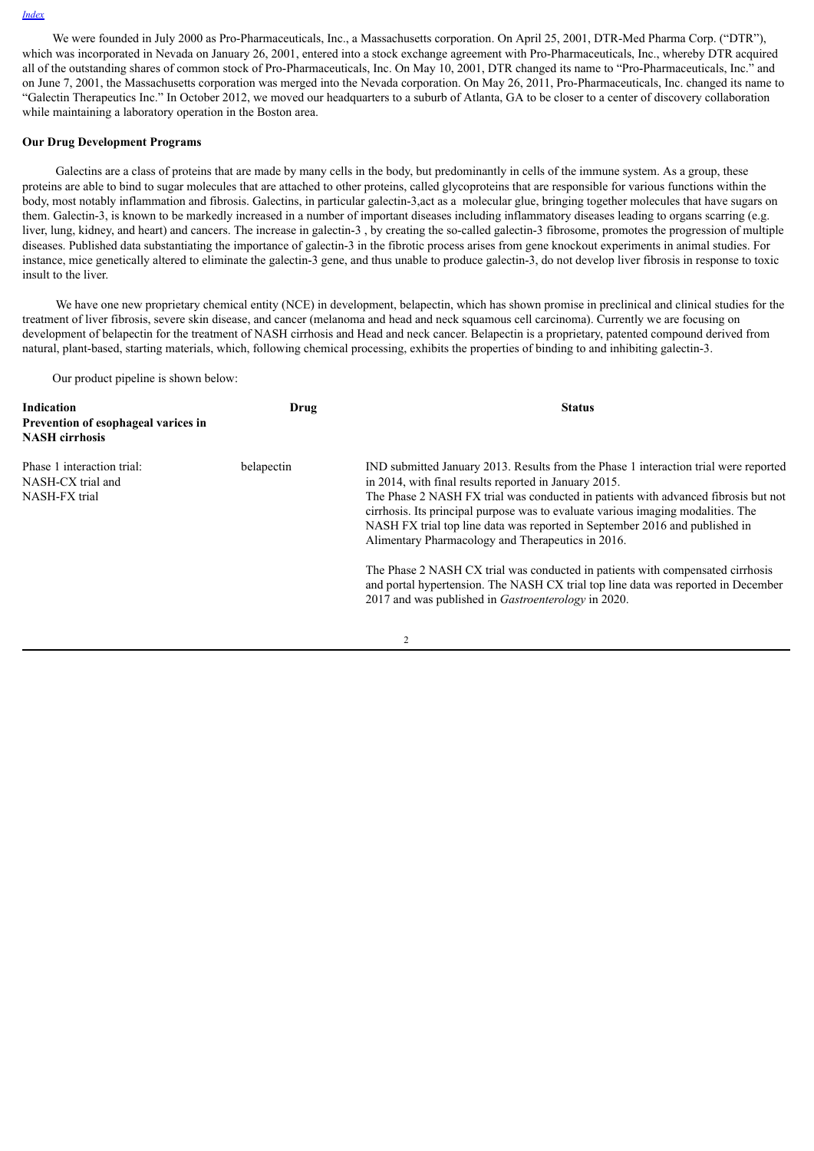We were founded in July 2000 as Pro-Pharmaceuticals, Inc., a Massachusetts corporation. On April 25, 2001, DTR-Med Pharma Corp. ("DTR"), which was incorporated in Nevada on January 26, 2001, entered into a stock exchange agreement with Pro-Pharmaceuticals, Inc., whereby DTR acquired all of the outstanding shares of common stock of Pro-Pharmaceuticals, Inc. On May 10, 2001, DTR changed its name to "Pro-Pharmaceuticals, Inc." and on June 7, 2001, the Massachusetts corporation was merged into the Nevada corporation. On May 26, 2011, Pro-Pharmaceuticals, Inc. changed its name to "Galectin Therapeutics Inc." In October 2012, we moved our headquarters to a suburb of Atlanta, GA to be closer to a center of discovery collaboration while maintaining a laboratory operation in the Boston area.

#### **Our Drug Development Programs**

Galectins are a class of proteins that are made by many cells in the body, but predominantly in cells of the immune system. As a group, these proteins are able to bind to sugar molecules that are attached to other proteins, called glycoproteins that are responsible for various functions within the body, most notably inflammation and fibrosis. Galectins, in particular galectin-3,act as a molecular glue, bringing together molecules that have sugars on them. Galectin-3, is known to be markedly increased in a number of important diseases including inflammatory diseases leading to organs scarring (e.g. liver, lung, kidney, and heart) and cancers. The increase in galectin-3 , by creating the so-called galectin-3 fibrosome, promotes the progression of multiple diseases. Published data substantiating the importance of galectin-3 in the fibrotic process arises from gene knockout experiments in animal studies. For instance, mice genetically altered to eliminate the galectin-3 gene, and thus unable to produce galectin-3, do not develop liver fibrosis in response to toxic insult to the liver.

We have one new proprietary chemical entity (NCE) in development, belapectin, which has shown promise in preclinical and clinical studies for the treatment of liver fibrosis, severe skin disease, and cancer (melanoma and head and neck squamous cell carcinoma). Currently we are focusing on development of belapectin for the treatment of NASH cirrhosis and Head and neck cancer. Belapectin is a proprietary, patented compound derived from natural, plant-based, starting materials, which, following chemical processing, exhibits the properties of binding to and inhibiting galectin-3.

Our product pipeline is shown below:

| Indication<br>Prevention of esophageal varices in<br><b>NASH</b> cirrhosis | Drug       | <b>Status</b>                                                                                                                                                                                                                                                                                                                                                                                                                                               |
|----------------------------------------------------------------------------|------------|-------------------------------------------------------------------------------------------------------------------------------------------------------------------------------------------------------------------------------------------------------------------------------------------------------------------------------------------------------------------------------------------------------------------------------------------------------------|
| Phase 1 interaction trial:<br>NASH-CX trial and<br>NASH-FX trial           | belapectin | IND submitted January 2013. Results from the Phase 1 interaction trial were reported<br>in 2014, with final results reported in January 2015.<br>The Phase 2 NASH FX trial was conducted in patients with advanced fibrosis but not<br>cirrhosis. Its principal purpose was to evaluate various imaging modalities. The<br>NASH FX trial top line data was reported in September 2016 and published in<br>Alimentary Pharmacology and Therapeutics in 2016. |
|                                                                            |            | The Phase 2 NASH CX trial was conducted in patients with compensated cirrhosis<br>and portal hypertension. The NASH CX trial top line data was reported in December<br>2017 and was published in Gastroenterology in 2020.                                                                                                                                                                                                                                  |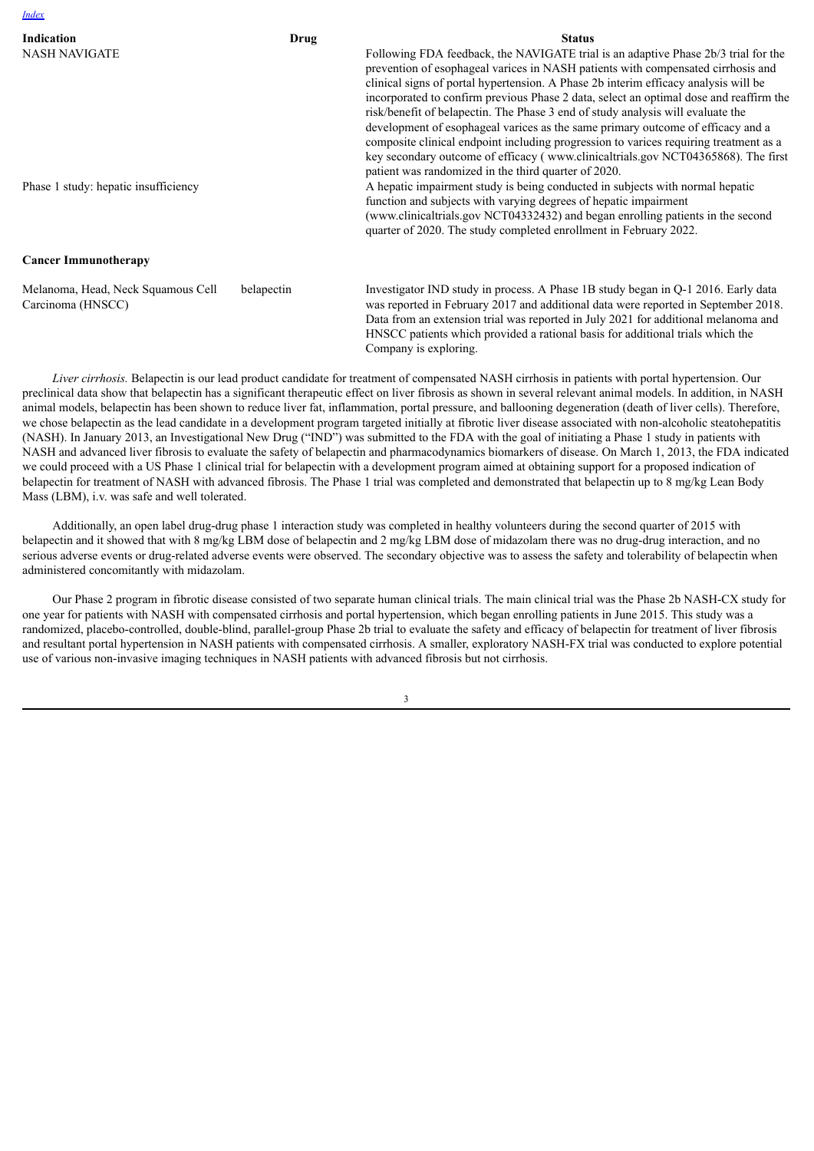| Indication<br><b>NASH NAVIGATE</b><br>Phase 1 study: hepatic insufficiency                           | Drug<br><b>Status</b><br>Following FDA feedback, the NAVIGATE trial is an adaptive Phase 2b/3 trial for the<br>prevention of esophageal varices in NASH patients with compensated cirrhosis and<br>clinical signs of portal hypertension. A Phase 2b interim efficacy analysis will be<br>incorporated to confirm previous Phase 2 data, select an optimal dose and reaffirm the<br>risk/benefit of belapectin. The Phase 3 end of study analysis will evaluate the<br>development of esophageal varices as the same primary outcome of efficacy and a<br>composite clinical endpoint including progression to varices requiring treatment as a<br>key secondary outcome of efficacy (www.clinicaltrials.gov NCT04365868). The first<br>patient was randomized in the third quarter of 2020.<br>A hepatic impairment study is being conducted in subjects with normal hepatic<br>function and subjects with varying degrees of hepatic impairment<br>(www.clinicaltrials.gov NCT04332432) and began enrolling patients in the second<br>quarter of 2020. The study completed enrollment in February 2022. |  |
|------------------------------------------------------------------------------------------------------|-----------------------------------------------------------------------------------------------------------------------------------------------------------------------------------------------------------------------------------------------------------------------------------------------------------------------------------------------------------------------------------------------------------------------------------------------------------------------------------------------------------------------------------------------------------------------------------------------------------------------------------------------------------------------------------------------------------------------------------------------------------------------------------------------------------------------------------------------------------------------------------------------------------------------------------------------------------------------------------------------------------------------------------------------------------------------------------------------------------|--|
| <b>Cancer Immunotherapy</b><br>Melanoma, Head, Neck Squamous Cell<br>belapectin<br>Carcinoma (HNSCC) | Investigator IND study in process. A Phase 1B study began in Q-1 2016. Early data<br>was reported in February 2017 and additional data were reported in September 2018.<br>Data from an extension trial was reported in July 2021 for additional melanoma and<br>HNSCC patients which provided a rational basis for additional trials which the<br>Company is exploring.                                                                                                                                                                                                                                                                                                                                                                                                                                                                                                                                                                                                                                                                                                                                  |  |

*Liver cirrhosis.* Belapectin is our lead product candidate for treatment of compensated NASH cirrhosis in patients with portal hypertension. Our preclinical data show that belapectin has a significant therapeutic effect on liver fibrosis as shown in several relevant animal models. In addition, in NASH animal models, belapectin has been shown to reduce liver fat, inflammation, portal pressure, and ballooning degeneration (death of liver cells). Therefore, we chose belapectin as the lead candidate in a development program targeted initially at fibrotic liver disease associated with non-alcoholic steatohepatitis (NASH). In January 2013, an Investigational New Drug ("IND") was submitted to the FDA with the goal of initiating a Phase 1 study in patients with NASH and advanced liver fibrosis to evaluate the safety of belapectin and pharmacodynamics biomarkers of disease. On March 1, 2013, the FDA indicated we could proceed with a US Phase 1 clinical trial for belapectin with a development program aimed at obtaining support for a proposed indication of belapectin for treatment of NASH with advanced fibrosis. The Phase 1 trial was completed and demonstrated that belapectin up to 8 mg/kg Lean Body Mass (LBM), i.v. was safe and well tolerated.

Additionally, an open label drug-drug phase 1 interaction study was completed in healthy volunteers during the second quarter of 2015 with belapectin and it showed that with 8 mg/kg LBM dose of belapectin and 2 mg/kg LBM dose of midazolam there was no drug-drug interaction, and no serious adverse events or drug-related adverse events were observed. The secondary objective was to assess the safety and tolerability of belapectin when administered concomitantly with midazolam.

Our Phase 2 program in fibrotic disease consisted of two separate human clinical trials. The main clinical trial was the Phase 2b NASH-CX study for one year for patients with NASH with compensated cirrhosis and portal hypertension, which began enrolling patients in June 2015. This study was a randomized, placebo-controlled, double-blind, parallel-group Phase 2b trial to evaluate the safety and efficacy of belapectin for treatment of liver fibrosis and resultant portal hypertension in NASH patients with compensated cirrhosis. A smaller, exploratory NASH-FX trial was conducted to explore potential use of various non-invasive imaging techniques in NASH patients with advanced fibrosis but not cirrhosis.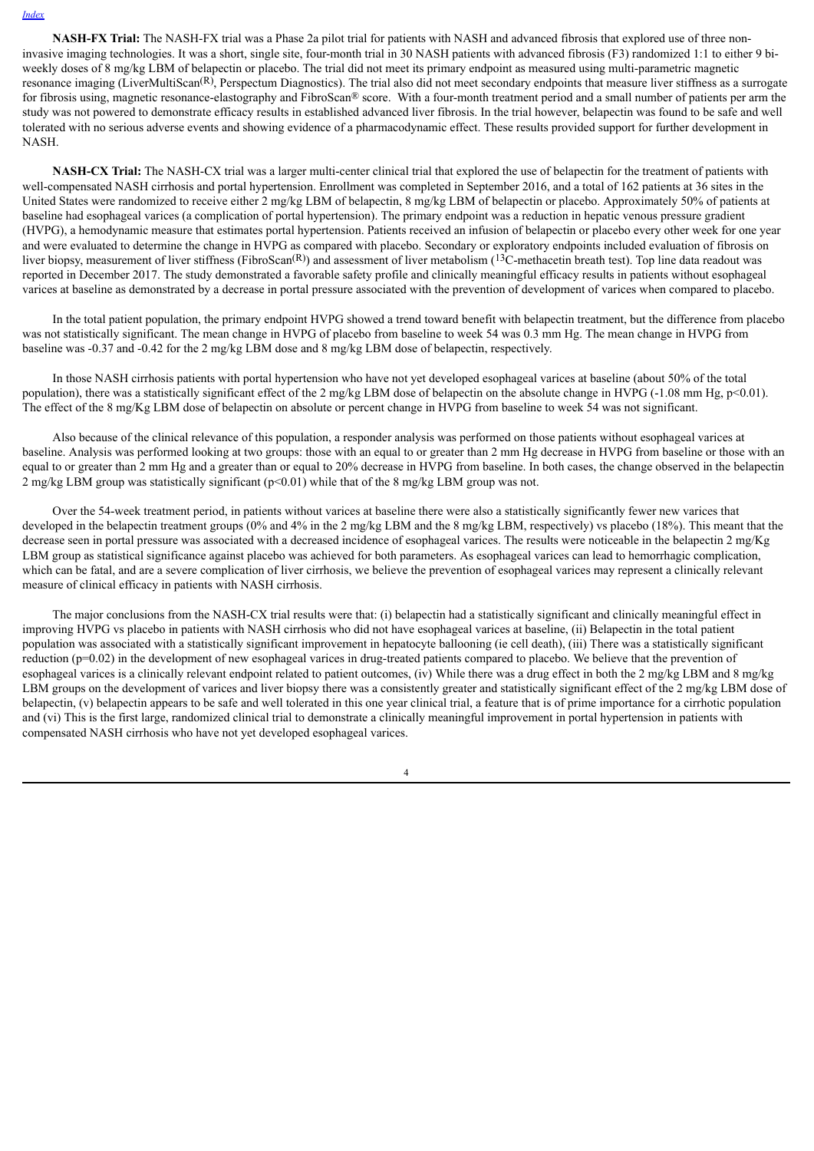**NASH-FX Trial:** The NASH-FX trial was a Phase 2a pilot trial for patients with NASH and advanced fibrosis that explored use of three noninvasive imaging technologies. It was a short, single site, four-month trial in 30 NASH patients with advanced fibrosis (F3) randomized 1:1 to either 9 biweekly doses of 8 mg/kg LBM of belapectin or placebo. The trial did not meet its primary endpoint as measured using multi-parametric magnetic resonance imaging (LiverMultiScan<sup>(R)</sup>, Perspectum Diagnostics). The trial also did not meet secondary endpoints that measure liver stiffness as a surrogate for fibrosis using, magnetic resonance-elastography and FibroScan® score. With a four-month treatment period and a small number of patients per arm the study was not powered to demonstrate efficacy results in established advanced liver fibrosis. In the trial however, belapectin was found to be safe and well tolerated with no serious adverse events and showing evidence of a pharmacodynamic effect. These results provided support for further development in NASH.

**NASH-CX Trial:** The NASH-CX trial was a larger multi-center clinical trial that explored the use of belapectin for the treatment of patients with well-compensated NASH cirrhosis and portal hypertension. Enrollment was completed in September 2016, and a total of 162 patients at 36 sites in the United States were randomized to receive either 2 mg/kg LBM of belapectin, 8 mg/kg LBM of belapectin or placebo. Approximately 50% of patients at baseline had esophageal varices (a complication of portal hypertension). The primary endpoint was a reduction in hepatic venous pressure gradient (HVPG), a hemodynamic measure that estimates portal hypertension. Patients received an infusion of belapectin or placebo every other week for one year and were evaluated to determine the change in HVPG as compared with placebo. Secondary or exploratory endpoints included evaluation of fibrosis on liver biopsy, measurement of liver stiffness (FibroScan(R)) and assessment of liver metabolism (13C-methacetin breath test). Top line data readout was reported in December 2017. The study demonstrated a favorable safety profile and clinically meaningful efficacy results in patients without esophageal varices at baseline as demonstrated by a decrease in portal pressure associated with the prevention of development of varices when compared to placebo.

In the total patient population, the primary endpoint HVPG showed a trend toward benefit with belapectin treatment, but the difference from placebo was not statistically significant. The mean change in HVPG of placebo from baseline to week 54 was 0.3 mm Hg. The mean change in HVPG from baseline was -0.37 and -0.42 for the 2 mg/kg LBM dose and 8 mg/kg LBM dose of belapectin, respectively.

In those NASH cirrhosis patients with portal hypertension who have not yet developed esophageal varices at baseline (about 50% of the total population), there was a statistically significant effect of the 2 mg/kg LBM dose of belapectin on the absolute change in HVPG (-1.08 mm Hg, p<0.01). The effect of the 8 mg/Kg LBM dose of belapectin on absolute or percent change in HVPG from baseline to week 54 was not significant.

Also because of the clinical relevance of this population, a responder analysis was performed on those patients without esophageal varices at baseline. Analysis was performed looking at two groups: those with an equal to or greater than 2 mm Hg decrease in HVPG from baseline or those with an equal to or greater than 2 mm Hg and a greater than or equal to 20% decrease in HVPG from baseline. In both cases, the change observed in the belapectin 2 mg/kg LBM group was statistically significant (p<0.01) while that of the 8 mg/kg LBM group was not.

Over the 54-week treatment period, in patients without varices at baseline there were also a statistically significantly fewer new varices that developed in the belapectin treatment groups (0% and 4% in the 2 mg/kg LBM and the 8 mg/kg LBM, respectively) vs placebo (18%). This meant that the decrease seen in portal pressure was associated with a decreased incidence of esophageal varices. The results were noticeable in the belapectin 2 mg/Kg LBM group as statistical significance against placebo was achieved for both parameters. As esophageal varices can lead to hemorrhagic complication, which can be fatal, and are a severe complication of liver cirrhosis, we believe the prevention of esophageal varices may represent a clinically relevant measure of clinical efficacy in patients with NASH cirrhosis.

The major conclusions from the NASH-CX trial results were that: (i) belapectin had a statistically significant and clinically meaningful effect in improving HVPG vs placebo in patients with NASH cirrhosis who did not have esophageal varices at baseline, (ii) Belapectin in the total patient population was associated with a statistically significant improvement in hepatocyte ballooning (ie cell death), (iii) There was a statistically significant reduction (p=0.02) in the development of new esophageal varices in drug-treated patients compared to placebo. We believe that the prevention of esophageal varices is a clinically relevant endpoint related to patient outcomes, (iv) While there was a drug effect in both the 2 mg/kg LBM and 8 mg/kg LBM groups on the development of varices and liver biopsy there was a consistently greater and statistically significant effect of the 2 mg/kg LBM dose of belapectin, (v) belapectin appears to be safe and well tolerated in this one year clinical trial, a feature that is of prime importance for a cirrhotic population and (vi) This is the first large, randomized clinical trial to demonstrate a clinically meaningful improvement in portal hypertension in patients with compensated NASH cirrhosis who have not yet developed esophageal varices.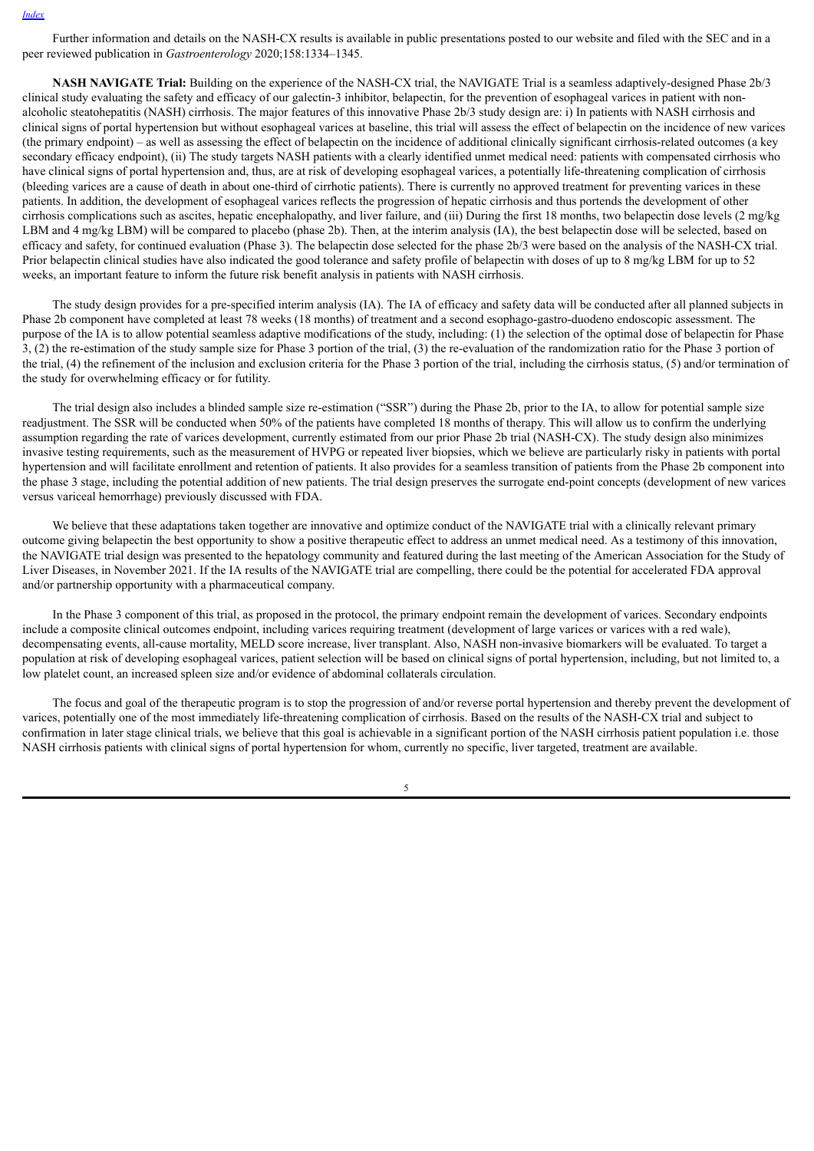Further information and details on the NASH-CX results is available in public presentations posted to our website and filed with the SEC and in a peer reviewed publication in *Gastroenterology* 2020;158:1334–1345.

**NASH NAVIGATE Trial:** Building on the experience of the NASH-CX trial, the NAVIGATE Trial is a seamless adaptively-designed Phase 2b/3 clinical study evaluating the safety and efficacy of our galectin-3 inhibitor, belapectin, for the prevention of esophageal varices in patient with nonalcoholic steatohepatitis (NASH) cirrhosis. The major features of this innovative Phase 2b/3 study design are: i) In patients with NASH cirrhosis and clinical signs of portal hypertension but without esophageal varices at baseline, this trial will assess the effect of belapectin on the incidence of new varices (the primary endpoint) – as well as assessing the effect of belapectin on the incidence of additional clinically significant cirrhosis-related outcomes (a key secondary efficacy endpoint), (ii) The study targets NASH patients with a clearly identified unmet medical need: patients with compensated cirrhosis who have clinical signs of portal hypertension and, thus, are at risk of developing esophageal varices, a potentially life-threatening complication of cirrhosis (bleeding varices are a cause of death in about one-third of cirrhotic patients). There is currently no approved treatment for preventing varices in these patients. In addition, the development of esophageal varices reflects the progression of hepatic cirrhosis and thus portends the development of other cirrhosis complications such as ascites, hepatic encephalopathy, and liver failure, and (iii) During the first 18 months, two belapectin dose levels (2 mg/kg LBM and 4 mg/kg LBM) will be compared to placebo (phase 2b). Then, at the interim analysis (IA), the best belapectin dose will be selected, based on efficacy and safety, for continued evaluation (Phase 3). The belapectin dose selected for the phase 2b/3 were based on the analysis of the NASH-CX trial. Prior belapectin clinical studies have also indicated the good tolerance and safety profile of belapectin with doses of up to 8 mg/kg LBM for up to 52 weeks, an important feature to inform the future risk benefit analysis in patients with NASH cirrhosis.

The study design provides for a pre-specified interim analysis (IA). The IA of efficacy and safety data will be conducted after all planned subjects in Phase 2b component have completed at least 78 weeks (18 months) of treatment and a second esophago-gastro-duodeno endoscopic assessment. The purpose of the IA is to allow potential seamless adaptive modifications of the study, including: (1) the selection of the optimal dose of belapectin for Phase 3, (2) the re-estimation of the study sample size for Phase 3 portion of the trial, (3) the re-evaluation of the randomization ratio for the Phase 3 portion of the trial, (4) the refinement of the inclusion and exclusion criteria for the Phase 3 portion of the trial, including the cirrhosis status, (5) and/or termination of the study for overwhelming efficacy or for futility.

The trial design also includes a blinded sample size re-estimation ("SSR") during the Phase 2b, prior to the IA, to allow for potential sample size readjustment. The SSR will be conducted when 50% of the patients have completed 18 months of therapy. This will allow us to confirm the underlying assumption regarding the rate of varices development, currently estimated from our prior Phase 2b trial (NASH-CX). The study design also minimizes invasive testing requirements, such as the measurement of HVPG or repeated liver biopsies, which we believe are particularly risky in patients with portal hypertension and will facilitate enrollment and retention of patients. It also provides for a seamless transition of patients from the Phase 2b component into the phase 3 stage, including the potential addition of new patients. The trial design preserves the surrogate end-point concepts (development of new varices versus variceal hemorrhage) previously discussed with FDA.

We believe that these adaptations taken together are innovative and optimize conduct of the NAVIGATE trial with a clinically relevant primary outcome giving belapectin the best opportunity to show a positive therapeutic effect to address an unmet medical need. As a testimony of this innovation, the NAVIGATE trial design was presented to the hepatology community and featured during the last meeting of the American Association for the Study of Liver Diseases, in November 2021. If the IA results of the NAVIGATE trial are compelling, there could be the potential for accelerated FDA approval and/or partnership opportunity with a pharmaceutical company.

In the Phase 3 component of this trial, as proposed in the protocol, the primary endpoint remain the development of varices. Secondary endpoints include a composite clinical outcomes endpoint, including varices requiring treatment (development of large varices or varices with a red wale), decompensating events, all-cause mortality, MELD score increase, liver transplant. Also, NASH non-invasive biomarkers will be evaluated. To target a population at risk of developing esophageal varices, patient selection will be based on clinical signs of portal hypertension, including, but not limited to, a low platelet count, an increased spleen size and/or evidence of abdominal collaterals circulation.

The focus and goal of the therapeutic program is to stop the progression of and/or reverse portal hypertension and thereby prevent the development of varices, potentially one of the most immediately life-threatening complication of cirrhosis. Based on the results of the NASH-CX trial and subject to confirmation in later stage clinical trials, we believe that this goal is achievable in a significant portion of the NASH cirrhosis patient population i.e. those NASH cirrhosis patients with clinical signs of portal hypertension for whom, currently no specific, liver targeted, treatment are available.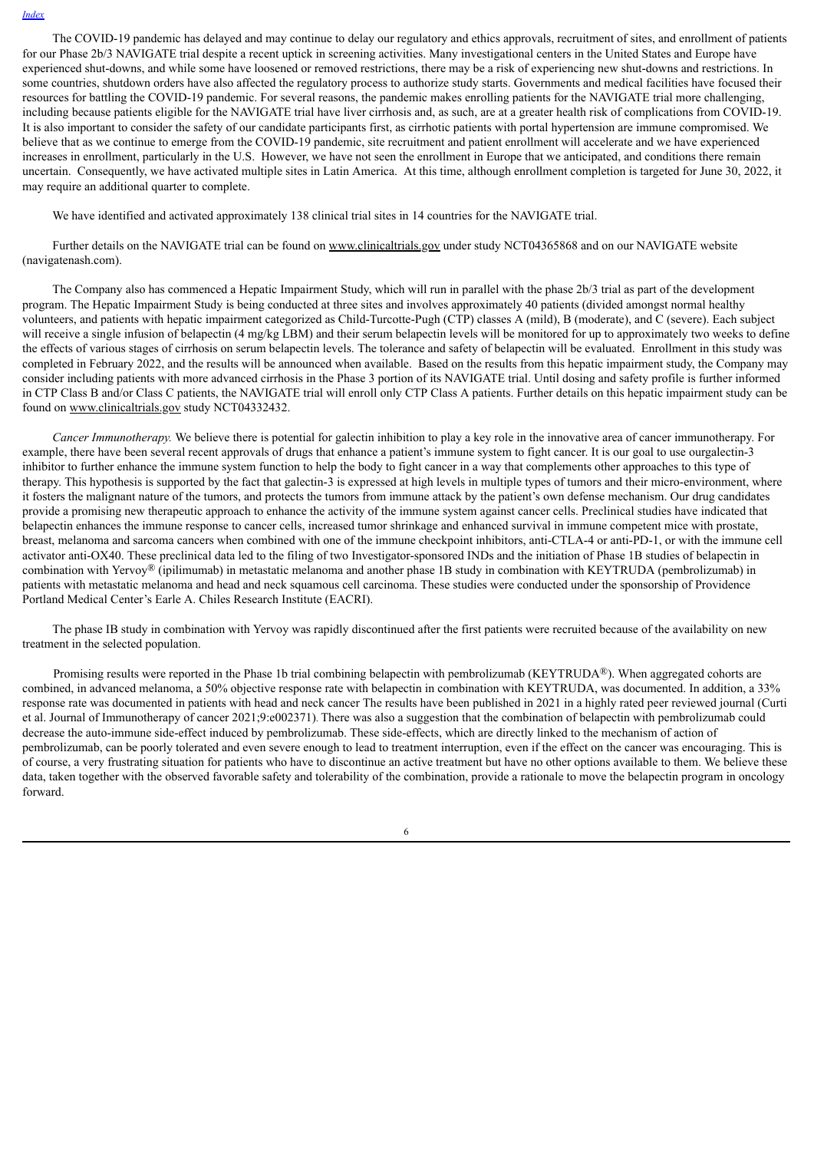The COVID-19 pandemic has delayed and may continue to delay our regulatory and ethics approvals, recruitment of sites, and enrollment of patients for our Phase 2b/3 NAVIGATE trial despite a recent uptick in screening activities. Many investigational centers in the United States and Europe have experienced shut-downs, and while some have loosened or removed restrictions, there may be a risk of experiencing new shut-downs and restrictions. In some countries, shutdown orders have also affected the regulatory process to authorize study starts. Governments and medical facilities have focused their resources for battling the COVID-19 pandemic. For several reasons, the pandemic makes enrolling patients for the NAVIGATE trial more challenging, including because patients eligible for the NAVIGATE trial have liver cirrhosis and, as such, are at a greater health risk of complications from COVID-19. It is also important to consider the safety of our candidate participants first, as cirrhotic patients with portal hypertension are immune compromised. We believe that as we continue to emerge from the COVID-19 pandemic, site recruitment and patient enrollment will accelerate and we have experienced increases in enrollment, particularly in the U.S. However, we have not seen the enrollment in Europe that we anticipated, and conditions there remain uncertain. Consequently, we have activated multiple sites in Latin America. At this time, although enrollment completion is targeted for June 30, 2022, it may require an additional quarter to complete.

We have identified and activated approximately 138 clinical trial sites in 14 countries for the NAVIGATE trial.

Further details on the NAVIGATE trial can be found on www.clinicaltrials.gov under study NCT04365868 and on our NAVIGATE website (navigatenash.com).

The Company also has commenced a Hepatic Impairment Study, which will run in parallel with the phase 2b/3 trial as part of the development program. The Hepatic Impairment Study is being conducted at three sites and involves approximately 40 patients (divided amongst normal healthy volunteers, and patients with hepatic impairment categorized as Child-Turcotte-Pugh (CTP) classes A (mild), B (moderate), and C (severe). Each subject will receive a single infusion of belapectin (4 mg/kg LBM) and their serum belapectin levels will be monitored for up to approximately two weeks to define the effects of various stages of cirrhosis on serum belapectin levels. The tolerance and safety of belapectin will be evaluated. Enrollment in this study was completed in February 2022, and the results will be announced when available. Based on the results from this hepatic impairment study, the Company may consider including patients with more advanced cirrhosis in the Phase 3 portion of its NAVIGATE trial. Until dosing and safety profile is further informed in CTP Class B and/or Class C patients, the NAVIGATE trial will enroll only CTP Class A patients. Further details on this hepatic impairment study can be found on www.clinicaltrials.gov study NCT04332432.

*Cancer Immunotherapy.* We believe there is potential for galectin inhibition to play a key role in the innovative area of cancer immunotherapy. For example, there have been several recent approvals of drugs that enhance a patient's immune system to fight cancer. It is our goal to use ourgalectin-3 inhibitor to further enhance the immune system function to help the body to fight cancer in a way that complements other approaches to this type of therapy. This hypothesis is supported by the fact that galectin-3 is expressed at high levels in multiple types of tumors and their micro-environment, where it fosters the malignant nature of the tumors, and protects the tumors from immune attack by the patient's own defense mechanism. Our drug candidates provide a promising new therapeutic approach to enhance the activity of the immune system against cancer cells. Preclinical studies have indicated that belapectin enhances the immune response to cancer cells, increased tumor shrinkage and enhanced survival in immune competent mice with prostate, breast, melanoma and sarcoma cancers when combined with one of the immune checkpoint inhibitors, anti-CTLA-4 or anti-PD-1, or with the immune cell activator anti-OX40. These preclinical data led to the filing of two Investigator-sponsored INDs and the initiation of Phase 1B studies of belapectin in combination with Yervoy® (ipilimumab) in metastatic melanoma and another phase 1B study in combination with KEYTRUDA (pembrolizumab) in patients with metastatic melanoma and head and neck squamous cell carcinoma. These studies were conducted under the sponsorship of Providence Portland Medical Center's Earle A. Chiles Research Institute (EACRI).

The phase IB study in combination with Yervoy was rapidly discontinued after the first patients were recruited because of the availability on new treatment in the selected population.

Promising results were reported in the Phase 1b trial combining belapectin with pembrolizumab (KEYTRUDA®). When aggregated cohorts are combined, in advanced melanoma, a 50% objective response rate with belapectin in combination with KEYTRUDA, was documented. In addition, a 33% response rate was documented in patients with head and neck cancer The results have been published in 2021 in a highly rated peer reviewed journal (Curti et al. Journal of Immunotherapy of cancer 2021;9:e002371). There was also a suggestion that the combination of belapectin with pembrolizumab could decrease the auto-immune side-effect induced by pembrolizumab. These side-effects, which are directly linked to the mechanism of action of pembrolizumab, can be poorly tolerated and even severe enough to lead to treatment interruption, even if the effect on the cancer was encouraging. This is of course, a very frustrating situation for patients who have to discontinue an active treatment but have no other options available to them. We believe these data, taken together with the observed favorable safety and tolerability of the combination, provide a rationale to move the belapectin program in oncology forward.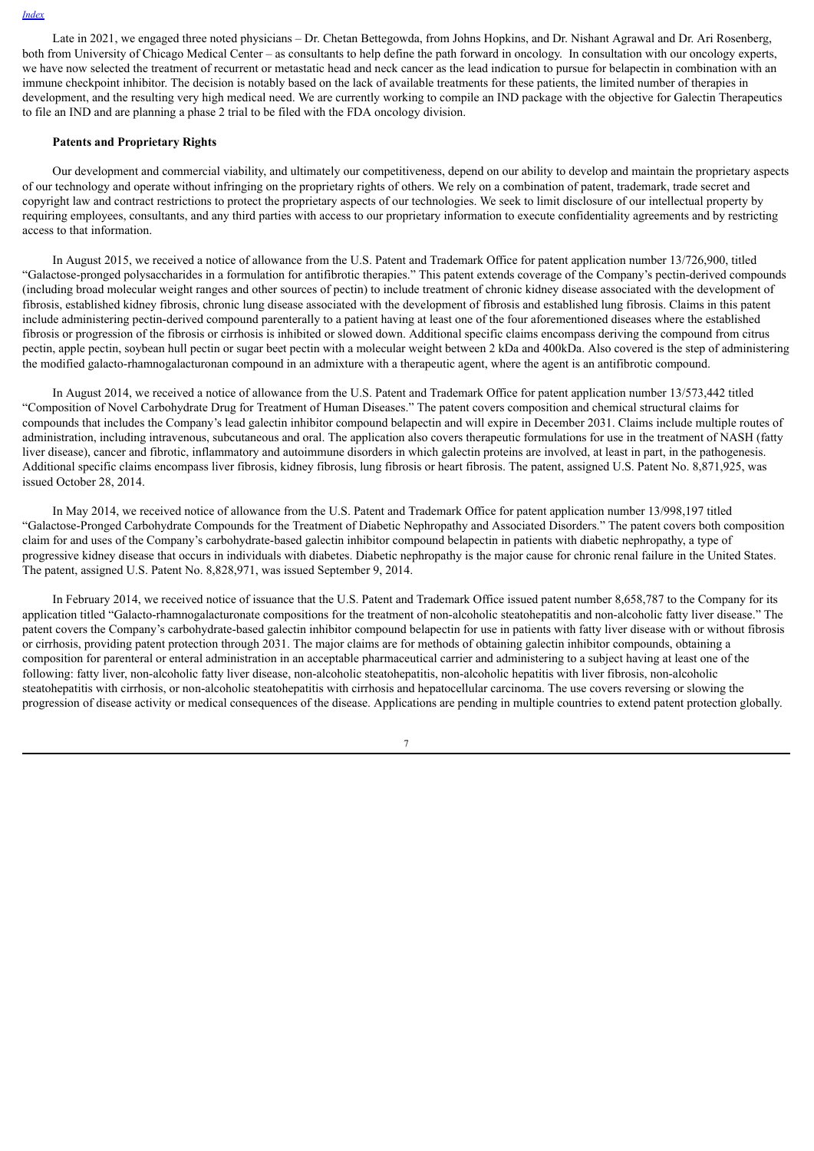Late in 2021, we engaged three noted physicians – Dr. Chetan Bettegowda, from Johns Hopkins, and Dr. Nishant Agrawal and Dr. Ari Rosenberg, both from University of Chicago Medical Center – as consultants to help define the path forward in oncology. In consultation with our oncology experts, we have now selected the treatment of recurrent or metastatic head and neck cancer as the lead indication to pursue for belapectin in combination with an immune checkpoint inhibitor. The decision is notably based on the lack of available treatments for these patients, the limited number of therapies in development, and the resulting very high medical need. We are currently working to compile an IND package with the objective for Galectin Therapeutics to file an IND and are planning a phase 2 trial to be filed with the FDA oncology division.

#### **Patents and Proprietary Rights**

Our development and commercial viability, and ultimately our competitiveness, depend on our ability to develop and maintain the proprietary aspects of our technology and operate without infringing on the proprietary rights of others. We rely on a combination of patent, trademark, trade secret and copyright law and contract restrictions to protect the proprietary aspects of our technologies. We seek to limit disclosure of our intellectual property by requiring employees, consultants, and any third parties with access to our proprietary information to execute confidentiality agreements and by restricting access to that information.

In August 2015, we received a notice of allowance from the U.S. Patent and Trademark Office for patent application number 13/726,900, titled "Galactose-pronged polysaccharides in a formulation for antifibrotic therapies." This patent extends coverage of the Company's pectin-derived compounds (including broad molecular weight ranges and other sources of pectin) to include treatment of chronic kidney disease associated with the development of fibrosis, established kidney fibrosis, chronic lung disease associated with the development of fibrosis and established lung fibrosis. Claims in this patent include administering pectin-derived compound parenterally to a patient having at least one of the four aforementioned diseases where the established fibrosis or progression of the fibrosis or cirrhosis is inhibited or slowed down. Additional specific claims encompass deriving the compound from citrus pectin, apple pectin, soybean hull pectin or sugar beet pectin with a molecular weight between 2 kDa and 400kDa. Also covered is the step of administering the modified galacto-rhamnogalacturonan compound in an admixture with a therapeutic agent, where the agent is an antifibrotic compound.

In August 2014, we received a notice of allowance from the U.S. Patent and Trademark Office for patent application number 13/573,442 titled "Composition of Novel Carbohydrate Drug for Treatment of Human Diseases." The patent covers composition and chemical structural claims for compounds that includes the Company's lead galectin inhibitor compound belapectin and will expire in December 2031. Claims include multiple routes of administration, including intravenous, subcutaneous and oral. The application also covers therapeutic formulations for use in the treatment of NASH (fatty liver disease), cancer and fibrotic, inflammatory and autoimmune disorders in which galectin proteins are involved, at least in part, in the pathogenesis. Additional specific claims encompass liver fibrosis, kidney fibrosis, lung fibrosis or heart fibrosis. The patent, assigned U.S. Patent No. 8,871,925, was issued October 28, 2014.

In May 2014, we received notice of allowance from the U.S. Patent and Trademark Office for patent application number 13/998,197 titled "Galactose-Pronged Carbohydrate Compounds for the Treatment of Diabetic Nephropathy and Associated Disorders." The patent covers both composition claim for and uses of the Company's carbohydrate-based galectin inhibitor compound belapectin in patients with diabetic nephropathy, a type of progressive kidney disease that occurs in individuals with diabetes. Diabetic nephropathy is the major cause for chronic renal failure in the United States. The patent, assigned U.S. Patent No. 8,828,971, was issued September 9, 2014.

In February 2014, we received notice of issuance that the U.S. Patent and Trademark Office issued patent number 8,658,787 to the Company for its application titled "Galacto-rhamnogalacturonate compositions for the treatment of non-alcoholic steatohepatitis and non-alcoholic fatty liver disease." The patent covers the Company's carbohydrate-based galectin inhibitor compound belapectin for use in patients with fatty liver disease with or without fibrosis or cirrhosis, providing patent protection through 2031. The major claims are for methods of obtaining galectin inhibitor compounds, obtaining a composition for parenteral or enteral administration in an acceptable pharmaceutical carrier and administering to a subject having at least one of the following: fatty liver, non-alcoholic fatty liver disease, non-alcoholic steatohepatitis, non-alcoholic hepatitis with liver fibrosis, non-alcoholic steatohepatitis with cirrhosis, or non-alcoholic steatohepatitis with cirrhosis and hepatocellular carcinoma. The use covers reversing or slowing the progression of disease activity or medical consequences of the disease. Applications are pending in multiple countries to extend patent protection globally.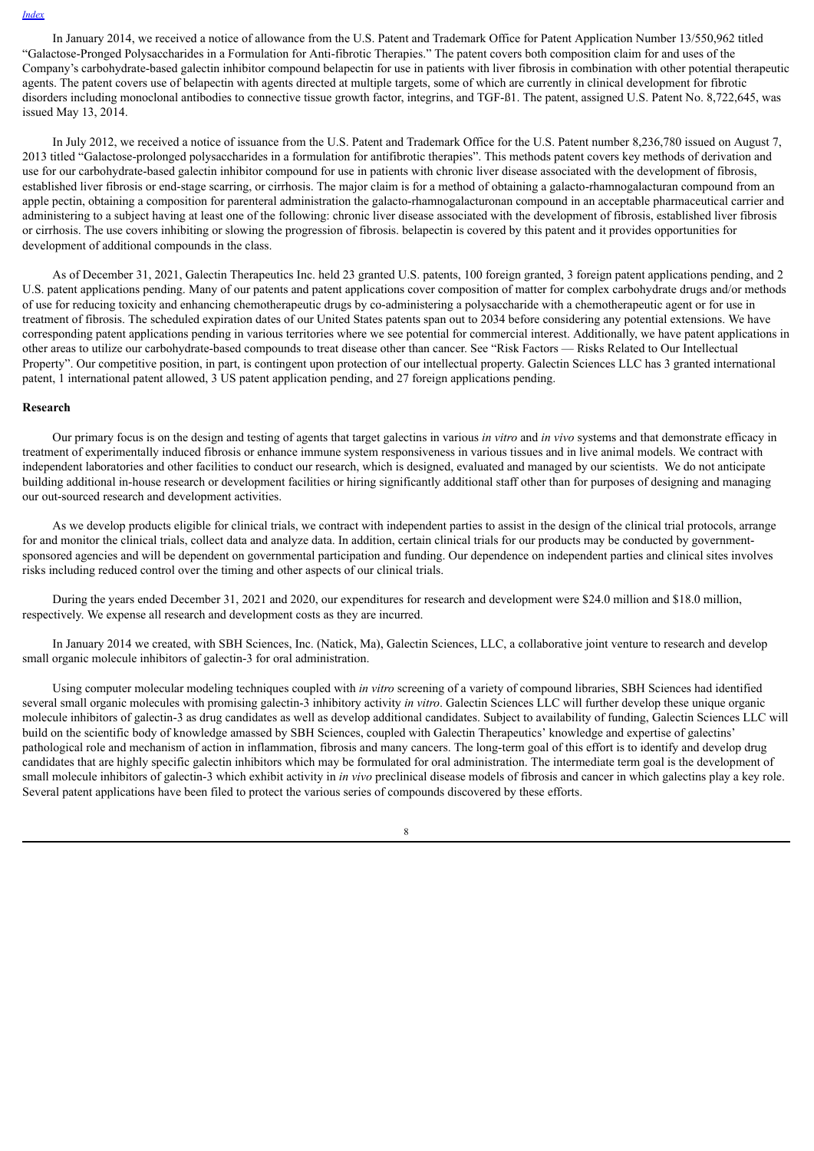In January 2014, we received a notice of allowance from the U.S. Patent and Trademark Office for Patent Application Number 13/550,962 titled "Galactose-Pronged Polysaccharides in a Formulation for Anti-fibrotic Therapies." The patent covers both composition claim for and uses of the Company's carbohydrate-based galectin inhibitor compound belapectin for use in patients with liver fibrosis in combination with other potential therapeutic agents. The patent covers use of belapectin with agents directed at multiple targets, some of which are currently in clinical development for fibrotic disorders including monoclonal antibodies to connective tissue growth factor, integrins, and TGF-B1. The patent, assigned U.S. Patent No. 8,722,645, was issued May 13, 2014.

In July 2012, we received a notice of issuance from the U.S. Patent and Trademark Office for the U.S. Patent number 8,236,780 issued on August 7, 2013 titled "Galactose-prolonged polysaccharides in a formulation for antifibrotic therapies". This methods patent covers key methods of derivation and use for our carbohydrate-based galectin inhibitor compound for use in patients with chronic liver disease associated with the development of fibrosis, established liver fibrosis or end-stage scarring, or cirrhosis. The major claim is for a method of obtaining a galacto-rhamnogalacturan compound from an apple pectin, obtaining a composition for parenteral administration the galacto-rhamnogalacturonan compound in an acceptable pharmaceutical carrier and administering to a subject having at least one of the following: chronic liver disease associated with the development of fibrosis, established liver fibrosis or cirrhosis. The use covers inhibiting or slowing the progression of fibrosis. belapectin is covered by this patent and it provides opportunities for development of additional compounds in the class.

As of December 31, 2021, Galectin Therapeutics Inc. held 23 granted U.S. patents, 100 foreign granted, 3 foreign patent applications pending, and 2 U.S. patent applications pending. Many of our patents and patent applications cover composition of matter for complex carbohydrate drugs and/or methods of use for reducing toxicity and enhancing chemotherapeutic drugs by co-administering a polysaccharide with a chemotherapeutic agent or for use in treatment of fibrosis. The scheduled expiration dates of our United States patents span out to 2034 before considering any potential extensions. We have corresponding patent applications pending in various territories where we see potential for commercial interest. Additionally, we have patent applications in other areas to utilize our carbohydrate-based compounds to treat disease other than cancer. See "Risk Factors — Risks Related to Our Intellectual Property". Our competitive position, in part, is contingent upon protection of our intellectual property. Galectin Sciences LLC has 3 granted international patent, 1 international patent allowed, 3 US patent application pending, and 27 foreign applications pending.

#### **Research**

Our primary focus is on the design and testing of agents that target galectins in various *in vitro* and *in vivo* systems and that demonstrate efficacy in treatment of experimentally induced fibrosis or enhance immune system responsiveness in various tissues and in live animal models. We contract with independent laboratories and other facilities to conduct our research, which is designed, evaluated and managed by our scientists. We do not anticipate building additional in-house research or development facilities or hiring significantly additional staff other than for purposes of designing and managing our out-sourced research and development activities.

As we develop products eligible for clinical trials, we contract with independent parties to assist in the design of the clinical trial protocols, arrange for and monitor the clinical trials, collect data and analyze data. In addition, certain clinical trials for our products may be conducted by governmentsponsored agencies and will be dependent on governmental participation and funding. Our dependence on independent parties and clinical sites involves risks including reduced control over the timing and other aspects of our clinical trials.

During the years ended December 31, 2021 and 2020, our expenditures for research and development were \$24.0 million and \$18.0 million, respectively. We expense all research and development costs as they are incurred.

In January 2014 we created, with SBH Sciences, Inc. (Natick, Ma), Galectin Sciences, LLC, a collaborative joint venture to research and develop small organic molecule inhibitors of galectin-3 for oral administration.

Using computer molecular modeling techniques coupled with *in vitro* screening of a variety of compound libraries, SBH Sciences had identified several small organic molecules with promising galectin-3 inhibitory activity *in vitro*. Galectin Sciences LLC will further develop these unique organic molecule inhibitors of galectin-3 as drug candidates as well as develop additional candidates. Subject to availability of funding, Galectin Sciences LLC will build on the scientific body of knowledge amassed by SBH Sciences, coupled with Galectin Therapeutics' knowledge and expertise of galectins' pathological role and mechanism of action in inflammation, fibrosis and many cancers. The long-term goal of this effort is to identify and develop drug candidates that are highly specific galectin inhibitors which may be formulated for oral administration. The intermediate term goal is the development of small molecule inhibitors of galectin-3 which exhibit activity in *in vivo* preclinical disease models of fibrosis and cancer in which galectins play a key role. Several patent applications have been filed to protect the various series of compounds discovered by these efforts.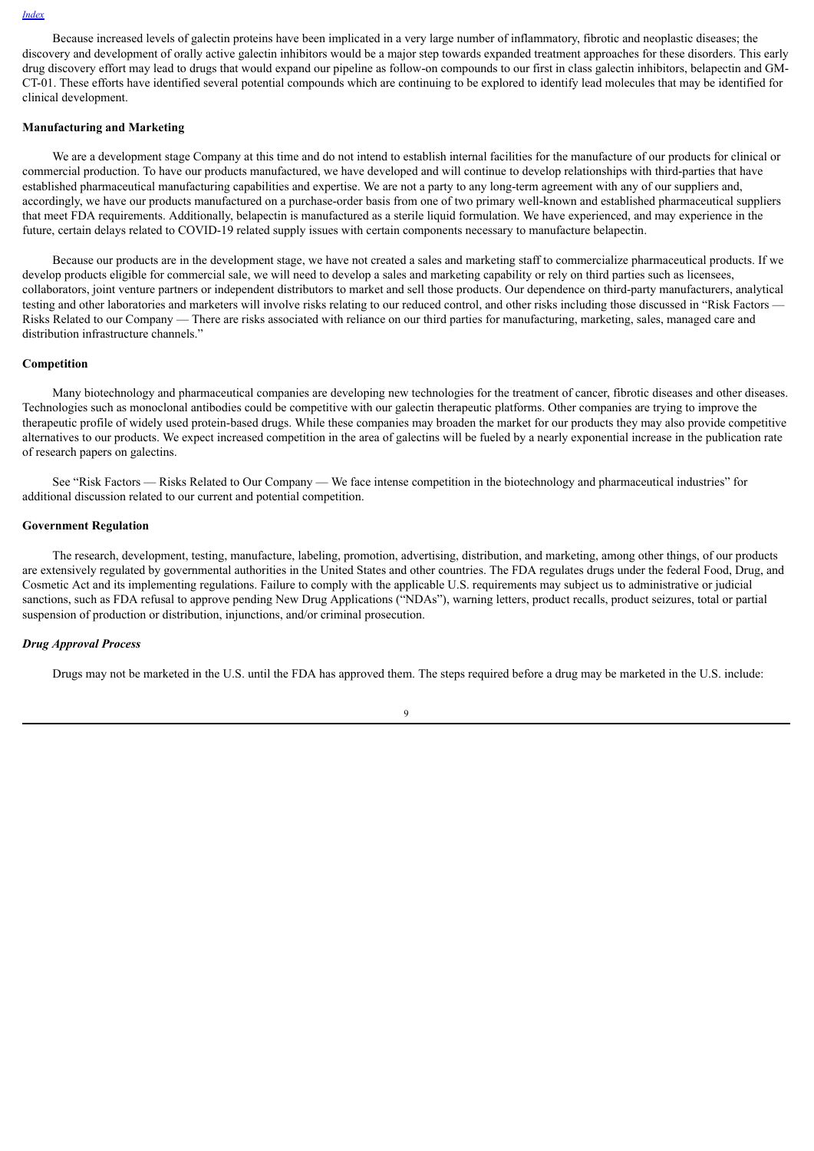Because increased levels of galectin proteins have been implicated in a very large number of inflammatory, fibrotic and neoplastic diseases; the discovery and development of orally active galectin inhibitors would be a major step towards expanded treatment approaches for these disorders. This early drug discovery effort may lead to drugs that would expand our pipeline as follow-on compounds to our first in class galectin inhibitors, belapectin and GM-CT-01. These efforts have identified several potential compounds which are continuing to be explored to identify lead molecules that may be identified for clinical development.

#### **Manufacturing and Marketing**

We are a development stage Company at this time and do not intend to establish internal facilities for the manufacture of our products for clinical or commercial production. To have our products manufactured, we have developed and will continue to develop relationships with third-parties that have established pharmaceutical manufacturing capabilities and expertise. We are not a party to any long-term agreement with any of our suppliers and, accordingly, we have our products manufactured on a purchase-order basis from one of two primary well-known and established pharmaceutical suppliers that meet FDA requirements. Additionally, belapectin is manufactured as a sterile liquid formulation. We have experienced, and may experience in the future, certain delays related to COVID-19 related supply issues with certain components necessary to manufacture belapectin.

Because our products are in the development stage, we have not created a sales and marketing staff to commercialize pharmaceutical products. If we develop products eligible for commercial sale, we will need to develop a sales and marketing capability or rely on third parties such as licensees, collaborators, joint venture partners or independent distributors to market and sell those products. Our dependence on third-party manufacturers, analytical testing and other laboratories and marketers will involve risks relating to our reduced control, and other risks including those discussed in "Risk Factors — Risks Related to our Company — There are risks associated with reliance on our third parties for manufacturing, marketing, sales, managed care and distribution infrastructure channels."

#### **Competition**

Many biotechnology and pharmaceutical companies are developing new technologies for the treatment of cancer, fibrotic diseases and other diseases. Technologies such as monoclonal antibodies could be competitive with our galectin therapeutic platforms. Other companies are trying to improve the therapeutic profile of widely used protein-based drugs. While these companies may broaden the market for our products they may also provide competitive alternatives to our products. We expect increased competition in the area of galectins will be fueled by a nearly exponential increase in the publication rate of research papers on galectins.

See "Risk Factors — Risks Related to Our Company — We face intense competition in the biotechnology and pharmaceutical industries" for additional discussion related to our current and potential competition.

#### **Government Regulation**

The research, development, testing, manufacture, labeling, promotion, advertising, distribution, and marketing, among other things, of our products are extensively regulated by governmental authorities in the United States and other countries. The FDA regulates drugs under the federal Food, Drug, and Cosmetic Act and its implementing regulations. Failure to comply with the applicable U.S. requirements may subject us to administrative or judicial sanctions, such as FDA refusal to approve pending New Drug Applications ("NDAs"), warning letters, product recalls, product seizures, total or partial suspension of production or distribution, injunctions, and/or criminal prosecution.

#### *Drug Approval Process*

Drugs may not be marketed in the U.S. until the FDA has approved them. The steps required before a drug may be marketed in the U.S. include: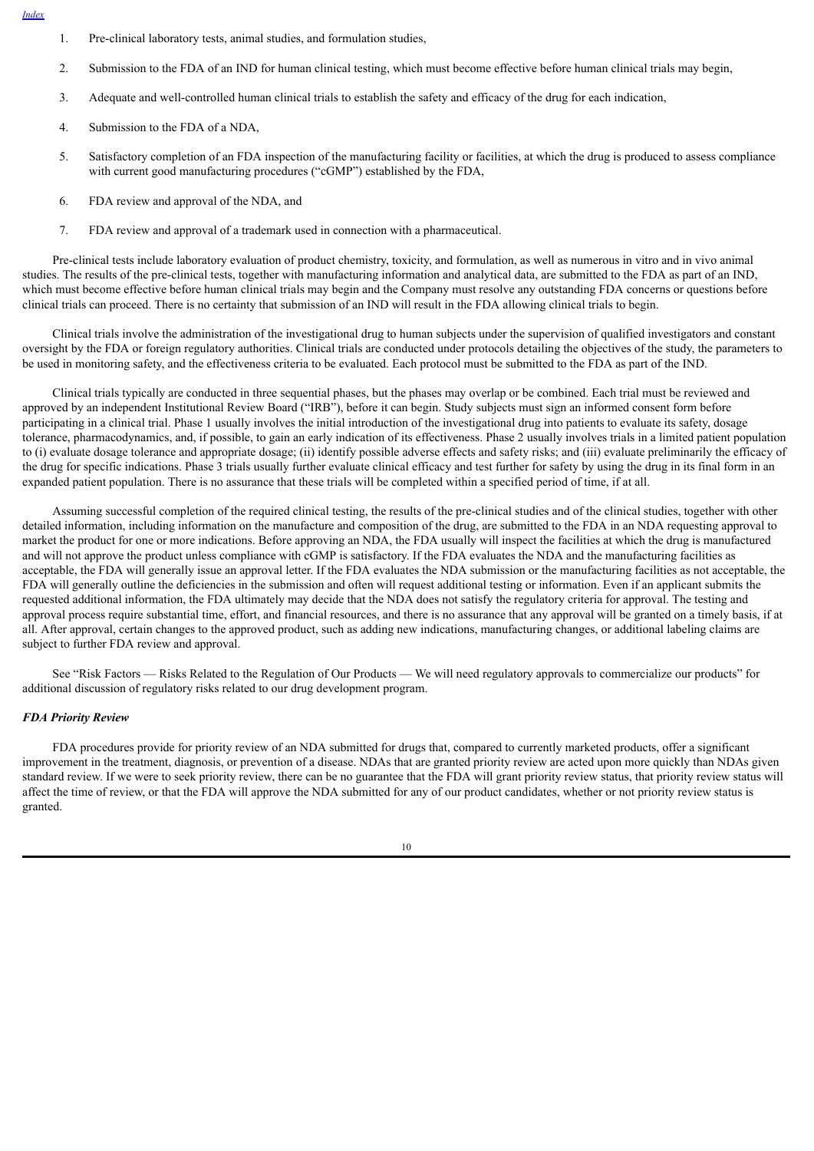- *[Index](#page-2-0)*
- 1. Pre-clinical laboratory tests, animal studies, and formulation studies,
- 2. Submission to the FDA of an IND for human clinical testing, which must become effective before human clinical trials may begin,
- 3. Adequate and well-controlled human clinical trials to establish the safety and efficacy of the drug for each indication,
- 4. Submission to the FDA of a NDA,
- 5. Satisfactory completion of an FDA inspection of the manufacturing facility or facilities, at which the drug is produced to assess compliance with current good manufacturing procedures ("cGMP") established by the FDA,
- 6. FDA review and approval of the NDA, and
- 7. FDA review and approval of a trademark used in connection with a pharmaceutical.

Pre-clinical tests include laboratory evaluation of product chemistry, toxicity, and formulation, as well as numerous in vitro and in vivo animal studies. The results of the pre-clinical tests, together with manufacturing information and analytical data, are submitted to the FDA as part of an IND, which must become effective before human clinical trials may begin and the Company must resolve any outstanding FDA concerns or questions before clinical trials can proceed. There is no certainty that submission of an IND will result in the FDA allowing clinical trials to begin.

Clinical trials involve the administration of the investigational drug to human subjects under the supervision of qualified investigators and constant oversight by the FDA or foreign regulatory authorities. Clinical trials are conducted under protocols detailing the objectives of the study, the parameters to be used in monitoring safety, and the effectiveness criteria to be evaluated. Each protocol must be submitted to the FDA as part of the IND.

Clinical trials typically are conducted in three sequential phases, but the phases may overlap or be combined. Each trial must be reviewed and approved by an independent Institutional Review Board ("IRB"), before it can begin. Study subjects must sign an informed consent form before participating in a clinical trial. Phase 1 usually involves the initial introduction of the investigational drug into patients to evaluate its safety, dosage tolerance, pharmacodynamics, and, if possible, to gain an early indication of its effectiveness. Phase 2 usually involves trials in a limited patient population to (i) evaluate dosage tolerance and appropriate dosage; (ii) identify possible adverse effects and safety risks; and (iii) evaluate preliminarily the efficacy of the drug for specific indications. Phase 3 trials usually further evaluate clinical efficacy and test further for safety by using the drug in its final form in an expanded patient population. There is no assurance that these trials will be completed within a specified period of time, if at all.

Assuming successful completion of the required clinical testing, the results of the pre-clinical studies and of the clinical studies, together with other detailed information, including information on the manufacture and composition of the drug, are submitted to the FDA in an NDA requesting approval to market the product for one or more indications. Before approving an NDA, the FDA usually will inspect the facilities at which the drug is manufactured and will not approve the product unless compliance with cGMP is satisfactory. If the FDA evaluates the NDA and the manufacturing facilities as acceptable, the FDA will generally issue an approval letter. If the FDA evaluates the NDA submission or the manufacturing facilities as not acceptable, the FDA will generally outline the deficiencies in the submission and often will request additional testing or information. Even if an applicant submits the requested additional information, the FDA ultimately may decide that the NDA does not satisfy the regulatory criteria for approval. The testing and approval process require substantial time, effort, and financial resources, and there is no assurance that any approval will be granted on a timely basis, if at all. After approval, certain changes to the approved product, such as adding new indications, manufacturing changes, or additional labeling claims are subject to further FDA review and approval.

See "Risk Factors — Risks Related to the Regulation of Our Products — We will need regulatory approvals to commercialize our products" for additional discussion of regulatory risks related to our drug development program.

#### *FDA Priority Review*

FDA procedures provide for priority review of an NDA submitted for drugs that, compared to currently marketed products, offer a significant improvement in the treatment, diagnosis, or prevention of a disease. NDAs that are granted priority review are acted upon more quickly than NDAs given standard review. If we were to seek priority review, there can be no guarantee that the FDA will grant priority review status, that priority review status will affect the time of review, or that the FDA will approve the NDA submitted for any of our product candidates, whether or not priority review status is granted.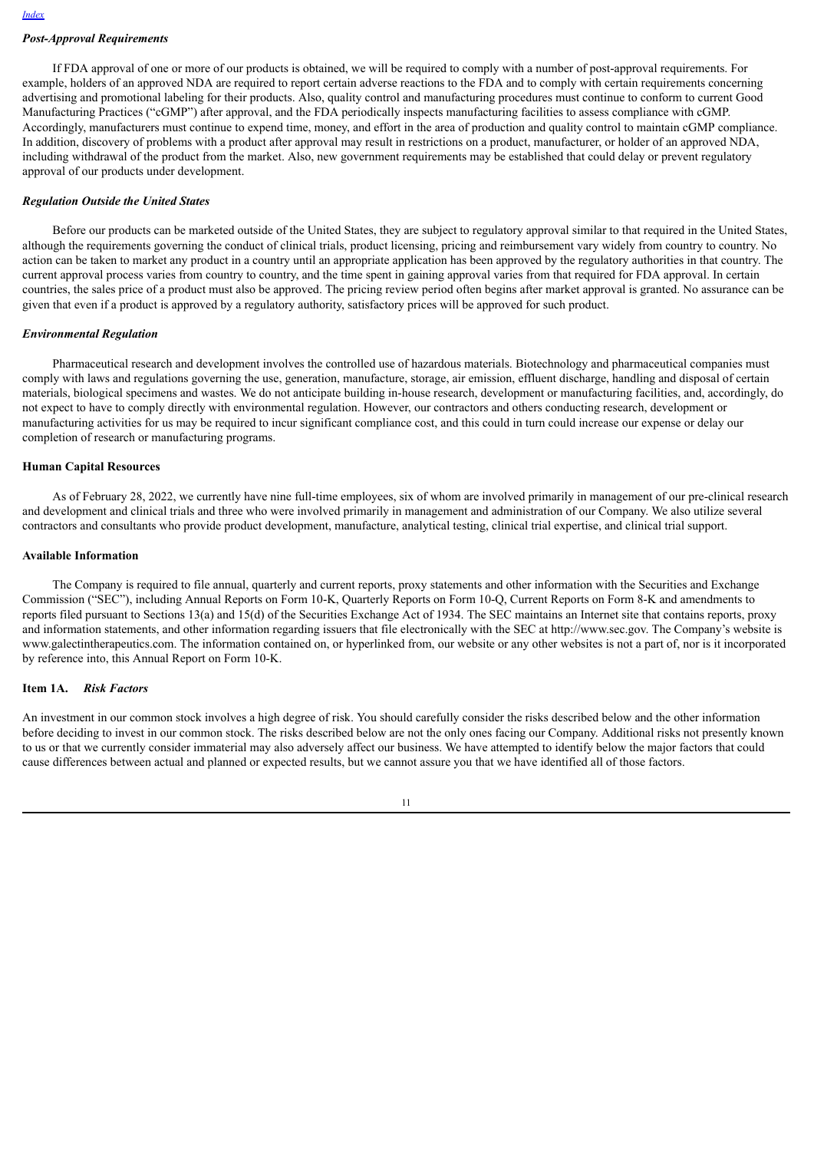# *Post-Approval Requirements*

If FDA approval of one or more of our products is obtained, we will be required to comply with a number of post-approval requirements. For example, holders of an approved NDA are required to report certain adverse reactions to the FDA and to comply with certain requirements concerning advertising and promotional labeling for their products. Also, quality control and manufacturing procedures must continue to conform to current Good Manufacturing Practices ("cGMP") after approval, and the FDA periodically inspects manufacturing facilities to assess compliance with cGMP. Accordingly, manufacturers must continue to expend time, money, and effort in the area of production and quality control to maintain cGMP compliance. In addition, discovery of problems with a product after approval may result in restrictions on a product, manufacturer, or holder of an approved NDA, including withdrawal of the product from the market. Also, new government requirements may be established that could delay or prevent regulatory approval of our products under development.

#### *Regulation Outside the United States*

Before our products can be marketed outside of the United States, they are subject to regulatory approval similar to that required in the United States, although the requirements governing the conduct of clinical trials, product licensing, pricing and reimbursement vary widely from country to country. No action can be taken to market any product in a country until an appropriate application has been approved by the regulatory authorities in that country. The current approval process varies from country to country, and the time spent in gaining approval varies from that required for FDA approval. In certain countries, the sales price of a product must also be approved. The pricing review period often begins after market approval is granted. No assurance can be given that even if a product is approved by a regulatory authority, satisfactory prices will be approved for such product.

#### *Environmental Regulation*

Pharmaceutical research and development involves the controlled use of hazardous materials. Biotechnology and pharmaceutical companies must comply with laws and regulations governing the use, generation, manufacture, storage, air emission, effluent discharge, handling and disposal of certain materials, biological specimens and wastes. We do not anticipate building in-house research, development or manufacturing facilities, and, accordingly, do not expect to have to comply directly with environmental regulation. However, our contractors and others conducting research, development or manufacturing activities for us may be required to incur significant compliance cost, and this could in turn could increase our expense or delay our completion of research or manufacturing programs.

#### **Human Capital Resources**

As of February 28, 2022, we currently have nine full-time employees, six of whom are involved primarily in management of our pre-clinical research and development and clinical trials and three who were involved primarily in management and administration of our Company. We also utilize several contractors and consultants who provide product development, manufacture, analytical testing, clinical trial expertise, and clinical trial support.

#### **Available Information**

The Company is required to file annual, quarterly and current reports, proxy statements and other information with the Securities and Exchange Commission ("SEC"), including Annual Reports on Form 10-K, Quarterly Reports on Form 10-Q, Current Reports on Form 8-K and amendments to reports filed pursuant to Sections 13(a) and 15(d) of the Securities Exchange Act of 1934. The SEC maintains an Internet site that contains reports, proxy and information statements, and other information regarding issuers that file electronically with the SEC at http://www.sec.gov. The Company's website is www.galectintherapeutics.com. The information contained on, or hyperlinked from, our website or any other websites is not a part of, nor is it incorporated by reference into, this Annual Report on Form 10-K.

#### <span id="page-13-0"></span>**Item 1A.** *Risk Factors*

An investment in our common stock involves a high degree of risk. You should carefully consider the risks described below and the other information before deciding to invest in our common stock. The risks described below are not the only ones facing our Company. Additional risks not presently known to us or that we currently consider immaterial may also adversely affect our business. We have attempted to identify below the major factors that could cause differences between actual and planned or expected results, but we cannot assure you that we have identified all of those factors.

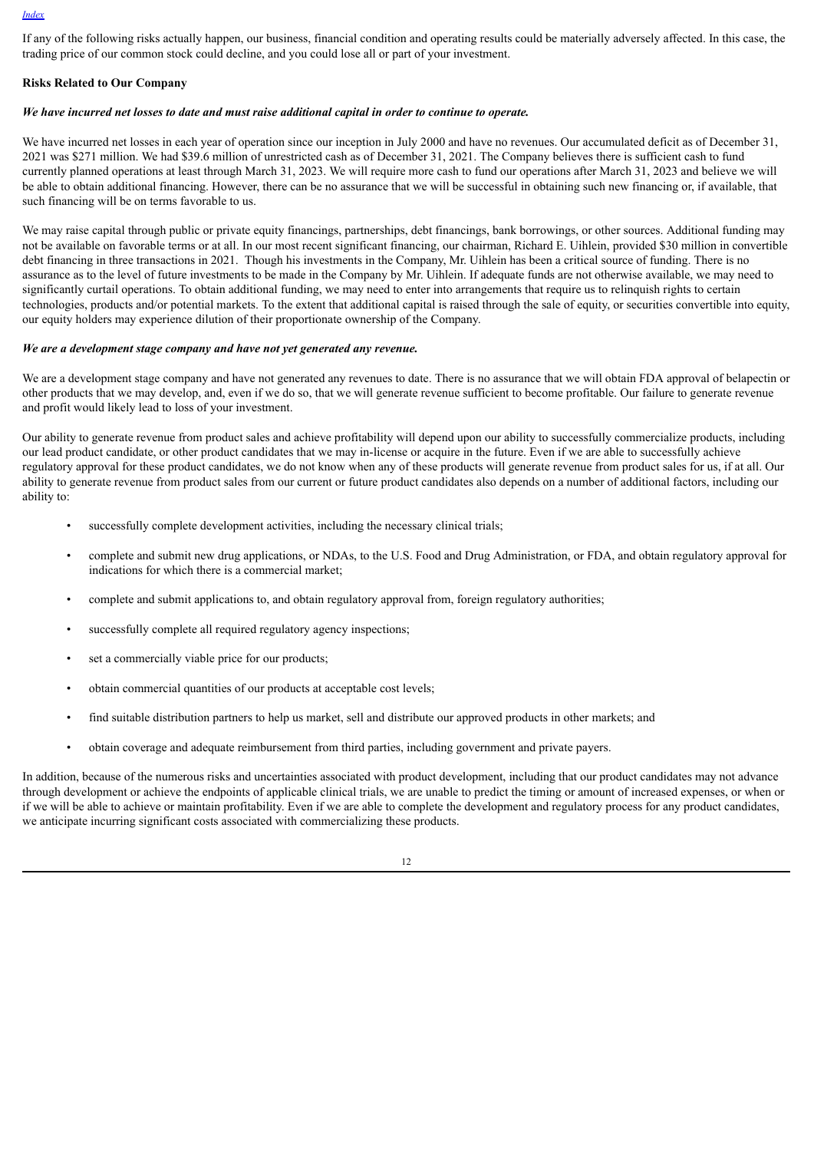If any of the following risks actually happen, our business, financial condition and operating results could be materially adversely affected. In this case, the trading price of our common stock could decline, and you could lose all or part of your investment.

#### **Risks Related to Our Company**

#### We have incurred net losses to date and must raise additional capital in order to continue to operate.

We have incurred net losses in each year of operation since our inception in July 2000 and have no revenues. Our accumulated deficit as of December 31, 2021 was \$271 million. We had \$39.6 million of unrestricted cash as of December 31, 2021. The Company believes there is sufficient cash to fund currently planned operations at least through March 31, 2023. We will require more cash to fund our operations after March 31, 2023 and believe we will be able to obtain additional financing. However, there can be no assurance that we will be successful in obtaining such new financing or, if available, that such financing will be on terms favorable to us.

We may raise capital through public or private equity financings, partnerships, debt financings, bank borrowings, or other sources. Additional funding may not be available on favorable terms or at all. In our most recent significant financing, our chairman, Richard E. Uihlein, provided \$30 million in convertible debt financing in three transactions in 2021. Though his investments in the Company, Mr. Uihlein has been a critical source of funding. There is no assurance as to the level of future investments to be made in the Company by Mr. Uihlein. If adequate funds are not otherwise available, we may need to significantly curtail operations. To obtain additional funding, we may need to enter into arrangements that require us to relinquish rights to certain technologies, products and/or potential markets. To the extent that additional capital is raised through the sale of equity, or securities convertible into equity, our equity holders may experience dilution of their proportionate ownership of the Company.

#### *We are a development stage company and have not yet generated any revenue.*

We are a development stage company and have not generated any revenues to date. There is no assurance that we will obtain FDA approval of belapectin or other products that we may develop, and, even if we do so, that we will generate revenue sufficient to become profitable. Our failure to generate revenue and profit would likely lead to loss of your investment.

Our ability to generate revenue from product sales and achieve profitability will depend upon our ability to successfully commercialize products, including our lead product candidate, or other product candidates that we may in-license or acquire in the future. Even if we are able to successfully achieve regulatory approval for these product candidates, we do not know when any of these products will generate revenue from product sales for us, if at all. Our ability to generate revenue from product sales from our current or future product candidates also depends on a number of additional factors, including our ability to:

- successfully complete development activities, including the necessary clinical trials;
- complete and submit new drug applications, or NDAs, to the U.S. Food and Drug Administration, or FDA, and obtain regulatory approval for indications for which there is a commercial market;
- complete and submit applications to, and obtain regulatory approval from, foreign regulatory authorities;
- successfully complete all required regulatory agency inspections;
- set a commercially viable price for our products;
- obtain commercial quantities of our products at acceptable cost levels;
- find suitable distribution partners to help us market, sell and distribute our approved products in other markets; and
- obtain coverage and adequate reimbursement from third parties, including government and private payers.

In addition, because of the numerous risks and uncertainties associated with product development, including that our product candidates may not advance through development or achieve the endpoints of applicable clinical trials, we are unable to predict the timing or amount of increased expenses, or when or if we will be able to achieve or maintain profitability. Even if we are able to complete the development and regulatory process for any product candidates, we anticipate incurring significant costs associated with commercializing these products.

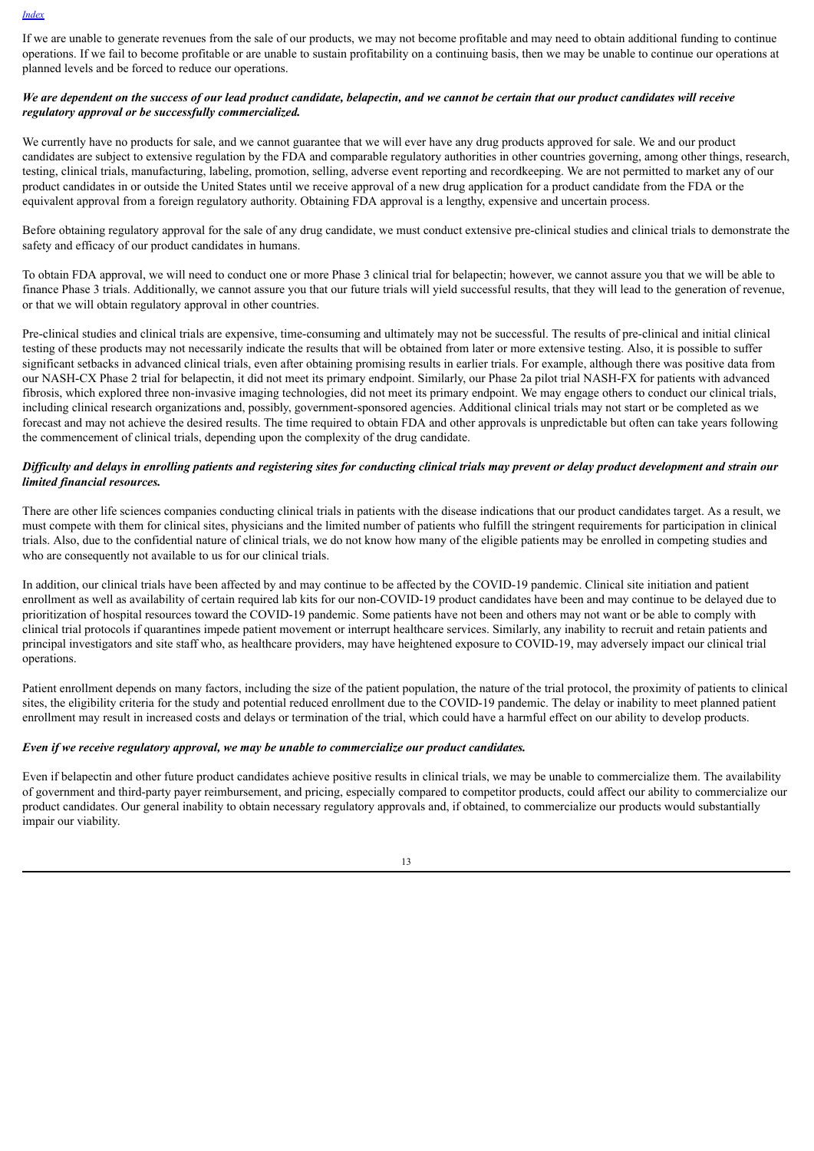If we are unable to generate revenues from the sale of our products, we may not become profitable and may need to obtain additional funding to continue operations. If we fail to become profitable or are unable to sustain profitability on a continuing basis, then we may be unable to continue our operations at planned levels and be forced to reduce our operations.

# We are dependent on the success of our lead product candidate, belapectin, and we cannot be certain that our product candidates will receive *regulatory approval or be successfully commercialized.*

We currently have no products for sale, and we cannot guarantee that we will ever have any drug products approved for sale. We and our product candidates are subject to extensive regulation by the FDA and comparable regulatory authorities in other countries governing, among other things, research, testing, clinical trials, manufacturing, labeling, promotion, selling, adverse event reporting and recordkeeping. We are not permitted to market any of our product candidates in or outside the United States until we receive approval of a new drug application for a product candidate from the FDA or the equivalent approval from a foreign regulatory authority. Obtaining FDA approval is a lengthy, expensive and uncertain process.

Before obtaining regulatory approval for the sale of any drug candidate, we must conduct extensive pre-clinical studies and clinical trials to demonstrate the safety and efficacy of our product candidates in humans.

To obtain FDA approval, we will need to conduct one or more Phase 3 clinical trial for belapectin; however, we cannot assure you that we will be able to finance Phase 3 trials. Additionally, we cannot assure you that our future trials will yield successful results, that they will lead to the generation of revenue, or that we will obtain regulatory approval in other countries.

Pre-clinical studies and clinical trials are expensive, time-consuming and ultimately may not be successful. The results of pre-clinical and initial clinical testing of these products may not necessarily indicate the results that will be obtained from later or more extensive testing. Also, it is possible to suffer significant setbacks in advanced clinical trials, even after obtaining promising results in earlier trials. For example, although there was positive data from our NASH-CX Phase 2 trial for belapectin, it did not meet its primary endpoint. Similarly, our Phase 2a pilot trial NASH-FX for patients with advanced fibrosis, which explored three non-invasive imaging technologies, did not meet its primary endpoint. We may engage others to conduct our clinical trials, including clinical research organizations and, possibly, government-sponsored agencies. Additional clinical trials may not start or be completed as we forecast and may not achieve the desired results. The time required to obtain FDA and other approvals is unpredictable but often can take years following the commencement of clinical trials, depending upon the complexity of the drug candidate.

# Difficulty and delays in enrolling patients and registering sites for conducting clinical trials may prevent or delay product development and strain our *limited financial resources.*

There are other life sciences companies conducting clinical trials in patients with the disease indications that our product candidates target. As a result, we must compete with them for clinical sites, physicians and the limited number of patients who fulfill the stringent requirements for participation in clinical trials. Also, due to the confidential nature of clinical trials, we do not know how many of the eligible patients may be enrolled in competing studies and who are consequently not available to us for our clinical trials.

In addition, our clinical trials have been affected by and may continue to be affected by the COVID-19 pandemic. Clinical site initiation and patient enrollment as well as availability of certain required lab kits for our non-COVID-19 product candidates have been and may continue to be delayed due to prioritization of hospital resources toward the COVID-19 pandemic. Some patients have not been and others may not want or be able to comply with clinical trial protocols if quarantines impede patient movement or interrupt healthcare services. Similarly, any inability to recruit and retain patients and principal investigators and site staff who, as healthcare providers, may have heightened exposure to COVID-19, may adversely impact our clinical trial operations.

Patient enrollment depends on many factors, including the size of the patient population, the nature of the trial protocol, the proximity of patients to clinical sites, the eligibility criteria for the study and potential reduced enrollment due to the COVID-19 pandemic. The delay or inability to meet planned patient enrollment may result in increased costs and delays or termination of the trial, which could have a harmful effect on our ability to develop products.

# *Even if we receive regulatory approval, we may be unable to commercialize our product candidates.*

Even if belapectin and other future product candidates achieve positive results in clinical trials, we may be unable to commercialize them. The availability of government and third-party payer reimbursement, and pricing, especially compared to competitor products, could affect our ability to commercialize our product candidates. Our general inability to obtain necessary regulatory approvals and, if obtained, to commercialize our products would substantially impair our viability.

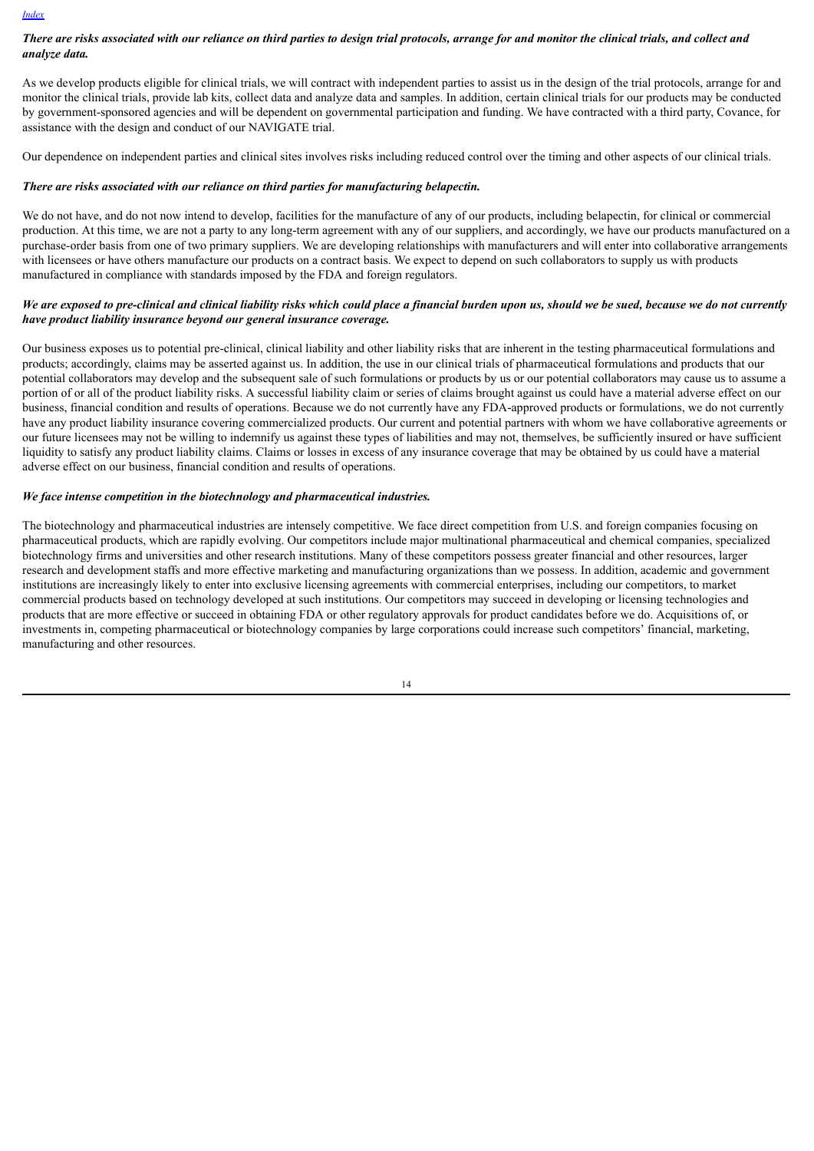# There are risks associated with our reliance on third parties to design trial protocols, arrange for and monitor the clinical trials, and collect and *analyze data.*

As we develop products eligible for clinical trials, we will contract with independent parties to assist us in the design of the trial protocols, arrange for and monitor the clinical trials, provide lab kits, collect data and analyze data and samples. In addition, certain clinical trials for our products may be conducted by government-sponsored agencies and will be dependent on governmental participation and funding. We have contracted with a third party, Covance, for assistance with the design and conduct of our NAVIGATE trial.

Our dependence on independent parties and clinical sites involves risks including reduced control over the timing and other aspects of our clinical trials.

#### *There are risks associated with our reliance on third parties for manufacturing belapectin.*

We do not have, and do not now intend to develop, facilities for the manufacture of any of our products, including belapectin, for clinical or commercial production. At this time, we are not a party to any long-term agreement with any of our suppliers, and accordingly, we have our products manufactured on a purchase-order basis from one of two primary suppliers. We are developing relationships with manufacturers and will enter into collaborative arrangements with licensees or have others manufacture our products on a contract basis. We expect to depend on such collaborators to supply us with products manufactured in compliance with standards imposed by the FDA and foreign regulators.

#### We are exposed to pre-clinical and clinical liability risks which could place a financial burden upon us, should we be sued, because we do not currently *have product liability insurance beyond our general insurance coverage.*

Our business exposes us to potential pre-clinical, clinical liability and other liability risks that are inherent in the testing pharmaceutical formulations and products; accordingly, claims may be asserted against us. In addition, the use in our clinical trials of pharmaceutical formulations and products that our potential collaborators may develop and the subsequent sale of such formulations or products by us or our potential collaborators may cause us to assume a portion of or all of the product liability risks. A successful liability claim or series of claims brought against us could have a material adverse effect on our business, financial condition and results of operations. Because we do not currently have any FDA-approved products or formulations, we do not currently have any product liability insurance covering commercialized products. Our current and potential partners with whom we have collaborative agreements or our future licensees may not be willing to indemnify us against these types of liabilities and may not, themselves, be sufficiently insured or have sufficient liquidity to satisfy any product liability claims. Claims or losses in excess of any insurance coverage that may be obtained by us could have a material adverse effect on our business, financial condition and results of operations.

#### *We face intense competition in the biotechnology and pharmaceutical industries.*

The biotechnology and pharmaceutical industries are intensely competitive. We face direct competition from U.S. and foreign companies focusing on pharmaceutical products, which are rapidly evolving. Our competitors include major multinational pharmaceutical and chemical companies, specialized biotechnology firms and universities and other research institutions. Many of these competitors possess greater financial and other resources, larger research and development staffs and more effective marketing and manufacturing organizations than we possess. In addition, academic and government institutions are increasingly likely to enter into exclusive licensing agreements with commercial enterprises, including our competitors, to market commercial products based on technology developed at such institutions. Our competitors may succeed in developing or licensing technologies and products that are more effective or succeed in obtaining FDA or other regulatory approvals for product candidates before we do. Acquisitions of, or investments in, competing pharmaceutical or biotechnology companies by large corporations could increase such competitors' financial, marketing, manufacturing and other resources.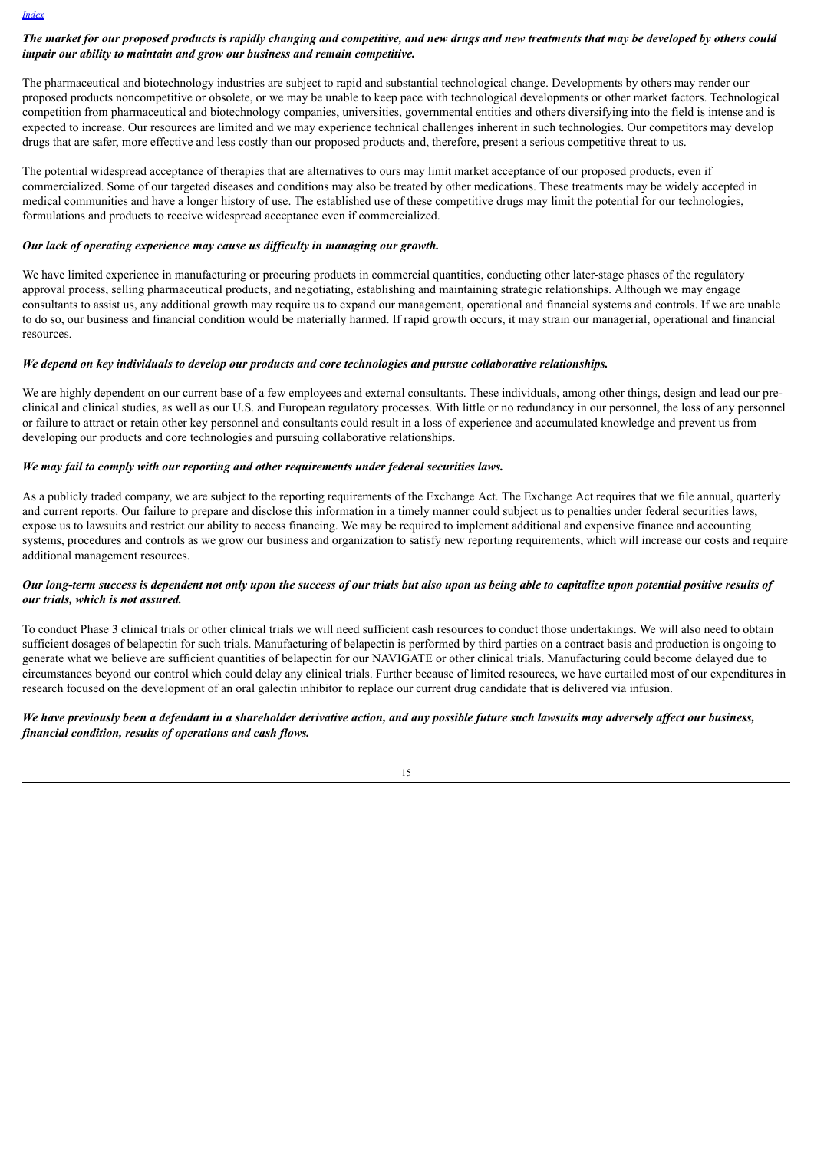# The market for our proposed products is rapidly changing and competitive, and new drugs and new treatments that may be developed by others could *impair our ability to maintain and grow our business and remain competitive.*

The pharmaceutical and biotechnology industries are subject to rapid and substantial technological change. Developments by others may render our proposed products noncompetitive or obsolete, or we may be unable to keep pace with technological developments or other market factors. Technological competition from pharmaceutical and biotechnology companies, universities, governmental entities and others diversifying into the field is intense and is expected to increase. Our resources are limited and we may experience technical challenges inherent in such technologies. Our competitors may develop drugs that are safer, more effective and less costly than our proposed products and, therefore, present a serious competitive threat to us.

The potential widespread acceptance of therapies that are alternatives to ours may limit market acceptance of our proposed products, even if commercialized. Some of our targeted diseases and conditions may also be treated by other medications. These treatments may be widely accepted in medical communities and have a longer history of use. The established use of these competitive drugs may limit the potential for our technologies, formulations and products to receive widespread acceptance even if commercialized.

#### *Our lack of operating experience may cause us dif iculty in managing our growth.*

We have limited experience in manufacturing or procuring products in commercial quantities, conducting other later-stage phases of the regulatory approval process, selling pharmaceutical products, and negotiating, establishing and maintaining strategic relationships. Although we may engage consultants to assist us, any additional growth may require us to expand our management, operational and financial systems and controls. If we are unable to do so, our business and financial condition would be materially harmed. If rapid growth occurs, it may strain our managerial, operational and financial resources.

#### We depend on key individuals to develop our products and core technologies and pursue collaborative relationships.

We are highly dependent on our current base of a few employees and external consultants. These individuals, among other things, design and lead our preclinical and clinical studies, as well as our U.S. and European regulatory processes. With little or no redundancy in our personnel, the loss of any personnel or failure to attract or retain other key personnel and consultants could result in a loss of experience and accumulated knowledge and prevent us from developing our products and core technologies and pursuing collaborative relationships.

#### *We may fail to comply with our reporting and other requirements under federal securities laws.*

As a publicly traded company, we are subject to the reporting requirements of the Exchange Act. The Exchange Act requires that we file annual, quarterly and current reports. Our failure to prepare and disclose this information in a timely manner could subject us to penalties under federal securities laws, expose us to lawsuits and restrict our ability to access financing. We may be required to implement additional and expensive finance and accounting systems, procedures and controls as we grow our business and organization to satisfy new reporting requirements, which will increase our costs and require additional management resources.

#### Our long-term success is dependent not only upon the success of our trials but also upon us being able to capitalize upon potential positive results of *our trials, which is not assured.*

To conduct Phase 3 clinical trials or other clinical trials we will need sufficient cash resources to conduct those undertakings. We will also need to obtain sufficient dosages of belapectin for such trials. Manufacturing of belapectin is performed by third parties on a contract basis and production is ongoing to generate what we believe are sufficient quantities of belapectin for our NAVIGATE or other clinical trials. Manufacturing could become delayed due to circumstances beyond our control which could delay any clinical trials. Further because of limited resources, we have curtailed most of our expenditures in research focused on the development of an oral galectin inhibitor to replace our current drug candidate that is delivered via infusion.

# We have previously been a defendant in a shareholder derivative action, and any possible future such lawsuits may adversely affect our business, *financial condition, results of operations and cash flows.*

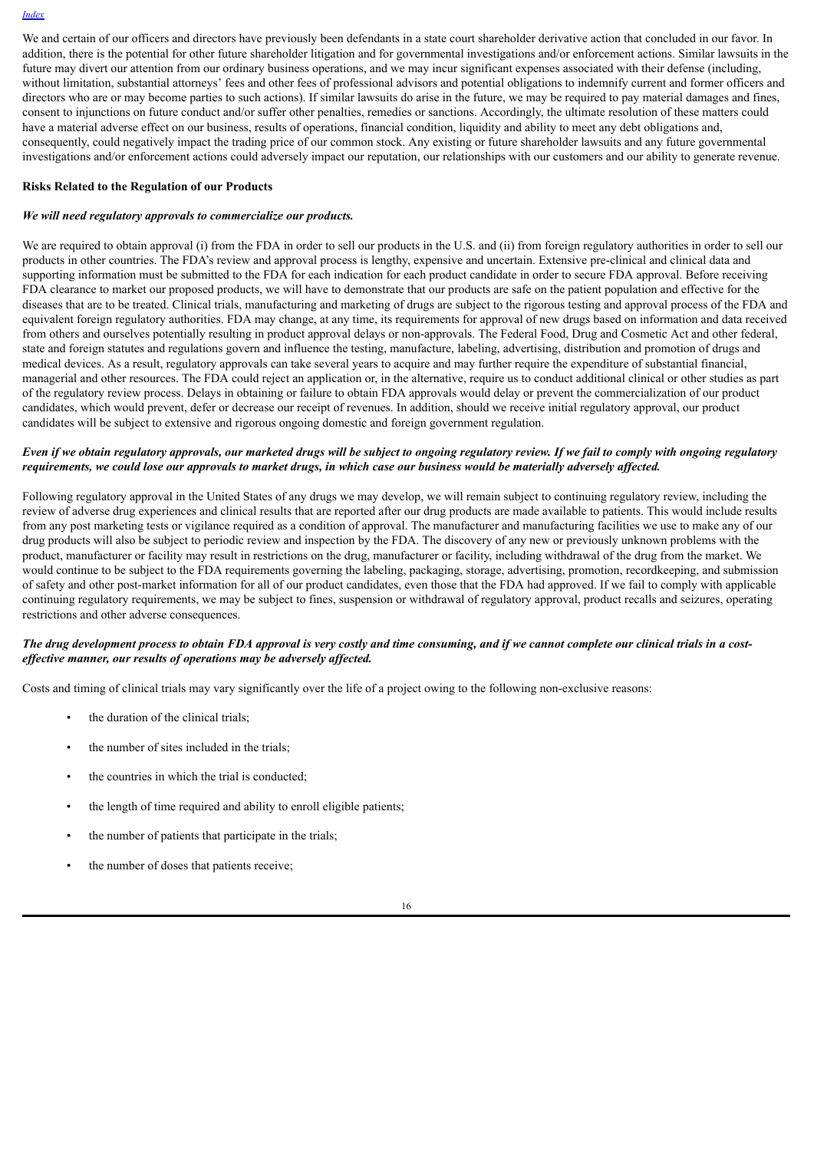We and certain of our officers and directors have previously been defendants in a state court shareholder derivative action that concluded in our favor. In addition, there is the potential for other future shareholder litigation and for governmental investigations and/or enforcement actions. Similar lawsuits in the future may divert our attention from our ordinary business operations, and we may incur significant expenses associated with their defense (including, without limitation, substantial attorneys' fees and other fees of professional advisors and potential obligations to indemnify current and former officers and directors who are or may become parties to such actions). If similar lawsuits do arise in the future, we may be required to pay material damages and fines, consent to injunctions on future conduct and/or suffer other penalties, remedies or sanctions. Accordingly, the ultimate resolution of these matters could have a material adverse effect on our business, results of operations, financial condition, liquidity and ability to meet any debt obligations and, consequently, could negatively impact the trading price of our common stock. Any existing or future shareholder lawsuits and any future governmental investigations and/or enforcement actions could adversely impact our reputation, our relationships with our customers and our ability to generate revenue.

#### **Risks Related to the Regulation of our Products**

#### *We will need regulatory approvals to commercialize our products.*

We are required to obtain approval (i) from the FDA in order to sell our products in the U.S. and (ii) from foreign regulatory authorities in order to sell our products in other countries. The FDA's review and approval process is lengthy, expensive and uncertain. Extensive pre-clinical and clinical data and supporting information must be submitted to the FDA for each indication for each product candidate in order to secure FDA approval. Before receiving FDA clearance to market our proposed products, we will have to demonstrate that our products are safe on the patient population and effective for the diseases that are to be treated. Clinical trials, manufacturing and marketing of drugs are subject to the rigorous testing and approval process of the FDA and equivalent foreign regulatory authorities. FDA may change, at any time, its requirements for approval of new drugs based on information and data received from others and ourselves potentially resulting in product approval delays or non-approvals. The Federal Food, Drug and Cosmetic Act and other federal, state and foreign statutes and regulations govern and influence the testing, manufacture, labeling, advertising, distribution and promotion of drugs and medical devices. As a result, regulatory approvals can take several years to acquire and may further require the expenditure of substantial financial, managerial and other resources. The FDA could reject an application or, in the alternative, require us to conduct additional clinical or other studies as part of the regulatory review process. Delays in obtaining or failure to obtain FDA approvals would delay or prevent the commercialization of our product candidates, which would prevent, defer or decrease our receipt of revenues. In addition, should we receive initial regulatory approval, our product candidates will be subject to extensive and rigorous ongoing domestic and foreign government regulation.

# Even if we obtain regulatory approvals, our marketed drugs will be subject to ongoing regulatory review. If we fail to comply with ongoing regulatory requirements, we could lose our approvals to market drugs, in which case our business would be materially adversely affected.

Following regulatory approval in the United States of any drugs we may develop, we will remain subject to continuing regulatory review, including the review of adverse drug experiences and clinical results that are reported after our drug products are made available to patients. This would include results from any post marketing tests or vigilance required as a condition of approval. The manufacturer and manufacturing facilities we use to make any of our drug products will also be subject to periodic review and inspection by the FDA. The discovery of any new or previously unknown problems with the product, manufacturer or facility may result in restrictions on the drug, manufacturer or facility, including withdrawal of the drug from the market. We would continue to be subject to the FDA requirements governing the labeling, packaging, storage, advertising, promotion, recordkeeping, and submission of safety and other post-market information for all of our product candidates, even those that the FDA had approved. If we fail to comply with applicable continuing regulatory requirements, we may be subject to fines, suspension or withdrawal of regulatory approval, product recalls and seizures, operating restrictions and other adverse consequences.

# The drug development process to obtain FDA approval is very costly and time consuming, and if we cannot complete our clinical trials in a cost*ef ective manner, our results of operations may be adversely af ected.*

Costs and timing of clinical trials may vary significantly over the life of a project owing to the following non-exclusive reasons:

- the duration of the clinical trials;
- the number of sites included in the trials;
- the countries in which the trial is conducted;
- the length of time required and ability to enroll eligible patients;
- the number of patients that participate in the trials;
- the number of doses that patients receive;

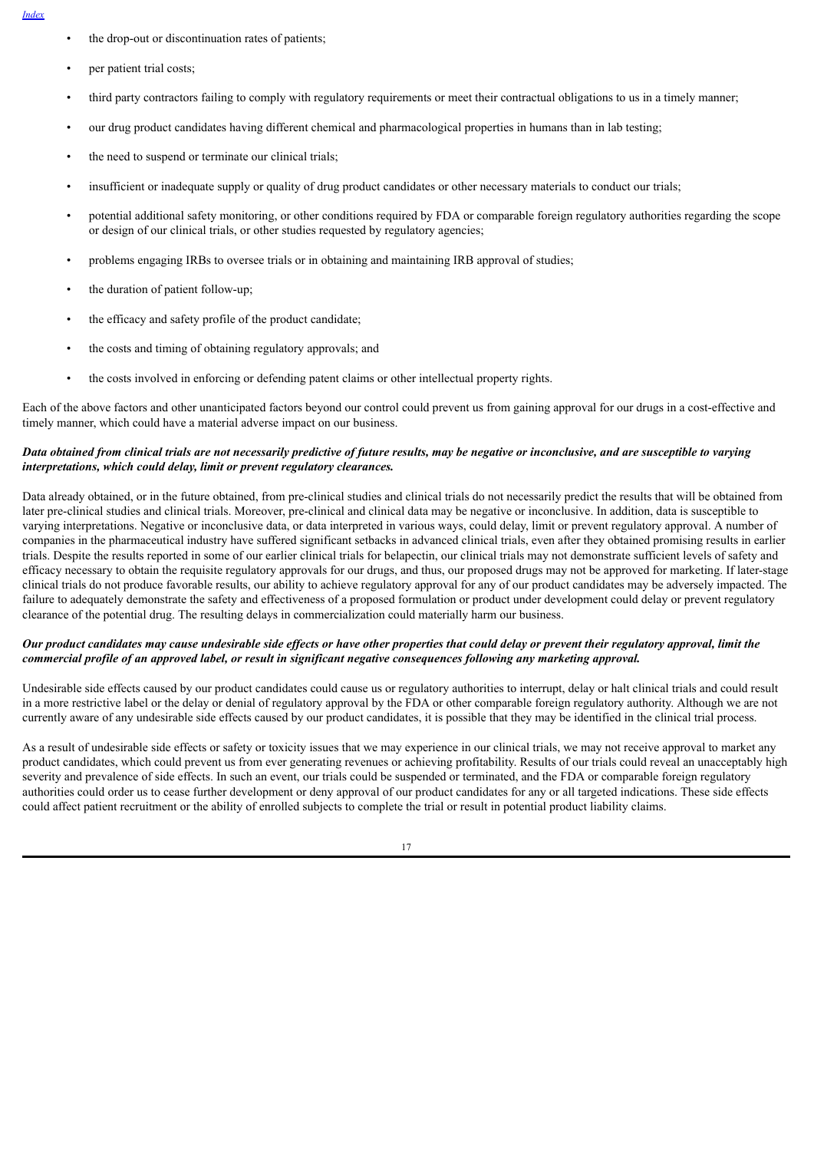- the drop-out or discontinuation rates of patients;
- per patient trial costs;
- third party contractors failing to comply with regulatory requirements or meet their contractual obligations to us in a timely manner;
- our drug product candidates having different chemical and pharmacological properties in humans than in lab testing;
- the need to suspend or terminate our clinical trials;
- insufficient or inadequate supply or quality of drug product candidates or other necessary materials to conduct our trials;
- potential additional safety monitoring, or other conditions required by FDA or comparable foreign regulatory authorities regarding the scope or design of our clinical trials, or other studies requested by regulatory agencies;
- problems engaging IRBs to oversee trials or in obtaining and maintaining IRB approval of studies;
- the duration of patient follow-up;
- the efficacy and safety profile of the product candidate:
- the costs and timing of obtaining regulatory approvals; and
- the costs involved in enforcing or defending patent claims or other intellectual property rights.

Each of the above factors and other unanticipated factors beyond our control could prevent us from gaining approval for our drugs in a cost-effective and timely manner, which could have a material adverse impact on our business.

#### Data obtained from clinical trials are not necessarily predictive of future results, may be negative or inconclusive, and are susceptible to varying *interpretations, which could delay, limit or prevent regulatory clearances.*

Data already obtained, or in the future obtained, from pre-clinical studies and clinical trials do not necessarily predict the results that will be obtained from later pre-clinical studies and clinical trials. Moreover, pre-clinical and clinical data may be negative or inconclusive. In addition, data is susceptible to varying interpretations. Negative or inconclusive data, or data interpreted in various ways, could delay, limit or prevent regulatory approval. A number of companies in the pharmaceutical industry have suffered significant setbacks in advanced clinical trials, even after they obtained promising results in earlier trials. Despite the results reported in some of our earlier clinical trials for belapectin, our clinical trials may not demonstrate sufficient levels of safety and efficacy necessary to obtain the requisite regulatory approvals for our drugs, and thus, our proposed drugs may not be approved for marketing. If later-stage clinical trials do not produce favorable results, our ability to achieve regulatory approval for any of our product candidates may be adversely impacted. The failure to adequately demonstrate the safety and effectiveness of a proposed formulation or product under development could delay or prevent regulatory clearance of the potential drug. The resulting delays in commercialization could materially harm our business.

# Our product candidates may cause undesirable side effects or have other properties that could delay or prevent their regulatory approval, limit the commercial profile of an approved label, or result in significant negative consequences following any marketing approval.

Undesirable side effects caused by our product candidates could cause us or regulatory authorities to interrupt, delay or halt clinical trials and could result in a more restrictive label or the delay or denial of regulatory approval by the FDA or other comparable foreign regulatory authority. Although we are not currently aware of any undesirable side effects caused by our product candidates, it is possible that they may be identified in the clinical trial process.

As a result of undesirable side effects or safety or toxicity issues that we may experience in our clinical trials, we may not receive approval to market any product candidates, which could prevent us from ever generating revenues or achieving profitability. Results of our trials could reveal an unacceptably high severity and prevalence of side effects. In such an event, our trials could be suspended or terminated, and the FDA or comparable foreign regulatory authorities could order us to cease further development or deny approval of our product candidates for any or all targeted indications. These side effects could affect patient recruitment or the ability of enrolled subjects to complete the trial or result in potential product liability claims.

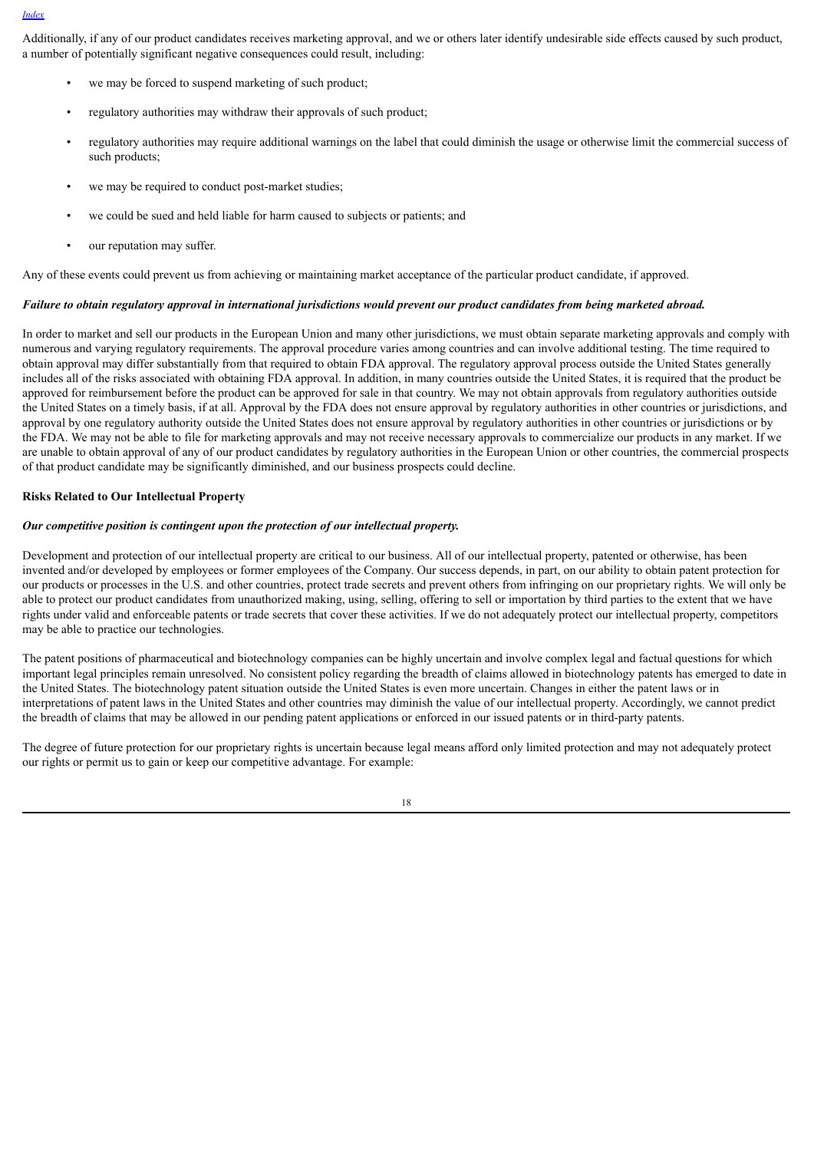Additionally, if any of our product candidates receives marketing approval, and we or others later identify undesirable side effects caused by such product, a number of potentially significant negative consequences could result, including:

- we may be forced to suspend marketing of such product;
- regulatory authorities may withdraw their approvals of such product;
- regulatory authorities may require additional warnings on the label that could diminish the usage or otherwise limit the commercial success of such products;
- we may be required to conduct post-market studies;
- we could be sued and held liable for harm caused to subjects or patients; and
- our reputation may suffer.

Any of these events could prevent us from achieving or maintaining market acceptance of the particular product candidate, if approved.

# Failure to obtain regulatory approval in international jurisdictions would prevent our product candidates from being marketed abroad.

In order to market and sell our products in the European Union and many other jurisdictions, we must obtain separate marketing approvals and comply with numerous and varying regulatory requirements. The approval procedure varies among countries and can involve additional testing. The time required to obtain approval may differ substantially from that required to obtain FDA approval. The regulatory approval process outside the United States generally includes all of the risks associated with obtaining FDA approval. In addition, in many countries outside the United States, it is required that the product be approved for reimbursement before the product can be approved for sale in that country. We may not obtain approvals from regulatory authorities outside the United States on a timely basis, if at all. Approval by the FDA does not ensure approval by regulatory authorities in other countries or jurisdictions, and approval by one regulatory authority outside the United States does not ensure approval by regulatory authorities in other countries or jurisdictions or by the FDA. We may not be able to file for marketing approvals and may not receive necessary approvals to commercialize our products in any market. If we are unable to obtain approval of any of our product candidates by regulatory authorities in the European Union or other countries, the commercial prospects of that product candidate may be significantly diminished, and our business prospects could decline.

# **Risks Related to Our Intellectual Property**

# *Our competitive position is contingent upon the protection of our intellectual property.*

Development and protection of our intellectual property are critical to our business. All of our intellectual property, patented or otherwise, has been invented and/or developed by employees or former employees of the Company. Our success depends, in part, on our ability to obtain patent protection for our products or processes in the U.S. and other countries, protect trade secrets and prevent others from infringing on our proprietary rights. We will only be able to protect our product candidates from unauthorized making, using, selling, offering to sell or importation by third parties to the extent that we have rights under valid and enforceable patents or trade secrets that cover these activities. If we do not adequately protect our intellectual property, competitors may be able to practice our technologies.

The patent positions of pharmaceutical and biotechnology companies can be highly uncertain and involve complex legal and factual questions for which important legal principles remain unresolved. No consistent policy regarding the breadth of claims allowed in biotechnology patents has emerged to date in the United States. The biotechnology patent situation outside the United States is even more uncertain. Changes in either the patent laws or in interpretations of patent laws in the United States and other countries may diminish the value of our intellectual property. Accordingly, we cannot predict the breadth of claims that may be allowed in our pending patent applications or enforced in our issued patents or in third-party patents.

The degree of future protection for our proprietary rights is uncertain because legal means afford only limited protection and may not adequately protect our rights or permit us to gain or keep our competitive advantage. For example:

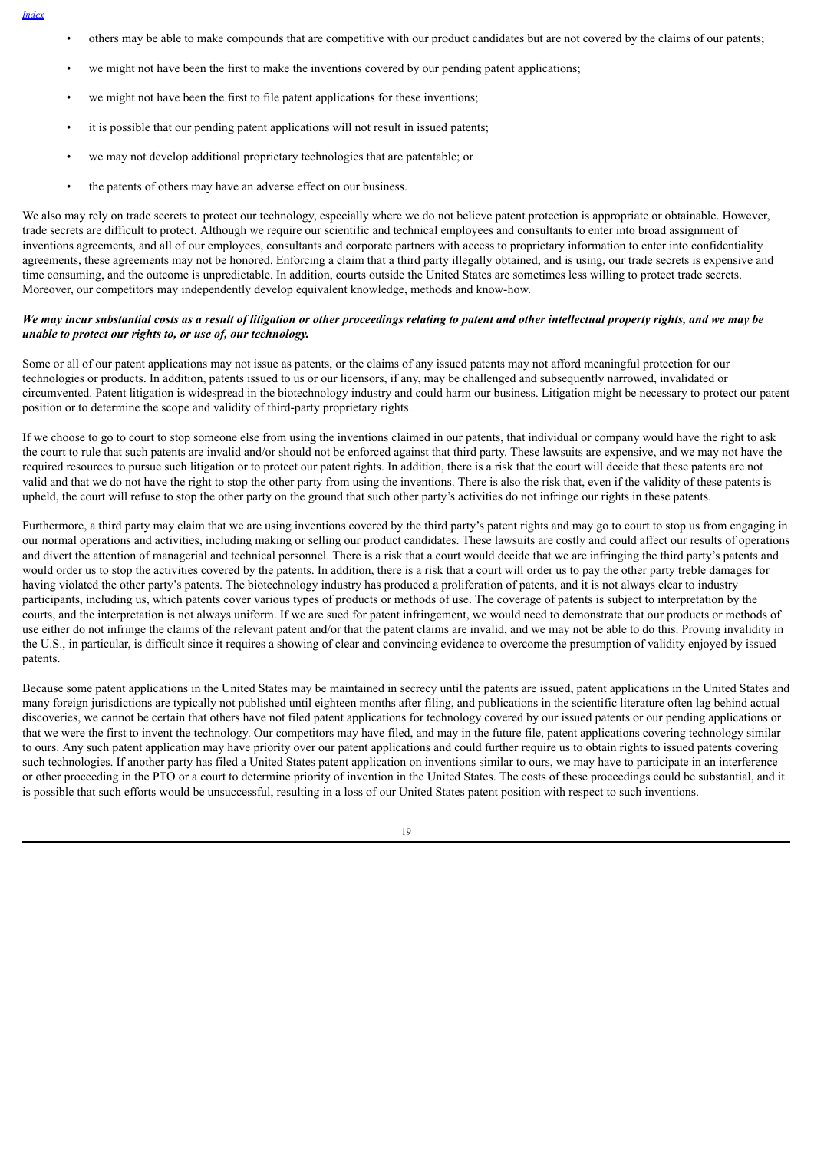- others may be able to make compounds that are competitive with our product candidates but are not covered by the claims of our patents;
- we might not have been the first to make the inventions covered by our pending patent applications;
- we might not have been the first to file patent applications for these inventions;
- it is possible that our pending patent applications will not result in issued patents;
- we may not develop additional proprietary technologies that are patentable; or
- the patents of others may have an adverse effect on our business.

We also may rely on trade secrets to protect our technology, especially where we do not believe patent protection is appropriate or obtainable. However, trade secrets are difficult to protect. Although we require our scientific and technical employees and consultants to enter into broad assignment of inventions agreements, and all of our employees, consultants and corporate partners with access to proprietary information to enter into confidentiality agreements, these agreements may not be honored. Enforcing a claim that a third party illegally obtained, and is using, our trade secrets is expensive and time consuming, and the outcome is unpredictable. In addition, courts outside the United States are sometimes less willing to protect trade secrets. Moreover, our competitors may independently develop equivalent knowledge, methods and know-how.

#### We may incur substantial costs as a result of litigation or other proceedings relating to patent and other intellectual property rights, and we may be *unable to protect our rights to, or use of, our technology.*

Some or all of our patent applications may not issue as patents, or the claims of any issued patents may not afford meaningful protection for our technologies or products. In addition, patents issued to us or our licensors, if any, may be challenged and subsequently narrowed, invalidated or circumvented. Patent litigation is widespread in the biotechnology industry and could harm our business. Litigation might be necessary to protect our patent position or to determine the scope and validity of third-party proprietary rights.

If we choose to go to court to stop someone else from using the inventions claimed in our patents, that individual or company would have the right to ask the court to rule that such patents are invalid and/or should not be enforced against that third party. These lawsuits are expensive, and we may not have the required resources to pursue such litigation or to protect our patent rights. In addition, there is a risk that the court will decide that these patents are not valid and that we do not have the right to stop the other party from using the inventions. There is also the risk that, even if the validity of these patents is upheld, the court will refuse to stop the other party on the ground that such other party's activities do not infringe our rights in these patents.

Furthermore, a third party may claim that we are using inventions covered by the third party's patent rights and may go to court to stop us from engaging in our normal operations and activities, including making or selling our product candidates. These lawsuits are costly and could affect our results of operations and divert the attention of managerial and technical personnel. There is a risk that a court would decide that we are infringing the third party's patents and would order us to stop the activities covered by the patents. In addition, there is a risk that a court will order us to pay the other party treble damages for having violated the other party's patents. The biotechnology industry has produced a proliferation of patents, and it is not always clear to industry participants, including us, which patents cover various types of products or methods of use. The coverage of patents is subject to interpretation by the courts, and the interpretation is not always uniform. If we are sued for patent infringement, we would need to demonstrate that our products or methods of use either do not infringe the claims of the relevant patent and/or that the patent claims are invalid, and we may not be able to do this. Proving invalidity in the U.S., in particular, is difficult since it requires a showing of clear and convincing evidence to overcome the presumption of validity enjoyed by issued patents.

Because some patent applications in the United States may be maintained in secrecy until the patents are issued, patent applications in the United States and many foreign jurisdictions are typically not published until eighteen months after filing, and publications in the scientific literature often lag behind actual discoveries, we cannot be certain that others have not filed patent applications for technology covered by our issued patents or our pending applications or that we were the first to invent the technology. Our competitors may have filed, and may in the future file, patent applications covering technology similar to ours. Any such patent application may have priority over our patent applications and could further require us to obtain rights to issued patents covering such technologies. If another party has filed a United States patent application on inventions similar to ours, we may have to participate in an interference or other proceeding in the PTO or a court to determine priority of invention in the United States. The costs of these proceedings could be substantial, and it is possible that such efforts would be unsuccessful, resulting in a loss of our United States patent position with respect to such inventions.

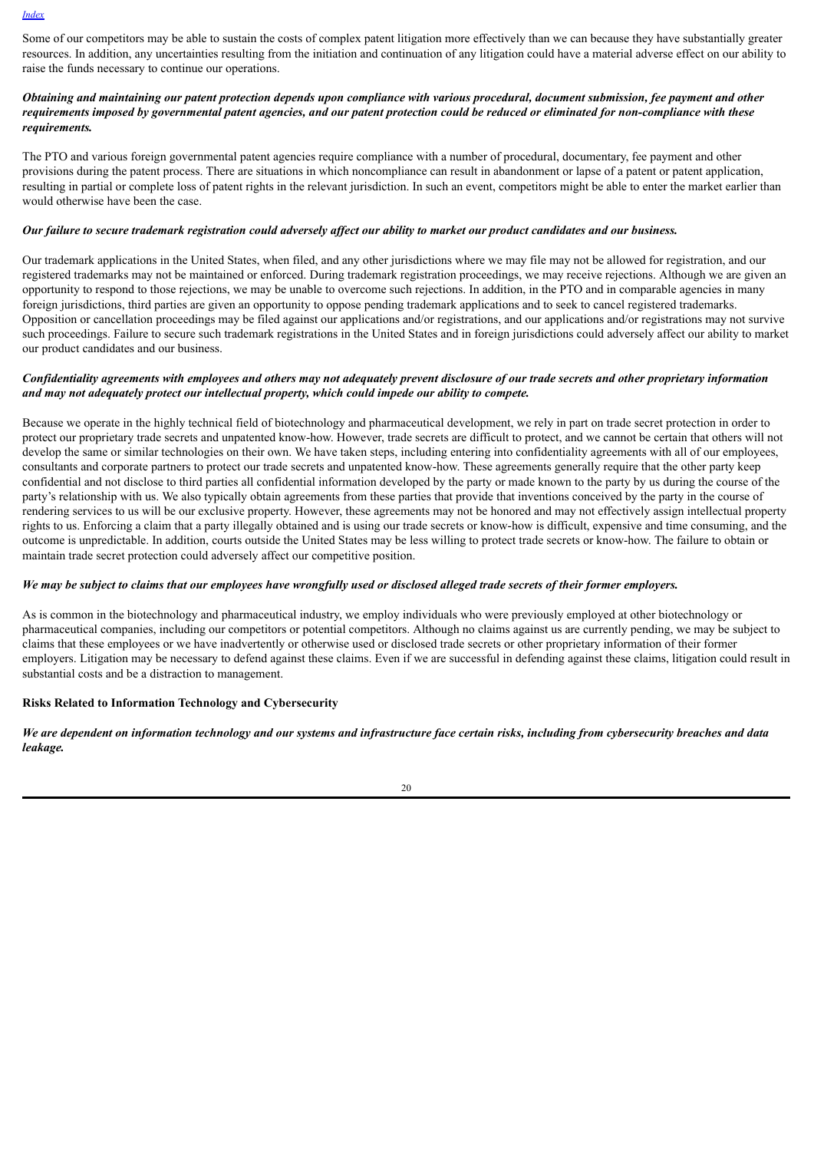Some of our competitors may be able to sustain the costs of complex patent litigation more effectively than we can because they have substantially greater resources. In addition, any uncertainties resulting from the initiation and continuation of any litigation could have a material adverse effect on our ability to raise the funds necessary to continue our operations.

# Obtaining and maintaining our patent protection depends upon compliance with various procedural, document submission, fee payment and other requirements imposed by governmental patent agencies, and our patent protection could be reduced or eliminated for non-compliance with these *requirements.*

The PTO and various foreign governmental patent agencies require compliance with a number of procedural, documentary, fee payment and other provisions during the patent process. There are situations in which noncompliance can result in abandonment or lapse of a patent or patent application, resulting in partial or complete loss of patent rights in the relevant jurisdiction. In such an event, competitors might be able to enter the market earlier than would otherwise have been the case.

# Our failure to secure trademark registration could adversely affect our ability to market our product candidates and our business.

Our trademark applications in the United States, when filed, and any other jurisdictions where we may file may not be allowed for registration, and our registered trademarks may not be maintained or enforced. During trademark registration proceedings, we may receive rejections. Although we are given an opportunity to respond to those rejections, we may be unable to overcome such rejections. In addition, in the PTO and in comparable agencies in many foreign jurisdictions, third parties are given an opportunity to oppose pending trademark applications and to seek to cancel registered trademarks. Opposition or cancellation proceedings may be filed against our applications and/or registrations, and our applications and/or registrations may not survive such proceedings. Failure to secure such trademark registrations in the United States and in foreign jurisdictions could adversely affect our ability to market our product candidates and our business.

# Confidentiality agreements with employees and others may not adequately prevent disclosure of our trade secrets and other proprietary information *and may not adequately protect our intellectual property, which could impede our ability to compete.*

Because we operate in the highly technical field of biotechnology and pharmaceutical development, we rely in part on trade secret protection in order to protect our proprietary trade secrets and unpatented know-how. However, trade secrets are difficult to protect, and we cannot be certain that others will not develop the same or similar technologies on their own. We have taken steps, including entering into confidentiality agreements with all of our employees, consultants and corporate partners to protect our trade secrets and unpatented know-how. These agreements generally require that the other party keep confidential and not disclose to third parties all confidential information developed by the party or made known to the party by us during the course of the party's relationship with us. We also typically obtain agreements from these parties that provide that inventions conceived by the party in the course of rendering services to us will be our exclusive property. However, these agreements may not be honored and may not effectively assign intellectual property rights to us. Enforcing a claim that a party illegally obtained and is using our trade secrets or know-how is difficult, expensive and time consuming, and the outcome is unpredictable. In addition, courts outside the United States may be less willing to protect trade secrets or know-how. The failure to obtain or maintain trade secret protection could adversely affect our competitive position.

# We may be subject to claims that our employees have wrongfully used or disclosed alleged trade secrets of their former employers.

As is common in the biotechnology and pharmaceutical industry, we employ individuals who were previously employed at other biotechnology or pharmaceutical companies, including our competitors or potential competitors. Although no claims against us are currently pending, we may be subject to claims that these employees or we have inadvertently or otherwise used or disclosed trade secrets or other proprietary information of their former employers. Litigation may be necessary to defend against these claims. Even if we are successful in defending against these claims, litigation could result in substantial costs and be a distraction to management.

# **Risks Related to Information Technology and Cybersecurity**

We are dependent on information technology and our systems and infrastructure face certain risks, including from cybersecurity breaches and data *leakage.*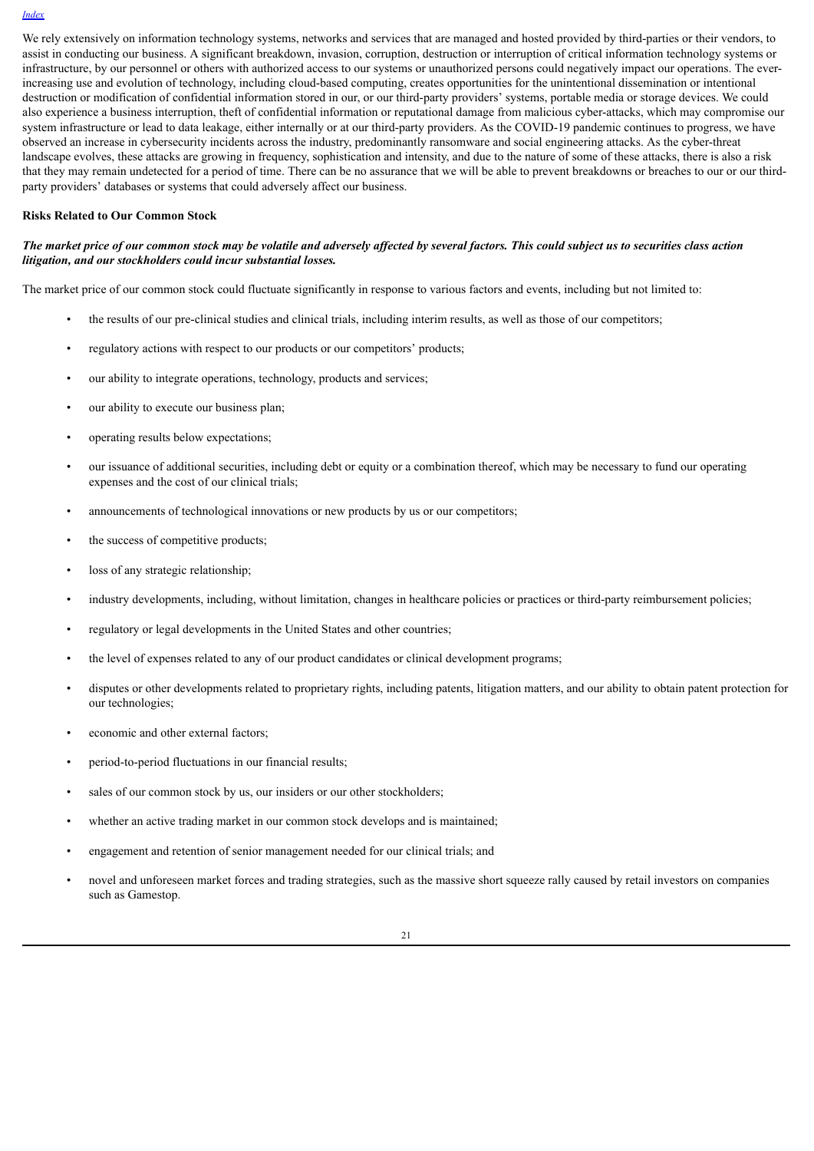We rely extensively on information technology systems, networks and services that are managed and hosted provided by third-parties or their vendors, to assist in conducting our business. A significant breakdown, invasion, corruption, destruction or interruption of critical information technology systems or infrastructure, by our personnel or others with authorized access to our systems or unauthorized persons could negatively impact our operations. The everincreasing use and evolution of technology, including cloud-based computing, creates opportunities for the unintentional dissemination or intentional destruction or modification of confidential information stored in our, or our third-party providers' systems, portable media or storage devices. We could also experience a business interruption, theft of confidential information or reputational damage from malicious cyber-attacks, which may compromise our system infrastructure or lead to data leakage, either internally or at our third-party providers. As the COVID-19 pandemic continues to progress, we have observed an increase in cybersecurity incidents across the industry, predominantly ransomware and social engineering attacks. As the cyber-threat landscape evolves, these attacks are growing in frequency, sophistication and intensity, and due to the nature of some of these attacks, there is also a risk that they may remain undetected for a period of time. There can be no assurance that we will be able to prevent breakdowns or breaches to our or our thirdparty providers' databases or systems that could adversely affect our business.

#### **Risks Related to Our Common Stock**

# The market price of our common stock may be volatile and adversely affected by several factors. This could subject us to securities class action *litigation, and our stockholders could incur substantial losses.*

The market price of our common stock could fluctuate significantly in response to various factors and events, including but not limited to:

- the results of our pre-clinical studies and clinical trials, including interim results, as well as those of our competitors;
- regulatory actions with respect to our products or our competitors' products;
- our ability to integrate operations, technology, products and services;
- our ability to execute our business plan;
- operating results below expectations;
- our issuance of additional securities, including debt or equity or a combination thereof, which may be necessary to fund our operating expenses and the cost of our clinical trials;
- announcements of technological innovations or new products by us or our competitors;
- the success of competitive products;
- loss of any strategic relationship;
- industry developments, including, without limitation, changes in healthcare policies or practices or third-party reimbursement policies;
- regulatory or legal developments in the United States and other countries;
- the level of expenses related to any of our product candidates or clinical development programs;
- disputes or other developments related to proprietary rights, including patents, litigation matters, and our ability to obtain patent protection for our technologies;
- economic and other external factors;
- period-to-period fluctuations in our financial results;
- sales of our common stock by us, our insiders or our other stockholders;
- whether an active trading market in our common stock develops and is maintained;
- engagement and retention of senior management needed for our clinical trials; and
- novel and unforeseen market forces and trading strategies, such as the massive short squeeze rally caused by retail investors on companies such as Gamestop.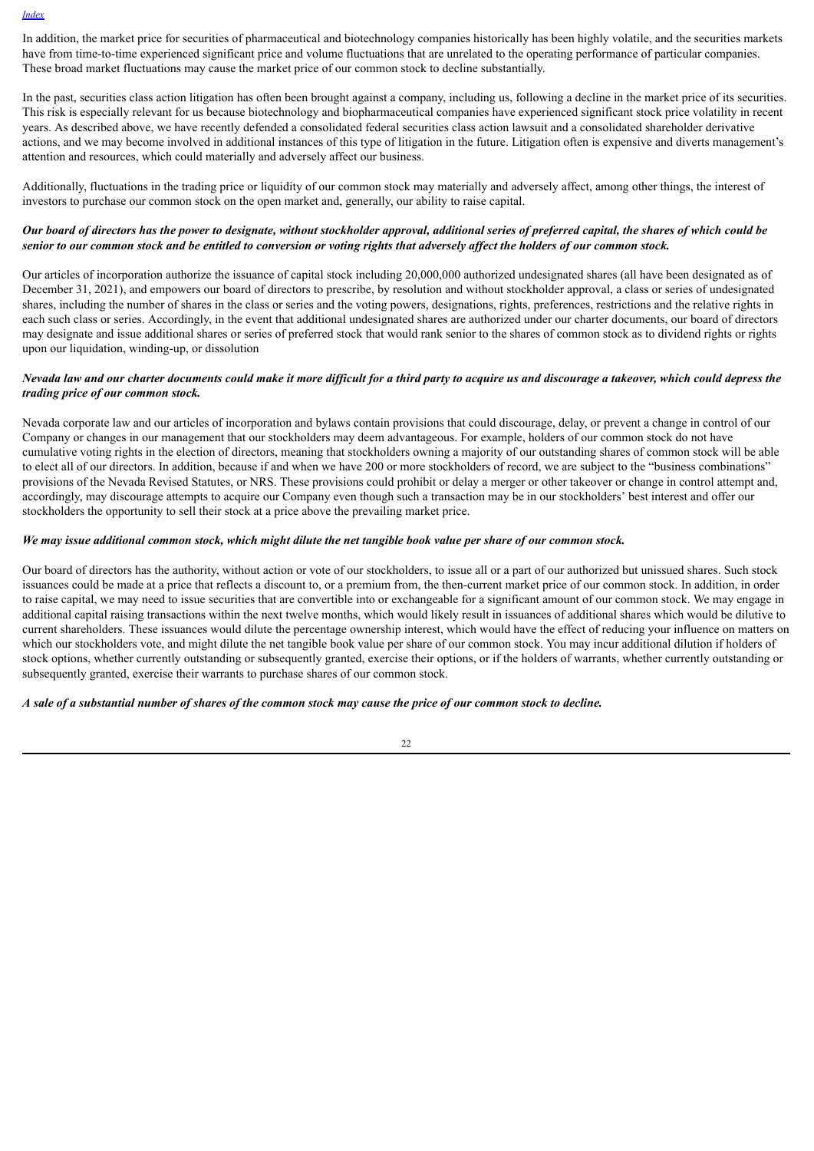In addition, the market price for securities of pharmaceutical and biotechnology companies historically has been highly volatile, and the securities markets have from time-to-time experienced significant price and volume fluctuations that are unrelated to the operating performance of particular companies. These broad market fluctuations may cause the market price of our common stock to decline substantially.

In the past, securities class action litigation has often been brought against a company, including us, following a decline in the market price of its securities. This risk is especially relevant for us because biotechnology and biopharmaceutical companies have experienced significant stock price volatility in recent years. As described above, we have recently defended a consolidated federal securities class action lawsuit and a consolidated shareholder derivative actions, and we may become involved in additional instances of this type of litigation in the future. Litigation often is expensive and diverts management's attention and resources, which could materially and adversely affect our business.

Additionally, fluctuations in the trading price or liquidity of our common stock may materially and adversely affect, among other things, the interest of investors to purchase our common stock on the open market and, generally, our ability to raise capital.

# Our board of directors has the power to designate, without stockholder approval, additional series of preferred capital, the shares of which could be senior to our common stock and be entitled to conversion or voting rights that adversely affect the holders of our common stock.

Our articles of incorporation authorize the issuance of capital stock including 20,000,000 authorized undesignated shares (all have been designated as of December 31, 2021), and empowers our board of directors to prescribe, by resolution and without stockholder approval, a class or series of undesignated shares, including the number of shares in the class or series and the voting powers, designations, rights, preferences, restrictions and the relative rights in each such class or series. Accordingly, in the event that additional undesignated shares are authorized under our charter documents, our board of directors may designate and issue additional shares or series of preferred stock that would rank senior to the shares of common stock as to dividend rights or rights upon our liquidation, winding-up, or dissolution

# Nevada law and our charter documents could make it more difficult for a third party to acquire us and discourage a takeover, which could depress the *trading price of our common stock.*

Nevada corporate law and our articles of incorporation and bylaws contain provisions that could discourage, delay, or prevent a change in control of our Company or changes in our management that our stockholders may deem advantageous. For example, holders of our common stock do not have cumulative voting rights in the election of directors, meaning that stockholders owning a majority of our outstanding shares of common stock will be able to elect all of our directors. In addition, because if and when we have 200 or more stockholders of record, we are subject to the "business combinations" provisions of the Nevada Revised Statutes, or NRS. These provisions could prohibit or delay a merger or other takeover or change in control attempt and, accordingly, may discourage attempts to acquire our Company even though such a transaction may be in our stockholders' best interest and offer our stockholders the opportunity to sell their stock at a price above the prevailing market price.

# We may issue additional common stock, which might dilute the net tangible book value per share of our common stock.

Our board of directors has the authority, without action or vote of our stockholders, to issue all or a part of our authorized but unissued shares. Such stock issuances could be made at a price that reflects a discount to, or a premium from, the then-current market price of our common stock. In addition, in order to raise capital, we may need to issue securities that are convertible into or exchangeable for a significant amount of our common stock. We may engage in additional capital raising transactions within the next twelve months, which would likely result in issuances of additional shares which would be dilutive to current shareholders. These issuances would dilute the percentage ownership interest, which would have the effect of reducing your influence on matters on which our stockholders vote, and might dilute the net tangible book value per share of our common stock. You may incur additional dilution if holders of stock options, whether currently outstanding or subsequently granted, exercise their options, or if the holders of warrants, whether currently outstanding or subsequently granted, exercise their warrants to purchase shares of our common stock.

# A sale of a substantial number of shares of the common stock may cause the price of our common stock to decline.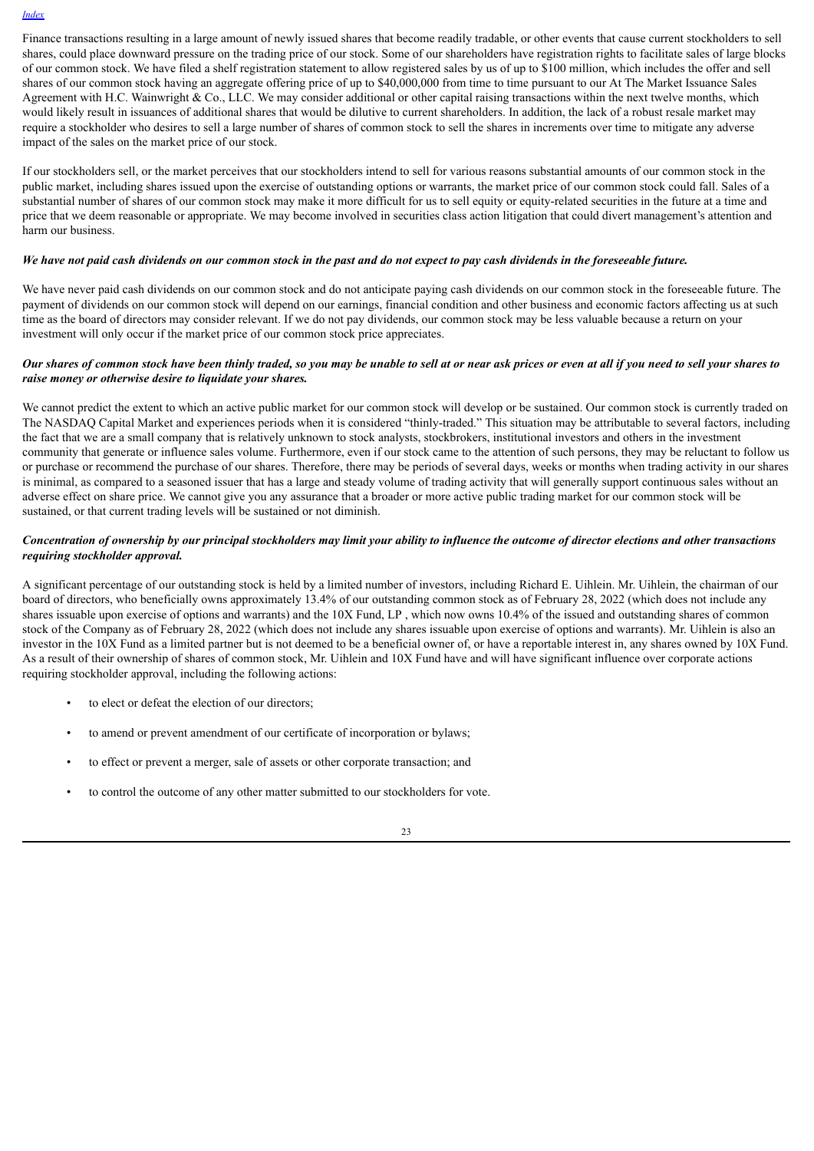Finance transactions resulting in a large amount of newly issued shares that become readily tradable, or other events that cause current stockholders to sell shares, could place downward pressure on the trading price of our stock. Some of our shareholders have registration rights to facilitate sales of large blocks of our common stock. We have filed a shelf registration statement to allow registered sales by us of up to \$100 million, which includes the offer and sell shares of our common stock having an aggregate offering price of up to \$40,000,000 from time to time pursuant to our At The Market Issuance Sales Agreement with H.C. Wainwright & Co., LLC. We may consider additional or other capital raising transactions within the next twelve months, which would likely result in issuances of additional shares that would be dilutive to current shareholders. In addition, the lack of a robust resale market may require a stockholder who desires to sell a large number of shares of common stock to sell the shares in increments over time to mitigate any adverse impact of the sales on the market price of our stock.

If our stockholders sell, or the market perceives that our stockholders intend to sell for various reasons substantial amounts of our common stock in the public market, including shares issued upon the exercise of outstanding options or warrants, the market price of our common stock could fall. Sales of a substantial number of shares of our common stock may make it more difficult for us to sell equity or equity-related securities in the future at a time and price that we deem reasonable or appropriate. We may become involved in securities class action litigation that could divert management's attention and harm our business.

# We have not paid cash dividends on our common stock in the past and do not expect to pay cash dividends in the foreseeable future.

We have never paid cash dividends on our common stock and do not anticipate paying cash dividends on our common stock in the foreseeable future. The payment of dividends on our common stock will depend on our earnings, financial condition and other business and economic factors affecting us at such time as the board of directors may consider relevant. If we do not pay dividends, our common stock may be less valuable because a return on your investment will only occur if the market price of our common stock price appreciates.

#### Our shares of common stock have been thinly traded, so you may be unable to sell at or near ask prices or even at all if you need to sell your shares to *raise money or otherwise desire to liquidate your shares.*

We cannot predict the extent to which an active public market for our common stock will develop or be sustained. Our common stock is currently traded on The NASDAQ Capital Market and experiences periods when it is considered "thinly-traded." This situation may be attributable to several factors, including the fact that we are a small company that is relatively unknown to stock analysts, stockbrokers, institutional investors and others in the investment community that generate or influence sales volume. Furthermore, even if our stock came to the attention of such persons, they may be reluctant to follow us or purchase or recommend the purchase of our shares. Therefore, there may be periods of several days, weeks or months when trading activity in our shares is minimal, as compared to a seasoned issuer that has a large and steady volume of trading activity that will generally support continuous sales without an adverse effect on share price. We cannot give you any assurance that a broader or more active public trading market for our common stock will be sustained, or that current trading levels will be sustained or not diminish.

# Concentration of ownership by our principal stockholders may limit your ability to influence the outcome of director elections and other transactions *requiring stockholder approval.*

A significant percentage of our outstanding stock is held by a limited number of investors, including Richard E. Uihlein. Mr. Uihlein, the chairman of our board of directors, who beneficially owns approximately 13.4% of our outstanding common stock as of February 28, 2022 (which does not include any shares issuable upon exercise of options and warrants) and the 10X Fund, LP , which now owns 10.4% of the issued and outstanding shares of common stock of the Company as of February 28, 2022 (which does not include any shares issuable upon exercise of options and warrants). Mr. Uihlein is also an investor in the 10X Fund as a limited partner but is not deemed to be a beneficial owner of, or have a reportable interest in, any shares owned by 10X Fund. As a result of their ownership of shares of common stock, Mr. Uihlein and 10X Fund have and will have significant influence over corporate actions requiring stockholder approval, including the following actions:

- to elect or defeat the election of our directors;
- to amend or prevent amendment of our certificate of incorporation or bylaws;
- to effect or prevent a merger, sale of assets or other corporate transaction; and
- to control the outcome of any other matter submitted to our stockholders for vote.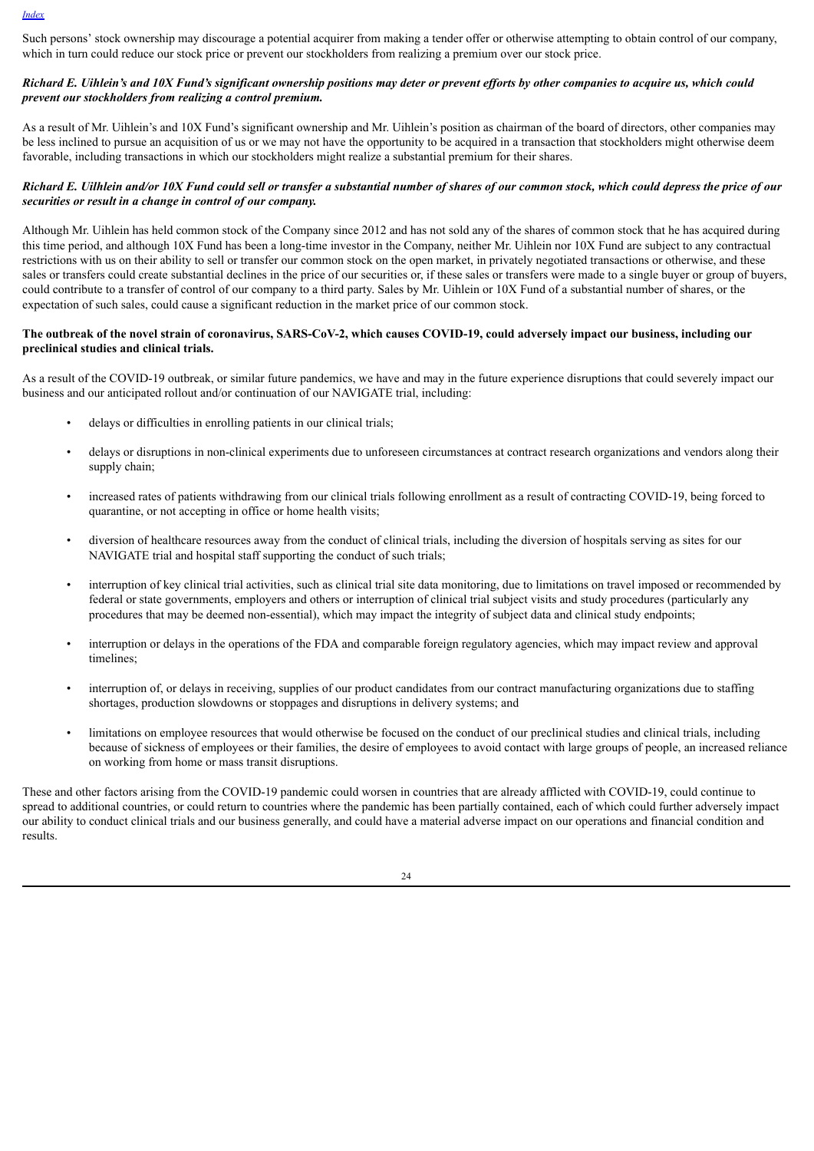Such persons' stock ownership may discourage a potential acquirer from making a tender offer or otherwise attempting to obtain control of our company, which in turn could reduce our stock price or prevent our stockholders from realizing a premium over our stock price.

# Richard E. Uihlein's and 10X Fund's significant ownership positions may deter or prevent efforts by other companies to acquire us, which could *prevent our stockholders from realizing a control premium.*

As a result of Mr. Uihlein's and 10X Fund's significant ownership and Mr. Uihlein's position as chairman of the board of directors, other companies may be less inclined to pursue an acquisition of us or we may not have the opportunity to be acquired in a transaction that stockholders might otherwise deem favorable, including transactions in which our stockholders might realize a substantial premium for their shares.

# Richard E. Uilhlein and/or 10X Fund could sell or transfer a substantial number of shares of our common stock, which could depress the price of our *securities or result in a change in control of our company.*

Although Mr. Uihlein has held common stock of the Company since 2012 and has not sold any of the shares of common stock that he has acquired during this time period, and although 10X Fund has been a long-time investor in the Company, neither Mr. Uihlein nor 10X Fund are subject to any contractual restrictions with us on their ability to sell or transfer our common stock on the open market, in privately negotiated transactions or otherwise, and these sales or transfers could create substantial declines in the price of our securities or, if these sales or transfers were made to a single buyer or group of buyers, could contribute to a transfer of control of our company to a third party. Sales by Mr. Uihlein or 10X Fund of a substantial number of shares, or the expectation of such sales, could cause a significant reduction in the market price of our common stock.

# The outbreak of the novel strain of coronavirus, SARS-CoV-2, which causes COVID-19, could adversely impact our business, including our **preclinical studies and clinical trials.**

As a result of the COVID-19 outbreak, or similar future pandemics, we have and may in the future experience disruptions that could severely impact our business and our anticipated rollout and/or continuation of our NAVIGATE trial, including:

- delays or difficulties in enrolling patients in our clinical trials;
- delays or disruptions in non-clinical experiments due to unforeseen circumstances at contract research organizations and vendors along their supply chain;
- increased rates of patients withdrawing from our clinical trials following enrollment as a result of contracting COVID-19, being forced to quarantine, or not accepting in office or home health visits;
- diversion of healthcare resources away from the conduct of clinical trials, including the diversion of hospitals serving as sites for our NAVIGATE trial and hospital staff supporting the conduct of such trials;
- interruption of key clinical trial activities, such as clinical trial site data monitoring, due to limitations on travel imposed or recommended by federal or state governments, employers and others or interruption of clinical trial subject visits and study procedures (particularly any procedures that may be deemed non-essential), which may impact the integrity of subject data and clinical study endpoints;
- interruption or delays in the operations of the FDA and comparable foreign regulatory agencies, which may impact review and approval timelines;
- interruption of, or delays in receiving, supplies of our product candidates from our contract manufacturing organizations due to staffing shortages, production slowdowns or stoppages and disruptions in delivery systems; and
- limitations on employee resources that would otherwise be focused on the conduct of our preclinical studies and clinical trials, including because of sickness of employees or their families, the desire of employees to avoid contact with large groups of people, an increased reliance on working from home or mass transit disruptions.

These and other factors arising from the COVID-19 pandemic could worsen in countries that are already afflicted with COVID-19, could continue to spread to additional countries, or could return to countries where the pandemic has been partially contained, each of which could further adversely impact our ability to conduct clinical trials and our business generally, and could have a material adverse impact on our operations and financial condition and results.

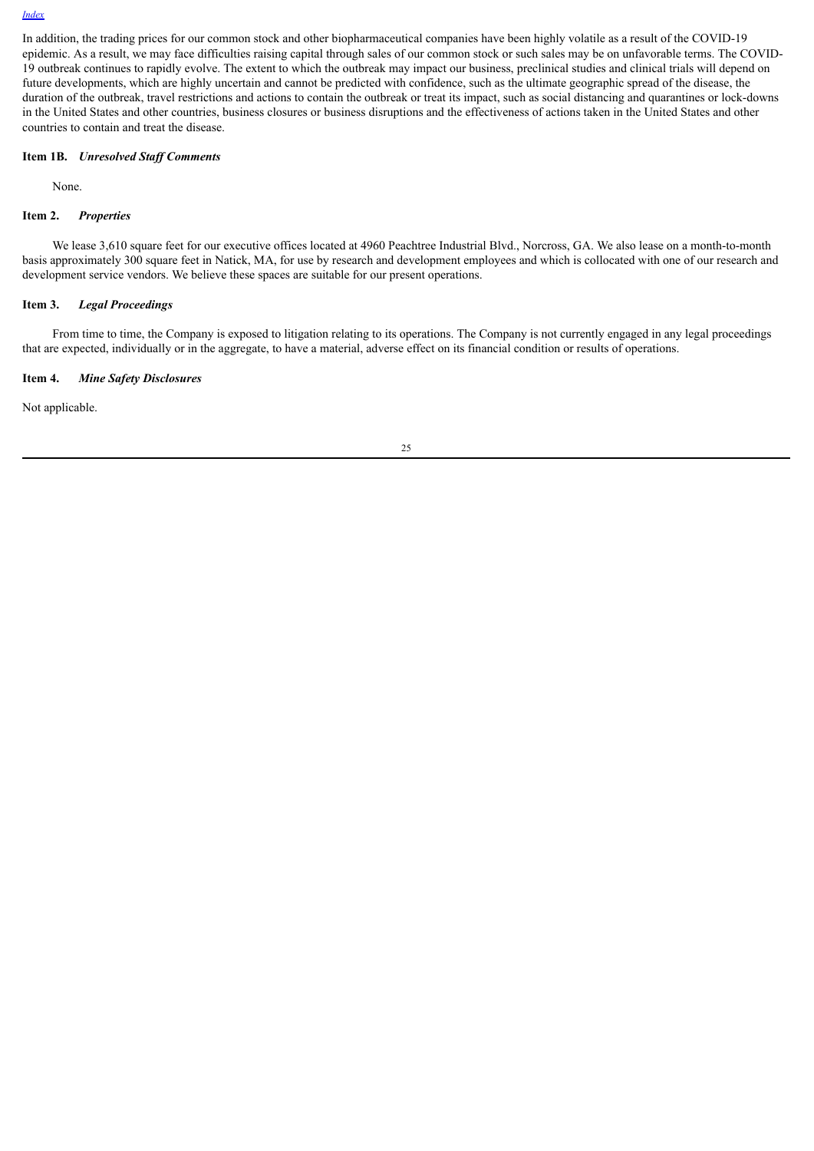In addition, the trading prices for our common stock and other biopharmaceutical companies have been highly volatile as a result of the COVID-19 epidemic. As a result, we may face difficulties raising capital through sales of our common stock or such sales may be on unfavorable terms. The COVID-19 outbreak continues to rapidly evolve. The extent to which the outbreak may impact our business, preclinical studies and clinical trials will depend on future developments, which are highly uncertain and cannot be predicted with confidence, such as the ultimate geographic spread of the disease, the duration of the outbreak, travel restrictions and actions to contain the outbreak or treat its impact, such as social distancing and quarantines or lock-downs in the United States and other countries, business closures or business disruptions and the effectiveness of actions taken in the United States and other countries to contain and treat the disease.

#### <span id="page-27-0"></span>**Item 1B.** *Unresolved Staf Comments*

None.

#### <span id="page-27-1"></span>**Item 2.** *Properties*

We lease 3,610 square feet for our executive offices located at 4960 Peachtree Industrial Blvd., Norcross, GA. We also lease on a month-to-month basis approximately 300 square feet in Natick, MA, for use by research and development employees and which is collocated with one of our research and development service vendors. We believe these spaces are suitable for our present operations.

# <span id="page-27-2"></span>**Item 3.** *Legal Proceedings*

From time to time, the Company is exposed to litigation relating to its operations. The Company is not currently engaged in any legal proceedings that are expected, individually or in the aggregate, to have a material, adverse effect on its financial condition or results of operations.

#### <span id="page-27-3"></span>**Item 4.** *Mine Safety Disclosures*

Not applicable.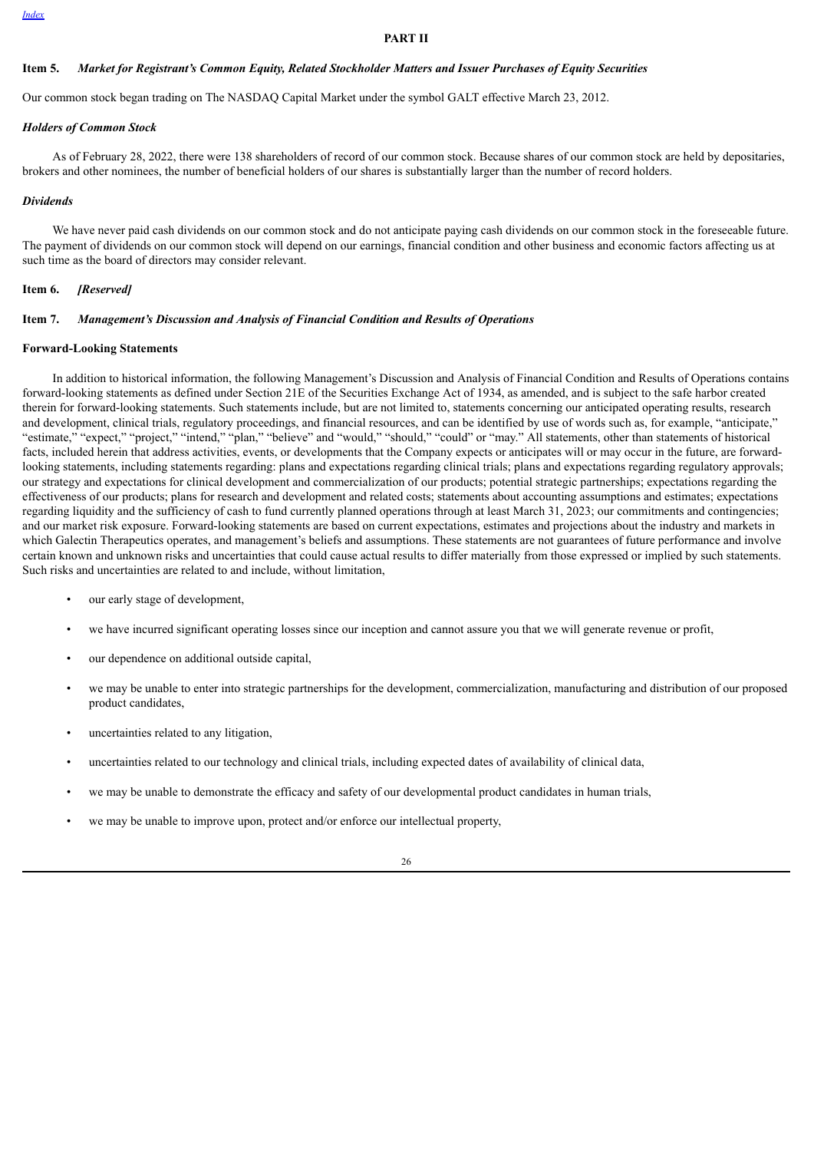#### **PART II**

#### <span id="page-28-0"></span>Item 5. Market for Registrant's Common Equity, Related Stockholder Matters and Issuer Purchases of Equity Securities

Our common stock began trading on The NASDAQ Capital Market under the symbol GALT effective March 23, 2012.

#### *Holders of Common Stock*

As of February 28, 2022, there were 138 shareholders of record of our common stock. Because shares of our common stock are held by depositaries, brokers and other nominees, the number of beneficial holders of our shares is substantially larger than the number of record holders.

#### *Dividends*

We have never paid cash dividends on our common stock and do not anticipate paying cash dividends on our common stock in the foreseeable future. The payment of dividends on our common stock will depend on our earnings, financial condition and other business and economic factors affecting us at such time as the board of directors may consider relevant.

#### <span id="page-28-1"></span>**Item 6.** *[Reserved]*

#### <span id="page-28-2"></span>**Item 7.** *Management's Discussion and Analysis of Financial Condition and Results of Operations*

#### **Forward-Looking Statements**

In addition to historical information, the following Management's Discussion and Analysis of Financial Condition and Results of Operations contains forward-looking statements as defined under Section 21E of the Securities Exchange Act of 1934, as amended, and is subject to the safe harbor created therein for forward-looking statements. Such statements include, but are not limited to, statements concerning our anticipated operating results, research and development, clinical trials, regulatory proceedings, and financial resources, and can be identified by use of words such as, for example, "anticipate," "estimate," "expect," "project," "intend," "plan," "believe" and "would," "should," "could" or "may." All statements, other than statements of historical facts, included herein that address activities, events, or developments that the Company expects or anticipates will or may occur in the future, are forwardlooking statements, including statements regarding: plans and expectations regarding clinical trials; plans and expectations regarding regulatory approvals; our strategy and expectations for clinical development and commercialization of our products; potential strategic partnerships; expectations regarding the effectiveness of our products; plans for research and development and related costs; statements about accounting assumptions and estimates; expectations regarding liquidity and the sufficiency of cash to fund currently planned operations through at least March 31, 2023; our commitments and contingencies; and our market risk exposure. Forward-looking statements are based on current expectations, estimates and projections about the industry and markets in which Galectin Therapeutics operates, and management's beliefs and assumptions. These statements are not guarantees of future performance and involve certain known and unknown risks and uncertainties that could cause actual results to differ materially from those expressed or implied by such statements. Such risks and uncertainties are related to and include, without limitation,

- our early stage of development,
- we have incurred significant operating losses since our inception and cannot assure you that we will generate revenue or profit,
- our dependence on additional outside capital,
- we may be unable to enter into strategic partnerships for the development, commercialization, manufacturing and distribution of our proposed product candidates,
- uncertainties related to any litigation,
- uncertainties related to our technology and clinical trials, including expected dates of availability of clinical data,
- we may be unable to demonstrate the efficacy and safety of our developmental product candidates in human trials,
- we may be unable to improve upon, protect and/or enforce our intellectual property,

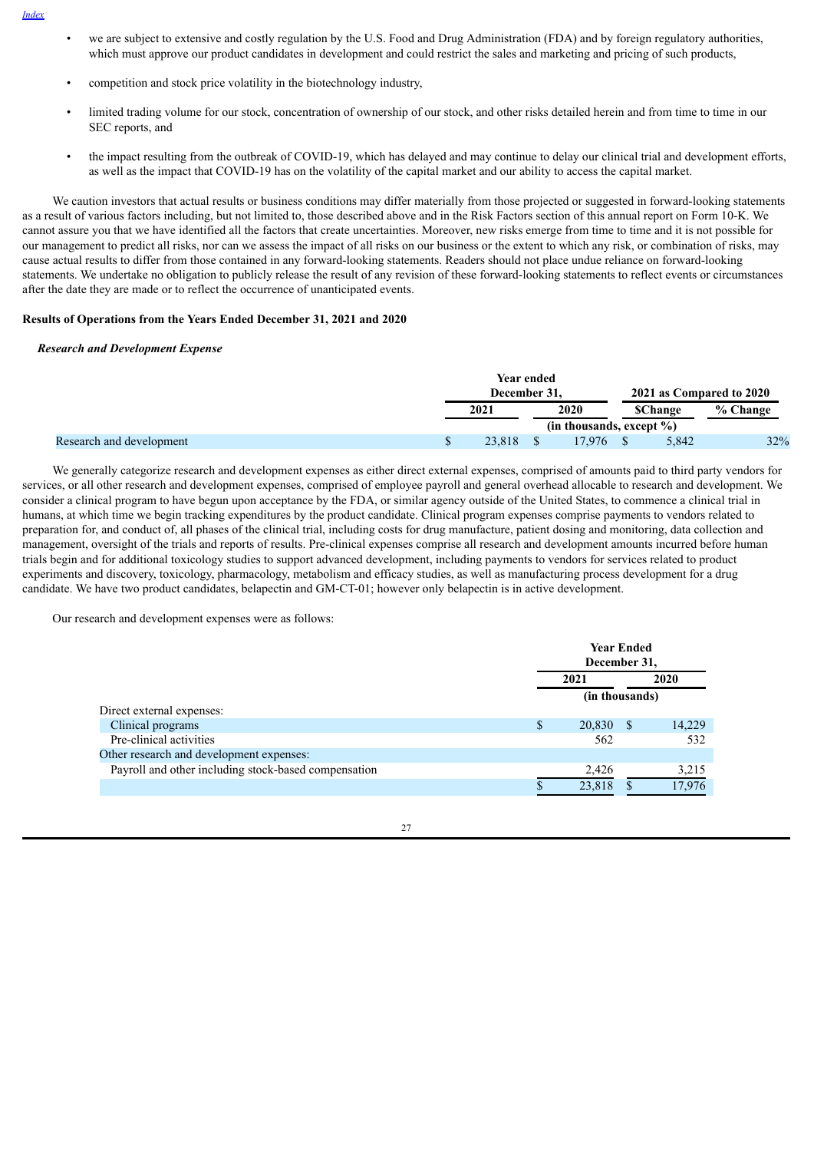- *[Index](#page-2-0)*
- we are subject to extensive and costly regulation by the U.S. Food and Drug Administration (FDA) and by foreign regulatory authorities, which must approve our product candidates in development and could restrict the sales and marketing and pricing of such products,
- competition and stock price volatility in the biotechnology industry,
- limited trading volume for our stock, concentration of ownership of our stock, and other risks detailed herein and from time to time in our SEC reports, and
- the impact resulting from the outbreak of COVID-19, which has delayed and may continue to delay our clinical trial and development efforts, as well as the impact that COVID-19 has on the volatility of the capital market and our ability to access the capital market.

We caution investors that actual results or business conditions may differ materially from those projected or suggested in forward-looking statements as a result of various factors including, but not limited to, those described above and in the Risk Factors section of this annual report on Form 10-K. We cannot assure you that we have identified all the factors that create uncertainties. Moreover, new risks emerge from time to time and it is not possible for our management to predict all risks, nor can we assess the impact of all risks on our business or the extent to which any risk, or combination of risks, may cause actual results to differ from those contained in any forward-looking statements. Readers should not place undue reliance on forward-looking statements. We undertake no obligation to publicly release the result of any revision of these forward-looking statements to reflect events or circumstances after the date they are made or to reflect the occurrence of unanticipated events.

#### **Results of Operations from the Years Ended December 31, 2021 and 2020**

#### *Research and Development Expense*

|                          | Year ended   |  |                              |                |                          |          |  |
|--------------------------|--------------|--|------------------------------|----------------|--------------------------|----------|--|
|                          | December 31, |  |                              |                | 2021 as Compared to 2020 |          |  |
|                          | 2021<br>2020 |  |                              | <b>SChange</b> |                          | % Change |  |
|                          |              |  | (in thousands, except $\%$ ) |                |                          |          |  |
| Research and development | 23.818       |  | 17.976                       |                | 5.842                    | 32%      |  |

We generally categorize research and development expenses as either direct external expenses, comprised of amounts paid to third party vendors for services, or all other research and development expenses, comprised of employee payroll and general overhead allocable to research and development. We consider a clinical program to have begun upon acceptance by the FDA, or similar agency outside of the United States, to commence a clinical trial in humans, at which time we begin tracking expenditures by the product candidate. Clinical program expenses comprise payments to vendors related to preparation for, and conduct of, all phases of the clinical trial, including costs for drug manufacture, patient dosing and monitoring, data collection and management, oversight of the trials and reports of results. Pre-clinical expenses comprise all research and development amounts incurred before human trials begin and for additional toxicology studies to support advanced development, including payments to vendors for services related to product experiments and discovery, toxicology, pharmacology, metabolism and efficacy studies, as well as manufacturing process development for a drug candidate. We have two product candidates, belapectin and GM-CT-01; however only belapectin is in active development.

Our research and development expenses were as follows:

|                                                      | <b>Year Ended</b><br>December 31, |  |        |  |  |
|------------------------------------------------------|-----------------------------------|--|--------|--|--|
|                                                      | 2020<br>2021                      |  |        |  |  |
|                                                      | (in thousands)                    |  |        |  |  |
| Direct external expenses:                            |                                   |  |        |  |  |
| Clinical programs                                    | \$<br>20,830                      |  | 14,229 |  |  |
| Pre-clinical activities                              | 562                               |  | 532    |  |  |
| Other research and development expenses:             |                                   |  |        |  |  |
| Payroll and other including stock-based compensation | 2,426                             |  | 3,215  |  |  |
|                                                      | 23,818                            |  | 17.976 |  |  |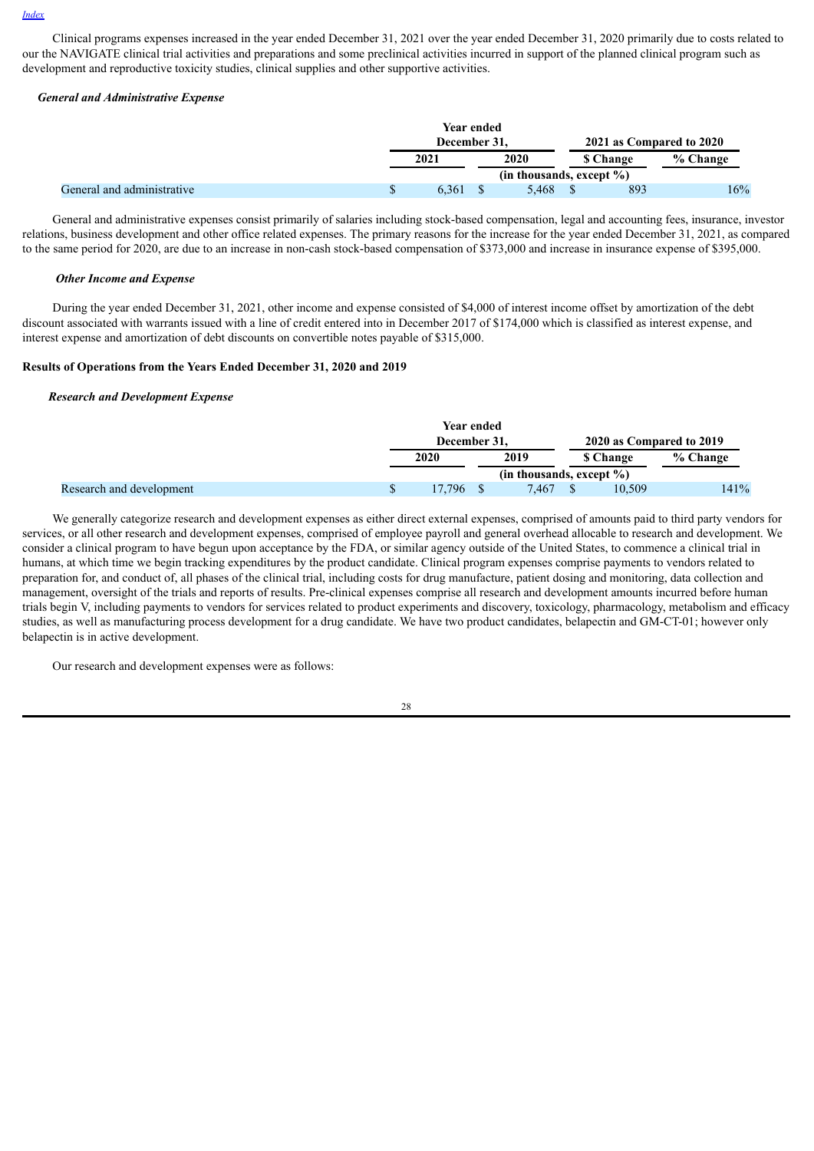Clinical programs expenses increased in the year ended December 31, 2021 over the year ended December 31, 2020 primarily due to costs related to our the NAVIGATE clinical trial activities and preparations and some preclinical activities incurred in support of the planned clinical program such as development and reproductive toxicity studies, clinical supplies and other supportive activities.

#### *General and Administrative Expense*

|                            | Year ended   |                              |                          |          |  |
|----------------------------|--------------|------------------------------|--------------------------|----------|--|
|                            | December 31, |                              | 2021 as Compared to 2020 |          |  |
|                            | 2021         | 2020                         | <b>S</b> Change          | % Change |  |
|                            |              | (in thousands, except $\%$ ) |                          |          |  |
| General and administrative | 6.361        | 5.468                        | 893                      | 16%      |  |

General and administrative expenses consist primarily of salaries including stock-based compensation, legal and accounting fees, insurance, investor relations, business development and other office related expenses. The primary reasons for the increase for the year ended December 31, 2021, as compared to the same period for 2020, are due to an increase in non-cash stock-based compensation of \$373,000 and increase in insurance expense of \$395,000.

#### *Other Income and Expense*

During the year ended December 31, 2021, other income and expense consisted of \$4,000 of interest income offset by amortization of the debt discount associated with warrants issued with a line of credit entered into in December 2017 of \$174,000 which is classified as interest expense, and interest expense and amortization of debt discounts on convertible notes payable of \$315,000.

#### **Results of Operations from the Years Ended December 31, 2020 and 2019**

#### *Research and Development Expense*

|                          | Year ended   |                              |                          |          |  |
|--------------------------|--------------|------------------------------|--------------------------|----------|--|
|                          | December 31, |                              | 2020 as Compared to 2019 |          |  |
|                          | 2020         | 2019                         | <b>S</b> Change          | % Change |  |
|                          |              | (in thousands, except $\%$ ) |                          |          |  |
| Research and development | 17.796       | 7.467                        | 10.509                   | 141%     |  |

We generally categorize research and development expenses as either direct external expenses, comprised of amounts paid to third party vendors for services, or all other research and development expenses, comprised of employee payroll and general overhead allocable to research and development. We consider a clinical program to have begun upon acceptance by the FDA, or similar agency outside of the United States, to commence a clinical trial in humans, at which time we begin tracking expenditures by the product candidate. Clinical program expenses comprise payments to vendors related to preparation for, and conduct of, all phases of the clinical trial, including costs for drug manufacture, patient dosing and monitoring, data collection and management, oversight of the trials and reports of results. Pre-clinical expenses comprise all research and development amounts incurred before human trials begin V, including payments to vendors for services related to product experiments and discovery, toxicology, pharmacology, metabolism and efficacy studies, as well as manufacturing process development for a drug candidate. We have two product candidates, belapectin and GM-CT-01; however only belapectin is in active development.

Our research and development expenses were as follows: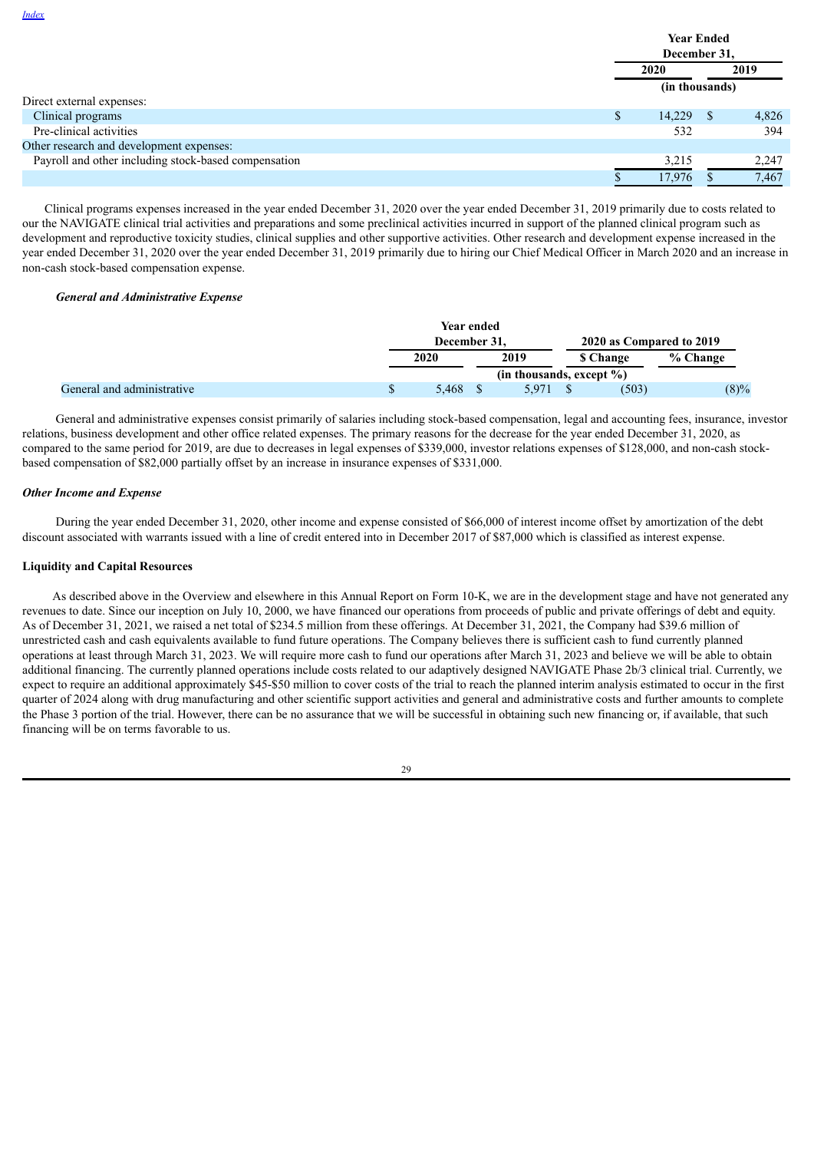|                                                      |   | <b>Year Ended</b> |  |       |
|------------------------------------------------------|---|-------------------|--|-------|
|                                                      |   | December 31,      |  |       |
|                                                      |   | 2020              |  | 2019  |
|                                                      |   | (in thousands)    |  |       |
| Direct external expenses:                            |   |                   |  |       |
| Clinical programs                                    | Ъ | 14,229            |  | 4,826 |
| Pre-clinical activities                              |   | 532               |  | 394   |
| Other research and development expenses:             |   |                   |  |       |
| Payroll and other including stock-based compensation |   | 3,215             |  | 2,247 |
|                                                      |   | 17,976            |  | 7,467 |

Clinical programs expenses increased in the year ended December 31, 2020 over the year ended December 31, 2019 primarily due to costs related to our the NAVIGATE clinical trial activities and preparations and some preclinical activities incurred in support of the planned clinical program such as development and reproductive toxicity studies, clinical supplies and other supportive activities. Other research and development expense increased in the year ended December 31, 2020 over the year ended December 31, 2019 primarily due to hiring our Chief Medical Officer in March 2020 and an increase in non-cash stock-based compensation expense.

#### *General and Administrative Expense*

|                            | Year ended   |  |                              |                          |          |      |
|----------------------------|--------------|--|------------------------------|--------------------------|----------|------|
|                            | December 31. |  |                              | 2020 as Compared to 2019 |          |      |
|                            | 2020<br>2019 |  | <b>S</b> Change              |                          | % Change |      |
|                            |              |  | (in thousands, except $\%$ ) |                          |          |      |
| General and administrative | 5.468        |  | 5.971                        |                          | (503)    | (8)% |

General and administrative expenses consist primarily of salaries including stock-based compensation, legal and accounting fees, insurance, investor relations, business development and other office related expenses. The primary reasons for the decrease for the year ended December 31, 2020, as compared to the same period for 2019, are due to decreases in legal expenses of \$339,000, investor relations expenses of \$128,000, and non-cash stockbased compensation of \$82,000 partially offset by an increase in insurance expenses of \$331,000.

#### *Other Income and Expense*

During the year ended December 31, 2020, other income and expense consisted of \$66,000 of interest income offset by amortization of the debt discount associated with warrants issued with a line of credit entered into in December 2017 of \$87,000 which is classified as interest expense.

#### **Liquidity and Capital Resources**

As described above in the Overview and elsewhere in this Annual Report on Form 10-K, we are in the development stage and have not generated any revenues to date. Since our inception on July 10, 2000, we have financed our operations from proceeds of public and private offerings of debt and equity. As of December 31, 2021, we raised a net total of \$234.5 million from these offerings. At December 31, 2021, the Company had \$39.6 million of unrestricted cash and cash equivalents available to fund future operations. The Company believes there is sufficient cash to fund currently planned operations at least through March 31, 2023. We will require more cash to fund our operations after March 31, 2023 and believe we will be able to obtain additional financing. The currently planned operations include costs related to our adaptively designed NAVIGATE Phase 2b/3 clinical trial. Currently, we expect to require an additional approximately \$45-\$50 million to cover costs of the trial to reach the planned interim analysis estimated to occur in the first quarter of 2024 along with drug manufacturing and other scientific support activities and general and administrative costs and further amounts to complete the Phase 3 portion of the trial. However, there can be no assurance that we will be successful in obtaining such new financing or, if available, that such financing will be on terms favorable to us.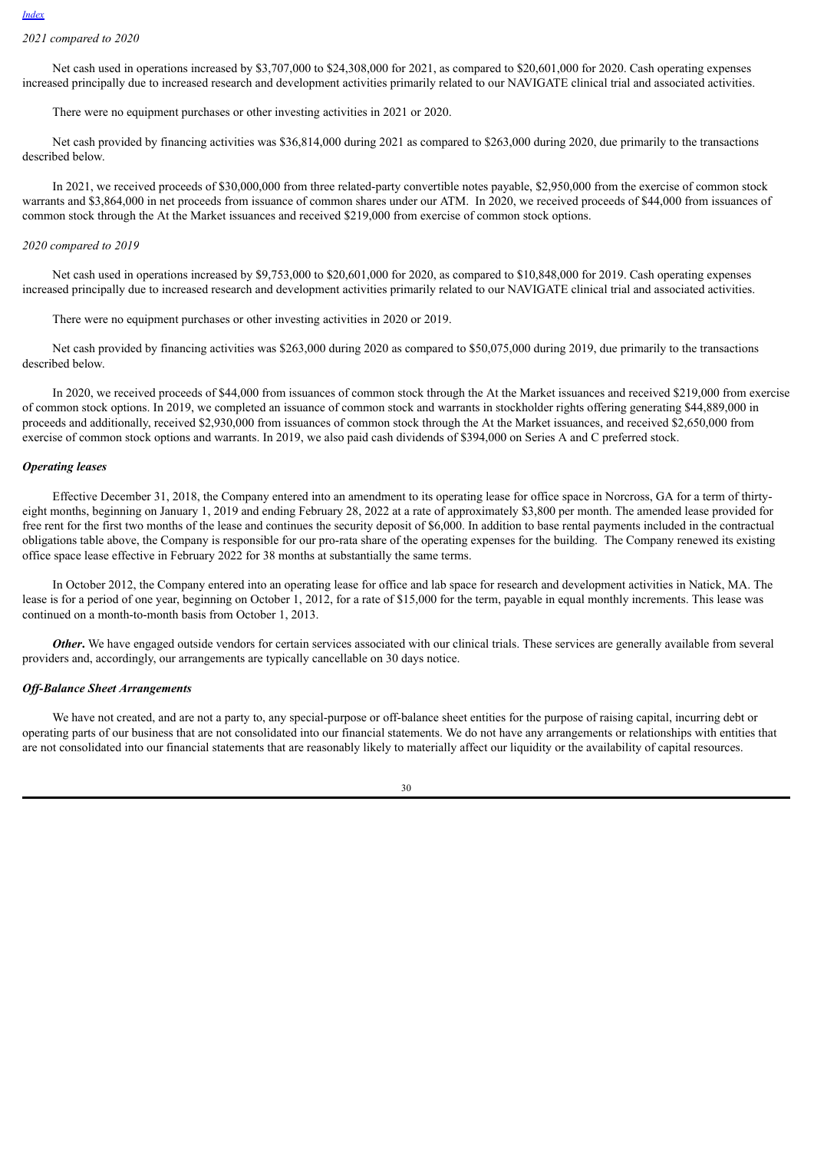# *2021 compared to 2020*

Net cash used in operations increased by \$3,707,000 to \$24,308,000 for 2021, as compared to \$20,601,000 for 2020. Cash operating expenses increased principally due to increased research and development activities primarily related to our NAVIGATE clinical trial and associated activities.

There were no equipment purchases or other investing activities in 2021 or 2020.

Net cash provided by financing activities was \$36,814,000 during 2021 as compared to \$263,000 during 2020, due primarily to the transactions described below.

In 2021, we received proceeds of \$30,000,000 from three related-party convertible notes payable, \$2,950,000 from the exercise of common stock warrants and \$3,864,000 in net proceeds from issuance of common shares under our ATM. In 2020, we received proceeds of \$44,000 from issuances of common stock through the At the Market issuances and received \$219,000 from exercise of common stock options.

#### *2020 compared to 2019*

Net cash used in operations increased by \$9,753,000 to \$20,601,000 for 2020, as compared to \$10,848,000 for 2019. Cash operating expenses increased principally due to increased research and development activities primarily related to our NAVIGATE clinical trial and associated activities.

There were no equipment purchases or other investing activities in 2020 or 2019.

Net cash provided by financing activities was \$263,000 during 2020 as compared to \$50,075,000 during 2019, due primarily to the transactions described below.

In 2020, we received proceeds of \$44,000 from issuances of common stock through the At the Market issuances and received \$219,000 from exercise of common stock options. In 2019, we completed an issuance of common stock and warrants in stockholder rights offering generating \$44,889,000 in proceeds and additionally, received \$2,930,000 from issuances of common stock through the At the Market issuances, and received \$2,650,000 from exercise of common stock options and warrants. In 2019, we also paid cash dividends of \$394,000 on Series A and C preferred stock.

#### *Operating leases*

Effective December 31, 2018, the Company entered into an amendment to its operating lease for office space in Norcross, GA for a term of thirtyeight months, beginning on January 1, 2019 and ending February 28, 2022 at a rate of approximately \$3,800 per month. The amended lease provided for free rent for the first two months of the lease and continues the security deposit of \$6,000. In addition to base rental payments included in the contractual obligations table above, the Company is responsible for our pro-rata share of the operating expenses for the building. The Company renewed its existing office space lease effective in February 2022 for 38 months at substantially the same terms.

In October 2012, the Company entered into an operating lease for office and lab space for research and development activities in Natick, MA. The lease is for a period of one year, beginning on October 1, 2012, for a rate of \$15,000 for the term, payable in equal monthly increments. This lease was continued on a month-to-month basis from October 1, 2013.

*Other*. We have engaged outside vendors for certain services associated with our clinical trials. These services are generally available from several providers and, accordingly, our arrangements are typically cancellable on 30 days notice.

#### *Of -Balance Sheet Arrangements*

We have not created, and are not a party to, any special-purpose or off-balance sheet entities for the purpose of raising capital, incurring debt or operating parts of our business that are not consolidated into our financial statements. We do not have any arrangements or relationships with entities that are not consolidated into our financial statements that are reasonably likely to materially affect our liquidity or the availability of capital resources.

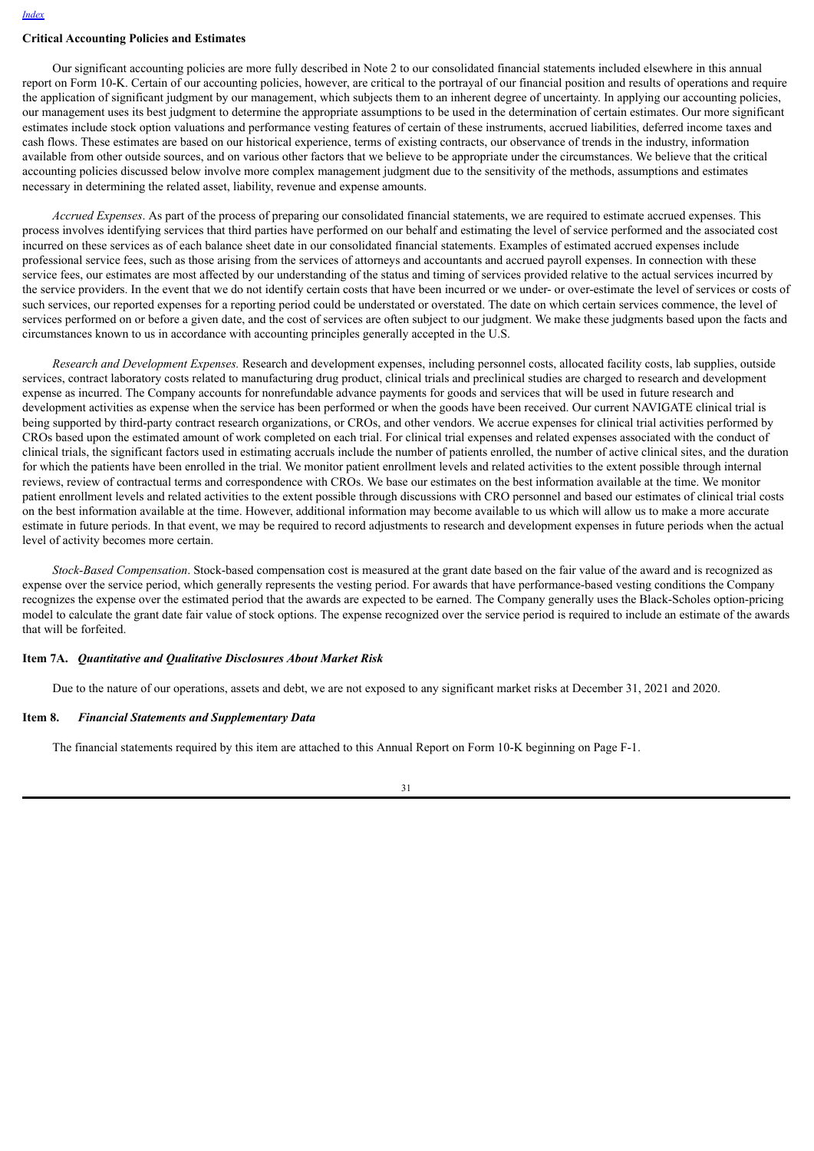# **Critical Accounting Policies and Estimates**

Our significant accounting policies are more fully described in Note 2 to our consolidated financial statements included elsewhere in this annual report on Form 10-K. Certain of our accounting policies, however, are critical to the portrayal of our financial position and results of operations and require the application of significant judgment by our management, which subjects them to an inherent degree of uncertainty. In applying our accounting policies, our management uses its best judgment to determine the appropriate assumptions to be used in the determination of certain estimates. Our more significant estimates include stock option valuations and performance vesting features of certain of these instruments, accrued liabilities, deferred income taxes and cash flows. These estimates are based on our historical experience, terms of existing contracts, our observance of trends in the industry, information available from other outside sources, and on various other factors that we believe to be appropriate under the circumstances. We believe that the critical accounting policies discussed below involve more complex management judgment due to the sensitivity of the methods, assumptions and estimates necessary in determining the related asset, liability, revenue and expense amounts.

*Accrued Expenses*. As part of the process of preparing our consolidated financial statements, we are required to estimate accrued expenses. This process involves identifying services that third parties have performed on our behalf and estimating the level of service performed and the associated cost incurred on these services as of each balance sheet date in our consolidated financial statements. Examples of estimated accrued expenses include professional service fees, such as those arising from the services of attorneys and accountants and accrued payroll expenses. In connection with these service fees, our estimates are most affected by our understanding of the status and timing of services provided relative to the actual services incurred by the service providers. In the event that we do not identify certain costs that have been incurred or we under- or over-estimate the level of services or costs of such services, our reported expenses for a reporting period could be understated or overstated. The date on which certain services commence, the level of services performed on or before a given date, and the cost of services are often subject to our judgment. We make these judgments based upon the facts and circumstances known to us in accordance with accounting principles generally accepted in the U.S.

*Research and Development Expenses.* Research and development expenses, including personnel costs, allocated facility costs, lab supplies, outside services, contract laboratory costs related to manufacturing drug product, clinical trials and preclinical studies are charged to research and development expense as incurred. The Company accounts for nonrefundable advance payments for goods and services that will be used in future research and development activities as expense when the service has been performed or when the goods have been received. Our current NAVIGATE clinical trial is being supported by third-party contract research organizations, or CROs, and other vendors. We accrue expenses for clinical trial activities performed by CROs based upon the estimated amount of work completed on each trial. For clinical trial expenses and related expenses associated with the conduct of clinical trials, the significant factors used in estimating accruals include the number of patients enrolled, the number of active clinical sites, and the duration for which the patients have been enrolled in the trial. We monitor patient enrollment levels and related activities to the extent possible through internal reviews, review of contractual terms and correspondence with CROs. We base our estimates on the best information available at the time. We monitor patient enrollment levels and related activities to the extent possible through discussions with CRO personnel and based our estimates of clinical trial costs on the best information available at the time. However, additional information may become available to us which will allow us to make a more accurate estimate in future periods. In that event, we may be required to record adjustments to research and development expenses in future periods when the actual level of activity becomes more certain.

*Stock-Based Compensation*. Stock-based compensation cost is measured at the grant date based on the fair value of the award and is recognized as expense over the service period, which generally represents the vesting period. For awards that have performance-based vesting conditions the Company recognizes the expense over the estimated period that the awards are expected to be earned. The Company generally uses the Black-Scholes option-pricing model to calculate the grant date fair value of stock options. The expense recognized over the service period is required to include an estimate of the awards that will be forfeited.

#### <span id="page-33-0"></span>**Item 7A.** *Quantitative and Qualitative Disclosures About Market Risk*

Due to the nature of our operations, assets and debt, we are not exposed to any significant market risks at December 31, 2021 and 2020.

#### <span id="page-33-1"></span>**Item 8.** *Financial Statements and Supplementary Data*

The financial statements required by this item are attached to this Annual Report on Form 10-K beginning on Page F-1.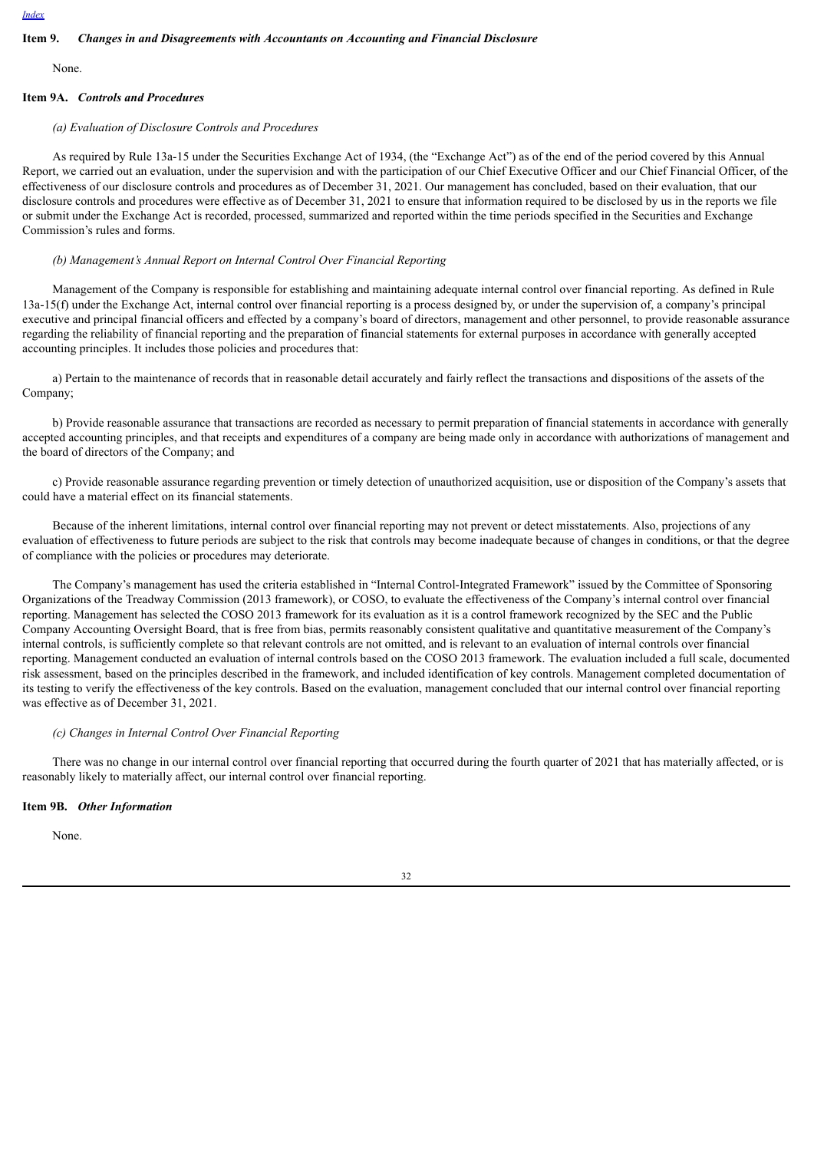#### <span id="page-34-0"></span>**Item 9.** *Changes in and Disagreements with Accountants on Accounting and Financial Disclosure*

None.

# <span id="page-34-1"></span>**Item 9A.** *Controls and Procedures*

# *(a) Evaluation of Disclosure Controls and Procedures*

As required by Rule 13a-15 under the Securities Exchange Act of 1934, (the "Exchange Act") as of the end of the period covered by this Annual Report, we carried out an evaluation, under the supervision and with the participation of our Chief Executive Officer and our Chief Financial Officer, of the effectiveness of our disclosure controls and procedures as of December 31, 2021. Our management has concluded, based on their evaluation, that our disclosure controls and procedures were effective as of December 31, 2021 to ensure that information required to be disclosed by us in the reports we file or submit under the Exchange Act is recorded, processed, summarized and reported within the time periods specified in the Securities and Exchange Commission's rules and forms.

#### *(b) Management's Annual Report on Internal Control Over Financial Reporting*

Management of the Company is responsible for establishing and maintaining adequate internal control over financial reporting. As defined in Rule 13a-15(f) under the Exchange Act, internal control over financial reporting is a process designed by, or under the supervision of, a company's principal executive and principal financial officers and effected by a company's board of directors, management and other personnel, to provide reasonable assurance regarding the reliability of financial reporting and the preparation of financial statements for external purposes in accordance with generally accepted accounting principles. It includes those policies and procedures that:

a) Pertain to the maintenance of records that in reasonable detail accurately and fairly reflect the transactions and dispositions of the assets of the Company;

b) Provide reasonable assurance that transactions are recorded as necessary to permit preparation of financial statements in accordance with generally accepted accounting principles, and that receipts and expenditures of a company are being made only in accordance with authorizations of management and the board of directors of the Company; and

c) Provide reasonable assurance regarding prevention or timely detection of unauthorized acquisition, use or disposition of the Company's assets that could have a material effect on its financial statements.

Because of the inherent limitations, internal control over financial reporting may not prevent or detect misstatements. Also, projections of any evaluation of effectiveness to future periods are subject to the risk that controls may become inadequate because of changes in conditions, or that the degree of compliance with the policies or procedures may deteriorate.

The Company's management has used the criteria established in "Internal Control-Integrated Framework" issued by the Committee of Sponsoring Organizations of the Treadway Commission (2013 framework), or COSO, to evaluate the effectiveness of the Company's internal control over financial reporting. Management has selected the COSO 2013 framework for its evaluation as it is a control framework recognized by the SEC and the Public Company Accounting Oversight Board, that is free from bias, permits reasonably consistent qualitative and quantitative measurement of the Company's internal controls, is sufficiently complete so that relevant controls are not omitted, and is relevant to an evaluation of internal controls over financial reporting. Management conducted an evaluation of internal controls based on the COSO 2013 framework. The evaluation included a full scale, documented risk assessment, based on the principles described in the framework, and included identification of key controls. Management completed documentation of its testing to verify the effectiveness of the key controls. Based on the evaluation, management concluded that our internal control over financial reporting was effective as of December 31, 2021.

#### *(c) Changes in Internal Control Over Financial Reporting*

There was no change in our internal control over financial reporting that occurred during the fourth quarter of 2021 that has materially affected, or is reasonably likely to materially affect, our internal control over financial reporting.

#### <span id="page-34-2"></span>**Item 9B.** *Other Information*

None.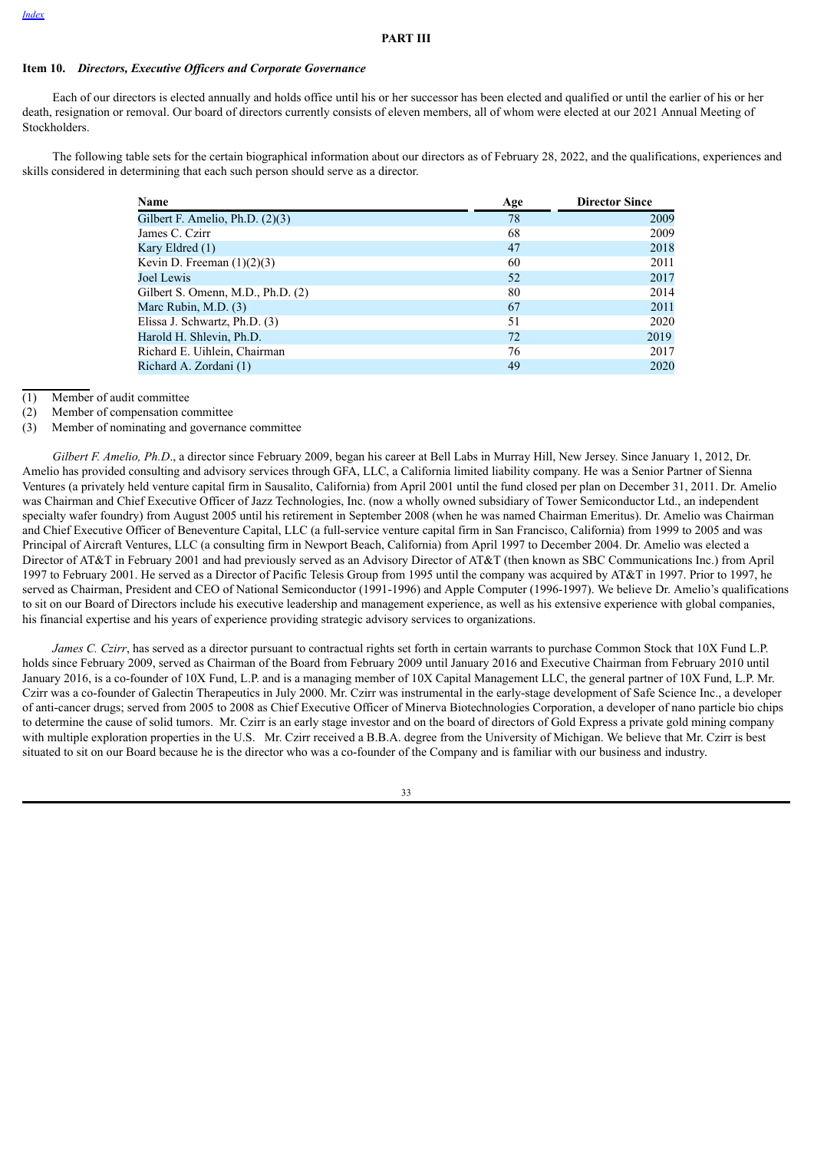#### **PART III**

# <span id="page-35-0"></span>**Item 10.** *Directors, Executive Of icers and Corporate Governance*

Each of our directors is elected annually and holds office until his or her successor has been elected and qualified or until the earlier of his or her death, resignation or removal. Our board of directors currently consists of eleven members, all of whom were elected at our 2021 Annual Meeting of Stockholders.

The following table sets for the certain biographical information about our directors as of February 28, 2022, and the qualifications, experiences and skills considered in determining that each such person should serve as a director.

| Name                              | Age | <b>Director Since</b> |
|-----------------------------------|-----|-----------------------|
| Gilbert F. Amelio, Ph.D. $(2)(3)$ | 78  | 2009                  |
| James C. Czirr                    | 68  | 2009                  |
| Kary Eldred (1)                   | 47  | 2018                  |
| Kevin D. Freeman $(1)(2)(3)$      | 60  | 2011                  |
| Joel Lewis                        | 52  | 2017                  |
| Gilbert S. Omenn, M.D., Ph.D. (2) | 80  | 2014                  |
| Marc Rubin, M.D. (3)              | 67  | 2011                  |
| Elissa J. Schwartz, Ph.D. (3)     | 51  | 2020                  |
| Harold H. Shlevin, Ph.D.          | 72  | 2019                  |
| Richard E. Uihlein, Chairman      | 76  | 2017                  |
| Richard A. Zordani (1)            | 49  | 2020                  |

(1) Member of audit committee

(2) Member of compensation committee

(3) Member of nominating and governance committee

*Gilbert F. Amelio, Ph.D*., a director since February 2009, began his career at Bell Labs in Murray Hill, New Jersey. Since January 1, 2012, Dr. Amelio has provided consulting and advisory services through GFA, LLC, a California limited liability company. He was a Senior Partner of Sienna Ventures (a privately held venture capital firm in Sausalito, California) from April 2001 until the fund closed per plan on December 31, 2011. Dr. Amelio was Chairman and Chief Executive Officer of Jazz Technologies, Inc. (now a wholly owned subsidiary of Tower Semiconductor Ltd., an independent specialty wafer foundry) from August 2005 until his retirement in September 2008 (when he was named Chairman Emeritus). Dr. Amelio was Chairman and Chief Executive Officer of Beneventure Capital, LLC (a full-service venture capital firm in San Francisco, California) from 1999 to 2005 and was Principal of Aircraft Ventures, LLC (a consulting firm in Newport Beach, California) from April 1997 to December 2004. Dr. Amelio was elected a Director of AT&T in February 2001 and had previously served as an Advisory Director of AT&T (then known as SBC Communications Inc.) from April 1997 to February 2001. He served as a Director of Pacific Telesis Group from 1995 until the company was acquired by AT&T in 1997. Prior to 1997, he served as Chairman, President and CEO of National Semiconductor (1991-1996) and Apple Computer (1996-1997). We believe Dr. Amelio's qualifications to sit on our Board of Directors include his executive leadership and management experience, as well as his extensive experience with global companies, his financial expertise and his years of experience providing strategic advisory services to organizations.

*James C. Czirr*, has served as a director pursuant to contractual rights set forth in certain warrants to purchase Common Stock that 10X Fund L.P. holds since February 2009, served as Chairman of the Board from February 2009 until January 2016 and Executive Chairman from February 2010 until January 2016, is a co-founder of 10X Fund, L.P. and is a managing member of 10X Capital Management LLC, the general partner of 10X Fund, L.P. Mr. Czirr was a co-founder of Galectin Therapeutics in July 2000. Mr. Czirr was instrumental in the early-stage development of Safe Science Inc., a developer of anti-cancer drugs; served from 2005 to 2008 as Chief Executive Officer of Minerva Biotechnologies Corporation, a developer of nano particle bio chips to determine the cause of solid tumors. Mr. Czirr is an early stage investor and on the board of directors of Gold Express a private gold mining company with multiple exploration properties in the U.S. Mr. Czirr received a B.B.A. degree from the University of Michigan. We believe that Mr. Czirr is best situated to sit on our Board because he is the director who was a co-founder of the Company and is familiar with our business and industry.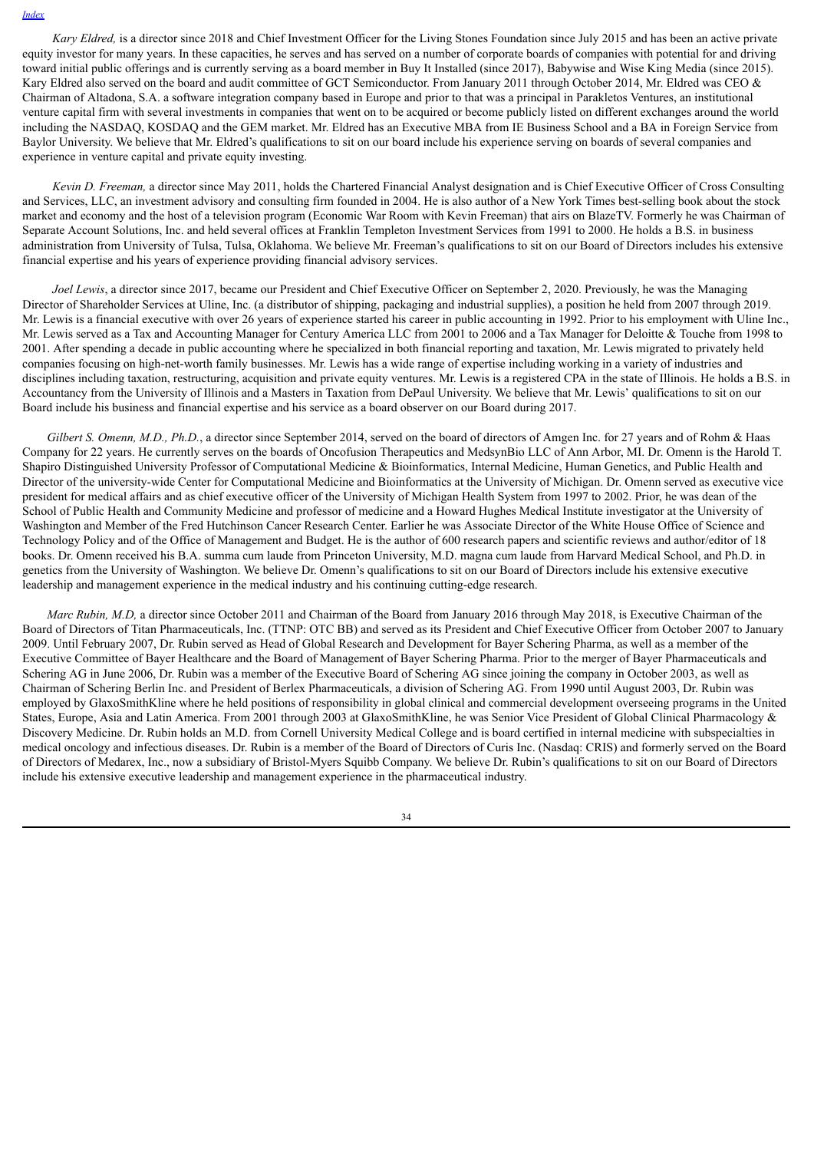*Kary Eldred,* is a director since 2018 and Chief Investment Officer for the Living Stones Foundation since July 2015 and has been an active private equity investor for many years. In these capacities, he serves and has served on a number of corporate boards of companies with potential for and driving toward initial public offerings and is currently serving as a board member in Buy It Installed (since 2017), Babywise and Wise King Media (since 2015). Kary Eldred also served on the board and audit committee of GCT Semiconductor. From January 2011 through October 2014, Mr. Eldred was CEO & Chairman of Altadona, S.A. a software integration company based in Europe and prior to that was a principal in Parakletos Ventures, an institutional venture capital firm with several investments in companies that went on to be acquired or become publicly listed on different exchanges around the world including the NASDAQ, KOSDAQ and the GEM market. Mr. Eldred has an Executive MBA from IE Business School and a BA in Foreign Service from Baylor University. We believe that Mr. Eldred's qualifications to sit on our board include his experience serving on boards of several companies and experience in venture capital and private equity investing.

*Kevin D. Freeman,* a director since May 2011, holds the Chartered Financial Analyst designation and is Chief Executive Officer of Cross Consulting and Services, LLC, an investment advisory and consulting firm founded in 2004. He is also author of a New York Times best-selling book about the stock market and economy and the host of a television program (Economic War Room with Kevin Freeman) that airs on BlazeTV. Formerly he was Chairman of Separate Account Solutions, Inc. and held several offices at Franklin Templeton Investment Services from 1991 to 2000. He holds a B.S. in business administration from University of Tulsa, Tulsa, Oklahoma. We believe Mr. Freeman's qualifications to sit on our Board of Directors includes his extensive financial expertise and his years of experience providing financial advisory services.

*Joel Lewis*, a director since 2017, became our President and Chief Executive Officer on September 2, 2020. Previously, he was the Managing Director of Shareholder Services at Uline, Inc. (a distributor of shipping, packaging and industrial supplies), a position he held from 2007 through 2019. Mr. Lewis is a financial executive with over 26 years of experience started his career in public accounting in 1992. Prior to his employment with Uline Inc., Mr. Lewis served as a Tax and Accounting Manager for Century America LLC from 2001 to 2006 and a Tax Manager for Deloitte & Touche from 1998 to 2001. After spending a decade in public accounting where he specialized in both financial reporting and taxation, Mr. Lewis migrated to privately held companies focusing on high-net-worth family businesses. Mr. Lewis has a wide range of expertise including working in a variety of industries and disciplines including taxation, restructuring, acquisition and private equity ventures. Mr. Lewis is a registered CPA in the state of Illinois. He holds a B.S. in Accountancy from the University of Illinois and a Masters in Taxation from DePaul University. We believe that Mr. Lewis' qualifications to sit on our Board include his business and financial expertise and his service as a board observer on our Board during 2017.

*Gilbert S. Omenn, M.D., Ph.D.*, a director since September 2014, served on the board of directors of Amgen Inc. for 27 years and of Rohm & Haas Company for 22 years. He currently serves on the boards of Oncofusion Therapeutics and MedsynBio LLC of Ann Arbor, MI. Dr. Omenn is the Harold T. Shapiro Distinguished University Professor of Computational Medicine & Bioinformatics, Internal Medicine, Human Genetics, and Public Health and Director of the university-wide Center for Computational Medicine and Bioinformatics at the University of Michigan. Dr. Omenn served as executive vice president for medical affairs and as chief executive officer of the University of Michigan Health System from 1997 to 2002. Prior, he was dean of the School of Public Health and Community Medicine and professor of medicine and a Howard Hughes Medical Institute investigator at the University of Washington and Member of the Fred Hutchinson Cancer Research Center. Earlier he was Associate Director of the White House Office of Science and Technology Policy and of the Office of Management and Budget. He is the author of 600 research papers and scientific reviews and author/editor of 18 books. Dr. Omenn received his B.A. summa cum laude from Princeton University, M.D. magna cum laude from Harvard Medical School, and Ph.D. in genetics from the University of Washington. We believe Dr. Omenn's qualifications to sit on our Board of Directors include his extensive executive leadership and management experience in the medical industry and his continuing cutting-edge research.

*Marc Rubin, M.D,* a director since October 2011 and Chairman of the Board from January 2016 through May 2018, is Executive Chairman of the Board of Directors of Titan Pharmaceuticals, Inc. (TTNP: OTC BB) and served as its President and Chief Executive Officer from October 2007 to January 2009. Until February 2007, Dr. Rubin served as Head of Global Research and Development for Bayer Schering Pharma, as well as a member of the Executive Committee of Bayer Healthcare and the Board of Management of Bayer Schering Pharma. Prior to the merger of Bayer Pharmaceuticals and Schering AG in June 2006, Dr. Rubin was a member of the Executive Board of Schering AG since joining the company in October 2003, as well as Chairman of Schering Berlin Inc. and President of Berlex Pharmaceuticals, a division of Schering AG. From 1990 until August 2003, Dr. Rubin was employed by GlaxoSmithKline where he held positions of responsibility in global clinical and commercial development overseeing programs in the United States, Europe, Asia and Latin America. From 2001 through 2003 at GlaxoSmithKline, he was Senior Vice President of Global Clinical Pharmacology & Discovery Medicine. Dr. Rubin holds an M.D. from Cornell University Medical College and is board certified in internal medicine with subspecialties in medical oncology and infectious diseases. Dr. Rubin is a member of the Board of Directors of Curis Inc. (Nasdaq: CRIS) and formerly served on the Board of Directors of Medarex, Inc., now a subsidiary of Bristol-Myers Squibb Company. We believe Dr. Rubin's qualifications to sit on our Board of Directors include his extensive executive leadership and management experience in the pharmaceutical industry.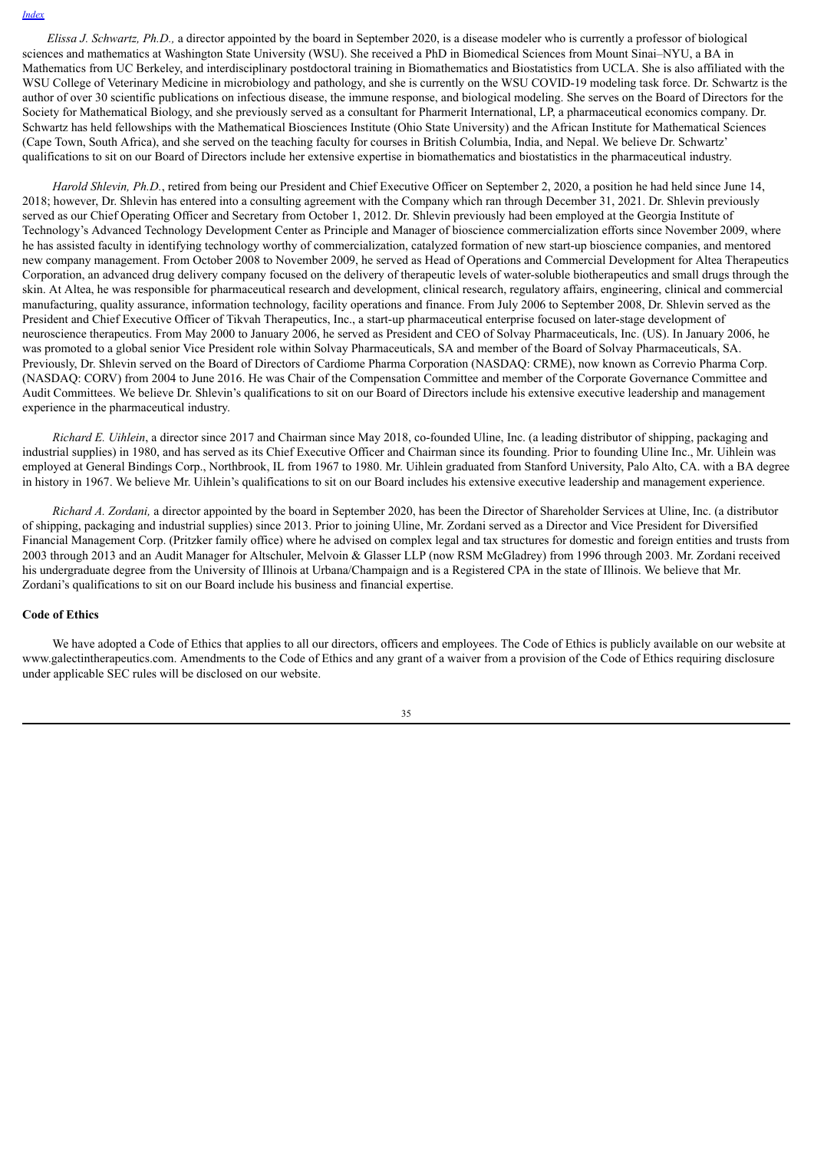*Elissa J. Schwartz, Ph.D.,* a director appointed by the board in September 2020, is a disease modeler who is currently a professor of biological sciences and mathematics at Washington State University (WSU). She received a PhD in Biomedical Sciences from Mount Sinai–NYU, a BA in Mathematics from UC Berkeley, and interdisciplinary postdoctoral training in Biomathematics and Biostatistics from UCLA. She is also affiliated with the WSU College of Veterinary Medicine in microbiology and pathology, and she is currently on the WSU COVID-19 modeling task force. Dr. Schwartz is the author of over 30 scientific publications on infectious disease, the immune response, and biological modeling. She serves on the Board of Directors for the Society for Mathematical Biology, and she previously served as a consultant for Pharmerit International, LP, a pharmaceutical economics company. Dr. Schwartz has held fellowships with the Mathematical Biosciences Institute (Ohio State University) and the African Institute for Mathematical Sciences (Cape Town, South Africa), and she served on the teaching faculty for courses in British Columbia, India, and Nepal. We believe Dr. Schwartz' qualifications to sit on our Board of Directors include her extensive expertise in biomathematics and biostatistics in the pharmaceutical industry.

*Harold Shlevin, Ph.D.*, retired from being our President and Chief Executive Officer on September 2, 2020, a position he had held since June 14, 2018; however, Dr. Shlevin has entered into a consulting agreement with the Company which ran through December 31, 2021. Dr. Shlevin previously served as our Chief Operating Officer and Secretary from October 1, 2012. Dr. Shlevin previously had been employed at the Georgia Institute of Technology's Advanced Technology Development Center as Principle and Manager of bioscience commercialization efforts since November 2009, where he has assisted faculty in identifying technology worthy of commercialization, catalyzed formation of new start-up bioscience companies, and mentored new company management. From October 2008 to November 2009, he served as Head of Operations and Commercial Development for Altea Therapeutics Corporation, an advanced drug delivery company focused on the delivery of therapeutic levels of water-soluble biotherapeutics and small drugs through the skin. At Altea, he was responsible for pharmaceutical research and development, clinical research, regulatory affairs, engineering, clinical and commercial manufacturing, quality assurance, information technology, facility operations and finance. From July 2006 to September 2008, Dr. Shlevin served as the President and Chief Executive Officer of Tikvah Therapeutics, Inc., a start-up pharmaceutical enterprise focused on later-stage development of neuroscience therapeutics. From May 2000 to January 2006, he served as President and CEO of Solvay Pharmaceuticals, Inc. (US). In January 2006, he was promoted to a global senior Vice President role within Solvay Pharmaceuticals, SA and member of the Board of Solvay Pharmaceuticals, SA. Previously, Dr. Shlevin served on the Board of Directors of Cardiome Pharma Corporation (NASDAQ: CRME), now known as Correvio Pharma Corp. (NASDAQ: CORV) from 2004 to June 2016. He was Chair of the Compensation Committee and member of the Corporate Governance Committee and Audit Committees. We believe Dr. Shlevin's qualifications to sit on our Board of Directors include his extensive executive leadership and management experience in the pharmaceutical industry.

*Richard E. Uihlein*, a director since 2017 and Chairman since May 2018, co-founded Uline, Inc. (a leading distributor of shipping, packaging and industrial supplies) in 1980, and has served as its Chief Executive Officer and Chairman since its founding. Prior to founding Uline Inc., Mr. Uihlein was employed at General Bindings Corp., Northbrook, IL from 1967 to 1980. Mr. Uihlein graduated from Stanford University, Palo Alto, CA. with a BA degree in history in 1967. We believe Mr. Uihlein's qualifications to sit on our Board includes his extensive executive leadership and management experience.

*Richard A. Zordani,* a director appointed by the board in September 2020, has been the Director of Shareholder Services at Uline, Inc. (a distributor of shipping, packaging and industrial supplies) since 2013. Prior to joining Uline, Mr. Zordani served as a Director and Vice President for Diversified Financial Management Corp. (Pritzker family office) where he advised on complex legal and tax structures for domestic and foreign entities and trusts from 2003 through 2013 and an Audit Manager for Altschuler, Melvoin & Glasser LLP (now RSM McGladrey) from 1996 through 2003. Mr. Zordani received his undergraduate degree from the University of Illinois at Urbana/Champaign and is a Registered CPA in the state of Illinois. We believe that Mr. Zordani's qualifications to sit on our Board include his business and financial expertise.

#### **Code of Ethics**

We have adopted a Code of Ethics that applies to all our directors, officers and employees. The Code of Ethics is publicly available on our website at www.galectintherapeutics.com. Amendments to the Code of Ethics and any grant of a waiver from a provision of the Code of Ethics requiring disclosure under applicable SEC rules will be disclosed on our website.

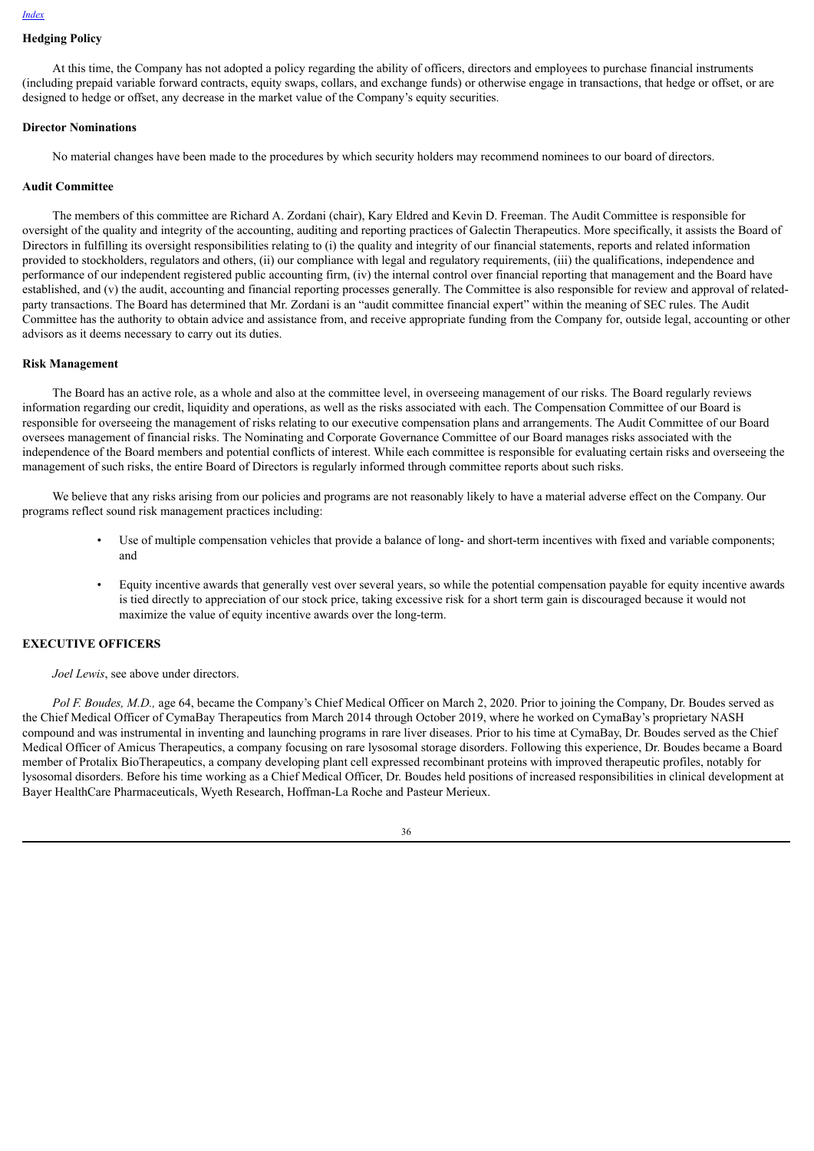## **Hedging Policy**

At this time, the Company has not adopted a policy regarding the ability of officers, directors and employees to purchase financial instruments (including prepaid variable forward contracts, equity swaps, collars, and exchange funds) or otherwise engage in transactions, that hedge or offset, or are designed to hedge or offset, any decrease in the market value of the Company's equity securities.

### **Director Nominations**

No material changes have been made to the procedures by which security holders may recommend nominees to our board of directors.

### **Audit Committee**

The members of this committee are Richard A. Zordani (chair), Kary Eldred and Kevin D. Freeman. The Audit Committee is responsible for oversight of the quality and integrity of the accounting, auditing and reporting practices of Galectin Therapeutics. More specifically, it assists the Board of Directors in fulfilling its oversight responsibilities relating to (i) the quality and integrity of our financial statements, reports and related information provided to stockholders, regulators and others, (ii) our compliance with legal and regulatory requirements, (iii) the qualifications, independence and performance of our independent registered public accounting firm, (iv) the internal control over financial reporting that management and the Board have established, and (v) the audit, accounting and financial reporting processes generally. The Committee is also responsible for review and approval of relatedparty transactions. The Board has determined that Mr. Zordani is an "audit committee financial expert" within the meaning of SEC rules. The Audit Committee has the authority to obtain advice and assistance from, and receive appropriate funding from the Company for, outside legal, accounting or other advisors as it deems necessary to carry out its duties.

#### **Risk Management**

The Board has an active role, as a whole and also at the committee level, in overseeing management of our risks. The Board regularly reviews information regarding our credit, liquidity and operations, as well as the risks associated with each. The Compensation Committee of our Board is responsible for overseeing the management of risks relating to our executive compensation plans and arrangements. The Audit Committee of our Board oversees management of financial risks. The Nominating and Corporate Governance Committee of our Board manages risks associated with the independence of the Board members and potential conflicts of interest. While each committee is responsible for evaluating certain risks and overseeing the management of such risks, the entire Board of Directors is regularly informed through committee reports about such risks.

We believe that any risks arising from our policies and programs are not reasonably likely to have a material adverse effect on the Company. Our programs reflect sound risk management practices including:

- Use of multiple compensation vehicles that provide a balance of long- and short-term incentives with fixed and variable components; and
- Equity incentive awards that generally vest over several years, so while the potential compensation payable for equity incentive awards is tied directly to appreciation of our stock price, taking excessive risk for a short term gain is discouraged because it would not maximize the value of equity incentive awards over the long-term.

### **EXECUTIVE OFFICERS**

*Joel Lewis*, see above under directors.

*Pol F. Boudes, M.D.,* age 64, became the Company's Chief Medical Officer on March 2, 2020. Prior to joining the Company, Dr. Boudes served as the Chief Medical Officer of CymaBay Therapeutics from March 2014 through October 2019, where he worked on CymaBay's proprietary NASH compound and was instrumental in inventing and launching programs in rare liver diseases. Prior to his time at CymaBay, Dr. Boudes served as the Chief Medical Officer of Amicus Therapeutics, a company focusing on rare lysosomal storage disorders. Following this experience, Dr. Boudes became a Board member of Protalix BioTherapeutics, a company developing plant cell expressed recombinant proteins with improved therapeutic profiles, notably for lysosomal disorders. Before his time working as a Chief Medical Officer, Dr. Boudes held positions of increased responsibilities in clinical development at Bayer HealthCare Pharmaceuticals, Wyeth Research, Hoffman-La Roche and Pasteur Merieux.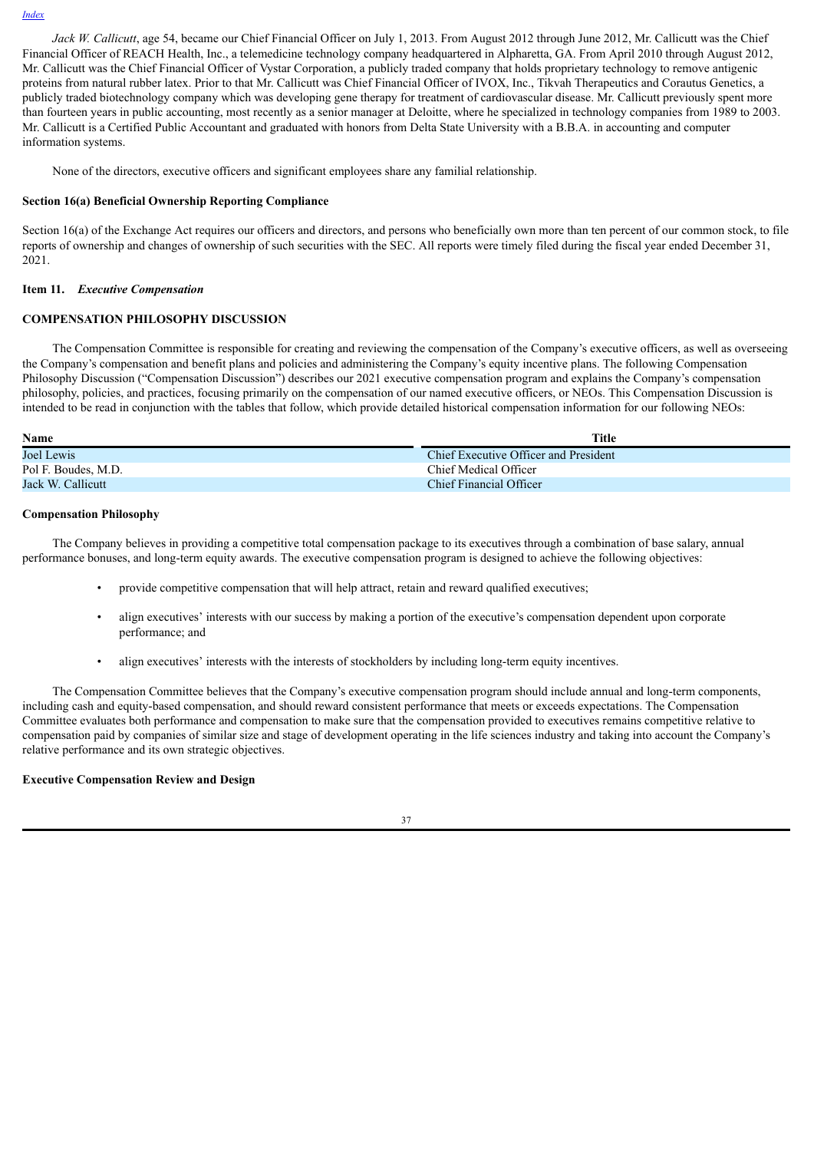*Jack W. Callicutt*, age 54, became our Chief Financial Officer on July 1, 2013. From August 2012 through June 2012, Mr. Callicutt was the Chief Financial Officer of REACH Health, Inc., a telemedicine technology company headquartered in Alpharetta, GA. From April 2010 through August 2012, Mr. Callicutt was the Chief Financial Officer of Vystar Corporation, a publicly traded company that holds proprietary technology to remove antigenic proteins from natural rubber latex. Prior to that Mr. Callicutt was Chief Financial Officer of IVOX, Inc., Tikvah Therapeutics and Corautus Genetics, a publicly traded biotechnology company which was developing gene therapy for treatment of cardiovascular disease. Mr. Callicutt previously spent more than fourteen years in public accounting, most recently as a senior manager at Deloitte, where he specialized in technology companies from 1989 to 2003. Mr. Callicutt is a Certified Public Accountant and graduated with honors from Delta State University with a B.B.A. in accounting and computer information systems.

None of the directors, executive officers and significant employees share any familial relationship.

### **Section 16(a) Beneficial Ownership Reporting Compliance**

Section 16(a) of the Exchange Act requires our officers and directors, and persons who beneficially own more than ten percent of our common stock, to file reports of ownership and changes of ownership of such securities with the SEC. All reports were timely filed during the fiscal year ended December 31, 2021.

### **Item 11.** *Executive Compensation*

### **COMPENSATION PHILOSOPHY DISCUSSION**

The Compensation Committee is responsible for creating and reviewing the compensation of the Company's executive officers, as well as overseeing the Company's compensation and benefit plans and policies and administering the Company's equity incentive plans. The following Compensation Philosophy Discussion ("Compensation Discussion") describes our 2021 executive compensation program and explains the Company's compensation philosophy, policies, and practices, focusing primarily on the compensation of our named executive officers, or NEOs. This Compensation Discussion is intended to be read in conjunction with the tables that follow, which provide detailed historical compensation information for our following NEOs:

| <b>Name</b>         | <b>Title</b>                          |
|---------------------|---------------------------------------|
| Joel Lewis          | Chief Executive Officer and President |
| Pol F. Boudes, M.D. | Chief Medical Officer                 |
| Jack W. Callicutt   | Chief Financial Officer               |

### **Compensation Philosophy**

The Company believes in providing a competitive total compensation package to its executives through a combination of base salary, annual performance bonuses, and long-term equity awards. The executive compensation program is designed to achieve the following objectives:

- provide competitive compensation that will help attract, retain and reward qualified executives;
- align executives' interests with our success by making a portion of the executive's compensation dependent upon corporate performance; and
- align executives' interests with the interests of stockholders by including long-term equity incentives.

The Compensation Committee believes that the Company's executive compensation program should include annual and long-term components, including cash and equity-based compensation, and should reward consistent performance that meets or exceeds expectations. The Compensation Committee evaluates both performance and compensation to make sure that the compensation provided to executives remains competitive relative to compensation paid by companies of similar size and stage of development operating in the life sciences industry and taking into account the Company's relative performance and its own strategic objectives.

### **Executive Compensation Review and Design**

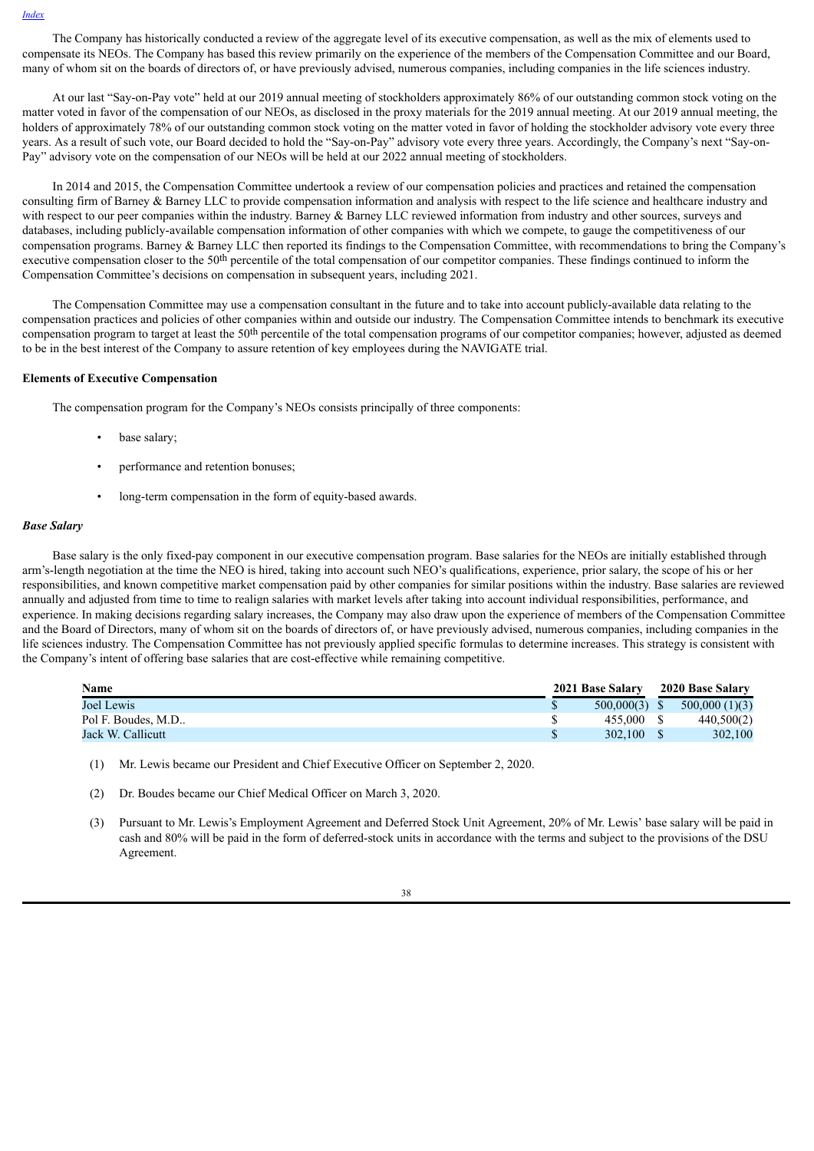The Company has historically conducted a review of the aggregate level of its executive compensation, as well as the mix of elements used to compensate its NEOs. The Company has based this review primarily on the experience of the members of the Compensation Committee and our Board, many of whom sit on the boards of directors of, or have previously advised, numerous companies, including companies in the life sciences industry.

At our last "Say-on-Pay vote" held at our 2019 annual meeting of stockholders approximately 86% of our outstanding common stock voting on the matter voted in favor of the compensation of our NEOs, as disclosed in the proxy materials for the 2019 annual meeting. At our 2019 annual meeting, the holders of approximately 78% of our outstanding common stock voting on the matter voted in favor of holding the stockholder advisory vote every three years. As a result of such vote, our Board decided to hold the "Say-on-Pay" advisory vote every three years. Accordingly, the Company's next "Say-on-Pay" advisory vote on the compensation of our NEOs will be held at our 2022 annual meeting of stockholders.

In 2014 and 2015, the Compensation Committee undertook a review of our compensation policies and practices and retained the compensation consulting firm of Barney & Barney LLC to provide compensation information and analysis with respect to the life science and healthcare industry and with respect to our peer companies within the industry. Barney & Barney LLC reviewed information from industry and other sources, surveys and databases, including publicly-available compensation information of other companies with which we compete, to gauge the competitiveness of our compensation programs. Barney & Barney LLC then reported its findings to the Compensation Committee, with recommendations to bring the Company's executive compensation closer to the 50<sup>th</sup> percentile of the total compensation of our competitor companies. These findings continued to inform the Compensation Committee's decisions on compensation in subsequent years, including 2021.

The Compensation Committee may use a compensation consultant in the future and to take into account publicly-available data relating to the compensation practices and policies of other companies within and outside our industry. The Compensation Committee intends to benchmark its executive compensation program to target at least the 50<sup>th</sup> percentile of the total compensation programs of our competitor companies; however, adjusted as deemed to be in the best interest of the Company to assure retention of key employees during the NAVIGATE trial.

### **Elements of Executive Compensation**

The compensation program for the Company's NEOs consists principally of three components:

- base salary;
- performance and retention bonuses;
- long-term compensation in the form of equity-based awards.

### *Base Salary*

Base salary is the only fixed-pay component in our executive compensation program. Base salaries for the NEOs are initially established through arm's-length negotiation at the time the NEO is hired, taking into account such NEO's qualifications, experience, prior salary, the scope of his or her responsibilities, and known competitive market compensation paid by other companies for similar positions within the industry. Base salaries are reviewed annually and adjusted from time to time to realign salaries with market levels after taking into account individual responsibilities, performance, and experience. In making decisions regarding salary increases, the Company may also draw upon the experience of members of the Compensation Committee and the Board of Directors, many of whom sit on the boards of directors of, or have previously advised, numerous companies, including companies in the life sciences industry. The Compensation Committee has not previously applied specific formulas to determine increases. This strategy is consistent with the Company's intent of offering base salaries that are cost-effective while remaining competitive.

| Name                 | 2021 Base Salary | 2020 Base Salary |
|----------------------|------------------|------------------|
| Joel Lewis           | $500,000(3)$ \$  | 500,000(1)(3)    |
| Pol F. Boudes, M.D., | 455.000          | 440,500(2)       |
| Jack W. Callicutt    | 302.100          | 302,100          |

(1) Mr. Lewis became our President and Chief Executive Officer on September 2, 2020.

(2) Dr. Boudes became our Chief Medical Officer on March 3, 2020.

(3) Pursuant to Mr. Lewis's Employment Agreement and Deferred Stock Unit Agreement, 20% of Mr. Lewis' base salary will be paid in cash and 80% will be paid in the form of deferred-stock units in accordance with the terms and subject to the provisions of the DSU Agreement.

#### *[Index](#page-2-0)*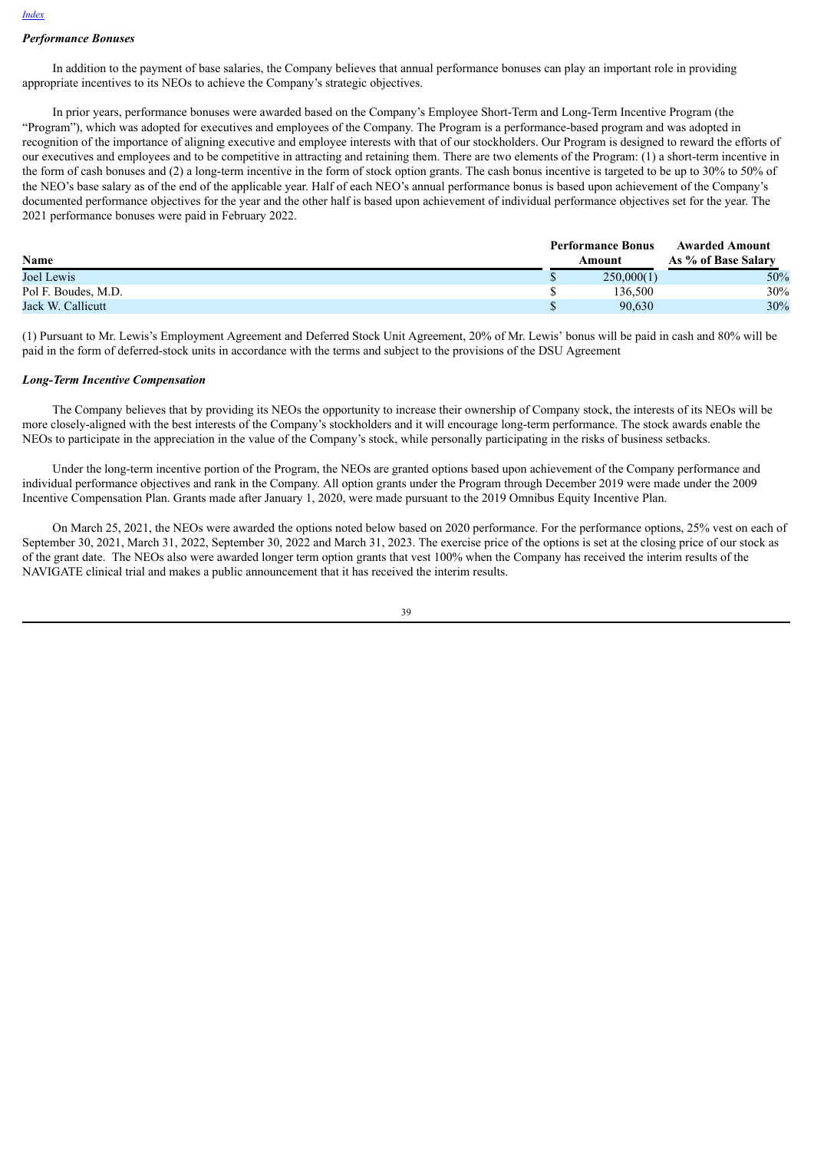## *Performance Bonuses*

In addition to the payment of base salaries, the Company believes that annual performance bonuses can play an important role in providing appropriate incentives to its NEOs to achieve the Company's strategic objectives.

In prior years, performance bonuses were awarded based on the Company's Employee Short-Term and Long-Term Incentive Program (the "Program"), which was adopted for executives and employees of the Company. The Program is a performance-based program and was adopted in recognition of the importance of aligning executive and employee interests with that of our stockholders. Our Program is designed to reward the efforts of our executives and employees and to be competitive in attracting and retaining them. There are two elements of the Program: (1) a short-term incentive in the form of cash bonuses and (2) a long-term incentive in the form of stock option grants. The cash bonus incentive is targeted to be up to 30% to 50% of the NEO's base salary as of the end of the applicable year. Half of each NEO's annual performance bonus is based upon achievement of the Company's documented performance objectives for the year and the other half is based upon achievement of individual performance objectives set for the year. The 2021 performance bonuses were paid in February 2022.

|                     |   | <b>Performance Bonus</b> | <b>Awarded Amount</b>      |
|---------------------|---|--------------------------|----------------------------|
| Name                |   | Amount                   | <b>As % of Base Salary</b> |
| Joel Lewis          | w | 250,000(1)               | 50%                        |
| Pol F. Boudes, M.D. |   | 136.500                  | 30%                        |
| Jack W. Callicutt   |   | 90,630                   | 30%                        |

(1) Pursuant to Mr. Lewis's Employment Agreement and Deferred Stock Unit Agreement, 20% of Mr. Lewis' bonus will be paid in cash and 80% will be paid in the form of deferred-stock units in accordance with the terms and subject to the provisions of the DSU Agreement

### *Long-Term Incentive Compensation*

The Company believes that by providing its NEOs the opportunity to increase their ownership of Company stock, the interests of its NEOs will be more closely-aligned with the best interests of the Company's stockholders and it will encourage long-term performance. The stock awards enable the NEOs to participate in the appreciation in the value of the Company's stock, while personally participating in the risks of business setbacks.

Under the long-term incentive portion of the Program, the NEOs are granted options based upon achievement of the Company performance and individual performance objectives and rank in the Company. All option grants under the Program through December 2019 were made under the 2009 Incentive Compensation Plan. Grants made after January 1, 2020, were made pursuant to the 2019 Omnibus Equity Incentive Plan.

On March 25, 2021, the NEOs were awarded the options noted below based on 2020 performance. For the performance options, 25% vest on each of September 30, 2021, March 31, 2022, September 30, 2022 and March 31, 2023. The exercise price of the options is set at the closing price of our stock as of the grant date. The NEOs also were awarded longer term option grants that vest 100% when the Company has received the interim results of the NAVIGATE clinical trial and makes a public announcement that it has received the interim results.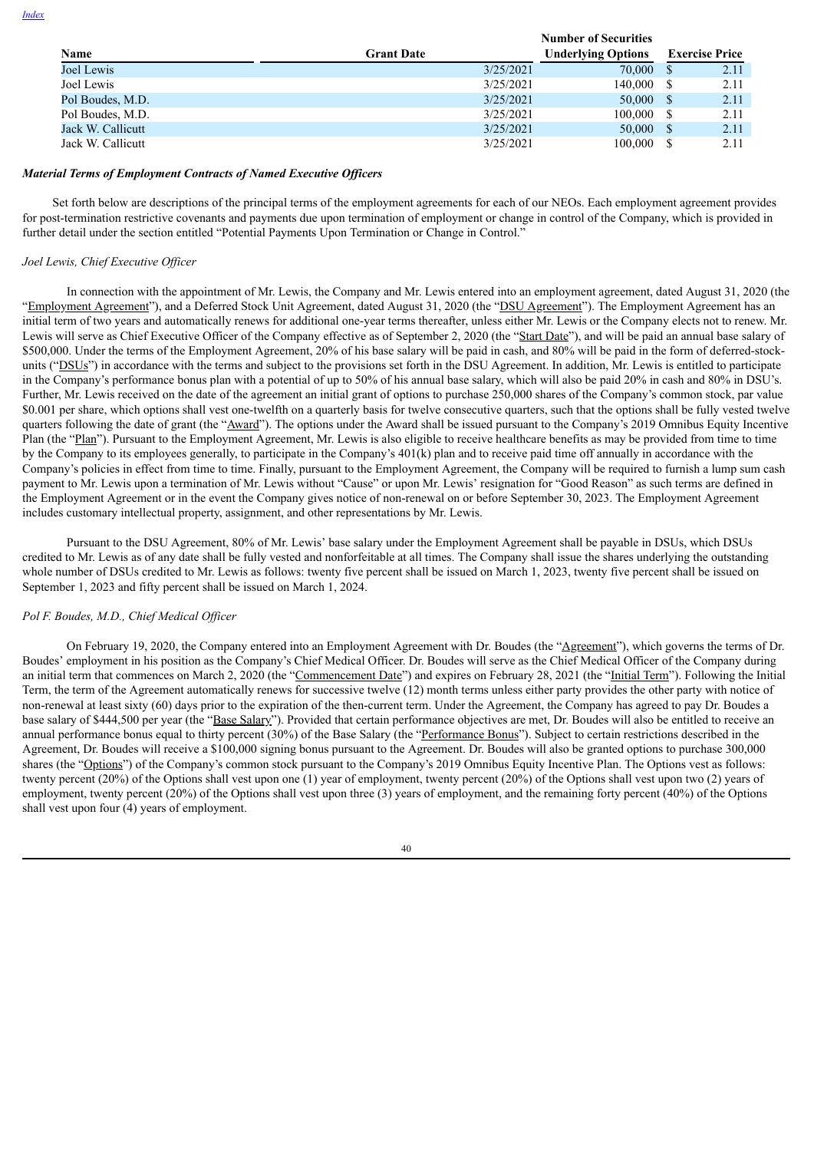|                   |                   | <b>Number of Securities</b> |                       |
|-------------------|-------------------|-----------------------------|-----------------------|
| <b>Name</b>       | <b>Grant Date</b> | <b>Underlying Options</b>   | <b>Exercise Price</b> |
| Joel Lewis        | 3/25/2021         | 70,000                      | 2.11                  |
| Joel Lewis        | 3/25/2021         | 140,000                     | 2.11                  |
| Pol Boudes, M.D.  | 3/25/2021         | 50,000                      | 2.11                  |
| Pol Boudes, M.D.  | 3/25/2021         | 100,000                     | 2.11                  |
| Jack W. Callicutt | 3/25/2021         | 50,000                      | 2.11                  |
| Jack W. Callicutt | 3/25/2021         | 100,000                     | 2.11                  |

### *Material Terms of Employment Contracts of Named Executive Of icers*

Set forth below are descriptions of the principal terms of the employment agreements for each of our NEOs. Each employment agreement provides for post-termination restrictive covenants and payments due upon termination of employment or change in control of the Company, which is provided in further detail under the section entitled "Potential Payments Upon Termination or Change in Control."

### *Joel Lewis, Chief Executive Of icer*

In connection with the appointment of Mr. Lewis, the Company and Mr. Lewis entered into an employment agreement, dated August 31, 2020 (the "Employment Agreement"), and a Deferred Stock Unit Agreement, dated August 31, 2020 (the "DSU Agreement"). The Employment Agreement has an initial term of two years and automatically renews for additional one-year terms thereafter, unless either Mr. Lewis or the Company elects not to renew. Mr. Lewis will serve as Chief Executive Officer of the Company effective as of September 2, 2020 (the "Start Date"), and will be paid an annual base salary of \$500,000. Under the terms of the Employment Agreement, 20% of his base salary will be paid in cash, and 80% will be paid in the form of deferred-stockunits ("DSUs") in accordance with the terms and subject to the provisions set forth in the DSU Agreement. In addition, Mr. Lewis is entitled to participate in the Company's performance bonus plan with a potential of up to 50% of his annual base salary, which will also be paid 20% in cash and 80% in DSU's. Further, Mr. Lewis received on the date of the agreement an initial grant of options to purchase 250,000 shares of the Company's common stock, par value \$0.001 per share, which options shall vest one-twelfth on a quarterly basis for twelve consecutive quarters, such that the options shall be fully vested twelve quarters following the date of grant (the "Award"). The options under the Award shall be issued pursuant to the Company's 2019 Omnibus Equity Incentive Plan (the "Plan"). Pursuant to the Employment Agreement, Mr. Lewis is also eligible to receive healthcare benefits as may be provided from time to time by the Company to its employees generally, to participate in the Company's 401(k) plan and to receive paid time off annually in accordance with the Company's policies in effect from time to time. Finally, pursuant to the Employment Agreement, the Company will be required to furnish a lump sum cash payment to Mr. Lewis upon a termination of Mr. Lewis without "Cause" or upon Mr. Lewis' resignation for "Good Reason" as such terms are defined in the Employment Agreement or in the event the Company gives notice of non-renewal on or before September 30, 2023. The Employment Agreement includes customary intellectual property, assignment, and other representations by Mr. Lewis.

Pursuant to the DSU Agreement, 80% of Mr. Lewis' base salary under the Employment Agreement shall be payable in DSUs, which DSUs credited to Mr. Lewis as of any date shall be fully vested and nonforfeitable at all times. The Company shall issue the shares underlying the outstanding whole number of DSUs credited to Mr. Lewis as follows: twenty five percent shall be issued on March 1, 2023, twenty five percent shall be issued on September 1, 2023 and fifty percent shall be issued on March 1, 2024.

### *Pol F. Boudes, M.D., Chief Medical Of icer*

On February 19, 2020, the Company entered into an Employment Agreement with Dr. Boudes (the "Agreement"), which governs the terms of Dr. Boudes' employment in his position as the Company's Chief Medical Officer. Dr. Boudes will serve as the Chief Medical Officer of the Company during an initial term that commences on March 2, 2020 (the "Commencement Date") and expires on February 28, 2021 (the "Initial Term"). Following the Initial Term, the term of the Agreement automatically renews for successive twelve (12) month terms unless either party provides the other party with notice of non-renewal at least sixty (60) days prior to the expiration of the then-current term. Under the Agreement, the Company has agreed to pay Dr. Boudes a base salary of \$444,500 per year (the "Base Salary"). Provided that certain performance objectives are met, Dr. Boudes will also be entitled to receive an annual performance bonus equal to thirty percent (30%) of the Base Salary (the "Performance Bonus"). Subject to certain restrictions described in the Agreement, Dr. Boudes will receive a \$100,000 signing bonus pursuant to the Agreement. Dr. Boudes will also be granted options to purchase 300,000 shares (the "Options") of the Company's common stock pursuant to the Company's 2019 Omnibus Equity Incentive Plan. The Options vest as follows: twenty percent (20%) of the Options shall vest upon one (1) year of employment, twenty percent (20%) of the Options shall vest upon two (2) years of employment, twenty percent (20%) of the Options shall vest upon three (3) years of employment, and the remaining forty percent (40%) of the Options shall vest upon four (4) years of employment.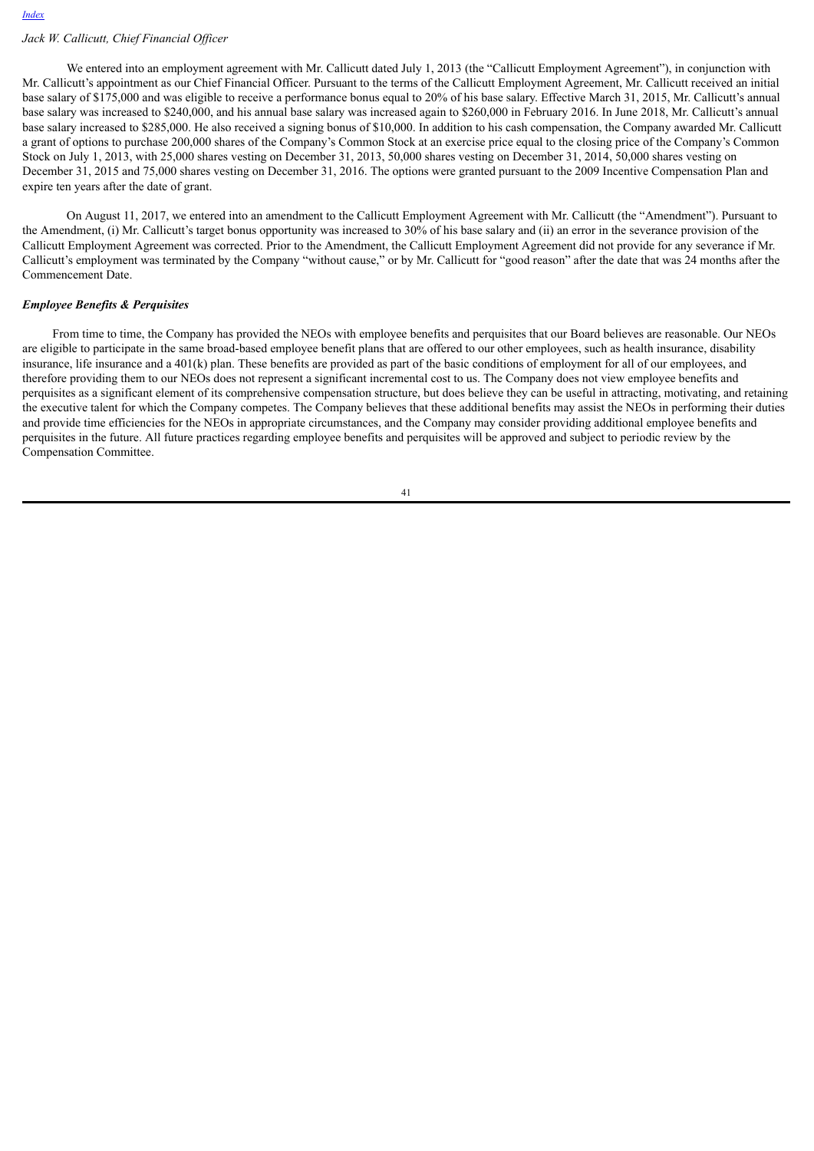## *Jack W. Callicutt, Chief Financial Of icer*

We entered into an employment agreement with Mr. Callicutt dated July 1, 2013 (the "Callicutt Employment Agreement"), in conjunction with Mr. Callicutt's appointment as our Chief Financial Officer. Pursuant to the terms of the Callicutt Employment Agreement, Mr. Callicutt received an initial base salary of \$175,000 and was eligible to receive a performance bonus equal to 20% of his base salary. Effective March 31, 2015, Mr. Callicutt's annual base salary was increased to \$240,000, and his annual base salary was increased again to \$260,000 in February 2016. In June 2018, Mr. Callicutt's annual base salary increased to \$285,000. He also received a signing bonus of \$10,000. In addition to his cash compensation, the Company awarded Mr. Callicutt a grant of options to purchase 200,000 shares of the Company's Common Stock at an exercise price equal to the closing price of the Company's Common Stock on July 1, 2013, with 25,000 shares vesting on December 31, 2013, 50,000 shares vesting on December 31, 2014, 50,000 shares vesting on December 31, 2015 and 75,000 shares vesting on December 31, 2016. The options were granted pursuant to the 2009 Incentive Compensation Plan and expire ten years after the date of grant.

On August 11, 2017, we entered into an amendment to the Callicutt Employment Agreement with Mr. Callicutt (the "Amendment"). Pursuant to the Amendment, (i) Mr. Callicutt's target bonus opportunity was increased to 30% of his base salary and (ii) an error in the severance provision of the Callicutt Employment Agreement was corrected. Prior to the Amendment, the Callicutt Employment Agreement did not provide for any severance if Mr. Callicutt's employment was terminated by the Company "without cause," or by Mr. Callicutt for "good reason" after the date that was 24 months after the Commencement Date.

### *Employee Benefits & Perquisites*

From time to time, the Company has provided the NEOs with employee benefits and perquisites that our Board believes are reasonable. Our NEOs are eligible to participate in the same broad-based employee benefit plans that are offered to our other employees, such as health insurance, disability insurance, life insurance and a 401(k) plan. These benefits are provided as part of the basic conditions of employment for all of our employees, and therefore providing them to our NEOs does not represent a significant incremental cost to us. The Company does not view employee benefits and perquisites as a significant element of its comprehensive compensation structure, but does believe they can be useful in attracting, motivating, and retaining the executive talent for which the Company competes. The Company believes that these additional benefits may assist the NEOs in performing their duties and provide time efficiencies for the NEOs in appropriate circumstances, and the Company may consider providing additional employee benefits and perquisites in the future. All future practices regarding employee benefits and perquisites will be approved and subject to periodic review by the Compensation Committee.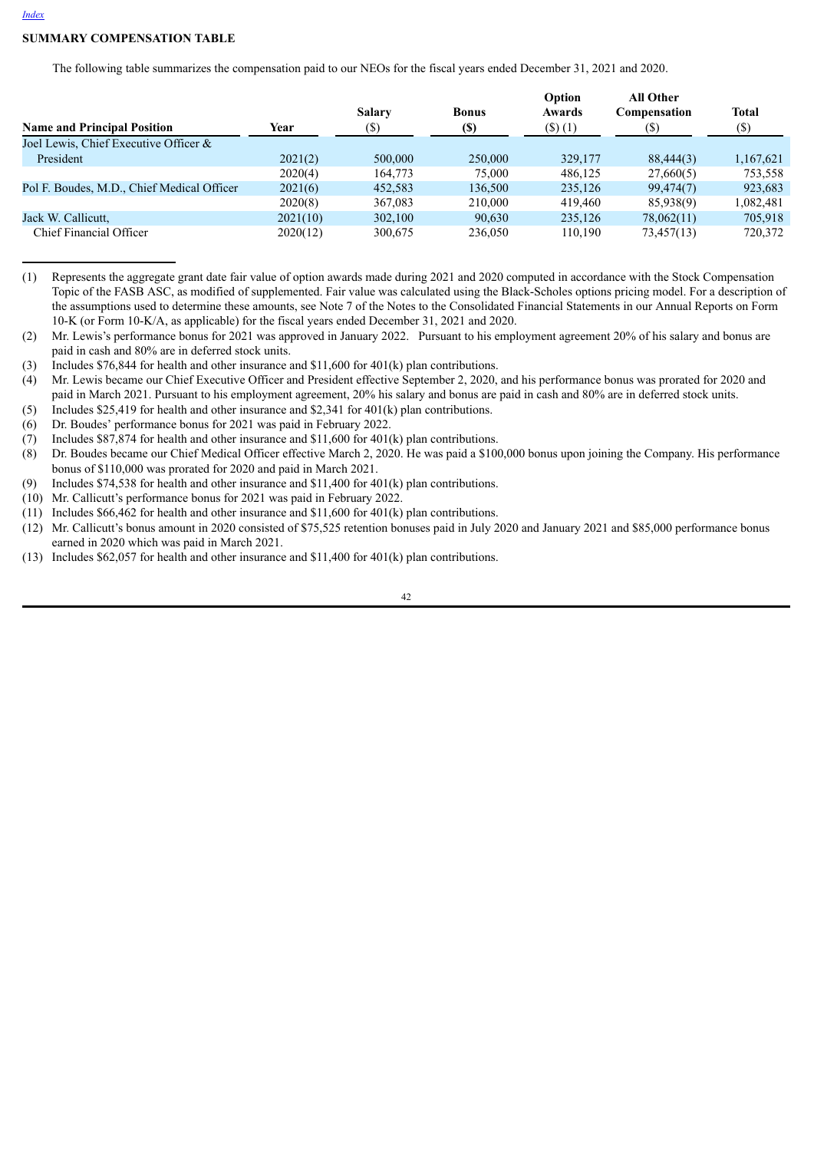# **SUMMARY COMPENSATION TABLE**

The following table summarizes the compensation paid to our NEOs for the fiscal years ended December 31, 2021 and 2020.

|          |         |               | Option        | All Other  | Total        |
|----------|---------|---------------|---------------|------------|--------------|
| Year     | (S)     | <b>(\$)</b>   | $($ \$ $)(1)$ | (S)        | $(\$\)$      |
|          |         |               |               |            |              |
| 2021(2)  | 500,000 | 250,000       | 329,177       | 88,444(3)  | 1,167,621    |
| 2020(4)  | 164.773 | 75,000        | 486,125       | 27,660(5)  | 753,558      |
| 2021(6)  | 452.583 | 136,500       | 235,126       | 99,474(7)  | 923,683      |
| 2020(8)  | 367,083 | 210,000       | 419,460       | 85,938(9)  | 1,082,481    |
| 2021(10) | 302.100 | 90,630        | 235,126       | 78,062(11) | 705,918      |
| 2020(12) | 300,675 | 236,050       | 110,190       | 73,457(13) | 720,372      |
|          |         | <b>Salary</b> | <b>Bonus</b>  | Awards     | Compensation |

<sup>(1)</sup> Represents the aggregate grant date fair value of option awards made during 2021 and 2020 computed in accordance with the Stock Compensation Topic of the FASB ASC, as modified of supplemented. Fair value was calculated using the Black-Scholes options pricing model. For a description of the assumptions used to determine these amounts, see Note 7 of the Notes to the Consolidated Financial Statements in our Annual Reports on Form 10-K (or Form 10-K/A, as applicable) for the fiscal years ended December 31, 2021 and 2020.

(2) Mr. Lewis's performance bonus for 2021 was approved in January 2022. Pursuant to his employment agreement 20% of his salary and bonus are paid in cash and 80% are in deferred stock units.

(3) Includes \$76,844 for health and other insurance and \$11,600 for 401(k) plan contributions.

(4) Mr. Lewis became our Chief Executive Officer and President effective September 2, 2020, and his performance bonus was prorated for 2020 and paid in March 2021. Pursuant to his employment agreement, 20% his salary and bonus are paid in cash and 80% are in deferred stock units.

(5) Includes \$25,419 for health and other insurance and \$2,341 for 401(k) plan contributions.

(6) Dr. Boudes' performance bonus for 2021 was paid in February 2022.

(7) Includes \$87,874 for health and other insurance and \$11,600 for 401(k) plan contributions.

(8) Dr. Boudes became our Chief Medical Officer effective March 2, 2020. He was paid a \$100,000 bonus upon joining the Company. His performance bonus of \$110,000 was prorated for 2020 and paid in March 2021.

(9) Includes \$74,538 for health and other insurance and \$11,400 for 401(k) plan contributions.

(10) Mr. Callicutt's performance bonus for 2021 was paid in February 2022.

(11) Includes \$66,462 for health and other insurance and \$11,600 for 401(k) plan contributions.

(12) Mr. Callicutt's bonus amount in 2020 consisted of \$75,525 retention bonuses paid in July 2020 and January 2021 and \$85,000 performance bonus earned in 2020 which was paid in March 2021.

(13) Includes \$62,057 for health and other insurance and \$11,400 for 401(k) plan contributions.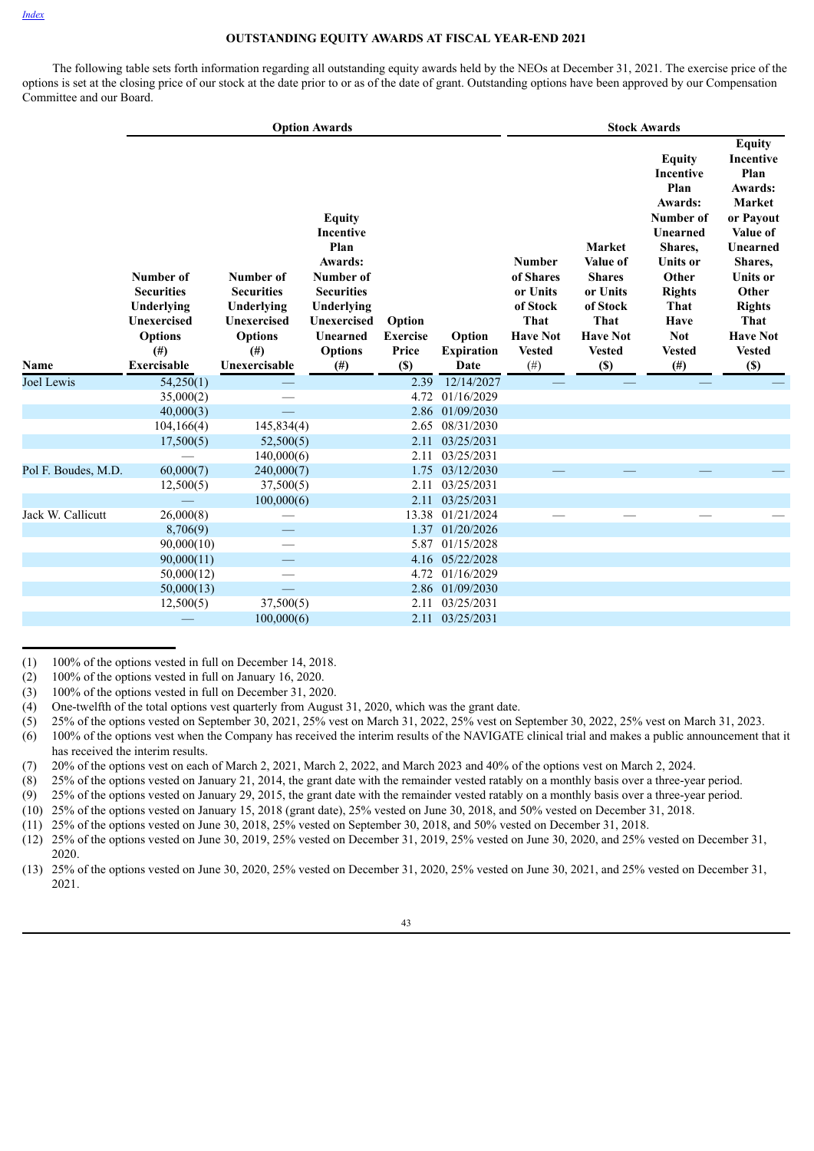## **OUTSTANDING EQUITY AWARDS AT FISCAL YEAR-END 2021**

The following table sets forth information regarding all outstanding equity awards held by the NEOs at December 31, 2021. The exercise price of the options is set at the closing price of our stock at the date prior to or as of the date of grant. Outstanding options have been approved by our Compensation Committee and our Board.

|                     | <b>Option Awards</b>                                                                       |                                                                                            |                                                                                                                                                   |                                    |                             |                                                                                                | <b>Stock Awards</b>                                                                                                   |                                                                                                                                                                                      |                                                                                                                                                                                                                |
|---------------------|--------------------------------------------------------------------------------------------|--------------------------------------------------------------------------------------------|---------------------------------------------------------------------------------------------------------------------------------------------------|------------------------------------|-----------------------------|------------------------------------------------------------------------------------------------|-----------------------------------------------------------------------------------------------------------------------|--------------------------------------------------------------------------------------------------------------------------------------------------------------------------------------|----------------------------------------------------------------------------------------------------------------------------------------------------------------------------------------------------------------|
|                     | Number of<br><b>Securities</b><br>Underlying<br>Unexercised<br><b>Options</b><br>$($ # $)$ | Number of<br><b>Securities</b><br>Underlying<br>Unexercised<br><b>Options</b><br>$($ # $)$ | <b>Equity</b><br><b>Incentive</b><br>Plan<br>Awards:<br>Number of<br><b>Securities</b><br>Underlying<br>Unexercised<br>Unearned<br><b>Options</b> | Option<br><b>Exercise</b><br>Price | Option<br><b>Expiration</b> | <b>Number</b><br>of Shares<br>or Units<br>of Stock<br>That<br><b>Have Not</b><br><b>Vested</b> | <b>Market</b><br><b>Value of</b><br><b>Shares</b><br>or Units<br>of Stock<br>That<br><b>Have Not</b><br><b>Vested</b> | <b>Equity</b><br><b>Incentive</b><br>Plan<br>Awards:<br>Number of<br>Unearned<br>Shares,<br><b>Units or</b><br>Other<br><b>Rights</b><br>That<br>Have<br><b>Not</b><br><b>Vested</b> | <b>Equity</b><br><b>Incentive</b><br>Plan<br>Awards:<br><b>Market</b><br>or Payout<br>Value of<br>Unearned<br>Shares,<br><b>Units or</b><br>Other<br><b>Rights</b><br>That<br><b>Have Not</b><br><b>Vested</b> |
| Name                | <b>Exercisable</b>                                                                         | Unexercisable                                                                              | $($ # $)$                                                                                                                                         | $(\$)$                             | Date                        | $(\#)$                                                                                         | (S)                                                                                                                   | $(\#)$                                                                                                                                                                               | $(\$)$                                                                                                                                                                                                         |
| Joel Lewis          | 54,250(1)                                                                                  |                                                                                            |                                                                                                                                                   | 2.39                               | 12/14/2027                  |                                                                                                |                                                                                                                       |                                                                                                                                                                                      |                                                                                                                                                                                                                |
|                     | 35,000(2)                                                                                  |                                                                                            |                                                                                                                                                   | 4.72                               | 01/16/2029                  |                                                                                                |                                                                                                                       |                                                                                                                                                                                      |                                                                                                                                                                                                                |
|                     | 40,000(3)                                                                                  |                                                                                            |                                                                                                                                                   | 2.86                               | 01/09/2030                  |                                                                                                |                                                                                                                       |                                                                                                                                                                                      |                                                                                                                                                                                                                |
|                     | 104, 166(4)                                                                                | 145,834(4)                                                                                 |                                                                                                                                                   | 2.65                               | 08/31/2030                  |                                                                                                |                                                                                                                       |                                                                                                                                                                                      |                                                                                                                                                                                                                |
|                     | 17,500(5)                                                                                  | 52,500(5)<br>140,000(6)                                                                    |                                                                                                                                                   | 2.11<br>2.11                       | 03/25/2031<br>03/25/2031    |                                                                                                |                                                                                                                       |                                                                                                                                                                                      |                                                                                                                                                                                                                |
| Pol F. Boudes, M.D. | 60,000(7)                                                                                  | 240,000(7)                                                                                 |                                                                                                                                                   | 1.75                               | 03/12/2030                  |                                                                                                |                                                                                                                       |                                                                                                                                                                                      |                                                                                                                                                                                                                |
|                     | 12,500(5)                                                                                  | 37,500(5)                                                                                  |                                                                                                                                                   | 2.11                               | 03/25/2031                  |                                                                                                |                                                                                                                       |                                                                                                                                                                                      |                                                                                                                                                                                                                |
|                     |                                                                                            | 100,000(6)                                                                                 |                                                                                                                                                   | 2.11                               | 03/25/2031                  |                                                                                                |                                                                                                                       |                                                                                                                                                                                      |                                                                                                                                                                                                                |
| Jack W. Callicutt   | 26,000(8)                                                                                  |                                                                                            |                                                                                                                                                   | 13.38                              | 01/21/2024                  |                                                                                                |                                                                                                                       |                                                                                                                                                                                      |                                                                                                                                                                                                                |
|                     | 8,706(9)                                                                                   |                                                                                            |                                                                                                                                                   | 1.37                               | 01/20/2026                  |                                                                                                |                                                                                                                       |                                                                                                                                                                                      |                                                                                                                                                                                                                |
|                     | 90,000(10)                                                                                 |                                                                                            |                                                                                                                                                   | 5.87                               | 01/15/2028                  |                                                                                                |                                                                                                                       |                                                                                                                                                                                      |                                                                                                                                                                                                                |
|                     | 90,000(11)                                                                                 |                                                                                            |                                                                                                                                                   | 4.16                               | 05/22/2028                  |                                                                                                |                                                                                                                       |                                                                                                                                                                                      |                                                                                                                                                                                                                |
|                     | 50,000(12)                                                                                 |                                                                                            |                                                                                                                                                   | 4.72                               | 01/16/2029                  |                                                                                                |                                                                                                                       |                                                                                                                                                                                      |                                                                                                                                                                                                                |
|                     | 50,000(13)                                                                                 |                                                                                            |                                                                                                                                                   | 2.86                               | 01/09/2030                  |                                                                                                |                                                                                                                       |                                                                                                                                                                                      |                                                                                                                                                                                                                |
|                     | 12,500(5)                                                                                  | 37,500(5)                                                                                  |                                                                                                                                                   | 2.11                               | 03/25/2031                  |                                                                                                |                                                                                                                       |                                                                                                                                                                                      |                                                                                                                                                                                                                |
|                     |                                                                                            | 100,000(6)                                                                                 |                                                                                                                                                   | 2.11                               | 03/25/2031                  |                                                                                                |                                                                                                                       |                                                                                                                                                                                      |                                                                                                                                                                                                                |

<sup>(1)</sup> 100% of the options vested in full on December 14, 2018.

(6) 100% of the options vest when the Company has received the interim results of the NAVIGATE clinical trial and makes a public announcement that it has received the interim results.

<sup>(2)</sup> 100% of the options vested in full on January 16, 2020.

<sup>(3)</sup> 100% of the options vested in full on December 31, 2020.

<sup>(4)</sup> One-twelfth of the total options vest quarterly from August 31, 2020, which was the grant date.

<sup>(5)</sup> 25% of the options vested on September 30, 2021, 25% vest on March 31, 2022, 25% vest on September 30, 2022, 25% vest on March 31, 2023.

<sup>(7)</sup> 20% of the options vest on each of March 2, 2021, March 2, 2022, and March 2023 and 40% of the options vest on March 2, 2024.

<sup>(8)</sup> 25% of the options vested on January 21, 2014, the grant date with the remainder vested ratably on a monthly basis over a three-year period.

<sup>(9)</sup> 25% of the options vested on January 29, 2015, the grant date with the remainder vested ratably on a monthly basis over a three-year period.

<sup>(10)</sup> 25% of the options vested on January 15, 2018 (grant date), 25% vested on June 30, 2018, and 50% vested on December 31, 2018.

<sup>(11)</sup> 25% of the options vested on June 30, 2018, 25% vested on September 30, 2018, and 50% vested on December 31, 2018.

<sup>(12)</sup> 25% of the options vested on June 30, 2019, 25% vested on December 31, 2019, 25% vested on June 30, 2020, and 25% vested on December 31, 2020.

<sup>(13)</sup> 25% of the options vested on June 30, 2020, 25% vested on December 31, 2020, 25% vested on June 30, 2021, and 25% vested on December 31, 2021.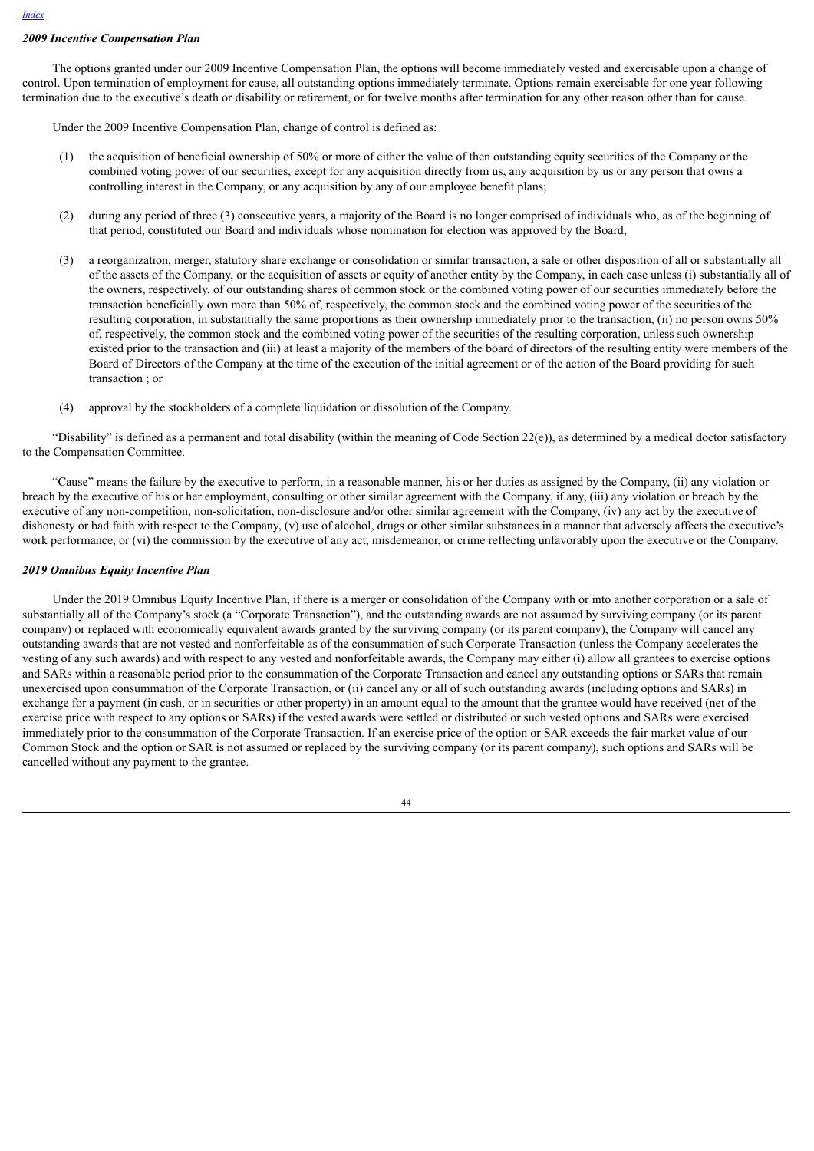### *2009 Incentive Compensation Plan*

The options granted under our 2009 Incentive Compensation Plan, the options will become immediately vested and exercisable upon a change of control. Upon termination of employment for cause, all outstanding options immediately terminate. Options remain exercisable for one year following termination due to the executive's death or disability or retirement, or for twelve months after termination for any other reason other than for cause.

Under the 2009 Incentive Compensation Plan, change of control is defined as:

- (1) the acquisition of beneficial ownership of 50% or more of either the value of then outstanding equity securities of the Company or the combined voting power of our securities, except for any acquisition directly from us, any acquisition by us or any person that owns a controlling interest in the Company, or any acquisition by any of our employee benefit plans;
- (2) during any period of three (3) consecutive years, a majority of the Board is no longer comprised of individuals who, as of the beginning of that period, constituted our Board and individuals whose nomination for election was approved by the Board;
- (3) a reorganization, merger, statutory share exchange or consolidation or similar transaction, a sale or other disposition of all or substantially all of the assets of the Company, or the acquisition of assets or equity of another entity by the Company, in each case unless (i) substantially all of the owners, respectively, of our outstanding shares of common stock or the combined voting power of our securities immediately before the transaction beneficially own more than 50% of, respectively, the common stock and the combined voting power of the securities of the resulting corporation, in substantially the same proportions as their ownership immediately prior to the transaction, (ii) no person owns 50% of, respectively, the common stock and the combined voting power of the securities of the resulting corporation, unless such ownership existed prior to the transaction and (iii) at least a majority of the members of the board of directors of the resulting entity were members of the Board of Directors of the Company at the time of the execution of the initial agreement or of the action of the Board providing for such transaction ; or
- (4) approval by the stockholders of a complete liquidation or dissolution of the Company.

"Disability" is defined as a permanent and total disability (within the meaning of Code Section 22(e)), as determined by a medical doctor satisfactory to the Compensation Committee.

"Cause" means the failure by the executive to perform, in a reasonable manner, his or her duties as assigned by the Company, (ii) any violation or breach by the executive of his or her employment, consulting or other similar agreement with the Company, if any, (iii) any violation or breach by the executive of any non-competition, non-solicitation, non-disclosure and/or other similar agreement with the Company, (iv) any act by the executive of dishonesty or bad faith with respect to the Company, (v) use of alcohol, drugs or other similar substances in a manner that adversely affects the executive's work performance, or (vi) the commission by the executive of any act, misdemeanor, or crime reflecting unfavorably upon the executive or the Company.

### *2019 Omnibus Equity Incentive Plan*

Under the 2019 Omnibus Equity Incentive Plan, if there is a merger or consolidation of the Company with or into another corporation or a sale of substantially all of the Company's stock (a "Corporate Transaction"), and the outstanding awards are not assumed by surviving company (or its parent company) or replaced with economically equivalent awards granted by the surviving company (or its parent company), the Company will cancel any outstanding awards that are not vested and nonforfeitable as of the consummation of such Corporate Transaction (unless the Company accelerates the vesting of any such awards) and with respect to any vested and nonforfeitable awards, the Company may either (i) allow all grantees to exercise options and SARs within a reasonable period prior to the consummation of the Corporate Transaction and cancel any outstanding options or SARs that remain unexercised upon consummation of the Corporate Transaction, or (ii) cancel any or all of such outstanding awards (including options and SARs) in exchange for a payment (in cash, or in securities or other property) in an amount equal to the amount that the grantee would have received (net of the exercise price with respect to any options or SARs) if the vested awards were settled or distributed or such vested options and SARs were exercised immediately prior to the consummation of the Corporate Transaction. If an exercise price of the option or SAR exceeds the fair market value of our Common Stock and the option or SAR is not assumed or replaced by the surviving company (or its parent company), such options and SARs will be cancelled without any payment to the grantee.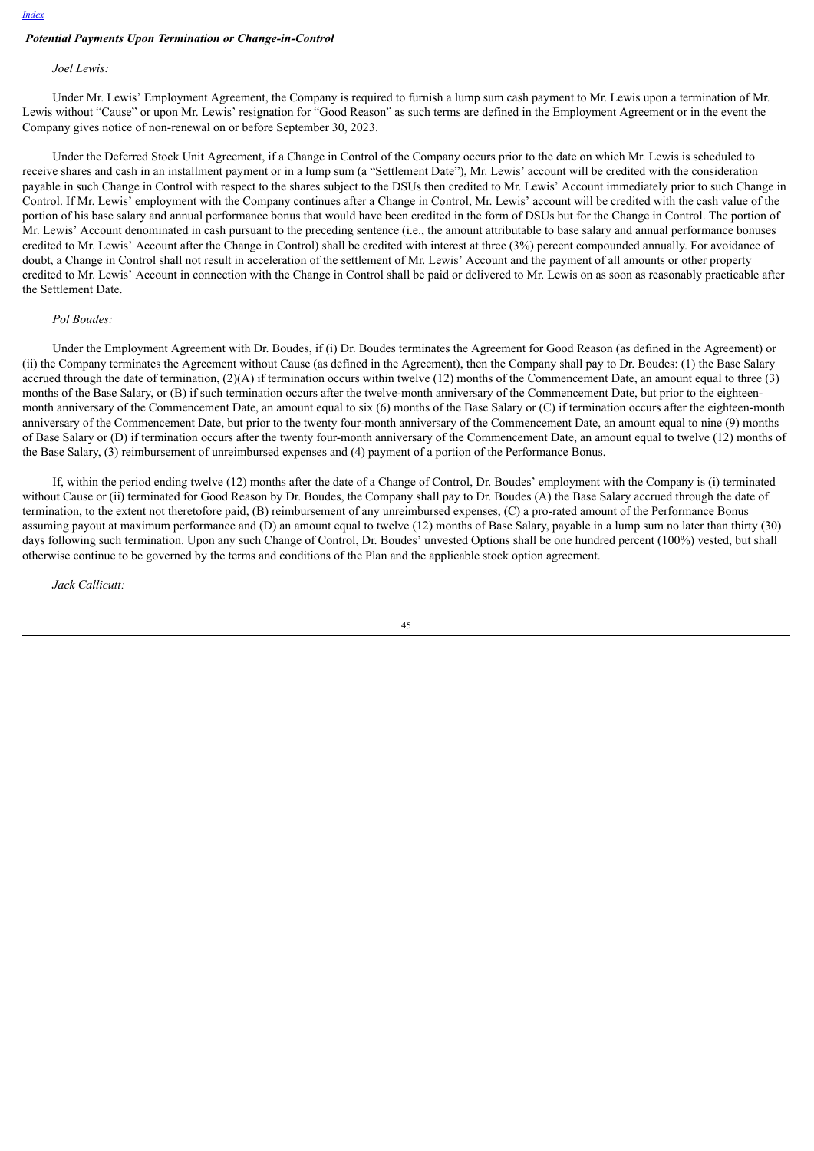### *Potential Payments Upon Termination or Change-in-Control*

#### *Joel Lewis:*

Under Mr. Lewis' Employment Agreement, the Company is required to furnish a lump sum cash payment to Mr. Lewis upon a termination of Mr. Lewis without "Cause" or upon Mr. Lewis' resignation for "Good Reason" as such terms are defined in the Employment Agreement or in the event the Company gives notice of non-renewal on or before September 30, 2023.

Under the Deferred Stock Unit Agreement, if a Change in Control of the Company occurs prior to the date on which Mr. Lewis is scheduled to receive shares and cash in an installment payment or in a lump sum (a "Settlement Date"), Mr. Lewis' account will be credited with the consideration payable in such Change in Control with respect to the shares subject to the DSUs then credited to Mr. Lewis' Account immediately prior to such Change in Control. If Mr. Lewis' employment with the Company continues after a Change in Control, Mr. Lewis' account will be credited with the cash value of the portion of his base salary and annual performance bonus that would have been credited in the form of DSUs but for the Change in Control. The portion of Mr. Lewis' Account denominated in cash pursuant to the preceding sentence (i.e., the amount attributable to base salary and annual performance bonuses credited to Mr. Lewis' Account after the Change in Control) shall be credited with interest at three (3%) percent compounded annually. For avoidance of doubt, a Change in Control shall not result in acceleration of the settlement of Mr. Lewis' Account and the payment of all amounts or other property credited to Mr. Lewis' Account in connection with the Change in Control shall be paid or delivered to Mr. Lewis on as soon as reasonably practicable after the Settlement Date.

#### *Pol Boudes:*

Under the Employment Agreement with Dr. Boudes, if (i) Dr. Boudes terminates the Agreement for Good Reason (as defined in the Agreement) or (ii) the Company terminates the Agreement without Cause (as defined in the Agreement), then the Company shall pay to Dr. Boudes: (1) the Base Salary accrued through the date of termination,  $(2)(A)$  if termination occurs within twelve  $(12)$  months of the Commencement Date, an amount equal to three  $(3)$ months of the Base Salary, or (B) if such termination occurs after the twelve-month anniversary of the Commencement Date, but prior to the eighteenmonth anniversary of the Commencement Date, an amount equal to six (6) months of the Base Salary or (C) if termination occurs after the eighteen-month anniversary of the Commencement Date, but prior to the twenty four-month anniversary of the Commencement Date, an amount equal to nine (9) months of Base Salary or (D) if termination occurs after the twenty four-month anniversary of the Commencement Date, an amount equal to twelve (12) months of the Base Salary, (3) reimbursement of unreimbursed expenses and (4) payment of a portion of the Performance Bonus.

If, within the period ending twelve (12) months after the date of a Change of Control, Dr. Boudes' employment with the Company is (i) terminated without Cause or (ii) terminated for Good Reason by Dr. Boudes, the Company shall pay to Dr. Boudes (A) the Base Salary accrued through the date of termination, to the extent not theretofore paid, (B) reimbursement of any unreimbursed expenses, (C) a pro-rated amount of the Performance Bonus assuming payout at maximum performance and (D) an amount equal to twelve (12) months of Base Salary, payable in a lump sum no later than thirty (30) days following such termination. Upon any such Change of Control, Dr. Boudes' unvested Options shall be one hundred percent (100%) vested, but shall otherwise continue to be governed by the terms and conditions of the Plan and the applicable stock option agreement.

*Jack Callicutt:*

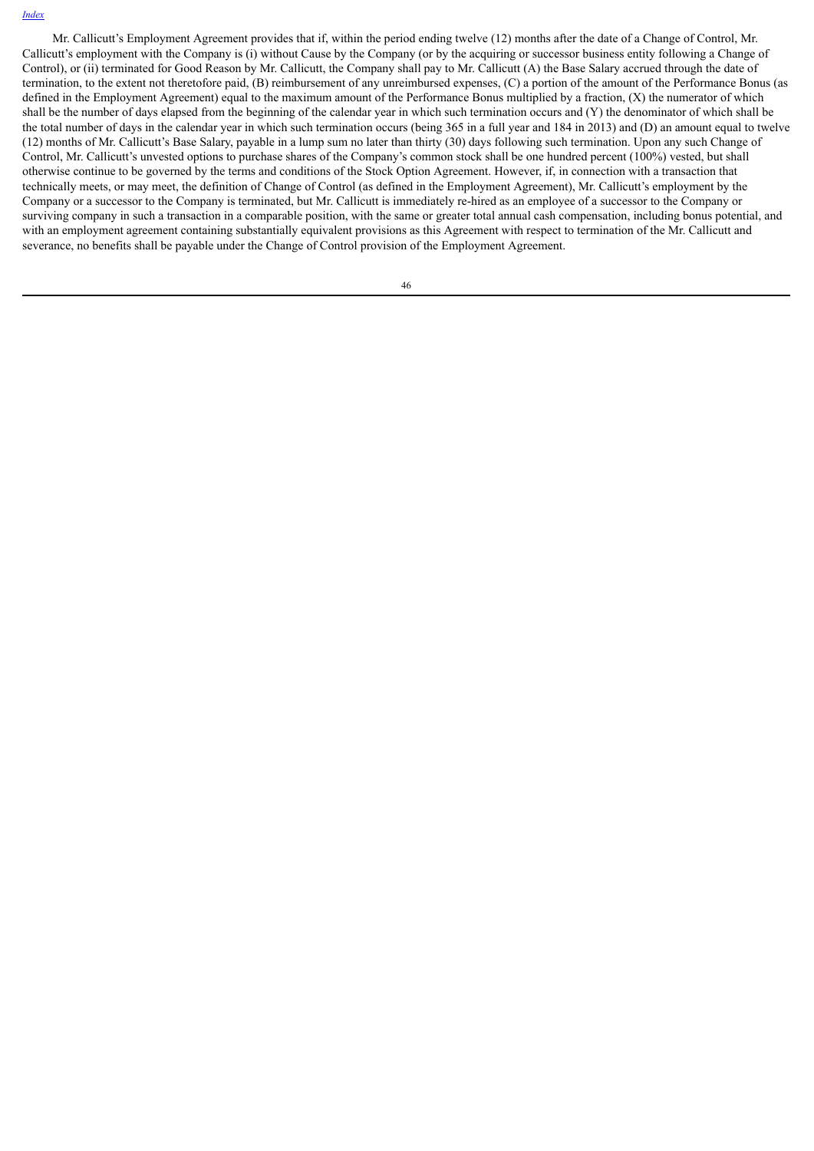Mr. Callicutt's Employment Agreement provides that if, within the period ending twelve (12) months after the date of a Change of Control, Mr. Callicutt's employment with the Company is (i) without Cause by the Company (or by the acquiring or successor business entity following a Change of Control), or (ii) terminated for Good Reason by Mr. Callicutt, the Company shall pay to Mr. Callicutt (A) the Base Salary accrued through the date of termination, to the extent not theretofore paid, (B) reimbursement of any unreimbursed expenses, (C) a portion of the amount of the Performance Bonus (as defined in the Employment Agreement) equal to the maximum amount of the Performance Bonus multiplied by a fraction, (X) the numerator of which shall be the number of days elapsed from the beginning of the calendar year in which such termination occurs and (Y) the denominator of which shall be the total number of days in the calendar year in which such termination occurs (being 365 in a full year and 184 in 2013) and (D) an amount equal to twelve (12) months of Mr. Callicutt's Base Salary, payable in a lump sum no later than thirty (30) days following such termination. Upon any such Change of Control, Mr. Callicutt's unvested options to purchase shares of the Company's common stock shall be one hundred percent (100%) vested, but shall otherwise continue to be governed by the terms and conditions of the Stock Option Agreement. However, if, in connection with a transaction that technically meets, or may meet, the definition of Change of Control (as defined in the Employment Agreement), Mr. Callicutt's employment by the Company or a successor to the Company is terminated, but Mr. Callicutt is immediately re-hired as an employee of a successor to the Company or surviving company in such a transaction in a comparable position, with the same or greater total annual cash compensation, including bonus potential, and with an employment agreement containing substantially equivalent provisions as this Agreement with respect to termination of the Mr. Callicutt and severance, no benefits shall be payable under the Change of Control provision of the Employment Agreement.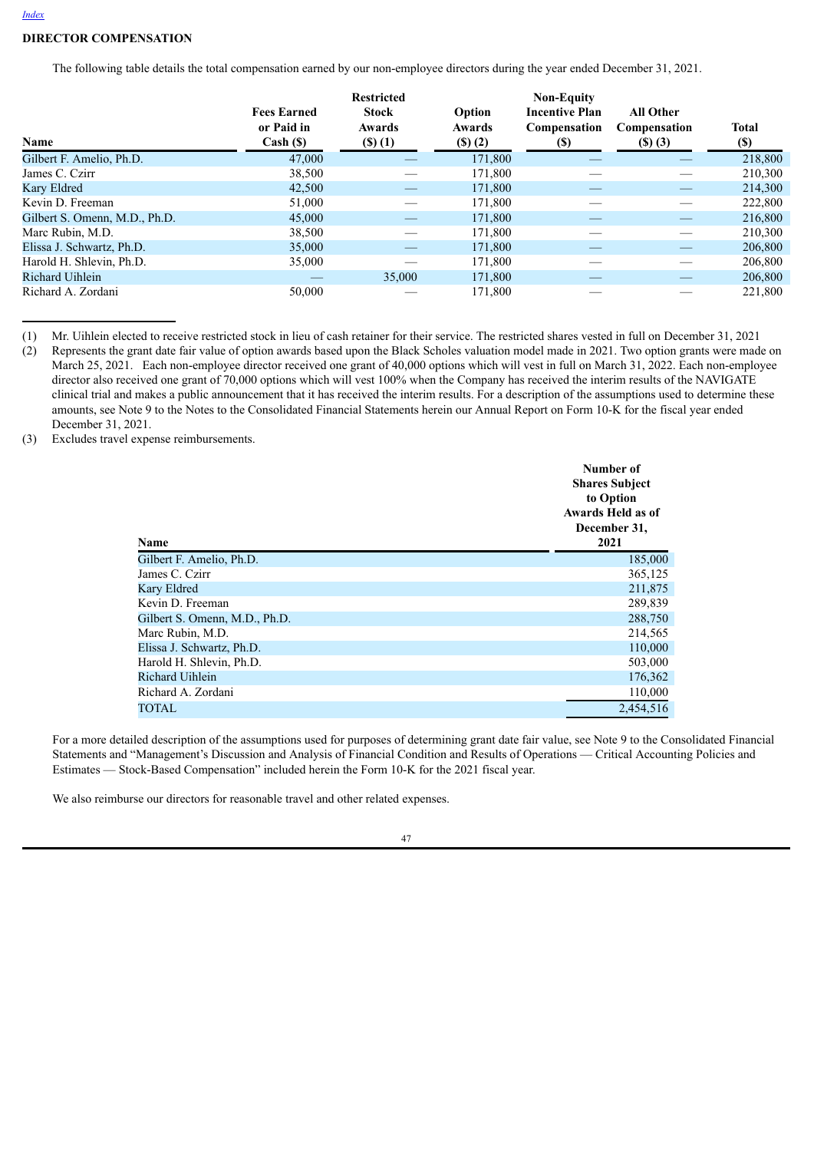# **DIRECTOR COMPENSATION**

The following table details the total compensation earned by our non-employee directors during the year ended December 31, 2021.

| Name                          | <b>Fees Earned</b><br>or Paid in<br>$\text{Cash } (\$)$ | <b>Restricted</b><br><b>Stock</b><br>Awards<br>$($ \$ $)(1)$ | Option<br>Awards<br>$($ \$) $(2)$ | <b>Non-Equity</b><br><b>Incentive Plan</b><br>Compensation<br>$\left( \mathbb{S}\right)$ | <b>All Other</b><br>Compensation<br>$($ \$) $(3)$ | <b>Total</b><br><b>(\$)</b> |
|-------------------------------|---------------------------------------------------------|--------------------------------------------------------------|-----------------------------------|------------------------------------------------------------------------------------------|---------------------------------------------------|-----------------------------|
| Gilbert F. Amelio, Ph.D.      | 47,000                                                  |                                                              | 171,800                           |                                                                                          |                                                   | 218,800                     |
| James C. Czirr                | 38,500                                                  |                                                              | 171,800                           |                                                                                          |                                                   | 210,300                     |
| Kary Eldred                   | 42,500                                                  |                                                              | 171,800                           |                                                                                          |                                                   | 214,300                     |
| Kevin D. Freeman              | 51,000                                                  |                                                              | 171,800                           |                                                                                          |                                                   | 222,800                     |
| Gilbert S. Omenn, M.D., Ph.D. | 45,000                                                  |                                                              | 171,800                           |                                                                                          |                                                   | 216,800                     |
| Marc Rubin, M.D.              | 38,500                                                  |                                                              | 171.800                           |                                                                                          |                                                   | 210,300                     |
| Elissa J. Schwartz, Ph.D.     | 35,000                                                  |                                                              | 171,800                           |                                                                                          |                                                   | 206,800                     |
| Harold H. Shlevin, Ph.D.      | 35,000                                                  |                                                              | 171.800                           |                                                                                          |                                                   | 206,800                     |
| <b>Richard Uihlein</b>        |                                                         | 35,000                                                       | 171,800                           |                                                                                          |                                                   | 206,800                     |
| Richard A. Zordani            | 50,000                                                  |                                                              | 171,800                           |                                                                                          |                                                   | 221,800                     |

(1) Mr. Uihlein elected to receive restricted stock in lieu of cash retainer for their service. The restricted shares vested in full on December 31, 2021

(2) Represents the grant date fair value of option awards based upon the Black Scholes valuation model made in 2021. Two option grants were made on March 25, 2021. Each non-employee director received one grant of 40,000 options which will vest in full on March 31, 2022. Each non-employee director also received one grant of 70,000 options which will vest 100% when the Company has received the interim results of the NAVIGATE clinical trial and makes a public announcement that it has received the interim results. For a description of the assumptions used to determine these amounts, see Note 9 to the Notes to the Consolidated Financial Statements herein our Annual Report on Form 10-K for the fiscal year ended December 31, 2021.

(3) Excludes travel expense reimbursements.

| Name                          | Number of<br><b>Shares Subject</b><br>to Option<br>Awards Held as of<br>December 31,<br>2021 |
|-------------------------------|----------------------------------------------------------------------------------------------|
| Gilbert F. Amelio, Ph.D.      | 185,000                                                                                      |
| James C. Czirr                | 365,125                                                                                      |
| Kary Eldred                   | 211,875                                                                                      |
| Kevin D. Freeman              | 289,839                                                                                      |
| Gilbert S. Omenn, M.D., Ph.D. | 288,750                                                                                      |
| Marc Rubin, M.D.              | 214,565                                                                                      |
| Elissa J. Schwartz, Ph.D.     | 110,000                                                                                      |
| Harold H. Shlevin, Ph.D.      | 503,000                                                                                      |
| Richard Uihlein               | 176,362                                                                                      |
| Richard A. Zordani            | 110,000                                                                                      |
| <b>TOTAL</b>                  | 2,454,516                                                                                    |

For a more detailed description of the assumptions used for purposes of determining grant date fair value, see Note 9 to the Consolidated Financial Statements and "Management's Discussion and Analysis of Financial Condition and Results of Operations — Critical Accounting Policies and Estimates — Stock-Based Compensation" included herein the Form 10-K for the 2021 fiscal year.

We also reimburse our directors for reasonable travel and other related expenses.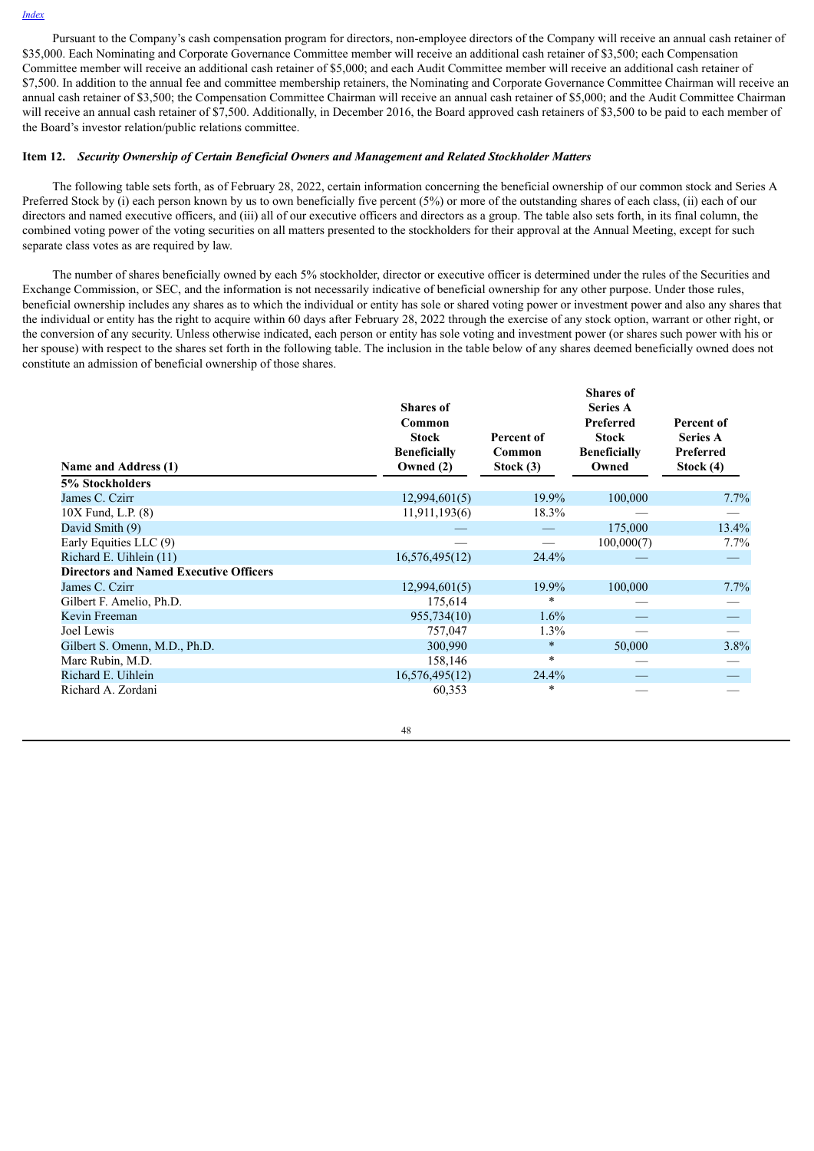Pursuant to the Company's cash compensation program for directors, non-employee directors of the Company will receive an annual cash retainer of \$35,000. Each Nominating and Corporate Governance Committee member will receive an additional cash retainer of \$3,500; each Compensation Committee member will receive an additional cash retainer of \$5,000; and each Audit Committee member will receive an additional cash retainer of \$7,500. In addition to the annual fee and committee membership retainers, the Nominating and Corporate Governance Committee Chairman will receive an annual cash retainer of \$3,500; the Compensation Committee Chairman will receive an annual cash retainer of \$5,000; and the Audit Committee Chairman will receive an annual cash retainer of \$7,500. Additionally, in December 2016, the Board approved cash retainers of \$3,500 to be paid to each member of the Board's investor relation/public relations committee.

### **Item 12.** *Security Ownership of Certain Beneficial Owners and Management and Related Stockholder Matters*

The following table sets forth, as of February 28, 2022, certain information concerning the beneficial ownership of our common stock and Series A Preferred Stock by (i) each person known by us to own beneficially five percent (5%) or more of the outstanding shares of each class, (ii) each of our directors and named executive officers, and (iii) all of our executive officers and directors as a group. The table also sets forth, in its final column, the combined voting power of the voting securities on all matters presented to the stockholders for their approval at the Annual Meeting, except for such separate class votes as are required by law.

The number of shares beneficially owned by each 5% stockholder, director or executive officer is determined under the rules of the Securities and Exchange Commission, or SEC, and the information is not necessarily indicative of beneficial ownership for any other purpose. Under those rules, beneficial ownership includes any shares as to which the individual or entity has sole or shared voting power or investment power and also any shares that the individual or entity has the right to acquire within 60 days after February 28, 2022 through the exercise of any stock option, warrant or other right, or the conversion of any security. Unless otherwise indicated, each person or entity has sole voting and investment power (or shares such power with his or her spouse) with respect to the shares set forth in the following table. The inclusion in the table below of any shares deemed beneficially owned does not constitute an admission of beneficial ownership of those shares.

**Shares of**

| Name and Address (1)                          | <b>Shares</b> of<br>Common<br><b>Stock</b><br><b>Beneficially</b><br>Owned (2) | Percent of<br>Common<br>Stock $(3)$ | <b>Shares</b> of<br><b>Series A</b><br>Preferred<br><b>Stock</b><br><b>Beneficially</b><br>Owned | Percent of<br><b>Series A</b><br>Preferred<br>Stock $(4)$ |
|-----------------------------------------------|--------------------------------------------------------------------------------|-------------------------------------|--------------------------------------------------------------------------------------------------|-----------------------------------------------------------|
| 5% Stockholders                               |                                                                                |                                     |                                                                                                  |                                                           |
| James C. Czirr                                | 12,994,601(5)                                                                  | 19.9%                               | 100,000                                                                                          | 7.7%                                                      |
| 10X Fund, L.P. (8)                            | 11,911,193(6)                                                                  | 18.3%                               |                                                                                                  |                                                           |
| David Smith (9)                               |                                                                                |                                     | 175,000                                                                                          | 13.4%                                                     |
| Early Equities LLC (9)                        |                                                                                |                                     | 100,000(7)                                                                                       | $7.7\%$                                                   |
| Richard E. Uihlein (11)                       | 16,576,495(12)                                                                 | 24.4%                               |                                                                                                  |                                                           |
| <b>Directors and Named Executive Officers</b> |                                                                                |                                     |                                                                                                  |                                                           |
| James C. Czirr                                | 12,994,601(5)                                                                  | 19.9%                               | 100,000                                                                                          | 7.7%                                                      |
| Gilbert F. Amelio, Ph.D.                      | 175,614                                                                        | $\ast$                              |                                                                                                  |                                                           |
| Kevin Freeman                                 | 955,734(10)                                                                    | $1.6\%$                             |                                                                                                  |                                                           |
| Joel Lewis                                    | 757,047                                                                        | $1.3\%$                             |                                                                                                  |                                                           |
| Gilbert S. Omenn, M.D., Ph.D.                 | 300,990                                                                        | $\ast$                              | 50,000                                                                                           | 3.8%                                                      |
| Marc Rubin, M.D.                              | 158,146                                                                        | *                                   |                                                                                                  |                                                           |
| Richard E. Uihlein                            | 16,576,495(12)                                                                 | 24.4%                               |                                                                                                  |                                                           |
| Richard A. Zordani                            | 60,353                                                                         | *                                   |                                                                                                  |                                                           |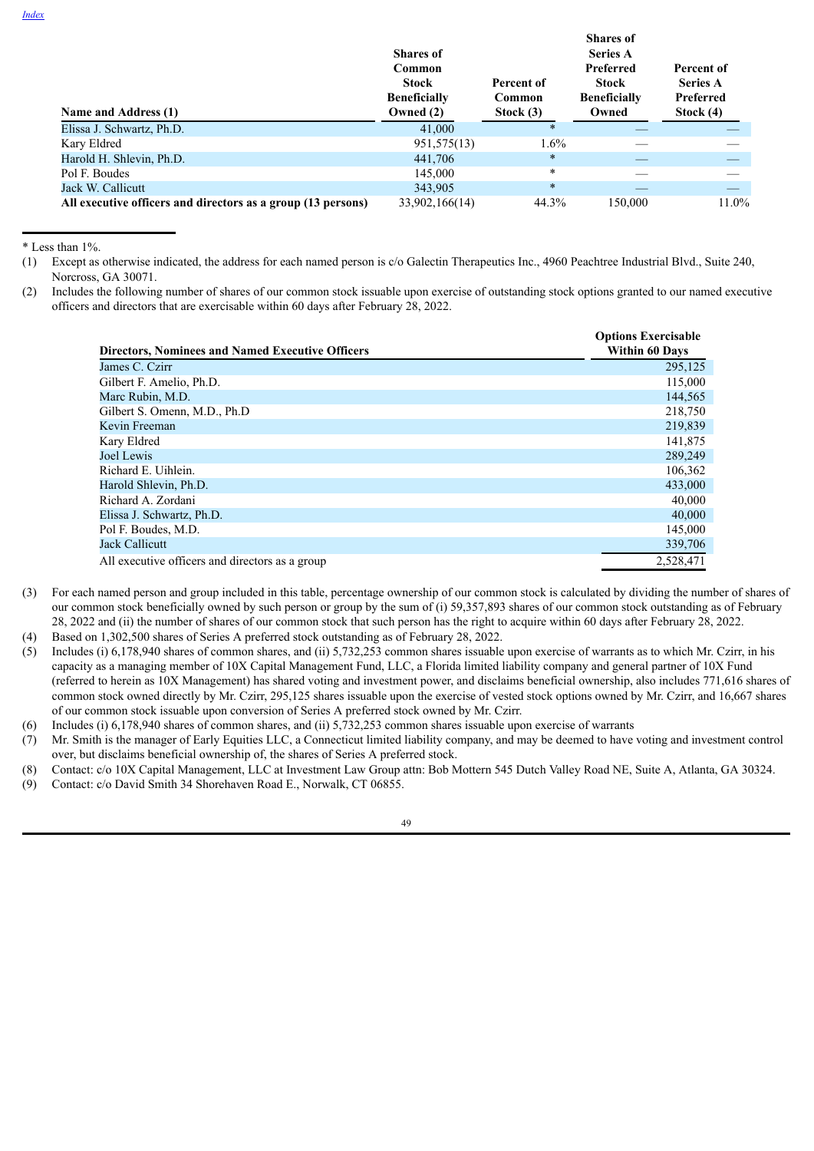| Name and Address (1)                                         | <b>Shares</b> of<br>Common<br><b>Stock</b><br><b>Beneficially</b><br>Owned $(2)$ | Percent of<br>Common<br>Stock $(3)$ | энагсэ ог<br><b>Series A</b><br>Preferred<br><b>Stock</b><br><b>Beneficially</b><br>Owned | Percent of<br><b>Series A</b><br>Preferred<br>Stock $(4)$ |  |
|--------------------------------------------------------------|----------------------------------------------------------------------------------|-------------------------------------|-------------------------------------------------------------------------------------------|-----------------------------------------------------------|--|
| Elissa J. Schwartz, Ph.D.                                    | 41,000                                                                           | $\ast$                              |                                                                                           |                                                           |  |
| Kary Eldred                                                  | 951,575(13)                                                                      | $1.6\%$                             |                                                                                           |                                                           |  |
| Harold H. Shlevin, Ph.D.                                     | 441.706                                                                          | $\ast$                              |                                                                                           |                                                           |  |
| Pol F. Boudes                                                | 145.000                                                                          | $\ast$                              |                                                                                           |                                                           |  |
| Jack W. Callicutt                                            | 343,905                                                                          | $\ast$                              |                                                                                           |                                                           |  |
| All executive officers and directors as a group (13 persons) | 33,902,166(14)                                                                   | 44.3%                               | 150.000                                                                                   | $11.0\%$                                                  |  |

**Shares of**

\* Less than 1%.

(2) Includes the following number of shares of our common stock issuable upon exercise of outstanding stock options granted to our named executive officers and directors that are exercisable within 60 days after February 28, 2022.

|                                                         | <b>Options Exercisable</b> |
|---------------------------------------------------------|----------------------------|
| <b>Directors, Nominees and Named Executive Officers</b> | <b>Within 60 Days</b>      |
| James C. Czirr                                          | 295,125                    |
| Gilbert F. Amelio, Ph.D.                                | 115,000                    |
| Marc Rubin, M.D.                                        | 144,565                    |
| Gilbert S. Omenn, M.D., Ph.D.                           | 218,750                    |
| Kevin Freeman                                           | 219,839                    |
| Kary Eldred                                             | 141,875                    |
| Joel Lewis                                              | 289,249                    |
| Richard E. Uihlein.                                     | 106,362                    |
| Harold Shlevin, Ph.D.                                   | 433,000                    |
| Richard A. Zordani                                      | 40,000                     |
| Elissa J. Schwartz, Ph.D.                               | 40,000                     |
| Pol F. Boudes, M.D.                                     | 145,000                    |
| Jack Callicutt                                          | 339,706                    |
| All executive officers and directors as a group         | 2.528.471                  |

- (3) For each named person and group included in this table, percentage ownership of our common stock is calculated by dividing the number of shares of our common stock beneficially owned by such person or group by the sum of (i) 59,357,893 shares of our common stock outstanding as of February 28, 2022 and (ii) the number of shares of our common stock that such person has the right to acquire within 60 days after February 28, 2022.
- (4) Based on 1,302,500 shares of Series A preferred stock outstanding as of February 28, 2022.
- (5) Includes (i) 6,178,940 shares of common shares, and (ii) 5,732,253 common shares issuable upon exercise of warrants as to which Mr. Czirr, in his capacity as a managing member of 10X Capital Management Fund, LLC, a Florida limited liability company and general partner of 10X Fund (referred to herein as 10X Management) has shared voting and investment power, and disclaims beneficial ownership, also includes 771,616 shares of common stock owned directly by Mr. Czirr, 295,125 shares issuable upon the exercise of vested stock options owned by Mr. Czirr, and 16,667 shares of our common stock issuable upon conversion of Series A preferred stock owned by Mr. Czirr.
- (6) Includes (i) 6,178,940 shares of common shares, and (ii) 5,732,253 common shares issuable upon exercise of warrants
- (7) Mr. Smith is the manager of Early Equities LLC, a Connecticut limited liability company, and may be deemed to have voting and investment control over, but disclaims beneficial ownership of, the shares of Series A preferred stock.
- (8) Contact: c/o 10X Capital Management, LLC at Investment Law Group attn: Bob Mottern 545 Dutch Valley Road NE, Suite A, Atlanta, GA 30324.
- (9) Contact: c/o David Smith 34 Shorehaven Road E., Norwalk, CT 06855.

<sup>(1)</sup> Except as otherwise indicated, the address for each named person is c/o Galectin Therapeutics Inc., 4960 Peachtree Industrial Blvd., Suite 240, Norcross, GA 30071.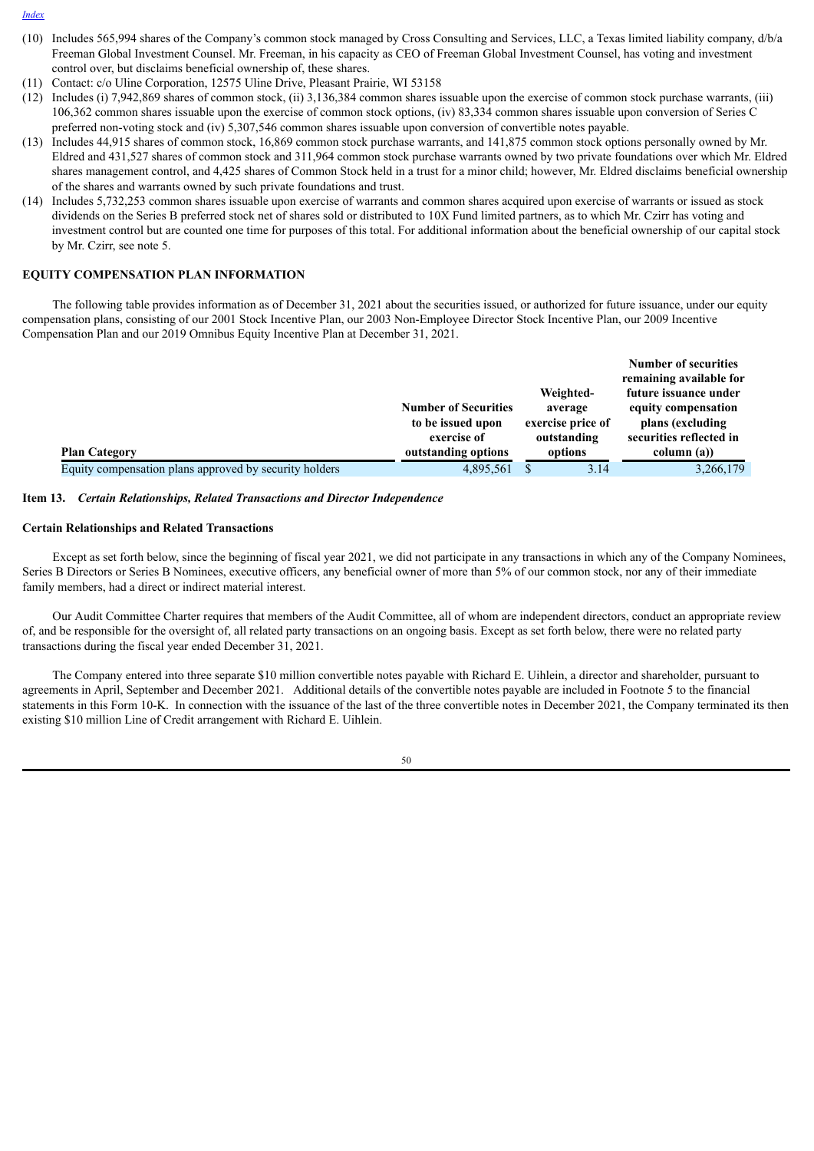- (10) Includes 565,994 shares of the Company's common stock managed by Cross Consulting and Services, LLC, a Texas limited liability company, d/b/a Freeman Global Investment Counsel. Mr. Freeman, in his capacity as CEO of Freeman Global Investment Counsel, has voting and investment control over, but disclaims beneficial ownership of, these shares.
- (11) Contact: c/o Uline Corporation, 12575 Uline Drive, Pleasant Prairie, WI 53158
- (12) Includes (i) 7,942,869 shares of common stock, (ii) 3,136,384 common shares issuable upon the exercise of common stock purchase warrants, (iii) 106,362 common shares issuable upon the exercise of common stock options, (iv) 83,334 common shares issuable upon conversion of Series C preferred non-voting stock and (iv) 5,307,546 common shares issuable upon conversion of convertible notes payable.
- (13) Includes 44,915 shares of common stock, 16,869 common stock purchase warrants, and 141,875 common stock options personally owned by Mr. Eldred and 431,527 shares of common stock and 311,964 common stock purchase warrants owned by two private foundations over which Mr. Eldred shares management control, and 4,425 shares of Common Stock held in a trust for a minor child; however, Mr. Eldred disclaims beneficial ownership of the shares and warrants owned by such private foundations and trust.
- (14) Includes 5,732,253 common shares issuable upon exercise of warrants and common shares acquired upon exercise of warrants or issued as stock dividends on the Series B preferred stock net of shares sold or distributed to 10X Fund limited partners, as to which Mr. Czirr has voting and investment control but are counted one time for purposes of this total. For additional information about the beneficial ownership of our capital stock by Mr. Czirr, see note 5.

### **EQUITY COMPENSATION PLAN INFORMATION**

The following table provides information as of December 31, 2021 about the securities issued, or authorized for future issuance, under our equity compensation plans, consisting of our 2001 Stock Incentive Plan, our 2003 Non-Employee Director Stock Incentive Plan, our 2009 Incentive Compensation Plan and our 2019 Omnibus Equity Incentive Plan at December 31, 2021.

|                                                        |                                    |                        | <b>Number of securities</b><br>remaining available for |
|--------------------------------------------------------|------------------------------------|------------------------|--------------------------------------------------------|
|                                                        |                                    | Weighted-              | future issuance under                                  |
|                                                        | <b>Number of Securities</b>        | average                | equity compensation                                    |
|                                                        | to be issued upon                  | exercise price of      | plans (excluding                                       |
| <b>Plan Category</b>                                   | exercise of<br>outstanding options | outstanding<br>options | securities reflected in<br>column (a))                 |
| Equity compensation plans approved by security holders | 4,895,561                          | 3.14                   | 3,266,179                                              |

#### **Item 13.** *Certain Relationships, Related Transactions and Director Independence*

### **Certain Relationships and Related Transactions**

Except as set forth below, since the beginning of fiscal year 2021, we did not participate in any transactions in which any of the Company Nominees, Series B Directors or Series B Nominees, executive officers, any beneficial owner of more than 5% of our common stock, nor any of their immediate family members, had a direct or indirect material interest.

Our Audit Committee Charter requires that members of the Audit Committee, all of whom are independent directors, conduct an appropriate review of, and be responsible for the oversight of, all related party transactions on an ongoing basis. Except as set forth below, there were no related party transactions during the fiscal year ended December 31, 2021.

The Company entered into three separate \$10 million convertible notes payable with Richard E. Uihlein, a director and shareholder, pursuant to agreements in April, September and December 2021. Additional details of the convertible notes payable are included in Footnote 5 to the financial statements in this Form 10-K. In connection with the issuance of the last of the three convertible notes in December 2021, the Company terminated its then existing \$10 million Line of Credit arrangement with Richard E. Uihlein.

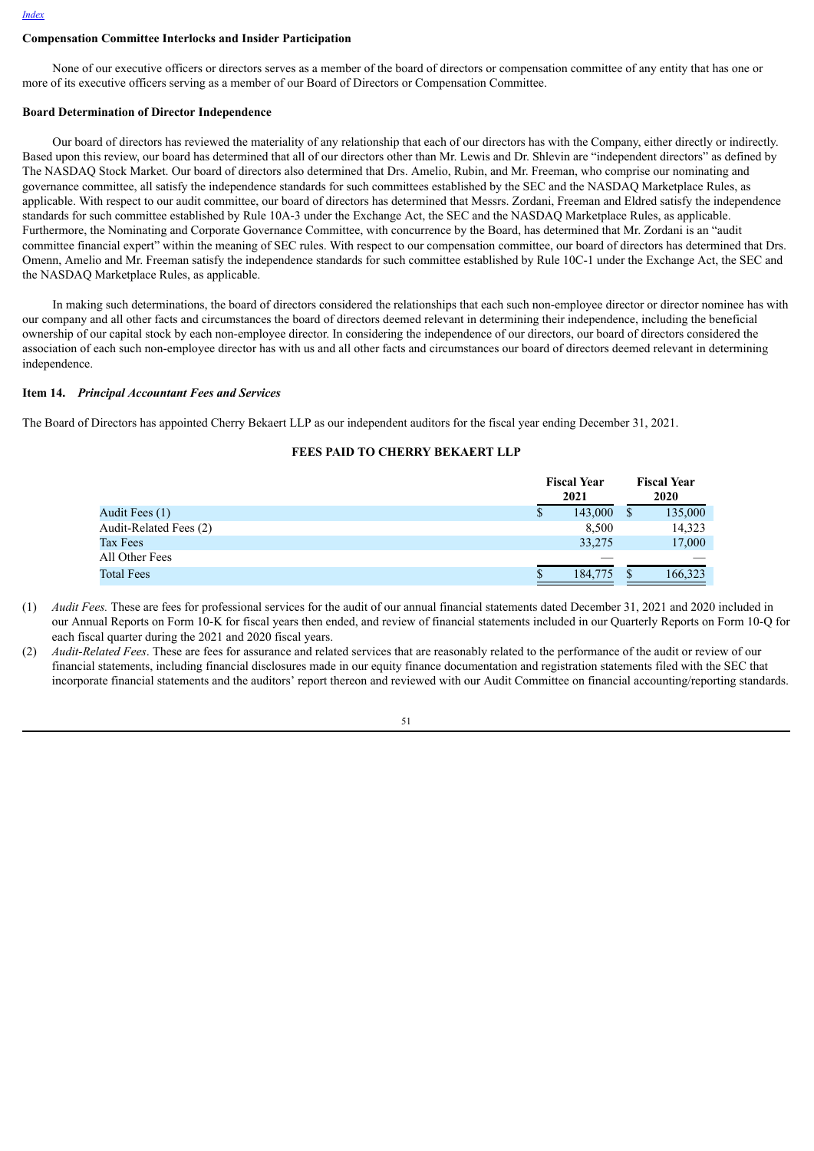### **Compensation Committee Interlocks and Insider Participation**

None of our executive officers or directors serves as a member of the board of directors or compensation committee of any entity that has one or more of its executive officers serving as a member of our Board of Directors or Compensation Committee.

### **Board Determination of Director Independence**

Our board of directors has reviewed the materiality of any relationship that each of our directors has with the Company, either directly or indirectly. Based upon this review, our board has determined that all of our directors other than Mr. Lewis and Dr. Shlevin are "independent directors" as defined by The NASDAQ Stock Market. Our board of directors also determined that Drs. Amelio, Rubin, and Mr. Freeman, who comprise our nominating and governance committee, all satisfy the independence standards for such committees established by the SEC and the NASDAQ Marketplace Rules, as applicable. With respect to our audit committee, our board of directors has determined that Messrs. Zordani, Freeman and Eldred satisfy the independence standards for such committee established by Rule 10A-3 under the Exchange Act, the SEC and the NASDAQ Marketplace Rules, as applicable. Furthermore, the Nominating and Corporate Governance Committee, with concurrence by the Board, has determined that Mr. Zordani is an "audit committee financial expert" within the meaning of SEC rules. With respect to our compensation committee, our board of directors has determined that Drs. Omenn, Amelio and Mr. Freeman satisfy the independence standards for such committee established by Rule 10C-1 under the Exchange Act, the SEC and the NASDAQ Marketplace Rules, as applicable.

In making such determinations, the board of directors considered the relationships that each such non-employee director or director nominee has with our company and all other facts and circumstances the board of directors deemed relevant in determining their independence, including the beneficial ownership of our capital stock by each non-employee director. In considering the independence of our directors, our board of directors considered the association of each such non-employee director has with us and all other facts and circumstances our board of directors deemed relevant in determining independence.

### **Item 14.** *Principal Accountant Fees and Services*

The Board of Directors has appointed Cherry Bekaert LLP as our independent auditors for the fiscal year ending December 31, 2021.

### **FEES PAID TO CHERRY BEKAERT LLP**

|                        | <b>Fiscal Year</b><br>2021 | <b>Fiscal Year</b><br>2020 |  |  |
|------------------------|----------------------------|----------------------------|--|--|
| Audit Fees (1)         | 143,000<br>S               | 135,000                    |  |  |
| Audit-Related Fees (2) | 8.500                      | 14,323                     |  |  |
| Tax Fees               | 33,275                     | 17,000                     |  |  |
| All Other Fees         |                            |                            |  |  |
| <b>Total Fees</b>      | 184,775                    | 166,323                    |  |  |

(1) *Audit Fees.* These are fees for professional services for the audit of our annual financial statements dated December 31, 2021 and 2020 included in our Annual Reports on Form 10-K for fiscal years then ended, and review of financial statements included in our Quarterly Reports on Form 10-Q for each fiscal quarter during the 2021 and 2020 fiscal years.

(2) *Audit-Related Fees*. These are fees for assurance and related services that are reasonably related to the performance of the audit or review of our financial statements, including financial disclosures made in our equity finance documentation and registration statements filed with the SEC that incorporate financial statements and the auditors' report thereon and reviewed with our Audit Committee on financial accounting/reporting standards.

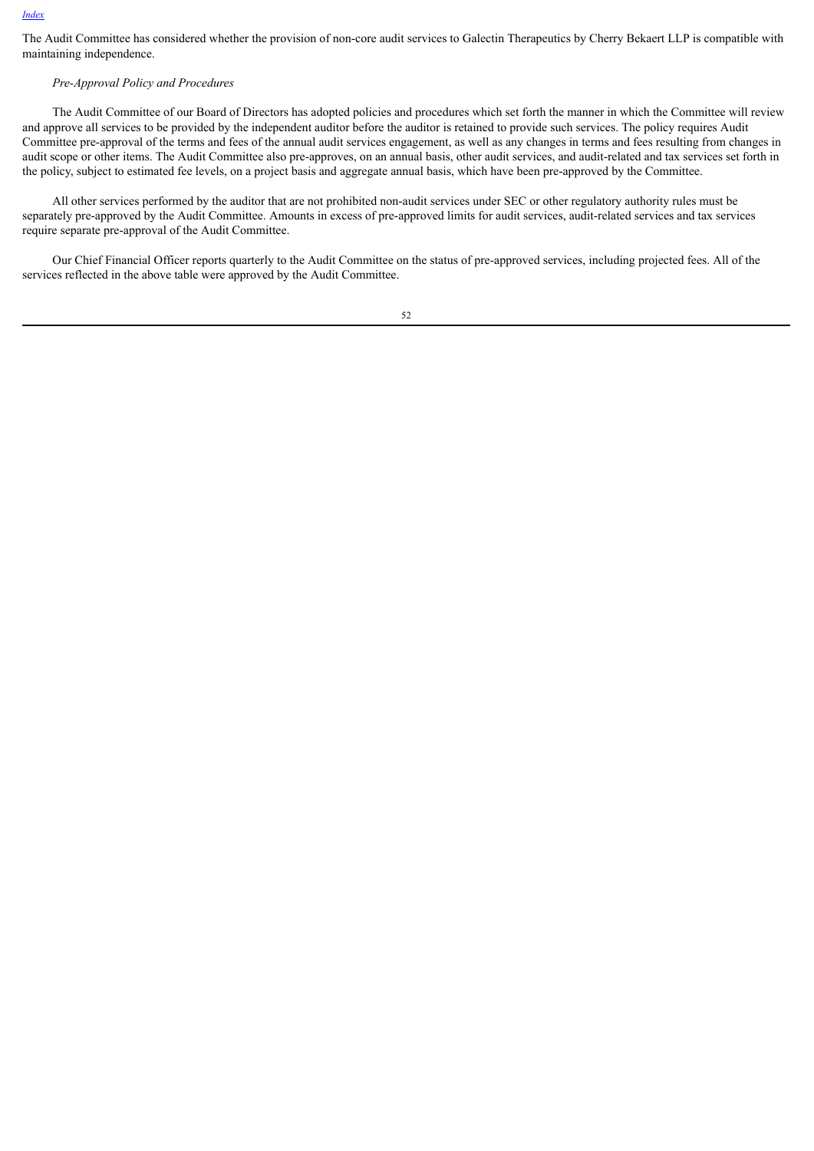The Audit Committee has considered whether the provision of non-core audit services to Galectin Therapeutics by Cherry Bekaert LLP is compatible with maintaining independence.

#### *Pre-Approval Policy and Procedures*

The Audit Committee of our Board of Directors has adopted policies and procedures which set forth the manner in which the Committee will review and approve all services to be provided by the independent auditor before the auditor is retained to provide such services. The policy requires Audit Committee pre-approval of the terms and fees of the annual audit services engagement, as well as any changes in terms and fees resulting from changes in audit scope or other items. The Audit Committee also pre-approves, on an annual basis, other audit services, and audit-related and tax services set forth in the policy, subject to estimated fee levels, on a project basis and aggregate annual basis, which have been pre-approved by the Committee.

All other services performed by the auditor that are not prohibited non-audit services under SEC or other regulatory authority rules must be separately pre-approved by the Audit Committee. Amounts in excess of pre-approved limits for audit services, audit-related services and tax services require separate pre-approval of the Audit Committee.

Our Chief Financial Officer reports quarterly to the Audit Committee on the status of pre-approved services, including projected fees. All of the services reflected in the above table were approved by the Audit Committee.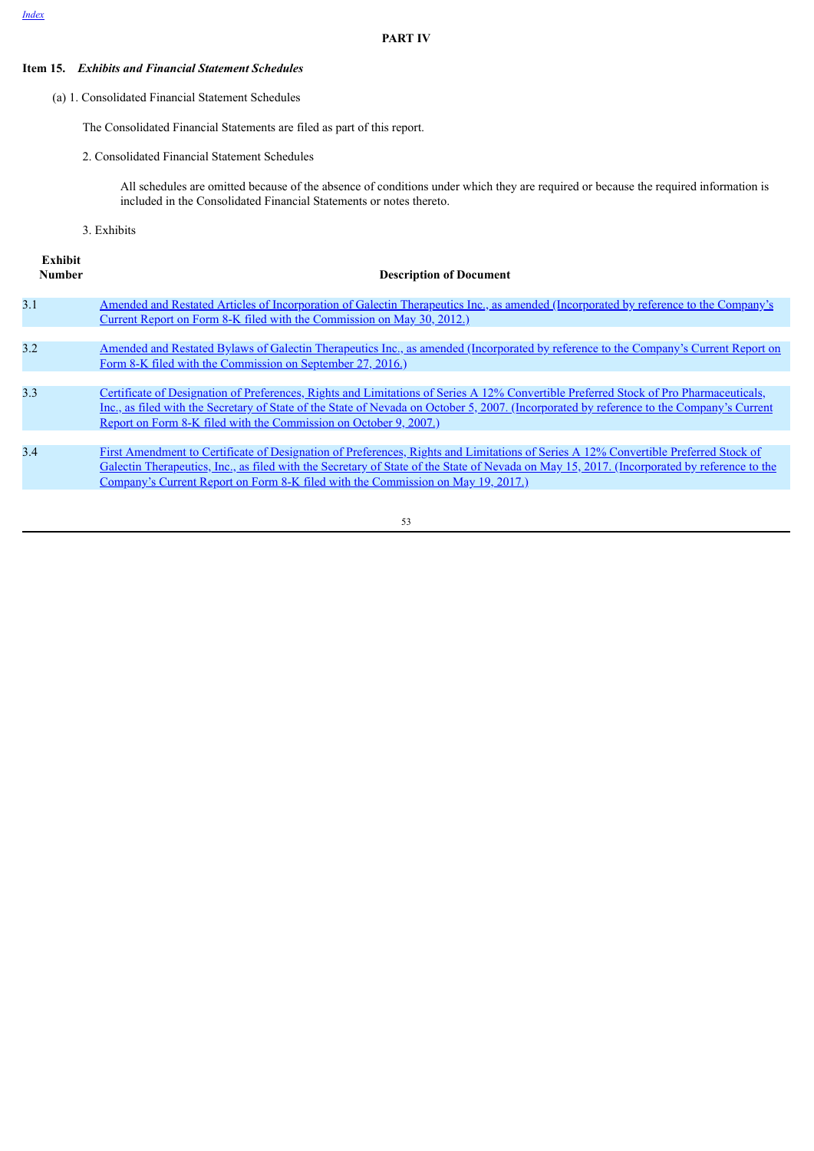## **Item 15.** *Exhibits and Financial Statement Schedules*

(a) 1. Consolidated Financial Statement Schedules

The Consolidated Financial Statements are filed as part of this report.

2. Consolidated Financial Statement Schedules

All schedules are omitted because of the absence of conditions under which they are required or because the required information is included in the Consolidated Financial Statements or notes thereto.

3. Exhibits

| Exhibit<br><b>Number</b> | <b>Description of Document</b>                                                                                                                                                                                                                                                                                                                                        |
|--------------------------|-----------------------------------------------------------------------------------------------------------------------------------------------------------------------------------------------------------------------------------------------------------------------------------------------------------------------------------------------------------------------|
| 3.1                      | <u>Amended and Restated Articles of Incorporation of Galectin Therapeutics Inc., as amended (Incorporated by reference to the Company's</u><br><u>Current Report on Form 8-K filed with the Commission on May 30, 2012.)</u>                                                                                                                                          |
| 3.2                      | Amended and Restated Bylaws of Galectin Therapeutics Inc., as amended (Incorporated by reference to the Company's Current Report on<br>Form 8-K filed with the Commission on September 27, 2016.)                                                                                                                                                                     |
| 3.3                      | Certificate of Designation of Preferences, Rights and Limitations of Series A 12% Convertible Preferred Stock of Pro Pharmaceuticals,                                                                                                                                                                                                                                 |
|                          | Inc., as filed with the Secretary of State of the State of Nevada on October 5, 2007. (Incorporated by reference to the Company's Current<br>Report on Form 8-K filed with the Commission on October 9, 2007.)                                                                                                                                                        |
|                          |                                                                                                                                                                                                                                                                                                                                                                       |
| 3.4                      | First Amendment to Certificate of Designation of Preferences, Rights and Limitations of Series A 12% Convertible Preferred Stock of<br>Galectin Therapeutics, Inc., as filed with the Secretary of State of the State of Nevada on May 15, 2017. (Incorporated by reference to the<br>Company's Current Report on Form 8-K filed with the Commission on May 19, 2017. |
|                          |                                                                                                                                                                                                                                                                                                                                                                       |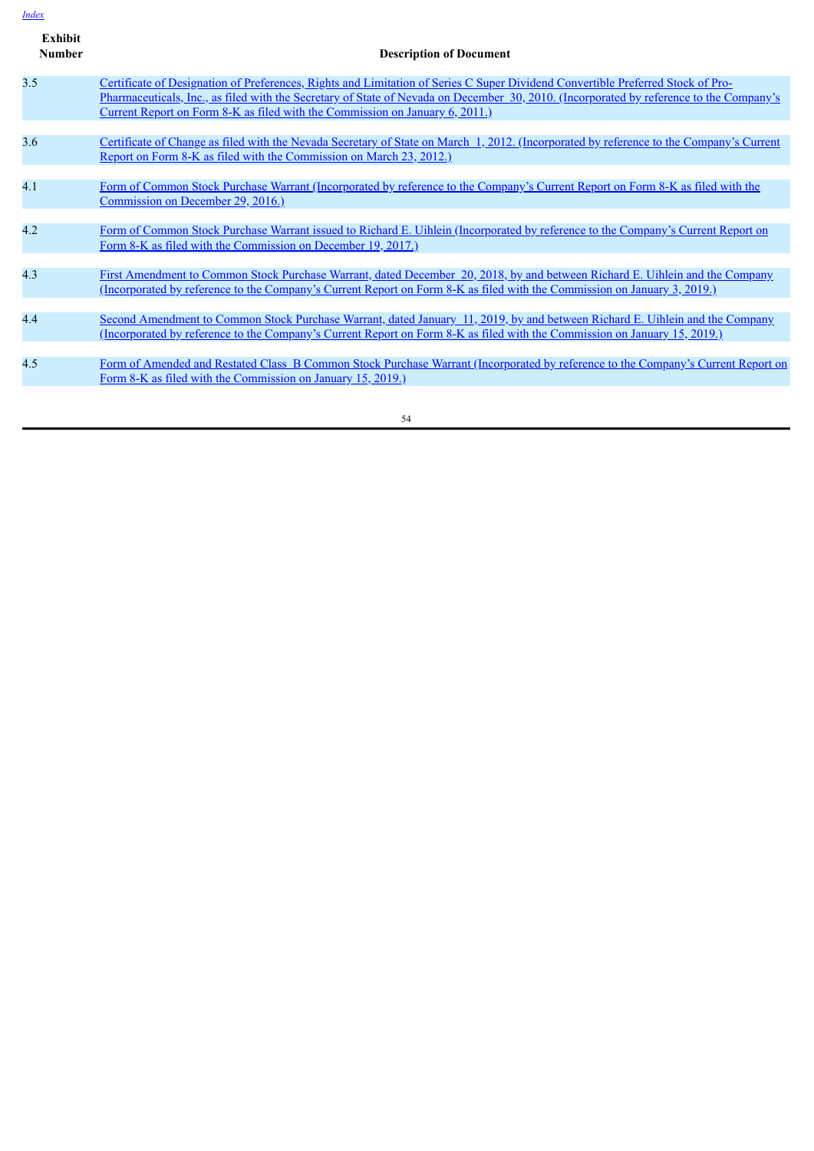| Exhibit<br><b>Number</b> | <b>Description of Document</b>                                                                                                                                                                                                                                                                                                                                    |
|--------------------------|-------------------------------------------------------------------------------------------------------------------------------------------------------------------------------------------------------------------------------------------------------------------------------------------------------------------------------------------------------------------|
| 3.5                      | Certificate of Designation of Preferences, Rights and Limitation of Series C Super Dividend Convertible Preferred Stock of Pro-<br>Pharmaceuticals, Inc., as filed with the Secretary of State of Nevada on December 30, 2010. (Incorporated by reference to the Company's<br><u>Current Report on Form 8-K as filed with the Commission on January 6, 2011.)</u> |
| 3.6                      | Certificate of Change as filed with the Nevada Secretary of State on March 1, 2012. (Incorporated by reference to the Company's Current<br>Report on Form 8-K as filed with the Commission on March 23, 2012.)                                                                                                                                                    |
| 4.1                      | Form of Common Stock Purchase Warrant (Incorporated by reference to the Company's Current Report on Form 8-K as filed with the<br>Commission on December 29, 2016.)                                                                                                                                                                                               |
| 4.2                      | Form of Common Stock Purchase Warrant issued to Richard E. Uihlein (Incorporated by reference to the Company's Current Report on<br>Form 8-K as filed with the Commission on December 19, 2017.)                                                                                                                                                                  |
| 4.3                      | First Amendment to Common Stock Purchase Warrant, dated December 20, 2018, by and between Richard E. Uihlein and the Company<br>(Incorporated by reference to the Company's Current Report on Form 8-K as filed with the Commission on January 3, 2019.)                                                                                                          |
| 4.4                      | Second Amendment to Common Stock Purchase Warrant, dated January 11, 2019, by and between Richard E. Uihlein and the Company<br><u>(Incorporated by reference to the Company's Current Report on Form 8-K as filed with the Commission on January 15, 2019.)</u>                                                                                                  |
| 4.5                      | Form of Amended and Restated Class B Common Stock Purchase Warrant (Incorporated by reference to the Company's Current Report on<br>Form 8-K as filed with the Commission on January 15, 2019.)                                                                                                                                                                   |
|                          | 5 <sub>A</sub>                                                                                                                                                                                                                                                                                                                                                    |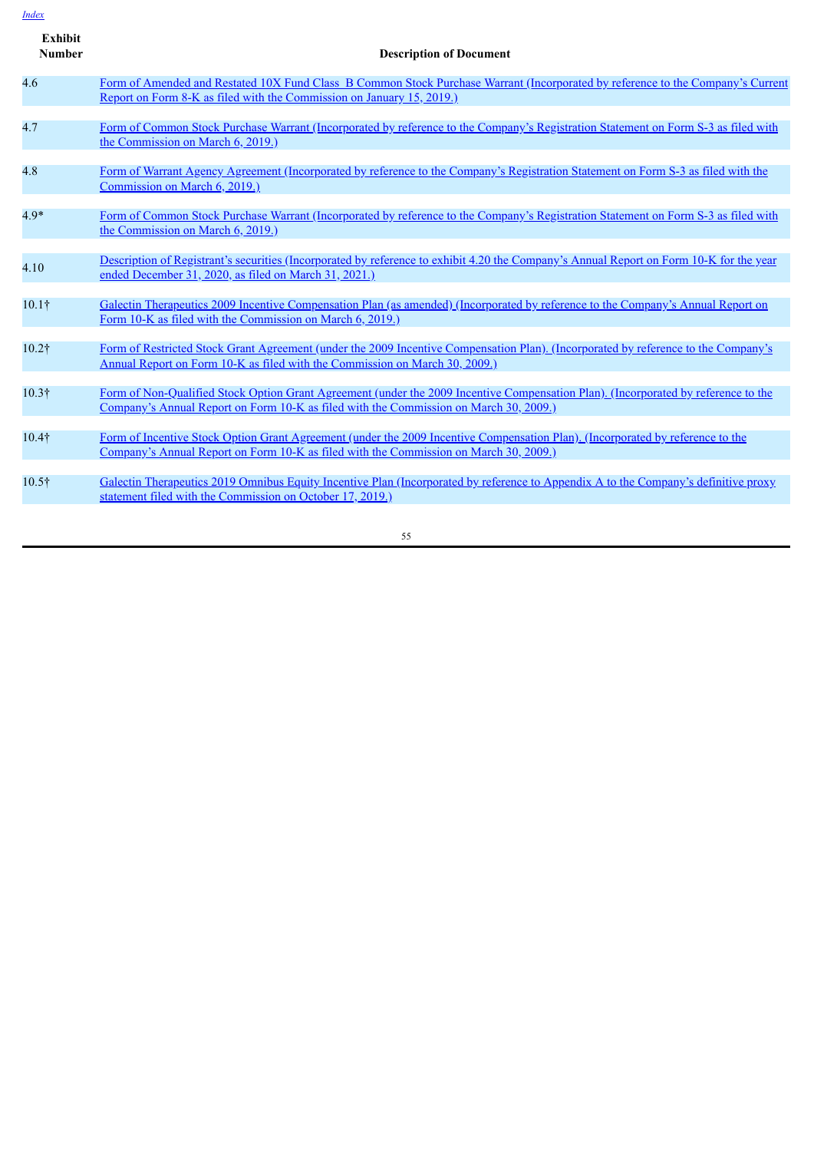| Exhibit<br><b>Number</b> | <b>Description of Document</b>                                                                                                                                                                                              |
|--------------------------|-----------------------------------------------------------------------------------------------------------------------------------------------------------------------------------------------------------------------------|
| 4.6                      | Form of Amended and Restated 10X Fund Class B Common Stock Purchase Warrant (Incorporated by reference to the Company's Current<br>Report on Form 8-K as filed with the Commission on January 15, 2019.)                    |
| 4.7                      | Form of Common Stock Purchase Warrant (Incorporated by reference to the Company's Registration Statement on Form S-3 as filed with<br>the Commission on March 6, 2019.)                                                     |
| 4.8                      | Form of Warrant Agency Agreement (Incorporated by reference to the Company's Registration Statement on Form S-3 as filed with the<br>Commission on March 6, 2019.)                                                          |
| $4.9*$                   | Form of Common Stock Purchase Warrant (Incorporated by reference to the Company's Registration Statement on Form S-3 as filed with<br>the Commission on March 6, 2019.)                                                     |
| 4.10                     | Description of Registrant's securities (Incorporated by reference to exhibit 4.20 the Company's Annual Report on Form 10-K for the year<br>ended December 31, 2020, as filed on March 31, 2021.)                            |
| $10.1\dagger$            | Galectin Therapeutics 2009 Incentive Compensation Plan (as amended) (Incorporated by reference to the Company's Annual Report on<br>Form 10-K as filed with the Commission on March 6, 2019.)                               |
| 10.2†                    | Form of Restricted Stock Grant Agreement (under the 2009 Incentive Compensation Plan). (Incorporated by reference to the Company's<br>Annual Report on Form 10-K as filed with the Commission on March 30, 2009.)           |
| 10.3 <sup>†</sup>        | Form of Non-Qualified Stock Option Grant Agreement (under the 2009 Incentive Compensation Plan). (Incorporated by reference to the<br>Company's Annual Report on Form 10-K as filed with the Commission on March 30, 2009.) |
| 10.4†                    | Form of Incentive Stock Option Grant Agreement (under the 2009 Incentive Compensation Plan). (Incorporated by reference to the<br>Company's Annual Report on Form 10-K as filed with the Commission on March 30, 2009.)     |
| 10.5 <sup>†</sup>        | Galectin Therapeutics 2019 Omnibus Equity Incentive Plan (Incorporated by reference to Appendix A to the Company's definitive proxy<br>statement filed with the Commission on October 17, 2019.)                            |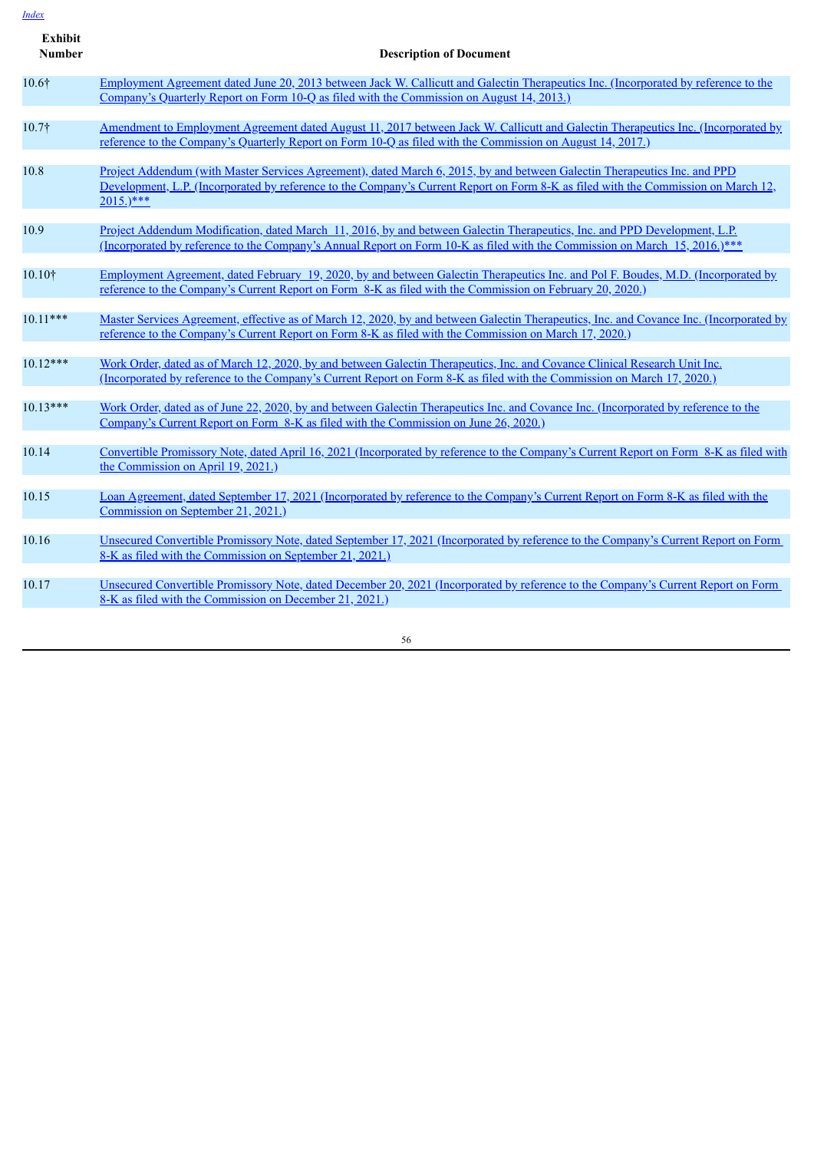| <b>Exhibit</b><br><b>Number</b> | <b>Description of Document</b>                                                                                                                                                                                                                                                                   |
|---------------------------------|--------------------------------------------------------------------------------------------------------------------------------------------------------------------------------------------------------------------------------------------------------------------------------------------------|
| 10.6†                           | Employment Agreement dated June 20, 2013 between Jack W. Callicutt and Galectin Therapeutics Inc. (Incorporated by reference to the<br>Company's Quarterly Report on Form 10-Q as filed with the Commission on August 14, 2013.)                                                                 |
| 10.7†                           | Amendment to Employment Agreement dated August 11, 2017 between Jack W. Callicutt and Galectin Therapeutics Inc. (Incorporated by<br>reference to the Company's Quarterly Report on Form 10-Q as filed with the Commission on August 14, 2017.)                                                  |
| 10.8                            | <u>Project Addendum (with Master Services Agreement), dated March 6, 2015, by and between Galectin Therapeutics Inc. and PPD</u><br>Development, L.P. (Incorporated by reference to the Company's Current Report on Form 8-K as filed with the Commission on March 12,<br>$2015.$ <sup>***</sup> |
| 10.9                            | Project Addendum Modification, dated March 11, 2016, by and between Galectin Therapeutics, Inc. and PPD Development, L.P.<br>(Incorporated by reference to the Company's Annual Report on Form 10-K as filed with the Commission on March 15, 2016.)***                                          |
| 10.10†                          | Employment Agreement, dated February 19, 2020, by and between Galectin Therapeutics Inc. and Pol F. Boudes, M.D. (Incorporated by<br>reference to the Company's Current Report on Form 8-K as filed with the Commission on February 20, 2020.)                                                   |
| $10.11***$                      | Master Services Agreement, effective as of March 12, 2020, by and between Galectin Therapeutics, Inc. and Covance Inc. (Incorporated by<br>reference to the Company's Current Report on Form 8-K as filed with the Commission on March 17, 2020.)                                                |
| $10.12***$                      | Work Order, dated as of March 12, 2020, by and between Galectin Therapeutics, Inc. and Covance Clinical Research Unit Inc.<br>(Incorporated by reference to the Company's Current Report on Form 8-K as filed with the Commission on March 17, 2020.)                                            |
| $10.13***$                      | Work Order, dated as of June 22, 2020, by and between Galectin Therapeutics Inc. and Covance Inc. (Incorporated by reference to the<br>Company's Current Report on Form 8-K as filed with the Commission on June 26, 2020.)                                                                      |
| 10.14                           | Convertible Promissory Note, dated April 16, 2021 (Incorporated by reference to the Company's Current Report on Form 8-K as filed with<br>the Commission on April 19, 2021.)                                                                                                                     |
| 10.15                           | Loan Agreement, dated September 17, 2021 (Incorporated by reference to the Company's Current Report on Form 8-K as filed with the<br>Commission on September 21, 2021.)                                                                                                                          |
| 10.16                           | Unsecured Convertible Promissory Note, dated September 17, 2021 (Incorporated by reference to the Company's Current Report on Form<br>8-K as filed with the Commission on September 21, 2021.)                                                                                                   |
| 10.17                           | Unsecured Convertible Promissory Note, dated December 20, 2021 (Incorporated by reference to the Company's Current Report on Form<br>8-K as filed with the Commission on December 21, 2021.)                                                                                                     |
|                                 |                                                                                                                                                                                                                                                                                                  |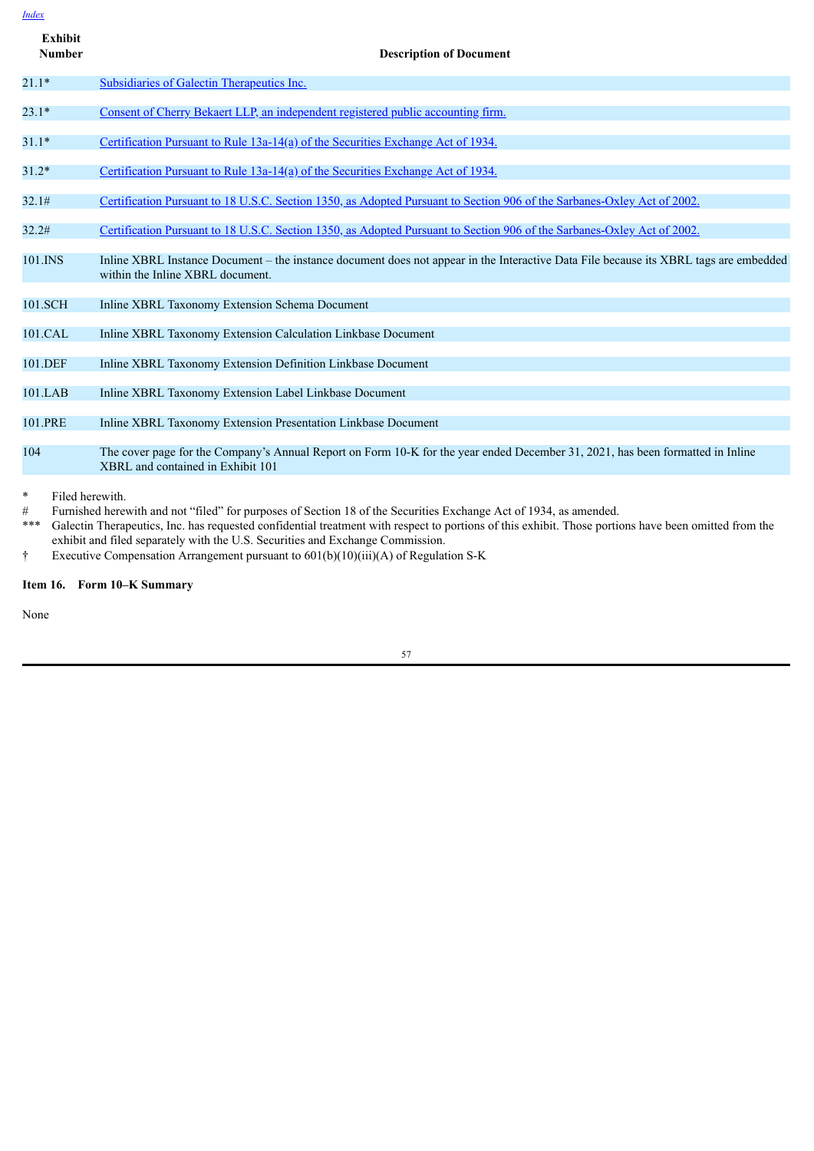**Exhibit**

| $21.1*$ | <b>Subsidiaries of Galectin Therapeutics Inc.</b>                                                                                                                         |
|---------|---------------------------------------------------------------------------------------------------------------------------------------------------------------------------|
| $23.1*$ | Consent of Cherry Bekaert LLP, an independent registered public accounting firm.                                                                                          |
| $31.1*$ | Certification Pursuant to Rule 13a-14(a) of the Securities Exchange Act of 1934.                                                                                          |
| $31.2*$ | Certification Pursuant to Rule 13a-14(a) of the Securities Exchange Act of 1934.                                                                                          |
| 32.1#   | Certification Pursuant to 18 U.S.C. Section 1350, as Adopted Pursuant to Section 906 of the Sarbanes-Oxley Act of 2002.                                                   |
| 32.2#   | Certification Pursuant to 18 U.S.C. Section 1350, as Adopted Pursuant to Section 906 of the Sarbanes-Oxley Act of 2002.                                                   |
|         |                                                                                                                                                                           |
| 101.INS | Inline XBRL Instance Document – the instance document does not appear in the Interactive Data File because its XBRL tags are embedded<br>within the Inline XBRL document. |
|         |                                                                                                                                                                           |
| 101.SCH | Inline XBRL Taxonomy Extension Schema Document                                                                                                                            |
| 101.CAL | Inline XBRL Taxonomy Extension Calculation Linkbase Document                                                                                                              |
| 101.DEF | Inline XBRL Taxonomy Extension Definition Linkbase Document                                                                                                               |
|         |                                                                                                                                                                           |
| 101.LAB | Inline XBRL Taxonomy Extension Label Linkbase Document                                                                                                                    |
| 101.PRE | Inline XBRL Taxonomy Extension Presentation Linkbase Document                                                                                                             |
|         |                                                                                                                                                                           |
| 104     | The cover page for the Company's Annual Report on Form 10-K for the year ended December 31, 2021, has been formatted in Inline<br>XBRL and contained in Exhibit 101       |
|         |                                                                                                                                                                           |

\* Filed herewith.

# Furnished herewith and not "filed" for purposes of Section 18 of the Securities Exchange Act of 1934, as amended.

\*\*\* Galectin Therapeutics, Inc. has requested confidential treatment with respect to portions of this exhibit. Those portions have been omitted from the exhibit and filed separately with the U.S. Securities and Exchange Commission.

† Executive Compensation Arrangement pursuant to 601(b)(10)(iii)(A) of Regulation S-K

### **Item 16. Form 10–K Summary**

None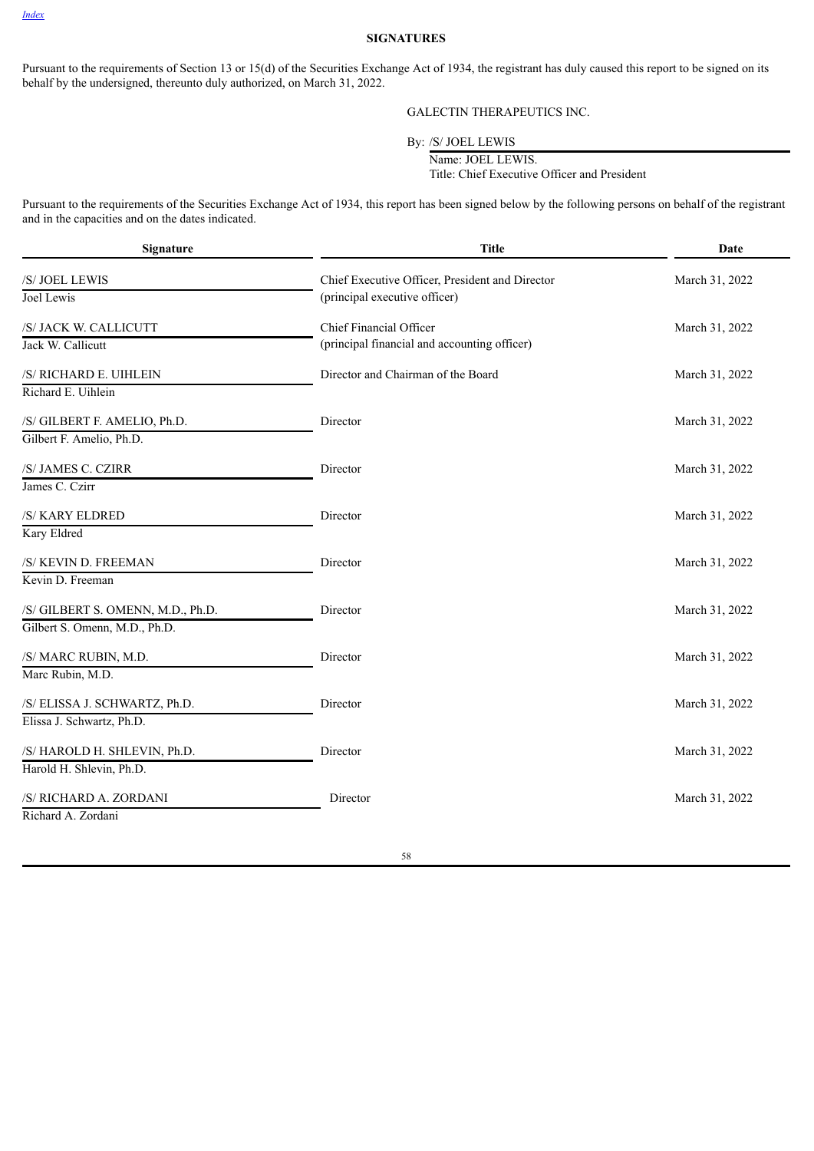### **SIGNATURES**

Pursuant to the requirements of Section 13 or 15(d) of the Securities Exchange Act of 1934, the registrant has duly caused this report to be signed on its behalf by the undersigned, thereunto duly authorized, on March 31, 2022.

# GALECTIN THERAPEUTICS INC.

By: /S/ JOEL LEWIS

Name: JOEL LEWIS.

Title: Chief Executive Officer and President

Pursuant to the requirements of the Securities Exchange Act of 1934, this report has been signed below by the following persons on behalf of the registrant and in the capacities and on the dates indicated.

| Signature                         | <b>Title</b>                                                                     | Date           |
|-----------------------------------|----------------------------------------------------------------------------------|----------------|
| /S/JOEL LEWIS<br>Joel Lewis       | Chief Executive Officer, President and Director<br>(principal executive officer) | March 31, 2022 |
|                                   |                                                                                  |                |
| /S/ JACK W. CALLICUTT             | Chief Financial Officer                                                          | March 31, 2022 |
| Jack W. Callicutt                 | (principal financial and accounting officer)                                     |                |
| /S/ RICHARD E. UIHLEIN            | Director and Chairman of the Board                                               | March 31, 2022 |
| Richard E. Uihlein                |                                                                                  |                |
| /S/ GILBERT F. AMELIO, Ph.D.      | Director                                                                         | March 31, 2022 |
| Gilbert F. Amelio, Ph.D.          |                                                                                  |                |
| /S/ JAMES C. CZIRR                | Director                                                                         | March 31, 2022 |
| James C. Czirr                    |                                                                                  |                |
| /S/ KARY ELDRED                   | Director                                                                         | March 31, 2022 |
| Kary Eldred                       |                                                                                  |                |
| /S/KEVIN D. FREEMAN               | Director                                                                         | March 31, 2022 |
| Kevin D. Freeman                  |                                                                                  |                |
| /S/ GILBERT S. OMENN, M.D., Ph.D. | Director                                                                         | March 31, 2022 |
| Gilbert S. Omenn, M.D., Ph.D.     |                                                                                  |                |
| /S/ MARC RUBIN, M.D.              | Director                                                                         | March 31, 2022 |
| Marc Rubin, M.D.                  |                                                                                  |                |
| /S/ ELISSA J. SCHWARTZ, Ph.D.     | Director                                                                         | March 31, 2022 |
| Elissa J. Schwartz, Ph.D.         |                                                                                  |                |
| /S/HAROLD H. SHLEVIN, Ph.D.       | Director                                                                         | March 31, 2022 |
| Harold H. Shlevin, Ph.D.          |                                                                                  |                |
| /S/ RICHARD A. ZORDANI            | Director                                                                         | March 31, 2022 |
| Richard A. Zordani                |                                                                                  |                |
|                                   |                                                                                  |                |

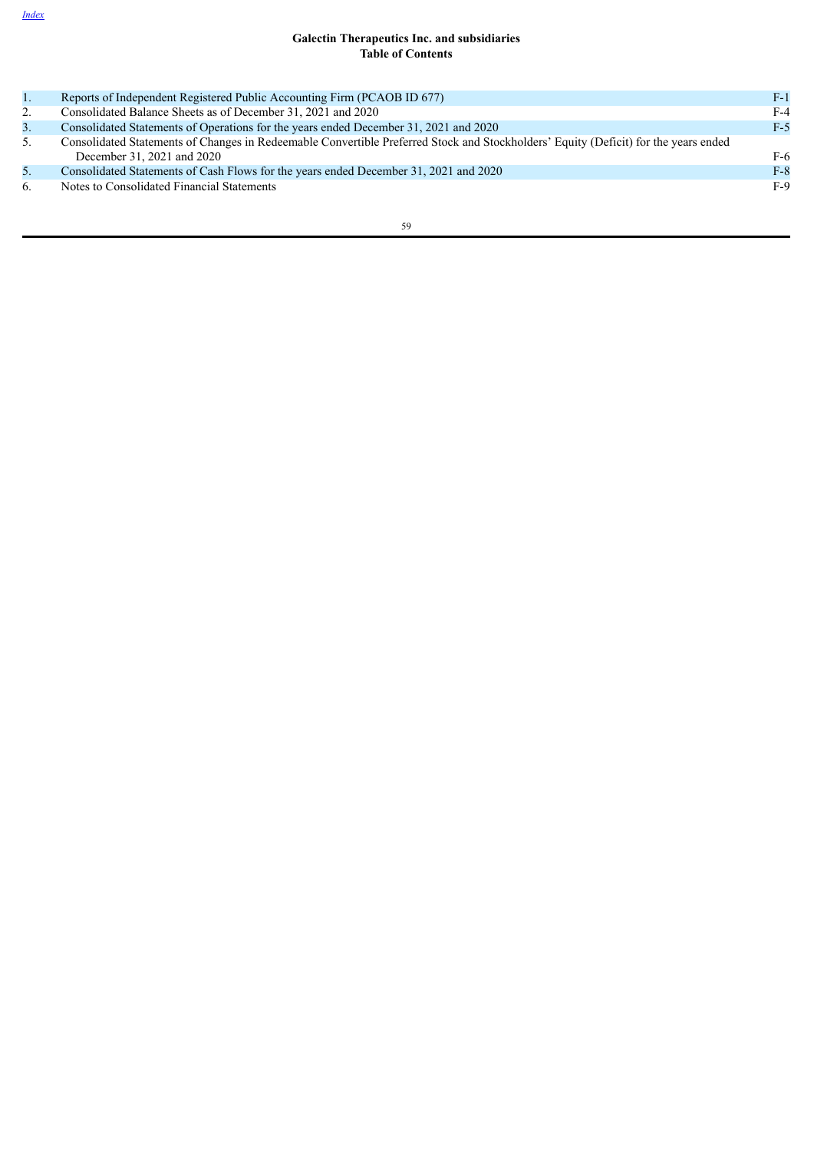### **Galectin Therapeutics Inc. and subsidiaries Table of Contents**

| $1_{-}$ | Reports of Independent Registered Public Accounting Firm (PCAOB ID 677)                                                                                           | $F-1$ |
|---------|-------------------------------------------------------------------------------------------------------------------------------------------------------------------|-------|
| 2.      | Consolidated Balance Sheets as of December 31, 2021 and 2020                                                                                                      | $F-4$ |
| $3_{-}$ | Consolidated Statements of Operations for the years ended December 31, 2021 and 2020                                                                              | $F-5$ |
| 5.      | Consolidated Statements of Changes in Redeemable Convertible Preferred Stock and Stockholders' Equity (Deficit) for the years ended<br>December 31, 2021 and 2020 | $F-6$ |
| 5.      | Consolidated Statements of Cash Flows for the years ended December 31, 2021 and 2020                                                                              | $F-8$ |
| 6.      | Notes to Consolidated Financial Statements                                                                                                                        | $F-9$ |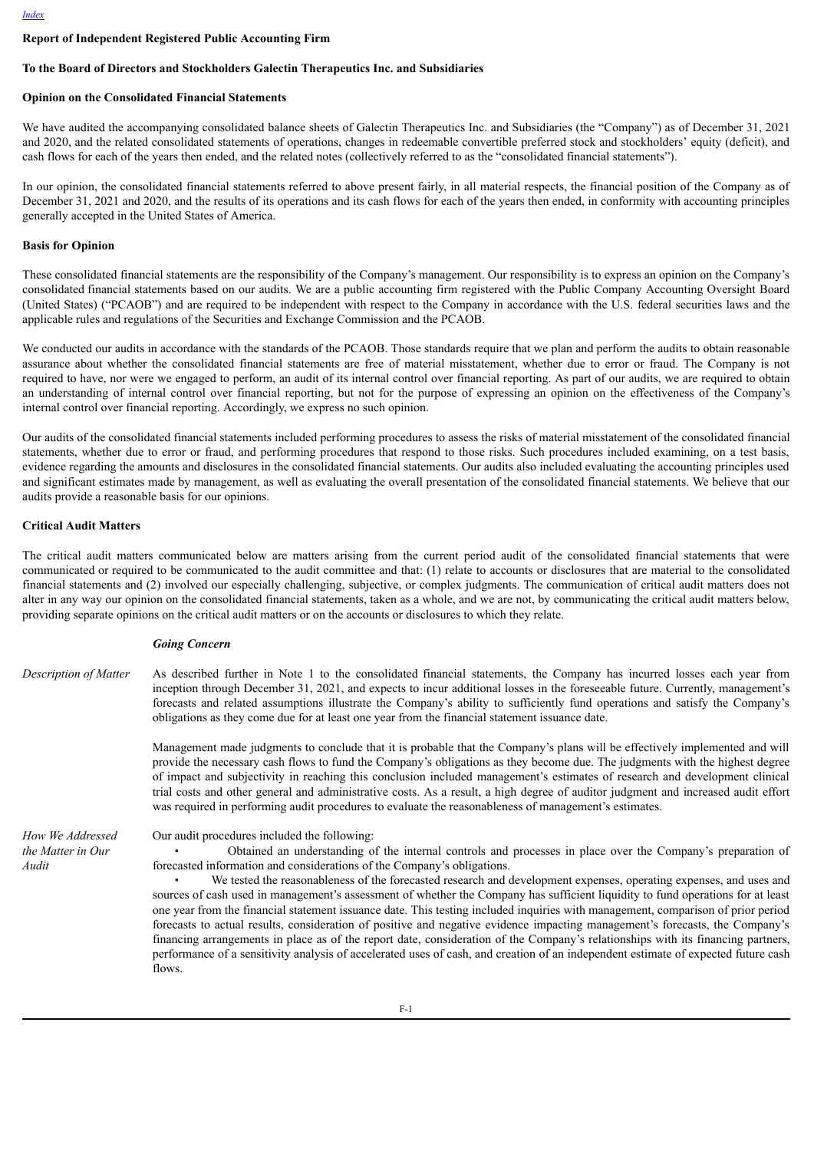## **Report of Independent Registered Public Accounting Firm**

### **To the Board of Directors and Stockholders Galectin Therapeutics Inc. and Subsidiaries**

### **Opinion on the Consolidated Financial Statements**

We have audited the accompanying consolidated balance sheets of Galectin Therapeutics Inc. and Subsidiaries (the "Company") as of December 31, 2021 and 2020, and the related consolidated statements of operations, changes in redeemable convertible preferred stock and stockholders' equity (deficit), and cash flows for each of the years then ended, and the related notes (collectively referred to as the "consolidated financial statements").

In our opinion, the consolidated financial statements referred to above present fairly, in all material respects, the financial position of the Company as of December 31, 2021 and 2020, and the results of its operations and its cash flows for each of the years then ended, in conformity with accounting principles generally accepted in the United States of America.

### **Basis for Opinion**

These consolidated financial statements are the responsibility of the Company's management. Our responsibility is to express an opinion on the Company's consolidated financial statements based on our audits. We are a public accounting firm registered with the Public Company Accounting Oversight Board (United States) ("PCAOB") and are required to be independent with respect to the Company in accordance with the U.S. federal securities laws and the applicable rules and regulations of the Securities and Exchange Commission and the PCAOB.

We conducted our audits in accordance with the standards of the PCAOB. Those standards require that we plan and perform the audits to obtain reasonable assurance about whether the consolidated financial statements are free of material misstatement, whether due to error or fraud. The Company is not required to have, nor were we engaged to perform, an audit of its internal control over financial reporting. As part of our audits, we are required to obtain an understanding of internal control over financial reporting, but not for the purpose of expressing an opinion on the effectiveness of the Company's internal control over financial reporting. Accordingly, we express no such opinion.

Our audits of the consolidated financial statements included performing procedures to assess the risks of material misstatement of the consolidated financial statements, whether due to error or fraud, and performing procedures that respond to those risks. Such procedures included examining, on a test basis, evidence regarding the amounts and disclosures in the consolidated financial statements. Our audits also included evaluating the accounting principles used and significant estimates made by management, as well as evaluating the overall presentation of the consolidated financial statements. We believe that our audits provide a reasonable basis for our opinions.

### **Critical Audit Matters**

The critical audit matters communicated below are matters arising from the current period audit of the consolidated financial statements that were communicated or required to be communicated to the audit committee and that: (1) relate to accounts or disclosures that are material to the consolidated financial statements and (2) involved our especially challenging, subjective, or complex judgments. The communication of critical audit matters does not alter in any way our opinion on the consolidated financial statements, taken as a whole, and we are not, by communicating the critical audit matters below, providing separate opinions on the critical audit matters or on the accounts or disclosures to which they relate.

#### *Going Concern*

| Description of Matter | As described further in Note 1 to the consolidated financial statements, the Company has incurred losses each year from<br>inception through December 31, 2021, and expects to incur additional losses in the foreseeable future. Currently, management's<br>forecasts and related assumptions illustrate the Company's ability to sufficiently fund operations and satisfy the Company's<br>obligations as they come due for at least one year from the financial statement issuance date. |
|-----------------------|---------------------------------------------------------------------------------------------------------------------------------------------------------------------------------------------------------------------------------------------------------------------------------------------------------------------------------------------------------------------------------------------------------------------------------------------------------------------------------------------|
|                       |                                                                                                                                                                                                                                                                                                                                                                                                                                                                                             |

Management made judgments to conclude that it is probable that the Company's plans will be effectively implemented and will provide the necessary cash flows to fund the Company's obligations as they become due. The judgments with the highest degree of impact and subjectivity in reaching this conclusion included management's estimates of research and development clinical trial costs and other general and administrative costs. As a result, a high degree of auditor judgment and increased audit effort was required in performing audit procedures to evaluate the reasonableness of management's estimates.

*How We Addressed the Matter in Our Audit*

Our audit procedures included the following:

• Obtained an understanding of the internal controls and processes in place over the Company's preparation of forecasted information and considerations of the Company's obligations.

• We tested the reasonableness of the forecasted research and development expenses, operating expenses, and uses and sources of cash used in management's assessment of whether the Company has sufficient liquidity to fund operations for at least one year from the financial statement issuance date. This testing included inquiries with management, comparison of prior period forecasts to actual results, consideration of positive and negative evidence impacting management's forecasts, the Company's financing arrangements in place as of the report date, consideration of the Company's relationships with its financing partners, performance of a sensitivity analysis of accelerated uses of cash, and creation of an independent estimate of expected future cash flows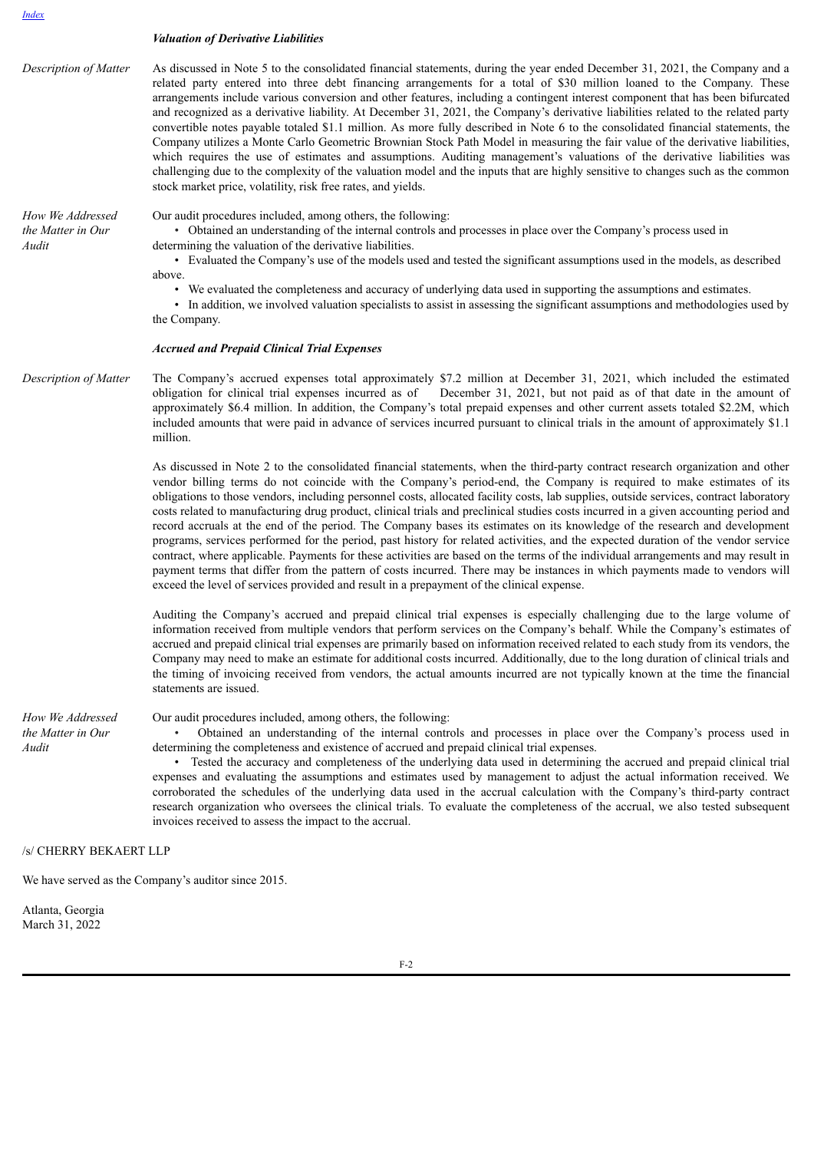### *Valuation of Derivative Liabilities*

*Description of Matter* As discussed in Note 5 to the consolidated financial statements, during the year ended December 31, 2021, the Company and a related party entered into three debt financing arrangements for a total of \$30 million loaned to the Company. These arrangements include various conversion and other features, including a contingent interest component that has been bifurcated and recognized as a derivative liability. At December 31, 2021, the Company's derivative liabilities related to the related party convertible notes payable totaled \$1.1 million. As more fully described in Note 6 to the consolidated financial statements, the Company utilizes a Monte Carlo Geometric Brownian Stock Path Model in measuring the fair value of the derivative liabilities, which requires the use of estimates and assumptions. Auditing management's valuations of the derivative liabilities was challenging due to the complexity of the valuation model and the inputs that are highly sensitive to changes such as the common stock market price, volatility, risk free rates, and yields.

*How We Addressed the Matter in Our Audit*

Our audit procedures included, among others, the following:

• Obtained an understanding of the internal controls and processes in place over the Company's process used in determining the valuation of the derivative liabilities.

• Evaluated the Company's use of the models used and tested the significant assumptions used in the models, as described above.

• We evaluated the completeness and accuracy of underlying data used in supporting the assumptions and estimates.

• In addition, we involved valuation specialists to assist in assessing the significant assumptions and methodologies used by the Company.

#### *Accrued and Prepaid Clinical Trial Expenses*

*Description of Matter* The Company's accrued expenses total approximately \$7.2 million at December 31, 2021, which included the estimated obligation for clinical trial expenses incurred as of December 31, 2021, but not paid as of that date in the amount of approximately \$6.4 million. In addition, the Company's total prepaid expenses and other current assets totaled \$2.2M, which included amounts that were paid in advance of services incurred pursuant to clinical trials in the amount of approximately \$1.1 million.

> As discussed in Note 2 to the consolidated financial statements, when the third-party contract research organization and other vendor billing terms do not coincide with the Company's period-end, the Company is required to make estimates of its obligations to those vendors, including personnel costs, allocated facility costs, lab supplies, outside services, contract laboratory costs related to manufacturing drug product, clinical trials and preclinical studies costs incurred in a given accounting period and record accruals at the end of the period. The Company bases its estimates on its knowledge of the research and development programs, services performed for the period, past history for related activities, and the expected duration of the vendor service contract, where applicable. Payments for these activities are based on the terms of the individual arrangements and may result in payment terms that differ from the pattern of costs incurred. There may be instances in which payments made to vendors will exceed the level of services provided and result in a prepayment of the clinical expense.

> Auditing the Company's accrued and prepaid clinical trial expenses is especially challenging due to the large volume of information received from multiple vendors that perform services on the Company's behalf. While the Company's estimates of accrued and prepaid clinical trial expenses are primarily based on information received related to each study from its vendors, the Company may need to make an estimate for additional costs incurred. Additionally, due to the long duration of clinical trials and the timing of invoicing received from vendors, the actual amounts incurred are not typically known at the time the financial statements are issued.

*How We Addressed the Matter in Our Audit* Our audit procedures included, among others, the following:

• Obtained an understanding of the internal controls and processes in place over the Company's process used in determining the completeness and existence of accrued and prepaid clinical trial expenses.

• Tested the accuracy and completeness of the underlying data used in determining the accrued and prepaid clinical trial expenses and evaluating the assumptions and estimates used by management to adjust the actual information received. We corroborated the schedules of the underlying data used in the accrual calculation with the Company's third-party contract research organization who oversees the clinical trials. To evaluate the completeness of the accrual, we also tested subsequent invoices received to assess the impact to the accrual.

### /s/ CHERRY BEKAERT LLP

We have served as the Company's auditor since 2015.

Atlanta, Georgia March 31, 2022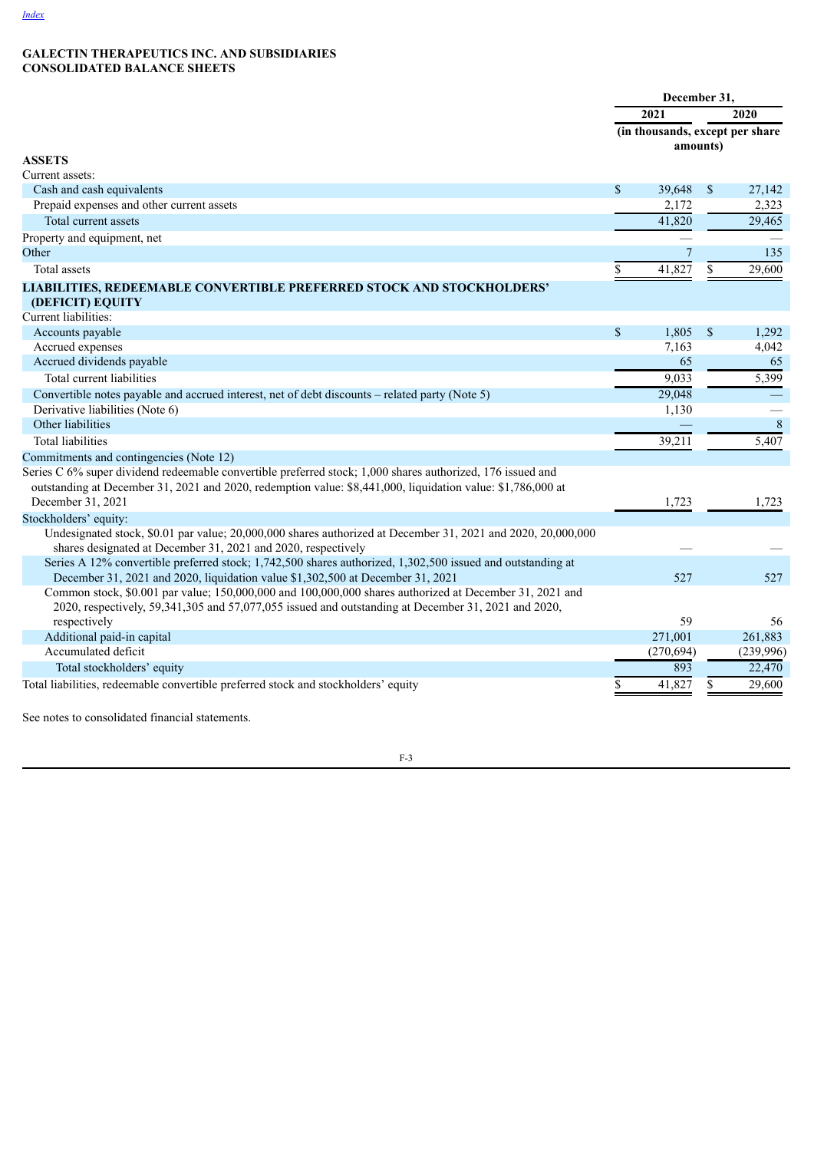# **GALECTIN THERAPEUTICS INC. AND SUBSIDIARIES CONSOLIDATED BALANCE SHEETS**

*[Index](#page-2-0)*

|                                                                                                                                                                               |                                 | December 31,   |             |           |  |
|-------------------------------------------------------------------------------------------------------------------------------------------------------------------------------|---------------------------------|----------------|-------------|-----------|--|
|                                                                                                                                                                               |                                 | 2021           |             | 2020      |  |
|                                                                                                                                                                               | (in thousands, except per share |                |             |           |  |
|                                                                                                                                                                               | amounts)                        |                |             |           |  |
| <b>ASSETS</b>                                                                                                                                                                 |                                 |                |             |           |  |
| Current assets:                                                                                                                                                               |                                 |                |             |           |  |
| Cash and cash equivalents                                                                                                                                                     | $\mathbb{S}$                    | 39,648         | $\mathbf S$ | 27,142    |  |
| Prepaid expenses and other current assets                                                                                                                                     |                                 | 2,172          |             | 2,323     |  |
| Total current assets                                                                                                                                                          |                                 | 41,820         |             | 29,465    |  |
| Property and equipment, net                                                                                                                                                   |                                 |                |             |           |  |
| Other                                                                                                                                                                         |                                 | $\overline{7}$ |             | 135       |  |
| <b>Total assets</b>                                                                                                                                                           | \$                              | 41,827         | \$          | 29,600    |  |
| LIABILITIES, REDEEMABLE CONVERTIBLE PREFERRED STOCK AND STOCKHOLDERS'                                                                                                         |                                 |                |             |           |  |
| (DEFICIT) EQUITY                                                                                                                                                              |                                 |                |             |           |  |
| Current liabilities:                                                                                                                                                          |                                 |                |             |           |  |
| Accounts payable                                                                                                                                                              | \$                              | 1,805          | $\$$        | 1,292     |  |
| Accrued expenses                                                                                                                                                              |                                 | 7,163          |             | 4,042     |  |
| Accrued dividends payable                                                                                                                                                     |                                 | 65             |             | 65        |  |
| Total current liabilities                                                                                                                                                     |                                 | 9,033          |             | 5,399     |  |
| Convertible notes payable and accrued interest, net of debt discounts - related party (Note 5)                                                                                |                                 | 29,048         |             |           |  |
| Derivative liabilities (Note 6)                                                                                                                                               |                                 | 1,130          |             |           |  |
| Other liabilities                                                                                                                                                             |                                 |                |             | $\,8\,$   |  |
| <b>Total liabilities</b>                                                                                                                                                      |                                 | 39,211         |             | 5,407     |  |
| Commitments and contingencies (Note 12)                                                                                                                                       |                                 |                |             |           |  |
| Series C 6% super dividend redeemable convertible preferred stock; 1,000 shares authorized, 176 issued and                                                                    |                                 |                |             |           |  |
| outstanding at December 31, 2021 and 2020, redemption value: \$8,441,000, liquidation value: \$1,786,000 at                                                                   |                                 |                |             |           |  |
| December 31, 2021                                                                                                                                                             |                                 | 1,723          |             | 1,723     |  |
| Stockholders' equity:                                                                                                                                                         |                                 |                |             |           |  |
| Undesignated stock, \$0.01 par value; 20,000,000 shares authorized at December 31, 2021 and 2020, 20,000,000<br>shares designated at December 31, 2021 and 2020, respectively |                                 |                |             |           |  |
| Series A 12% convertible preferred stock; 1,742,500 shares authorized, 1,302,500 issued and outstanding at                                                                    |                                 |                |             |           |  |
| December 31, 2021 and 2020, liquidation value \$1,302,500 at December 31, 2021                                                                                                |                                 | 527            |             | 527       |  |
| Common stock, \$0.001 par value; 150,000,000 and 100,000,000 shares authorized at December 31, 2021 and                                                                       |                                 |                |             |           |  |
| 2020, respectively, 59,341,305 and 57,077,055 issued and outstanding at December 31, 2021 and 2020,                                                                           |                                 |                |             |           |  |
| respectively                                                                                                                                                                  |                                 | 59             |             | 56        |  |
| Additional paid-in capital                                                                                                                                                    |                                 | 271,001        |             | 261,883   |  |
| Accumulated deficit                                                                                                                                                           |                                 | (270, 694)     |             | (239,996) |  |
| Total stockholders' equity                                                                                                                                                    |                                 | 893            |             | 22,470    |  |
| Total liabilities, redeemable convertible preferred stock and stockholders' equity                                                                                            | S                               | 41,827         | S           | 29,600    |  |
|                                                                                                                                                                               |                                 |                |             |           |  |

See notes to consolidated financial statements.

F-3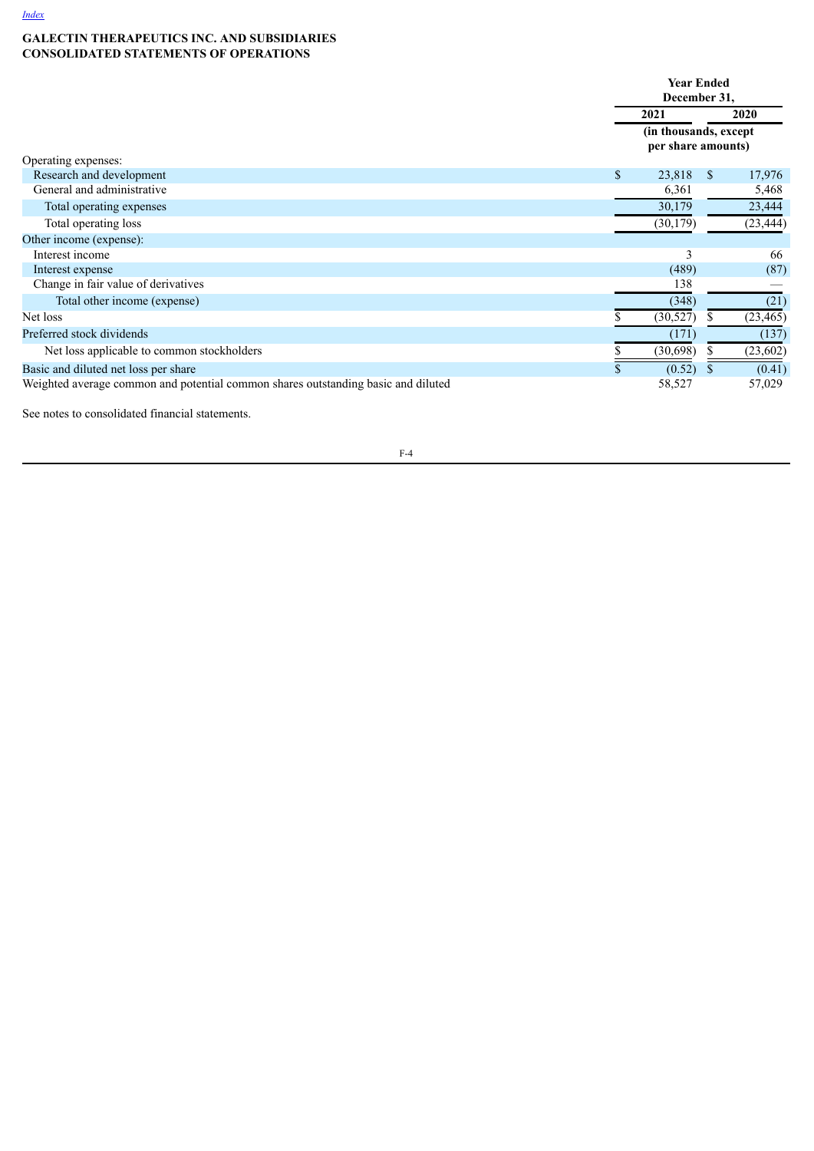# **GALECTIN THERAPEUTICS INC. AND SUBSIDIARIES CONSOLIDATED STATEMENTS OF OPERATIONS**

*[Index](#page-2-0)*

|                                                                                   | <b>Year Ended</b><br>December 31,            |           |               |           |
|-----------------------------------------------------------------------------------|----------------------------------------------|-----------|---------------|-----------|
|                                                                                   | 2021                                         |           |               | 2020      |
|                                                                                   | (in thousands, except)<br>per share amounts) |           |               |           |
| Operating expenses:                                                               |                                              |           |               |           |
| Research and development                                                          | \$                                           | 23,818    | <sup>\$</sup> | 17,976    |
| General and administrative                                                        |                                              | 6,361     |               | 5,468     |
| Total operating expenses                                                          |                                              | 30,179    |               | 23,444    |
| Total operating loss                                                              |                                              | (30, 179) |               | (23, 444) |
| Other income (expense):                                                           |                                              |           |               |           |
| Interest income                                                                   |                                              | 3         |               | -66       |
| Interest expense                                                                  |                                              | (489)     |               | (87)      |
| Change in fair value of derivatives                                               |                                              | 138       |               |           |
| Total other income (expense)                                                      |                                              | (348)     |               | (21)      |
| Net loss                                                                          |                                              | (30, 527) |               | (23, 465) |
| Preferred stock dividends                                                         |                                              | (171)     |               | (137)     |
| Net loss applicable to common stockholders                                        |                                              | (30,698)  | S.            | (23, 602) |
| Basic and diluted net loss per share                                              |                                              | (0.52)    | <sup>\$</sup> | (0.41)    |
| Weighted average common and potential common shares outstanding basic and diluted |                                              | 58,527    |               | 57,029    |

See notes to consolidated financial statements.

F-4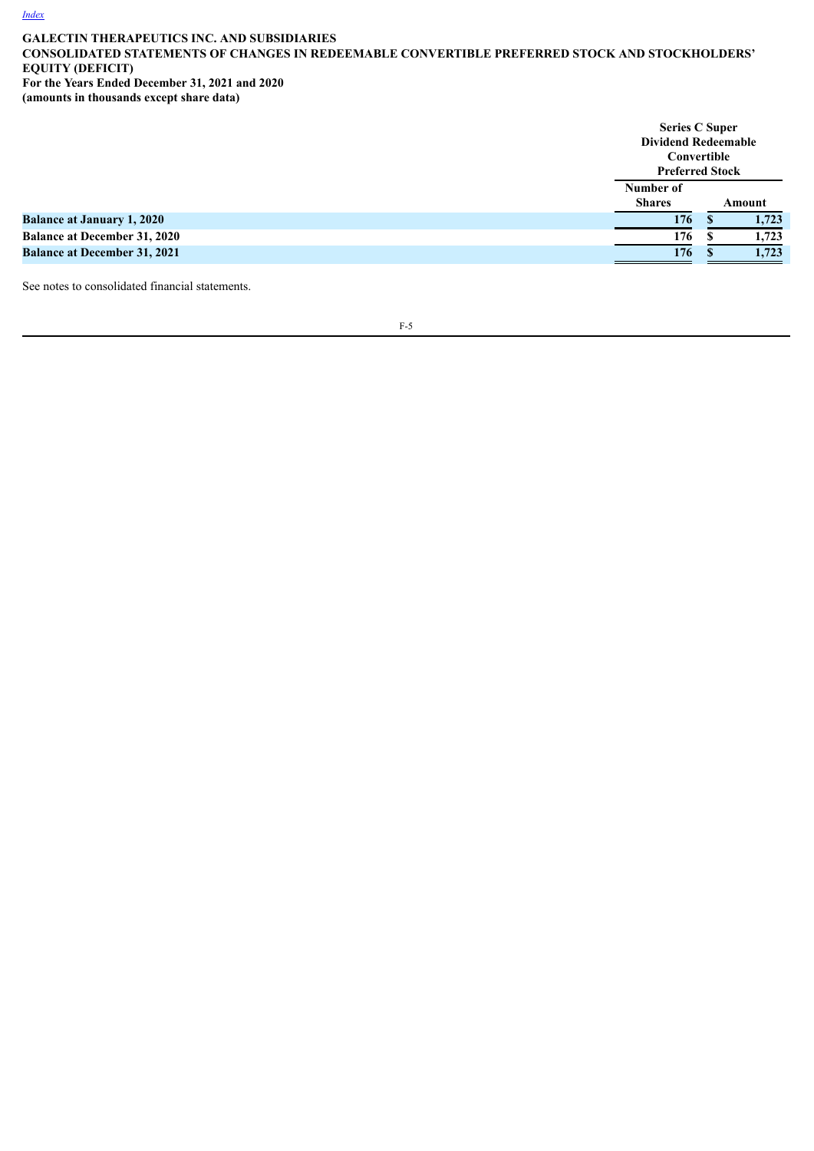**GALECTIN THERAPEUTICS INC. AND SUBSIDIARIES CONSOLIDATED STATEMENTS OF CHANGES IN REDEEMABLE CONVERTIBLE PREFERRED STOCK AND STOCKHOLDERS' EQUITY (DEFICIT) For the Years Ended December 31, 2021 and 2020 (amounts in thousands except share data)**

|                                     | <b>Series C Super</b><br><b>Dividend Redeemable</b><br>Convertible<br><b>Preferred Stock</b> |  |        |
|-------------------------------------|----------------------------------------------------------------------------------------------|--|--------|
|                                     | Number of<br><b>Shares</b>                                                                   |  | Amount |
| <b>Balance at January 1, 2020</b>   | 176                                                                                          |  | 1,723  |
| <b>Balance at December 31, 2020</b> | 176                                                                                          |  | 1,723  |
| <b>Balance at December 31, 2021</b> | 176                                                                                          |  | 1.723  |

See notes to consolidated financial statements.

*[Index](#page-2-0)*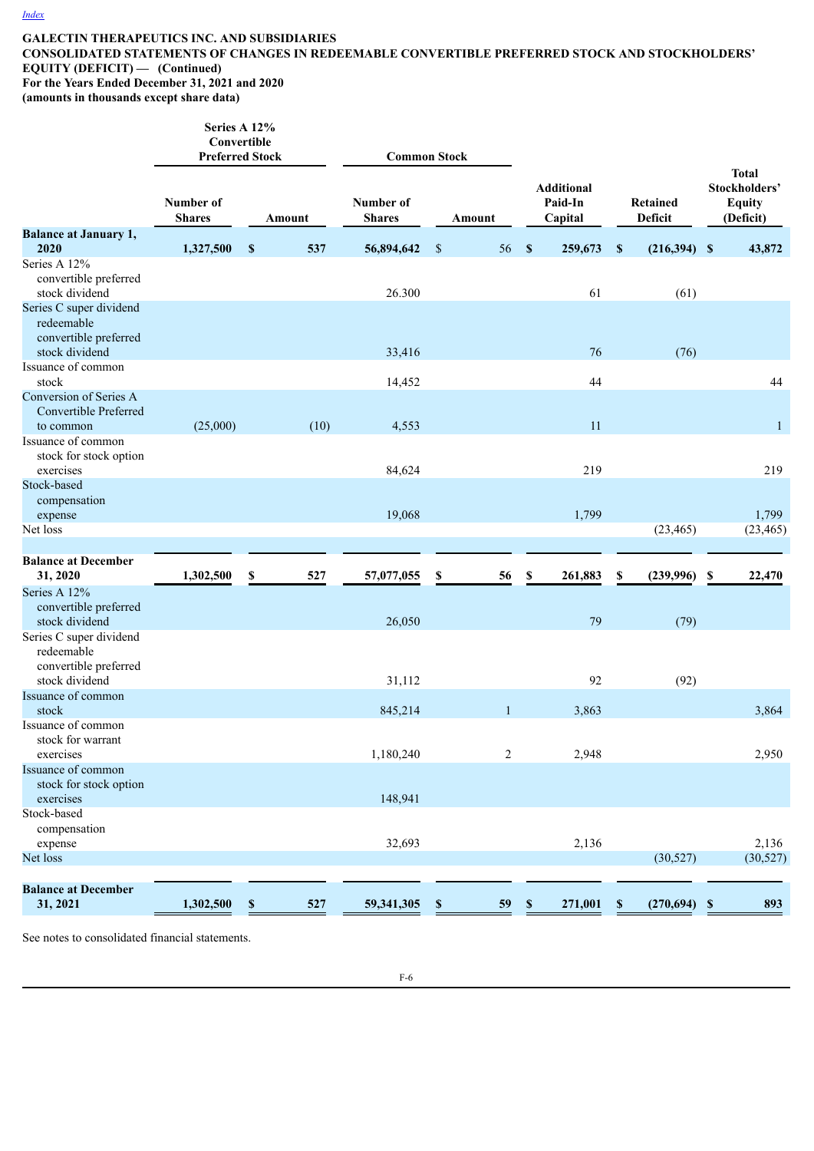## **GALECTIN THERAPEUTICS INC. AND SUBSIDIARIES**

**CONSOLIDATED STATEMENTS OF CHANGES IN REDEEMABLE CONVERTIBLE PREFERRED STOCK AND STOCKHOLDERS' EQUITY (DEFICIT) — (Continued) For the Years Ended December 31, 2021 and 2020**

**(amounts in thousands except share data)**

| <b>Additional</b><br>Number of<br>Number of<br>Paid-In<br><b>Retained</b><br><b>Shares</b><br>Capital<br>Deficit<br>Amount<br><b>Shares</b><br>Amount<br><b>Balance at January 1,</b><br>2020<br>1,327,500<br>537<br>56<br>259,673<br>$(216,394)$ \$<br>$\mathbf{\$}$<br>56,894,642<br>$\mathcal{S}$<br>$\mathbf{\$}$<br>$\mathbf{s}$<br>Series A 12%<br>convertible preferred<br>stock dividend<br>26.300<br>61<br>(61)<br>Series C super dividend<br>redeemable<br>convertible preferred<br>stock dividend<br>33,416<br>76<br>(76)<br>Issuance of common<br>stock<br>44<br>14,452<br>Conversion of Series A<br>Convertible Preferred<br>(25,000)<br>(10)<br>4,553<br>11<br>to common<br>Issuance of common<br>stock for stock option<br>219<br>exercises<br>84,624<br>Stock-based<br>compensation<br>19,068<br>1,799<br>expense<br>(23, 465)<br>Net loss<br><b>Balance at December</b><br>31, 2020<br>1,302,500<br>527<br>56<br>261,883<br>(239,996)<br>\$<br>57,077,055<br>\$<br>\$<br>\$<br>$\mathbf s$<br>Series A 12%<br>convertible preferred<br>stock dividend<br>26,050<br>79<br>(79)<br>Series C super dividend<br>redeemable<br>convertible preferred<br>stock dividend<br>92<br>(92)<br>31,112<br>Issuance of common<br>$\mathbf{1}$<br>stock<br>845,214<br>3,863 | <b>Total</b><br>Stockholders'<br><b>Equity</b><br>(Deficit)<br>43,872<br>44<br>$\mathbf{1}$<br>219 |
|-------------------------------------------------------------------------------------------------------------------------------------------------------------------------------------------------------------------------------------------------------------------------------------------------------------------------------------------------------------------------------------------------------------------------------------------------------------------------------------------------------------------------------------------------------------------------------------------------------------------------------------------------------------------------------------------------------------------------------------------------------------------------------------------------------------------------------------------------------------------------------------------------------------------------------------------------------------------------------------------------------------------------------------------------------------------------------------------------------------------------------------------------------------------------------------------------------------------------------------------------------------------------------|----------------------------------------------------------------------------------------------------|
|                                                                                                                                                                                                                                                                                                                                                                                                                                                                                                                                                                                                                                                                                                                                                                                                                                                                                                                                                                                                                                                                                                                                                                                                                                                                               |                                                                                                    |
|                                                                                                                                                                                                                                                                                                                                                                                                                                                                                                                                                                                                                                                                                                                                                                                                                                                                                                                                                                                                                                                                                                                                                                                                                                                                               |                                                                                                    |
|                                                                                                                                                                                                                                                                                                                                                                                                                                                                                                                                                                                                                                                                                                                                                                                                                                                                                                                                                                                                                                                                                                                                                                                                                                                                               |                                                                                                    |
|                                                                                                                                                                                                                                                                                                                                                                                                                                                                                                                                                                                                                                                                                                                                                                                                                                                                                                                                                                                                                                                                                                                                                                                                                                                                               |                                                                                                    |
|                                                                                                                                                                                                                                                                                                                                                                                                                                                                                                                                                                                                                                                                                                                                                                                                                                                                                                                                                                                                                                                                                                                                                                                                                                                                               |                                                                                                    |
|                                                                                                                                                                                                                                                                                                                                                                                                                                                                                                                                                                                                                                                                                                                                                                                                                                                                                                                                                                                                                                                                                                                                                                                                                                                                               |                                                                                                    |
|                                                                                                                                                                                                                                                                                                                                                                                                                                                                                                                                                                                                                                                                                                                                                                                                                                                                                                                                                                                                                                                                                                                                                                                                                                                                               |                                                                                                    |
|                                                                                                                                                                                                                                                                                                                                                                                                                                                                                                                                                                                                                                                                                                                                                                                                                                                                                                                                                                                                                                                                                                                                                                                                                                                                               |                                                                                                    |
|                                                                                                                                                                                                                                                                                                                                                                                                                                                                                                                                                                                                                                                                                                                                                                                                                                                                                                                                                                                                                                                                                                                                                                                                                                                                               | 1,799                                                                                              |
|                                                                                                                                                                                                                                                                                                                                                                                                                                                                                                                                                                                                                                                                                                                                                                                                                                                                                                                                                                                                                                                                                                                                                                                                                                                                               | (23, 465)                                                                                          |
|                                                                                                                                                                                                                                                                                                                                                                                                                                                                                                                                                                                                                                                                                                                                                                                                                                                                                                                                                                                                                                                                                                                                                                                                                                                                               |                                                                                                    |
|                                                                                                                                                                                                                                                                                                                                                                                                                                                                                                                                                                                                                                                                                                                                                                                                                                                                                                                                                                                                                                                                                                                                                                                                                                                                               | 22,470                                                                                             |
|                                                                                                                                                                                                                                                                                                                                                                                                                                                                                                                                                                                                                                                                                                                                                                                                                                                                                                                                                                                                                                                                                                                                                                                                                                                                               |                                                                                                    |
|                                                                                                                                                                                                                                                                                                                                                                                                                                                                                                                                                                                                                                                                                                                                                                                                                                                                                                                                                                                                                                                                                                                                                                                                                                                                               |                                                                                                    |
|                                                                                                                                                                                                                                                                                                                                                                                                                                                                                                                                                                                                                                                                                                                                                                                                                                                                                                                                                                                                                                                                                                                                                                                                                                                                               |                                                                                                    |
|                                                                                                                                                                                                                                                                                                                                                                                                                                                                                                                                                                                                                                                                                                                                                                                                                                                                                                                                                                                                                                                                                                                                                                                                                                                                               | 3,864                                                                                              |
| Issuance of common<br>stock for warrant<br>exercises<br>1,180,240<br>2<br>2,948                                                                                                                                                                                                                                                                                                                                                                                                                                                                                                                                                                                                                                                                                                                                                                                                                                                                                                                                                                                                                                                                                                                                                                                               | 2,950                                                                                              |
| Issuance of common<br>stock for stock option                                                                                                                                                                                                                                                                                                                                                                                                                                                                                                                                                                                                                                                                                                                                                                                                                                                                                                                                                                                                                                                                                                                                                                                                                                  |                                                                                                    |
| exercises<br>148,941<br>Stock-based<br>compensation                                                                                                                                                                                                                                                                                                                                                                                                                                                                                                                                                                                                                                                                                                                                                                                                                                                                                                                                                                                                                                                                                                                                                                                                                           |                                                                                                    |
| 2,136<br>32,693<br>expense                                                                                                                                                                                                                                                                                                                                                                                                                                                                                                                                                                                                                                                                                                                                                                                                                                                                                                                                                                                                                                                                                                                                                                                                                                                    |                                                                                                    |
| Net loss<br>(30, 527)                                                                                                                                                                                                                                                                                                                                                                                                                                                                                                                                                                                                                                                                                                                                                                                                                                                                                                                                                                                                                                                                                                                                                                                                                                                         | 2,136                                                                                              |
| <b>Balance at December</b><br>31, 2021<br>1,302,500<br>527<br>59,341,305<br>59<br>\$<br>271,001<br>$(270, 694)$ \$<br>\$<br>\$<br>\$                                                                                                                                                                                                                                                                                                                                                                                                                                                                                                                                                                                                                                                                                                                                                                                                                                                                                                                                                                                                                                                                                                                                          | (30, 527)                                                                                          |

See notes to consolidated financial statements.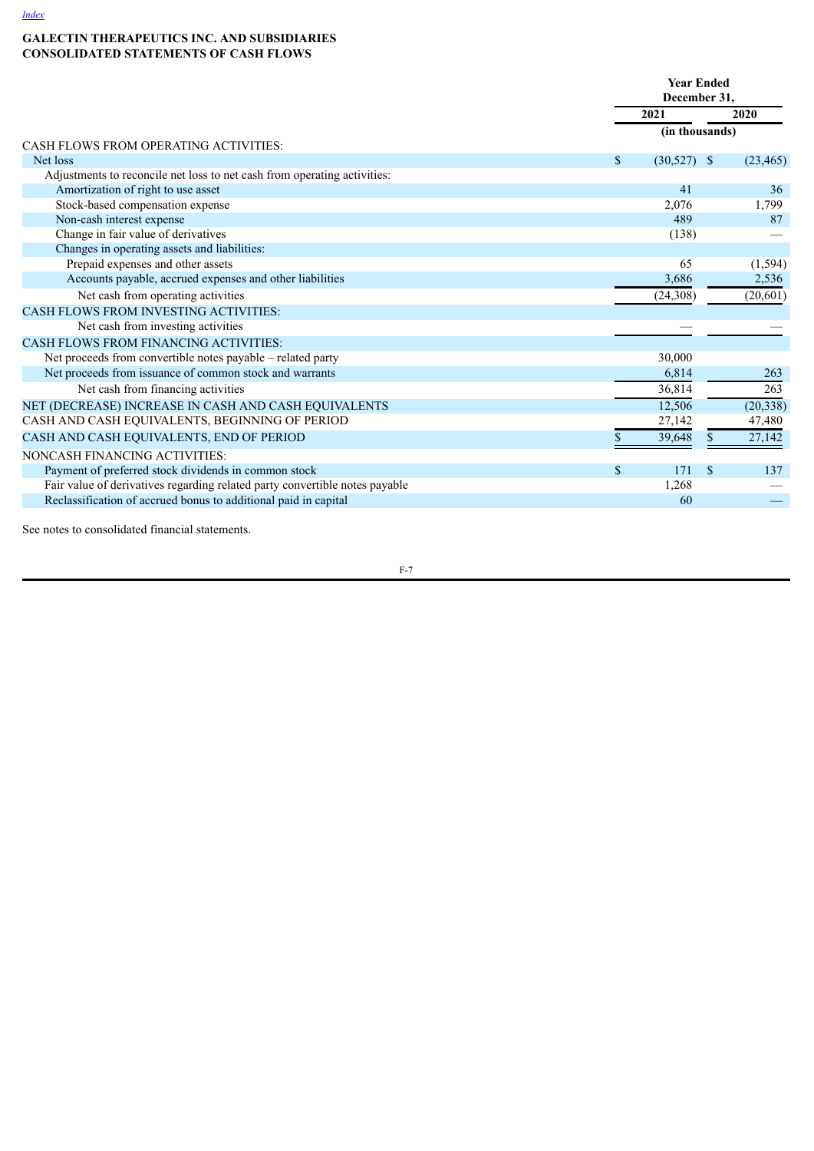## **GALECTIN THERAPEUTICS INC. AND SUBSIDIARIES CONSOLIDATED STATEMENTS OF CASH FLOWS**

*[Index](#page-2-0)*

|                                                                             | <b>Year Ended</b><br>December 31, |              |           |  |
|-----------------------------------------------------------------------------|-----------------------------------|--------------|-----------|--|
|                                                                             | 2021                              |              | 2020      |  |
|                                                                             | (in thousands)                    |              |           |  |
| <b>CASH FLOWS FROM OPERATING ACTIVITIES:</b>                                |                                   |              |           |  |
| Net loss                                                                    | \$<br>$(30,527)$ \$               |              | (23, 465) |  |
| Adjustments to reconcile net loss to net cash from operating activities:    |                                   |              |           |  |
| Amortization of right to use asset                                          | 41                                |              | 36        |  |
| Stock-based compensation expense                                            | 2,076                             |              | 1,799     |  |
| Non-cash interest expense                                                   | 489                               |              | 87        |  |
| Change in fair value of derivatives                                         | (138)                             |              |           |  |
| Changes in operating assets and liabilities:                                |                                   |              |           |  |
| Prepaid expenses and other assets                                           | 65                                |              | (1, 594)  |  |
| Accounts payable, accrued expenses and other liabilities                    | 3,686                             |              | 2,536     |  |
| Net cash from operating activities                                          | (24, 308)                         |              | (20, 601) |  |
| CASH FLOWS FROM INVESTING ACTIVITIES:                                       |                                   |              |           |  |
| Net cash from investing activities                                          |                                   |              |           |  |
| CASH FLOWS FROM FINANCING ACTIVITIES:                                       |                                   |              |           |  |
| Net proceeds from convertible notes payable - related party                 | 30,000                            |              |           |  |
| Net proceeds from issuance of common stock and warrants                     | 6,814                             |              | 263       |  |
| Net cash from financing activities                                          | 36,814                            |              | 263       |  |
| NET (DECREASE) INCREASE IN CASH AND CASH EQUIVALENTS                        | 12,506                            |              | (20, 338) |  |
| CASH AND CASH EQUIVALENTS, BEGINNING OF PERIOD                              | 27,142                            |              | 47,480    |  |
| CASH AND CASH EQUIVALENTS, END OF PERIOD                                    | 39,648                            | \$           | 27,142    |  |
| <b>NONCASH FINANCING ACTIVITIES:</b>                                        |                                   |              |           |  |
| Payment of preferred stock dividends in common stock                        | \$<br>171                         | <sup>S</sup> | 137       |  |
| Fair value of derivatives regarding related party convertible notes payable | 1,268                             |              |           |  |
| Reclassification of accrued bonus to additional paid in capital             | 60                                |              |           |  |

See notes to consolidated financial statements.

F-7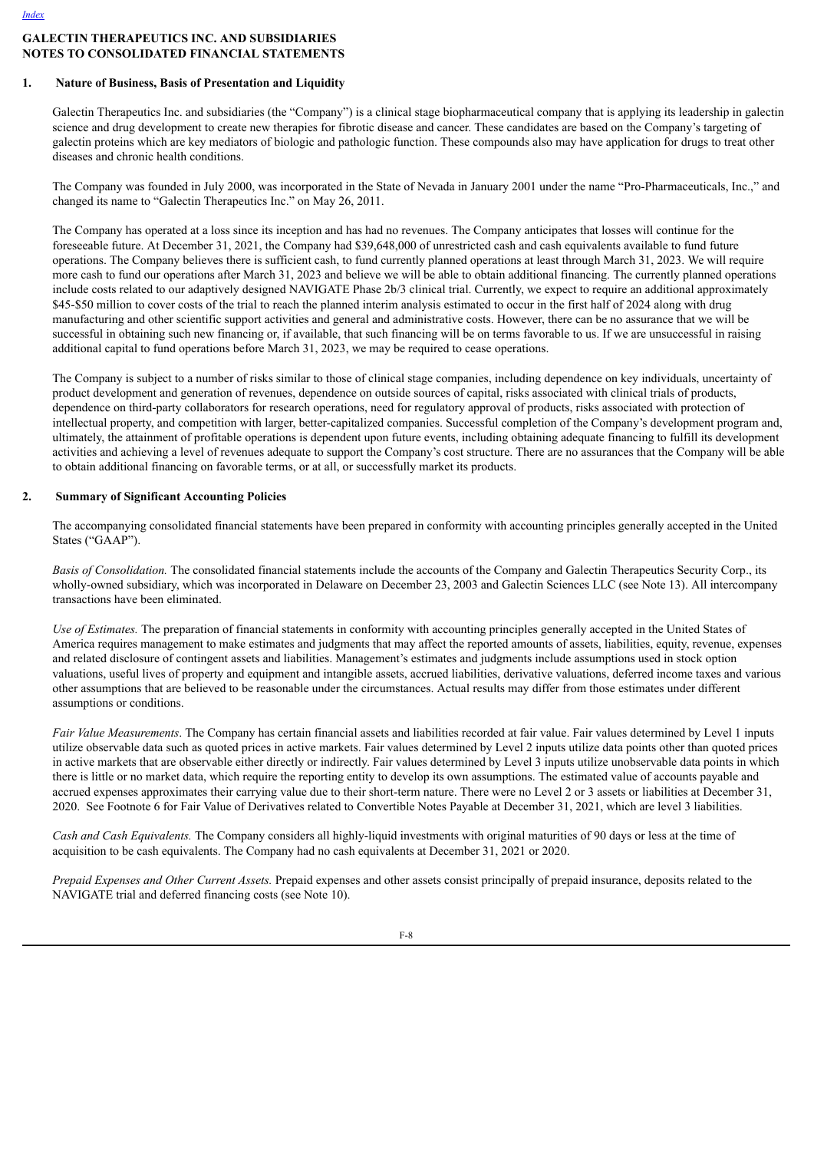### **GALECTIN THERAPEUTICS INC. AND SUBSIDIARIES NOTES TO CONSOLIDATED FINANCIAL STATEMENTS**

### **1. Nature of Business, Basis of Presentation and Liquidity**

Galectin Therapeutics Inc. and subsidiaries (the "Company") is a clinical stage biopharmaceutical company that is applying its leadership in galectin science and drug development to create new therapies for fibrotic disease and cancer. These candidates are based on the Company's targeting of galectin proteins which are key mediators of biologic and pathologic function. These compounds also may have application for drugs to treat other diseases and chronic health conditions.

The Company was founded in July 2000, was incorporated in the State of Nevada in January 2001 under the name "Pro-Pharmaceuticals, Inc.," and changed its name to "Galectin Therapeutics Inc." on May 26, 2011.

The Company has operated at a loss since its inception and has had no revenues. The Company anticipates that losses will continue for the foreseeable future. At December 31, 2021, the Company had \$39,648,000 of unrestricted cash and cash equivalents available to fund future operations. The Company believes there is sufficient cash, to fund currently planned operations at least through March 31, 2023. We will require more cash to fund our operations after March 31, 2023 and believe we will be able to obtain additional financing. The currently planned operations include costs related to our adaptively designed NAVIGATE Phase 2b/3 clinical trial. Currently, we expect to require an additional approximately \$45-\$50 million to cover costs of the trial to reach the planned interim analysis estimated to occur in the first half of 2024 along with drug manufacturing and other scientific support activities and general and administrative costs. However, there can be no assurance that we will be successful in obtaining such new financing or, if available, that such financing will be on terms favorable to us. If we are unsuccessful in raising additional capital to fund operations before March 31, 2023, we may be required to cease operations.

The Company is subject to a number of risks similar to those of clinical stage companies, including dependence on key individuals, uncertainty of product development and generation of revenues, dependence on outside sources of capital, risks associated with clinical trials of products, dependence on third-party collaborators for research operations, need for regulatory approval of products, risks associated with protection of intellectual property, and competition with larger, better-capitalized companies. Successful completion of the Company's development program and, ultimately, the attainment of profitable operations is dependent upon future events, including obtaining adequate financing to fulfill its development activities and achieving a level of revenues adequate to support the Company's cost structure. There are no assurances that the Company will be able to obtain additional financing on favorable terms, or at all, or successfully market its products.

## **2. Summary of Significant Accounting Policies**

The accompanying consolidated financial statements have been prepared in conformity with accounting principles generally accepted in the United States ("GAAP").

*Basis of Consolidation.* The consolidated financial statements include the accounts of the Company and Galectin Therapeutics Security Corp., its wholly-owned subsidiary, which was incorporated in Delaware on December 23, 2003 and Galectin Sciences LLC (see Note 13). All intercompany transactions have been eliminated.

*Use of Estimates.* The preparation of financial statements in conformity with accounting principles generally accepted in the United States of America requires management to make estimates and judgments that may affect the reported amounts of assets, liabilities, equity, revenue, expenses and related disclosure of contingent assets and liabilities. Management's estimates and judgments include assumptions used in stock option valuations, useful lives of property and equipment and intangible assets, accrued liabilities, derivative valuations, deferred income taxes and various other assumptions that are believed to be reasonable under the circumstances. Actual results may differ from those estimates under different assumptions or conditions.

*Fair Value Measurements*. The Company has certain financial assets and liabilities recorded at fair value. Fair values determined by Level 1 inputs utilize observable data such as quoted prices in active markets. Fair values determined by Level 2 inputs utilize data points other than quoted prices in active markets that are observable either directly or indirectly. Fair values determined by Level 3 inputs utilize unobservable data points in which there is little or no market data, which require the reporting entity to develop its own assumptions. The estimated value of accounts payable and accrued expenses approximates their carrying value due to their short-term nature. There were no Level 2 or 3 assets or liabilities at December 31, 2020. See Footnote 6 for Fair Value of Derivatives related to Convertible Notes Payable at December 31, 2021, which are level 3 liabilities.

*Cash and Cash Equivalents.* The Company considers all highly-liquid investments with original maturities of 90 days or less at the time of acquisition to be cash equivalents. The Company had no cash equivalents at December 31, 2021 or 2020.

*Prepaid Expenses and Other Current Assets.* Prepaid expenses and other assets consist principally of prepaid insurance, deposits related to the NAVIGATE trial and deferred financing costs (see Note 10).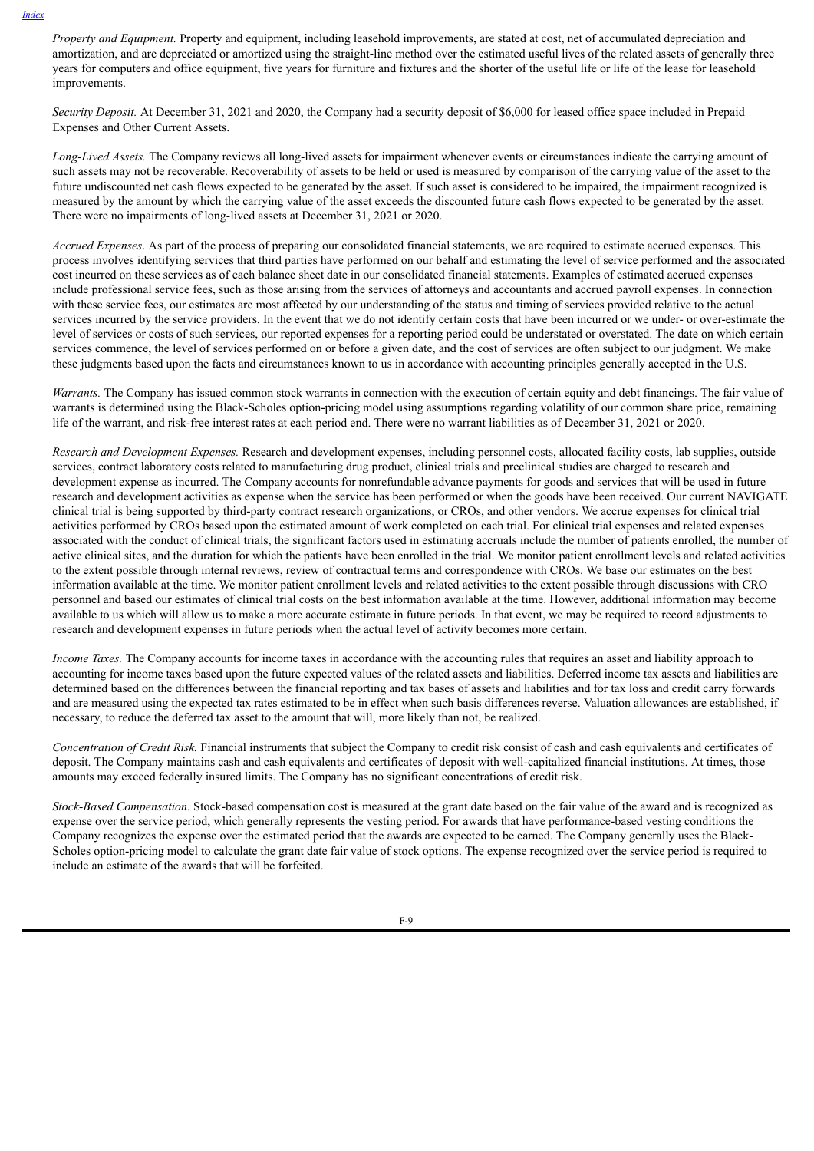*Property and Equipment.* Property and equipment, including leasehold improvements, are stated at cost, net of accumulated depreciation and amortization, and are depreciated or amortized using the straight-line method over the estimated useful lives of the related assets of generally three years for computers and office equipment, five years for furniture and fixtures and the shorter of the useful life or life of the lease for leasehold improvements.

*Security Deposit.* At December 31, 2021 and 2020, the Company had a security deposit of \$6,000 for leased office space included in Prepaid Expenses and Other Current Assets.

*Long-Lived Assets.* The Company reviews all long-lived assets for impairment whenever events or circumstances indicate the carrying amount of such assets may not be recoverable. Recoverability of assets to be held or used is measured by comparison of the carrying value of the asset to the future undiscounted net cash flows expected to be generated by the asset. If such asset is considered to be impaired, the impairment recognized is measured by the amount by which the carrying value of the asset exceeds the discounted future cash flows expected to be generated by the asset. There were no impairments of long-lived assets at December 31, 2021 or 2020.

*Accrued Expenses*. As part of the process of preparing our consolidated financial statements, we are required to estimate accrued expenses. This process involves identifying services that third parties have performed on our behalf and estimating the level of service performed and the associated cost incurred on these services as of each balance sheet date in our consolidated financial statements. Examples of estimated accrued expenses include professional service fees, such as those arising from the services of attorneys and accountants and accrued payroll expenses. In connection with these service fees, our estimates are most affected by our understanding of the status and timing of services provided relative to the actual services incurred by the service providers. In the event that we do not identify certain costs that have been incurred or we under- or over-estimate the level of services or costs of such services, our reported expenses for a reporting period could be understated or overstated. The date on which certain services commence, the level of services performed on or before a given date, and the cost of services are often subject to our judgment. We make these judgments based upon the facts and circumstances known to us in accordance with accounting principles generally accepted in the U.S.

*Warrants.* The Company has issued common stock warrants in connection with the execution of certain equity and debt financings. The fair value of warrants is determined using the Black-Scholes option-pricing model using assumptions regarding volatility of our common share price, remaining life of the warrant, and risk-free interest rates at each period end. There were no warrant liabilities as of December 31, 2021 or 2020.

*Research and Development Expenses.* Research and development expenses, including personnel costs, allocated facility costs, lab supplies, outside services, contract laboratory costs related to manufacturing drug product, clinical trials and preclinical studies are charged to research and development expense as incurred. The Company accounts for nonrefundable advance payments for goods and services that will be used in future research and development activities as expense when the service has been performed or when the goods have been received. Our current NAVIGATE clinical trial is being supported by third-party contract research organizations, or CROs, and other vendors. We accrue expenses for clinical trial activities performed by CROs based upon the estimated amount of work completed on each trial. For clinical trial expenses and related expenses associated with the conduct of clinical trials, the significant factors used in estimating accruals include the number of patients enrolled, the number of active clinical sites, and the duration for which the patients have been enrolled in the trial. We monitor patient enrollment levels and related activities to the extent possible through internal reviews, review of contractual terms and correspondence with CROs. We base our estimates on the best information available at the time. We monitor patient enrollment levels and related activities to the extent possible through discussions with CRO personnel and based our estimates of clinical trial costs on the best information available at the time. However, additional information may become available to us which will allow us to make a more accurate estimate in future periods. In that event, we may be required to record adjustments to research and development expenses in future periods when the actual level of activity becomes more certain.

*Income Taxes*. The Company accounts for income taxes in accordance with the accounting rules that requires an asset and liability approach to accounting for income taxes based upon the future expected values of the related assets and liabilities. Deferred income tax assets and liabilities are determined based on the differences between the financial reporting and tax bases of assets and liabilities and for tax loss and credit carry forwards and are measured using the expected tax rates estimated to be in effect when such basis differences reverse. Valuation allowances are established, if necessary, to reduce the deferred tax asset to the amount that will, more likely than not, be realized.

*Concentration of Credit Risk.* Financial instruments that subject the Company to credit risk consist of cash and cash equivalents and certificates of deposit. The Company maintains cash and cash equivalents and certificates of deposit with well-capitalized financial institutions. At times, those amounts may exceed federally insured limits. The Company has no significant concentrations of credit risk.

*Stock-Based Compensation.* Stock-based compensation cost is measured at the grant date based on the fair value of the award and is recognized as expense over the service period, which generally represents the vesting period. For awards that have performance-based vesting conditions the Company recognizes the expense over the estimated period that the awards are expected to be earned. The Company generally uses the Black-Scholes option-pricing model to calculate the grant date fair value of stock options. The expense recognized over the service period is required to include an estimate of the awards that will be forfeited.

F-9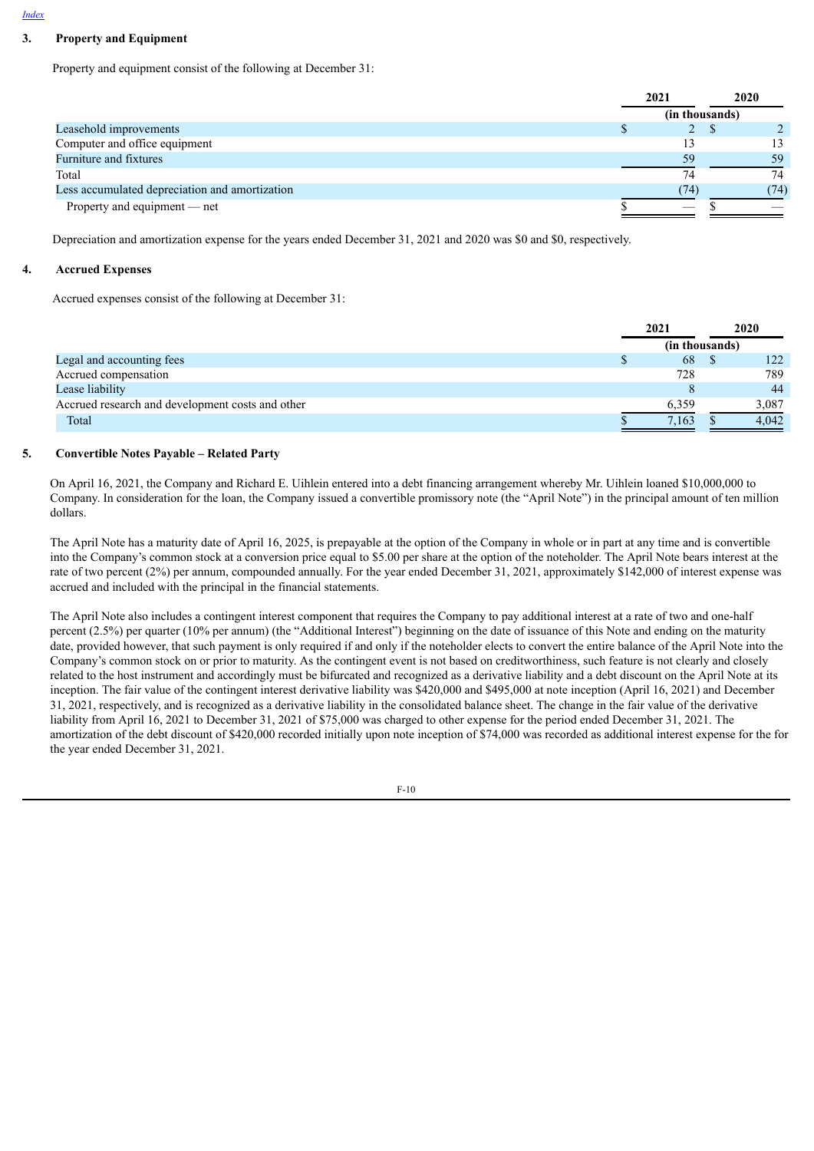### **3. Property and Equipment**

Property and equipment consist of the following at December 31:

|                                                | 2021           | 2020 |
|------------------------------------------------|----------------|------|
|                                                | (in thousands) |      |
| Leasehold improvements                         |                |      |
| Computer and office equipment                  |                |      |
| Furniture and fixtures                         | 59             | 59   |
| Total                                          | 74             | 74   |
| Less accumulated depreciation and amortization | (74)           | (74) |
| Property and equipment — net                   |                |      |

Depreciation and amortization expense for the years ended December 31, 2021 and 2020 was \$0 and \$0, respectively.

### **4. Accrued Expenses**

Accrued expenses consist of the following at December 31:

|                                                  | 2021           | 2020  |
|--------------------------------------------------|----------------|-------|
|                                                  | (in thousands) |       |
| Legal and accounting fees                        | 68             | 122   |
| Accrued compensation                             | 728            | 789   |
| Lease liability                                  |                | 44    |
| Accrued research and development costs and other | 6,359          | 3,087 |
| Total                                            | 7.163          | 4.042 |

## **5. Convertible Notes Payable – Related Party**

On April 16, 2021, the Company and Richard E. Uihlein entered into a debt financing arrangement whereby Mr. Uihlein loaned \$10,000,000 to Company. In consideration for the loan, the Company issued a convertible promissory note (the "April Note") in the principal amount of ten million dollars.

The April Note has a maturity date of April 16, 2025, is prepayable at the option of the Company in whole or in part at any time and is convertible into the Company's common stock at a conversion price equal to \$5.00 per share at the option of the noteholder. The April Note bears interest at the rate of two percent (2%) per annum, compounded annually. For the year ended December 31, 2021, approximately \$142,000 of interest expense was accrued and included with the principal in the financial statements.

The April Note also includes a contingent interest component that requires the Company to pay additional interest at a rate of two and one-half percent (2.5%) per quarter (10% per annum) (the "Additional Interest") beginning on the date of issuance of this Note and ending on the maturity date, provided however, that such payment is only required if and only if the noteholder elects to convert the entire balance of the April Note into the Company's common stock on or prior to maturity. As the contingent event is not based on creditworthiness, such feature is not clearly and closely related to the host instrument and accordingly must be bifurcated and recognized as a derivative liability and a debt discount on the April Note at its inception. The fair value of the contingent interest derivative liability was \$420,000 and \$495,000 at note inception (April 16, 2021) and December 31, 2021, respectively, and is recognized as a derivative liability in the consolidated balance sheet. The change in the fair value of the derivative liability from April 16, 2021 to December 31, 2021 of \$75,000 was charged to other expense for the period ended December 31, 2021. The amortization of the debt discount of \$420,000 recorded initially upon note inception of \$74,000 was recorded as additional interest expense for the for the year ended December 31, 2021.

F-10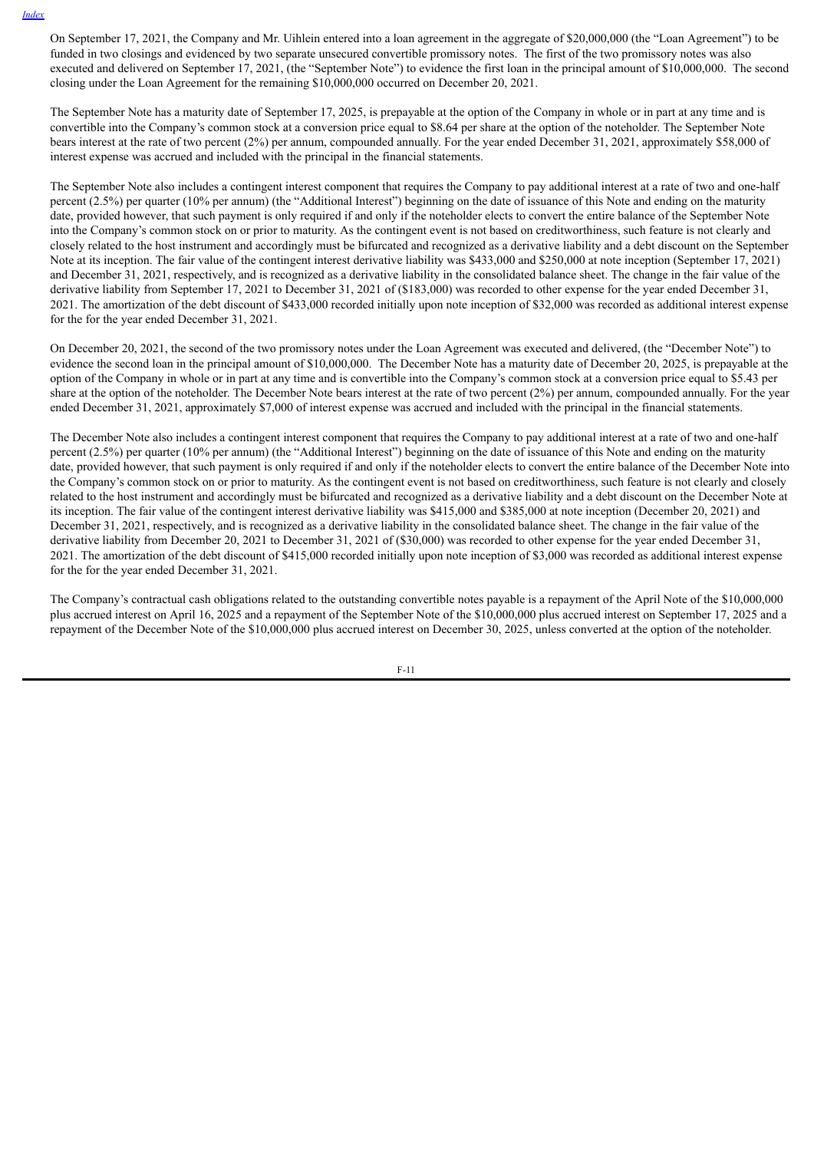On September 17, 2021, the Company and Mr. Uihlein entered into a loan agreement in the aggregate of \$20,000,000 (the "Loan Agreement") to be funded in two closings and evidenced by two separate unsecured convertible promissory notes. The first of the two promissory notes was also executed and delivered on September 17, 2021, (the "September Note") to evidence the first loan in the principal amount of \$10,000,000. The second closing under the Loan Agreement for the remaining \$10,000,000 occurred on December 20, 2021.

The September Note has a maturity date of September 17, 2025, is prepayable at the option of the Company in whole or in part at any time and is convertible into the Company's common stock at a conversion price equal to \$8.64 per share at the option of the noteholder. The September Note bears interest at the rate of two percent (2%) per annum, compounded annually. For the year ended December 31, 2021, approximately \$58,000 of interest expense was accrued and included with the principal in the financial statements.

The September Note also includes a contingent interest component that requires the Company to pay additional interest at a rate of two and one-half percent (2.5%) per quarter (10% per annum) (the "Additional Interest") beginning on the date of issuance of this Note and ending on the maturity date, provided however, that such payment is only required if and only if the noteholder elects to convert the entire balance of the September Note into the Company's common stock on or prior to maturity. As the contingent event is not based on creditworthiness, such feature is not clearly and closely related to the host instrument and accordingly must be bifurcated and recognized as a derivative liability and a debt discount on the September Note at its inception. The fair value of the contingent interest derivative liability was \$433,000 and \$250,000 at note inception (September 17, 2021) and December 31, 2021, respectively, and is recognized as a derivative liability in the consolidated balance sheet. The change in the fair value of the derivative liability from September 17, 2021 to December 31, 2021 of (\$183,000) was recorded to other expense for the year ended December 31, 2021. The amortization of the debt discount of \$433,000 recorded initially upon note inception of \$32,000 was recorded as additional interest expense for the for the year ended December 31, 2021.

On December 20, 2021, the second of the two promissory notes under the Loan Agreement was executed and delivered, (the "December Note") to evidence the second loan in the principal amount of \$10,000,000. The December Note has a maturity date of December 20, 2025, is prepayable at the option of the Company in whole or in part at any time and is convertible into the Company's common stock at a conversion price equal to \$5.43 per share at the option of the noteholder. The December Note bears interest at the rate of two percent (2%) per annum, compounded annually. For the year ended December 31, 2021, approximately \$7,000 of interest expense was accrued and included with the principal in the financial statements.

The December Note also includes a contingent interest component that requires the Company to pay additional interest at a rate of two and one-half percent (2.5%) per quarter (10% per annum) (the "Additional Interest") beginning on the date of issuance of this Note and ending on the maturity date, provided however, that such payment is only required if and only if the noteholder elects to convert the entire balance of the December Note into the Company's common stock on or prior to maturity. As the contingent event is not based on creditworthiness, such feature is not clearly and closely related to the host instrument and accordingly must be bifurcated and recognized as a derivative liability and a debt discount on the December Note at its inception. The fair value of the contingent interest derivative liability was \$415,000 and \$385,000 at note inception (December 20, 2021) and December 31, 2021, respectively, and is recognized as a derivative liability in the consolidated balance sheet. The change in the fair value of the derivative liability from December 20, 2021 to December 31, 2021 of (\$30,000) was recorded to other expense for the year ended December 31, 2021. The amortization of the debt discount of \$415,000 recorded initially upon note inception of \$3,000 was recorded as additional interest expense for the for the year ended December 31, 2021.

The Company's contractual cash obligations related to the outstanding convertible notes payable is a repayment of the April Note of the \$10,000,000 plus accrued interest on April 16, 2025 and a repayment of the September Note of the \$10,000,000 plus accrued interest on September 17, 2025 and a repayment of the December Note of the \$10,000,000 plus accrued interest on December 30, 2025, unless converted at the option of the noteholder.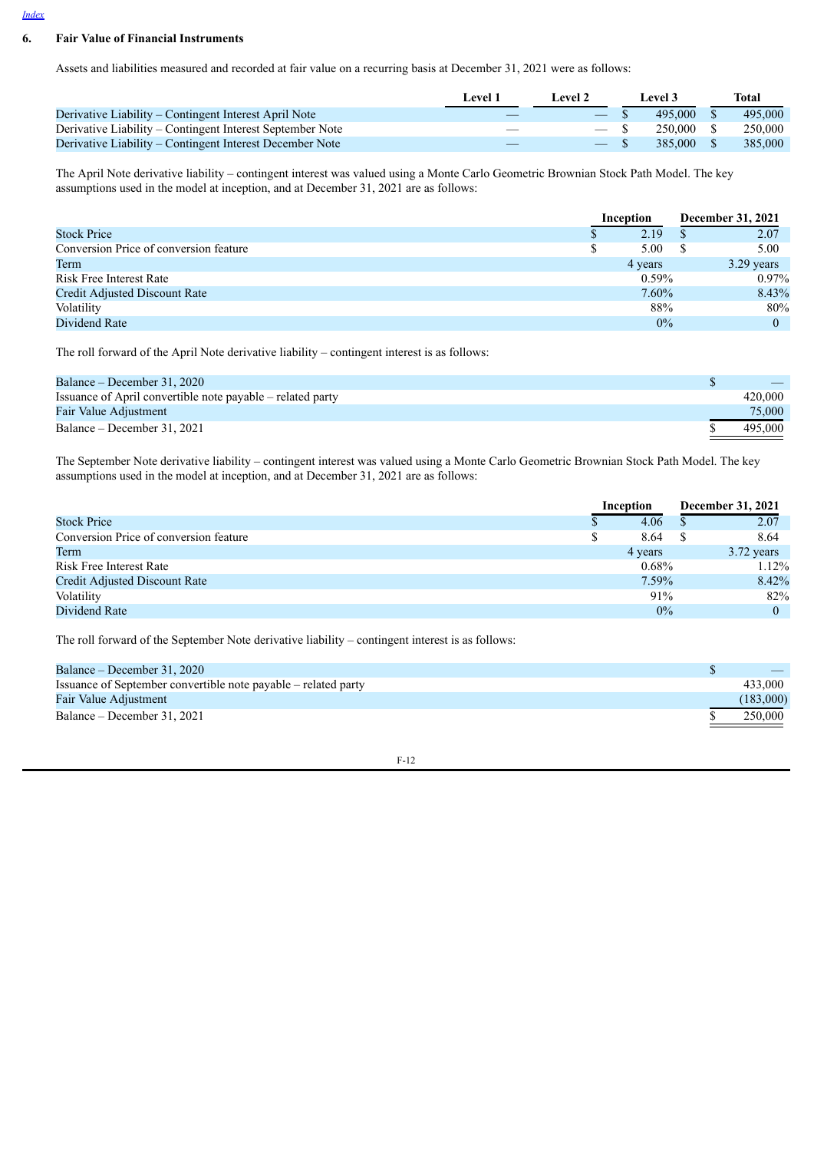# **6. Fair Value of Financial Instruments**

Assets and liabilities measured and recorded at fair value on a recurring basis at December 31, 2021 were as follows:

|                                                           | Level 1 | Level 2 |  | Level 3   |  | Total   |
|-----------------------------------------------------------|---------|---------|--|-----------|--|---------|
| Derivative Liability – Contingent Interest April Note     |         |         |  | 495 000   |  | 495.000 |
| Derivative Liability – Contingent Interest September Note |         | $-$ S   |  | 250.000 2 |  | 250.000 |
| Derivative Liability – Contingent Interest December Note  |         | $ s$    |  | 385.000   |  | 385,000 |

The April Note derivative liability – contingent interest was valued using a Monte Carlo Geometric Brownian Stock Path Model. The key assumptions used in the model at inception, and at December 31, 2021 are as follows:

|                                        | December 31, 2021<br>Inception |  |              |
|----------------------------------------|--------------------------------|--|--------------|
| <b>Stock Price</b>                     | 2.19                           |  | 2.07         |
| Conversion Price of conversion feature | 5.00                           |  | 5.00         |
| Term                                   | 4 years                        |  | $3.29$ years |
| Risk Free Interest Rate                | $0.59\%$                       |  | $0.97\%$     |
| Credit Adjusted Discount Rate          | 7.60%                          |  | 8.43%        |
| Volatility                             | 88%                            |  | 80%          |
| Dividend Rate                          | $0\%$                          |  |              |

The roll forward of the April Note derivative liability – contingent interest is as follows:

| Balance – December 31, 2020                                | $\overline{\phantom{a}}$ |
|------------------------------------------------------------|--------------------------|
| Issuance of April convertible note payable – related party | 420,000                  |
| Fair Value Adjustment                                      | 75,000                   |
| Balance – December 31, 2021                                | 495,000                  |

The September Note derivative liability – contingent interest was valued using a Monte Carlo Geometric Brownian Stock Path Model. The key assumptions used in the model at inception, and at December 31, 2021 are as follows:

|                                        | Inception |         |  | December 31, 2021 |
|----------------------------------------|-----------|---------|--|-------------------|
| <b>Stock Price</b>                     |           | 4.06    |  | 2.07              |
| Conversion Price of conversion feature |           | 8.64    |  | 8.64              |
| Term                                   |           | 4 years |  | 3.72 years        |
| Risk Free Interest Rate                |           | 0.68%   |  | $1.12\%$          |
| Credit Adjusted Discount Rate          |           | 7.59%   |  | 8.42%             |
| Volatility                             |           | 91%     |  | 82%               |
| Dividend Rate                          |           | $0\%$   |  |                   |

The roll forward of the September Note derivative liability – contingent interest is as follows:

| Balance – December 31, 2020                                    | $\overline{\phantom{a}}$ |
|----------------------------------------------------------------|--------------------------|
| Issuance of September convertible note payable – related party | 433,000                  |
| Fair Value Adjustment                                          | (183,000)                |
| Balance – December 31, 2021                                    | 250,000                  |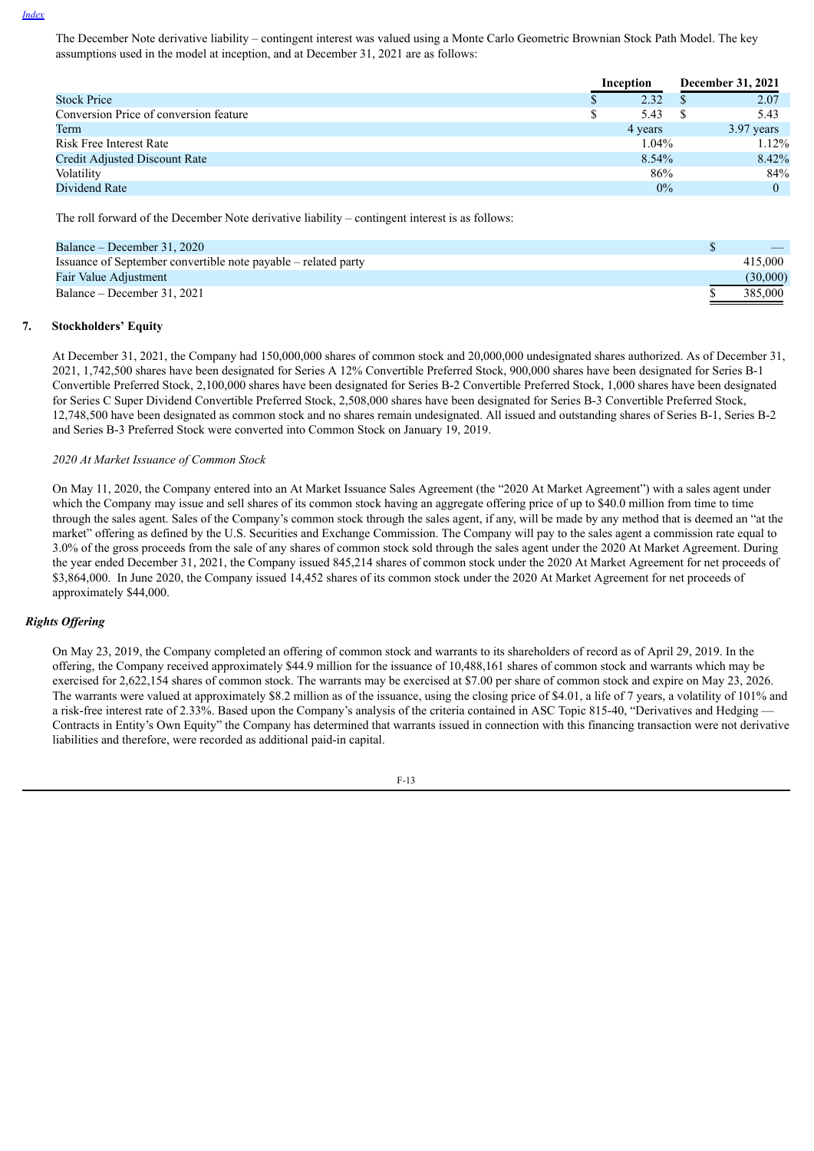The December Note derivative liability – contingent interest was valued using a Monte Carlo Geometric Brownian Stock Path Model. The key assumptions used in the model at inception, and at December 31, 2021 are as follows:

|         |                 | December 31, 2021        |
|---------|-----------------|--------------------------|
| 2.32    |                 | 2.07                     |
| 5.43    |                 | 5.43                     |
| 4 years |                 | 3.97 years               |
|         |                 | 1.12%                    |
|         |                 | 8.42%                    |
|         |                 | 84%                      |
|         |                 |                          |
|         | Inception<br>0% | $1.04\%$<br>8.54%<br>86% |

The roll forward of the December Note derivative liability – contingent interest is as follows:

| Balance – December 31, 2020                                    |          |
|----------------------------------------------------------------|----------|
| Issuance of September convertible note payable – related party | 415,000  |
| Fair Value Adjustment                                          | (30,000) |
| Balance – December 31, 2021                                    | 385.000  |

### **7. Stockholders' Equity**

At December 31, 2021, the Company had 150,000,000 shares of common stock and 20,000,000 undesignated shares authorized. As of December 31, 2021, 1,742,500 shares have been designated for Series A 12% Convertible Preferred Stock, 900,000 shares have been designated for Series B-1 Convertible Preferred Stock, 2,100,000 shares have been designated for Series B-2 Convertible Preferred Stock, 1,000 shares have been designated for Series C Super Dividend Convertible Preferred Stock, 2,508,000 shares have been designated for Series B-3 Convertible Preferred Stock, 12,748,500 have been designated as common stock and no shares remain undesignated. All issued and outstanding shares of Series B-1, Series B-2 and Series B-3 Preferred Stock were converted into Common Stock on January 19, 2019.

#### *2020 At Market Issuance of Common Stock*

On May 11, 2020, the Company entered into an At Market Issuance Sales Agreement (the "2020 At Market Agreement") with a sales agent under which the Company may issue and sell shares of its common stock having an aggregate offering price of up to \$40.0 million from time to time through the sales agent. Sales of the Company's common stock through the sales agent, if any, will be made by any method that is deemed an "at the market" offering as defined by the U.S. Securities and Exchange Commission. The Company will pay to the sales agent a commission rate equal to 3.0% of the gross proceeds from the sale of any shares of common stock sold through the sales agent under the 2020 At Market Agreement. During the year ended December 31, 2021, the Company issued 845,214 shares of common stock under the 2020 At Market Agreement for net proceeds of \$3,864,000. In June 2020, the Company issued 14,452 shares of its common stock under the 2020 At Market Agreement for net proceeds of approximately \$44,000.

#### *Rights Of ering*

On May 23, 2019, the Company completed an offering of common stock and warrants to its shareholders of record as of April 29, 2019. In the offering, the Company received approximately \$44.9 million for the issuance of 10,488,161 shares of common stock and warrants which may be exercised for 2,622,154 shares of common stock. The warrants may be exercised at \$7.00 per share of common stock and expire on May 23, 2026. The warrants were valued at approximately \$8.2 million as of the issuance, using the closing price of \$4.01, a life of 7 years, a volatility of 101% and a risk-free interest rate of 2.33%. Based upon the Company's analysis of the criteria contained in ASC Topic 815-40, "Derivatives and Hedging — Contracts in Entity's Own Equity" the Company has determined that warrants issued in connection with this financing transaction were not derivative liabilities and therefore, were recorded as additional paid-in capital.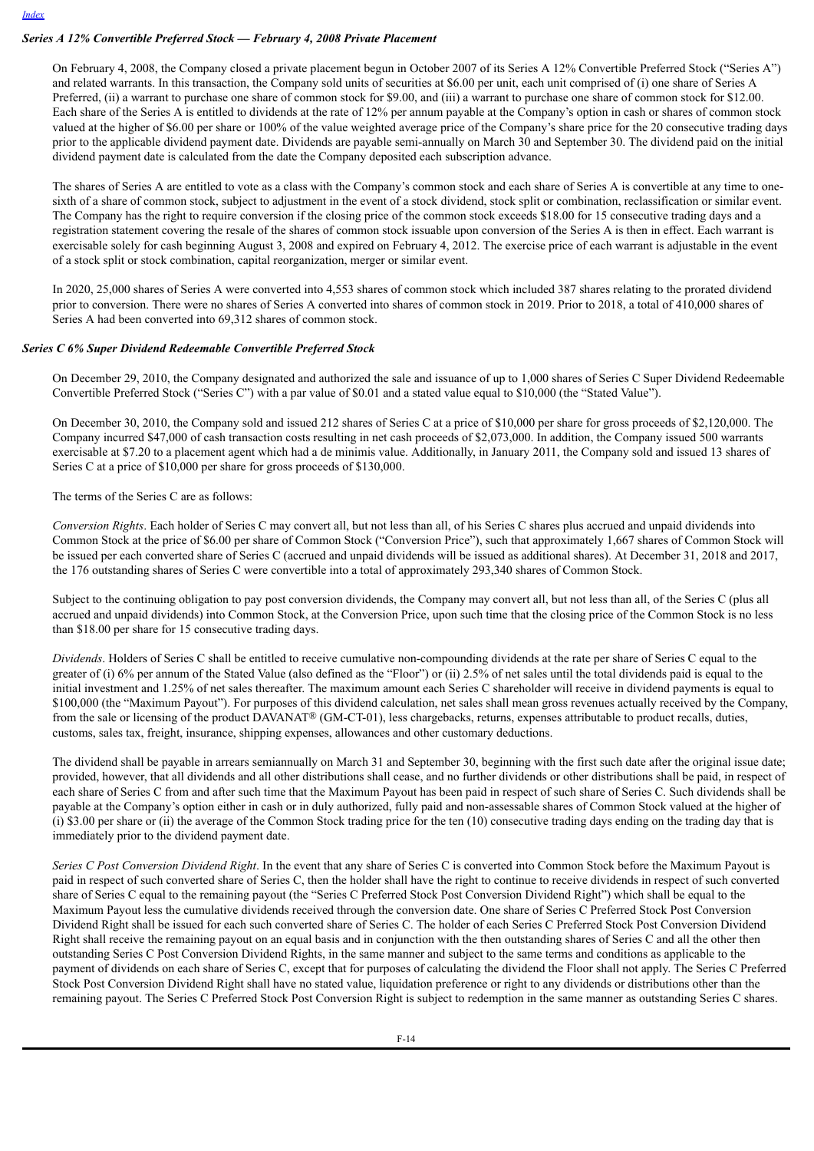### *Series A 12% Convertible Preferred Stock — February 4, 2008 Private Placement*

On February 4, 2008, the Company closed a private placement begun in October 2007 of its Series A 12% Convertible Preferred Stock ("Series A") and related warrants. In this transaction, the Company sold units of securities at \$6.00 per unit, each unit comprised of (i) one share of Series A Preferred, (ii) a warrant to purchase one share of common stock for \$9.00, and (iii) a warrant to purchase one share of common stock for \$12.00. Each share of the Series A is entitled to dividends at the rate of 12% per annum payable at the Company's option in cash or shares of common stock valued at the higher of \$6.00 per share or 100% of the value weighted average price of the Company's share price for the 20 consecutive trading days prior to the applicable dividend payment date. Dividends are payable semi-annually on March 30 and September 30. The dividend paid on the initial dividend payment date is calculated from the date the Company deposited each subscription advance.

The shares of Series A are entitled to vote as a class with the Company's common stock and each share of Series A is convertible at any time to onesixth of a share of common stock, subject to adjustment in the event of a stock dividend, stock split or combination, reclassification or similar event. The Company has the right to require conversion if the closing price of the common stock exceeds \$18.00 for 15 consecutive trading days and a registration statement covering the resale of the shares of common stock issuable upon conversion of the Series A is then in effect. Each warrant is exercisable solely for cash beginning August 3, 2008 and expired on February 4, 2012. The exercise price of each warrant is adjustable in the event of a stock split or stock combination, capital reorganization, merger or similar event.

In 2020, 25,000 shares of Series A were converted into 4,553 shares of common stock which included 387 shares relating to the prorated dividend prior to conversion. There were no shares of Series A converted into shares of common stock in 2019. Prior to 2018, a total of 410,000 shares of Series A had been converted into 69,312 shares of common stock.

#### *Series C 6% Super Dividend Redeemable Convertible Preferred Stock*

On December 29, 2010, the Company designated and authorized the sale and issuance of up to 1,000 shares of Series C Super Dividend Redeemable Convertible Preferred Stock ("Series C") with a par value of \$0.01 and a stated value equal to \$10,000 (the "Stated Value").

On December 30, 2010, the Company sold and issued 212 shares of Series C at a price of \$10,000 per share for gross proceeds of \$2,120,000. The Company incurred \$47,000 of cash transaction costs resulting in net cash proceeds of \$2,073,000. In addition, the Company issued 500 warrants exercisable at \$7.20 to a placement agent which had a de minimis value. Additionally, in January 2011, the Company sold and issued 13 shares of Series C at a price of \$10,000 per share for gross proceeds of \$130,000.

The terms of the Series C are as follows:

*Conversion Rights*. Each holder of Series C may convert all, but not less than all, of his Series C shares plus accrued and unpaid dividends into Common Stock at the price of \$6.00 per share of Common Stock ("Conversion Price"), such that approximately 1,667 shares of Common Stock will be issued per each converted share of Series C (accrued and unpaid dividends will be issued as additional shares). At December 31, 2018 and 2017, the 176 outstanding shares of Series C were convertible into a total of approximately 293,340 shares of Common Stock.

Subject to the continuing obligation to pay post conversion dividends, the Company may convert all, but not less than all, of the Series C (plus all accrued and unpaid dividends) into Common Stock, at the Conversion Price, upon such time that the closing price of the Common Stock is no less than \$18.00 per share for 15 consecutive trading days.

*Dividends*. Holders of Series C shall be entitled to receive cumulative non-compounding dividends at the rate per share of Series C equal to the greater of (i) 6% per annum of the Stated Value (also defined as the "Floor") or (ii) 2.5% of net sales until the total dividends paid is equal to the initial investment and 1.25% of net sales thereafter. The maximum amount each Series C shareholder will receive in dividend payments is equal to \$100,000 (the "Maximum Payout"). For purposes of this dividend calculation, net sales shall mean gross revenues actually received by the Company, from the sale or licensing of the product DAVANAT® (GM-CT-01), less chargebacks, returns, expenses attributable to product recalls, duties, customs, sales tax, freight, insurance, shipping expenses, allowances and other customary deductions.

The dividend shall be payable in arrears semiannually on March 31 and September 30, beginning with the first such date after the original issue date; provided, however, that all dividends and all other distributions shall cease, and no further dividends or other distributions shall be paid, in respect of each share of Series C from and after such time that the Maximum Payout has been paid in respect of such share of Series C. Such dividends shall be payable at the Company's option either in cash or in duly authorized, fully paid and non-assessable shares of Common Stock valued at the higher of (i) \$3.00 per share or (ii) the average of the Common Stock trading price for the ten (10) consecutive trading days ending on the trading day that is immediately prior to the dividend payment date.

*Series C Post Conversion Dividend Right*. In the event that any share of Series C is converted into Common Stock before the Maximum Payout is paid in respect of such converted share of Series C, then the holder shall have the right to continue to receive dividends in respect of such converted share of Series C equal to the remaining payout (the "Series C Preferred Stock Post Conversion Dividend Right") which shall be equal to the Maximum Payout less the cumulative dividends received through the conversion date. One share of Series C Preferred Stock Post Conversion Dividend Right shall be issued for each such converted share of Series C. The holder of each Series C Preferred Stock Post Conversion Dividend Right shall receive the remaining payout on an equal basis and in conjunction with the then outstanding shares of Series C and all the other then outstanding Series C Post Conversion Dividend Rights, in the same manner and subject to the same terms and conditions as applicable to the payment of dividends on each share of Series C, except that for purposes of calculating the dividend the Floor shall not apply. The Series C Preferred Stock Post Conversion Dividend Right shall have no stated value, liquidation preference or right to any dividends or distributions other than the remaining payout. The Series C Preferred Stock Post Conversion Right is subject to redemption in the same manner as outstanding Series C shares.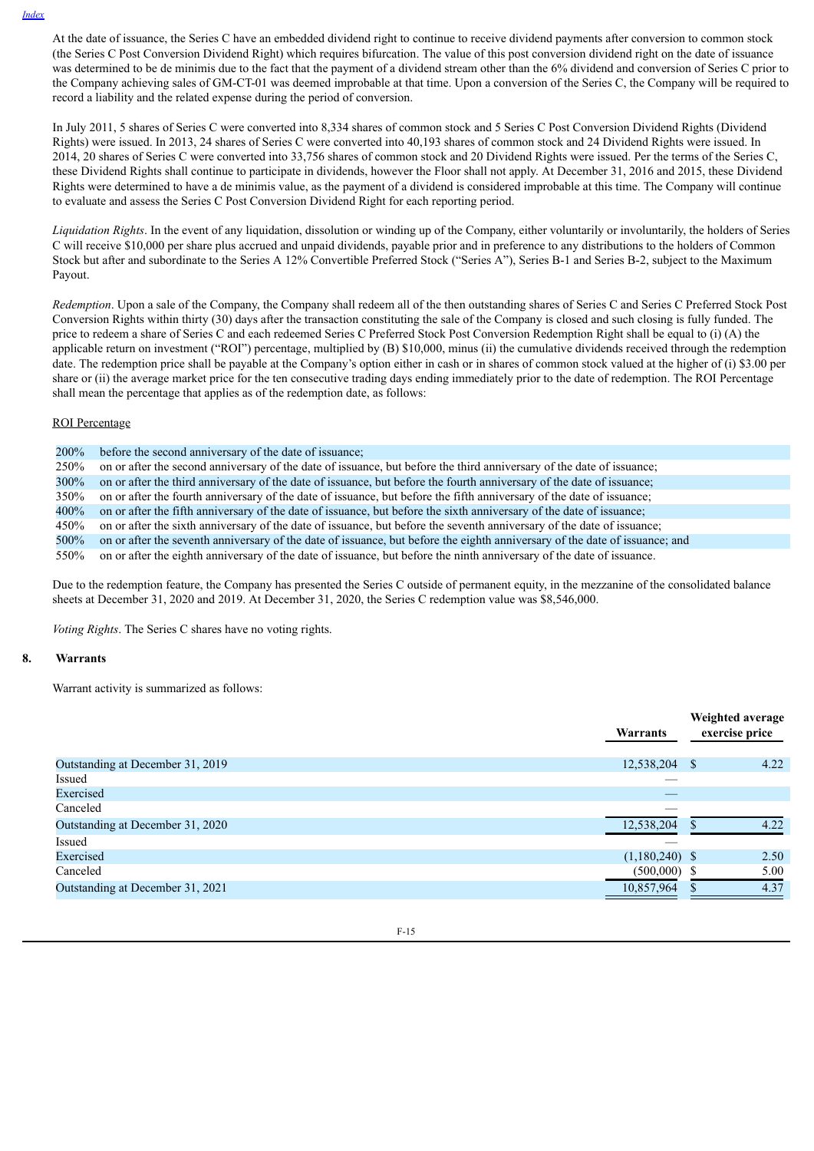At the date of issuance, the Series C have an embedded dividend right to continue to receive dividend payments after conversion to common stock (the Series C Post Conversion Dividend Right) which requires bifurcation. The value of this post conversion dividend right on the date of issuance was determined to be de minimis due to the fact that the payment of a dividend stream other than the 6% dividend and conversion of Series C prior to the Company achieving sales of GM-CT-01 was deemed improbable at that time. Upon a conversion of the Series C, the Company will be required to record a liability and the related expense during the period of conversion.

In July 2011, 5 shares of Series C were converted into 8,334 shares of common stock and 5 Series C Post Conversion Dividend Rights (Dividend Rights) were issued. In 2013, 24 shares of Series C were converted into 40,193 shares of common stock and 24 Dividend Rights were issued. In 2014, 20 shares of Series C were converted into 33,756 shares of common stock and 20 Dividend Rights were issued. Per the terms of the Series C, these Dividend Rights shall continue to participate in dividends, however the Floor shall not apply. At December 31, 2016 and 2015, these Dividend Rights were determined to have a de minimis value, as the payment of a dividend is considered improbable at this time. The Company will continue to evaluate and assess the Series C Post Conversion Dividend Right for each reporting period.

*Liquidation Rights*. In the event of any liquidation, dissolution or winding up of the Company, either voluntarily or involuntarily, the holders of Series C will receive \$10,000 per share plus accrued and unpaid dividends, payable prior and in preference to any distributions to the holders of Common Stock but after and subordinate to the Series A 12% Convertible Preferred Stock ("Series A"), Series B-1 and Series B-2, subject to the Maximum Payout.

*Redemption*. Upon a sale of the Company, the Company shall redeem all of the then outstanding shares of Series C and Series C Preferred Stock Post Conversion Rights within thirty (30) days after the transaction constituting the sale of the Company is closed and such closing is fully funded. The price to redeem a share of Series C and each redeemed Series C Preferred Stock Post Conversion Redemption Right shall be equal to (i) (A) the applicable return on investment ("ROI") percentage, multiplied by (B) \$10,000, minus (ii) the cumulative dividends received through the redemption date. The redemption price shall be payable at the Company's option either in cash or in shares of common stock valued at the higher of (i) \$3.00 per share or (ii) the average market price for the ten consecutive trading days ending immediately prior to the date of redemption. The ROI Percentage shall mean the percentage that applies as of the redemption date, as follows:

#### ROI Percentage

200% before the second anniversary of the date of issuance;

250% on or after the second anniversary of the date of issuance, but before the third anniversary of the date of issuance;

300% on or after the third anniversary of the date of issuance, but before the fourth anniversary of the date of issuance;

350% on or after the fourth anniversary of the date of issuance, but before the fifth anniversary of the date of issuance;

400% on or after the fifth anniversary of the date of issuance, but before the sixth anniversary of the date of issuance;

450% on or after the sixth anniversary of the date of issuance, but before the seventh anniversary of the date of issuance;

500% on or after the seventh anniversary of the date of issuance, but before the eighth anniversary of the date of issuance; and

550% on or after the eighth anniversary of the date of issuance, but before the ninth anniversary of the date of issuance.

Due to the redemption feature, the Company has presented the Series C outside of permanent equity, in the mezzanine of the consolidated balance sheets at December 31, 2020 and 2019. At December 31, 2020, the Series C redemption value was \$8,546,000.

*Voting Rights*. The Series C shares have no voting rights.

#### **8. Warrants**

Warrant activity is summarized as follows:

|                                  | Warrants         |   | Weighted average<br>exercise price |
|----------------------------------|------------------|---|------------------------------------|
|                                  |                  |   |                                    |
| Outstanding at December 31, 2019 | 12,538,204       | S | 4.22                               |
| Issued                           |                  |   |                                    |
| Exercised                        |                  |   |                                    |
| Canceled                         |                  |   |                                    |
| Outstanding at December 31, 2020 | 12,538,204       |   | 4.22                               |
| Issued                           |                  |   |                                    |
| Exercised                        | $(1,180,240)$ \$ |   | 2.50                               |
| Canceled                         | $(500,000)$ \$   |   | 5.00                               |
| Outstanding at December 31, 2021 | 10,857,964       |   | 4.37                               |
|                                  |                  |   |                                    |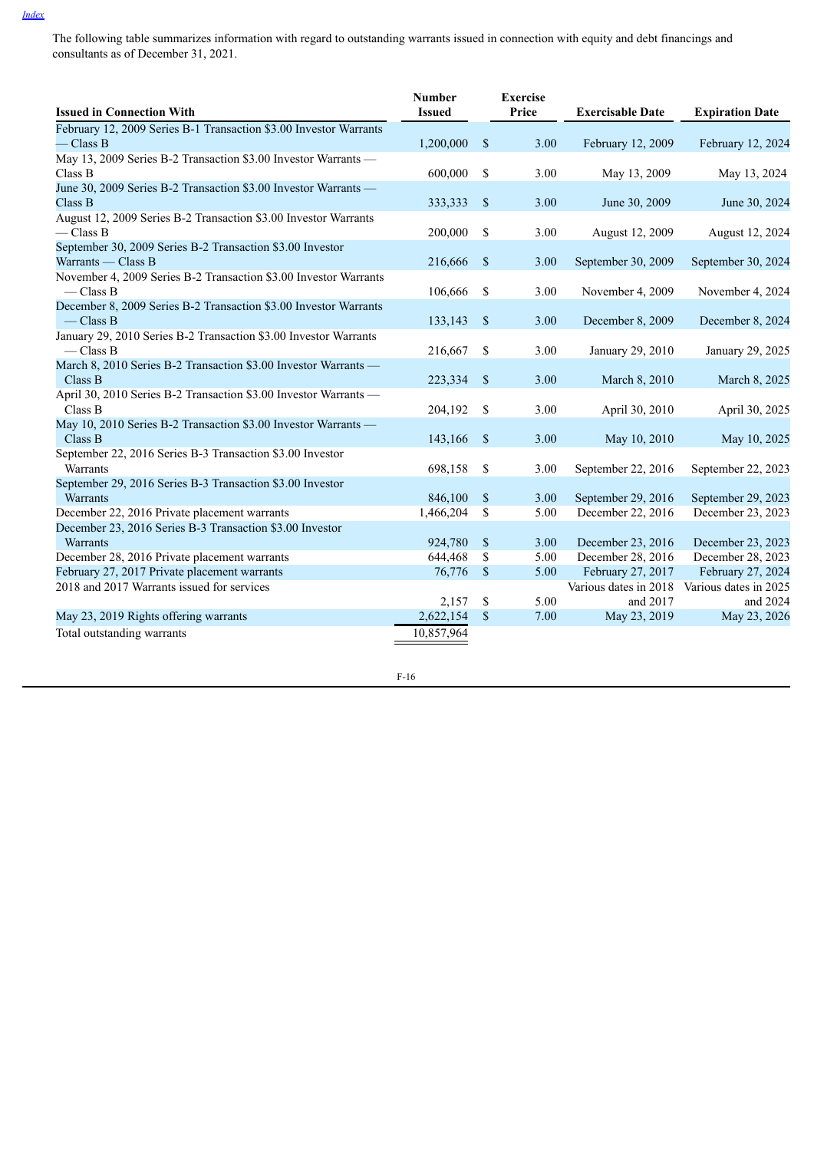The following table summarizes information with regard to outstanding warrants issued in connection with equity and debt financings and consultants as of December 31, 2021.

| <b>Issued in Connection With</b>                                                      | <b>Number</b><br><b>Issued</b> |                        | <b>Exercise</b><br>Price | <b>Exercisable Date</b>           | <b>Expiration Date</b>            |
|---------------------------------------------------------------------------------------|--------------------------------|------------------------|--------------------------|-----------------------------------|-----------------------------------|
| February 12, 2009 Series B-1 Transaction \$3.00 Investor Warrants                     |                                |                        |                          |                                   |                                   |
| $-$ Class B                                                                           | 1,200,000                      | $\mathbb{S}$           | 3.00                     | February 12, 2009                 | February 12, 2024                 |
| May 13, 2009 Series B-2 Transaction \$3.00 Investor Warrants -<br>Class B             | 600,000                        | \$                     | 3.00                     | May 13, 2009                      | May 13, 2024                      |
| June 30, 2009 Series B-2 Transaction \$3.00 Investor Warrants —<br>Class B            | 333,333                        | $\mathcal{S}$          | 3.00                     | June 30, 2009                     | June 30, 2024                     |
| August 12, 2009 Series B-2 Transaction \$3.00 Investor Warrants<br>$-\text{Class }B$  | 200,000                        | <sup>\$</sup>          | 3.00                     | August 12, 2009                   | August 12, 2024                   |
| September 30, 2009 Series B-2 Transaction \$3.00 Investor                             |                                |                        |                          |                                   |                                   |
| Warrants — Class B                                                                    | 216,666                        | $\mathbf{\hat{s}}$     | 3.00                     | September 30, 2009                | September 30, 2024                |
| November 4, 2009 Series B-2 Transaction \$3.00 Investor Warrants<br>$-\text{Class }B$ | 106,666                        | \$                     | 3.00                     | November 4, 2009                  | November 4, 2024                  |
| December 8, 2009 Series B-2 Transaction \$3.00 Investor Warrants<br>$\sim$ Class B    | 133,143                        | $\mathbf{\mathcal{S}}$ | 3.00                     | December 8, 2009                  | December 8, 2024                  |
| January 29, 2010 Series B-2 Transaction \$3.00 Investor Warrants<br>$-Class B$        | 216,667                        | <sup>\$</sup>          | 3.00                     | January 29, 2010                  | January 29, 2025                  |
| March 8, 2010 Series B-2 Transaction \$3.00 Investor Warrants -<br>Class B            | 223,334                        | $\mathbf{s}$           | 3.00                     | March 8, 2010                     | March 8, 2025                     |
| April 30, 2010 Series B-2 Transaction \$3.00 Investor Warrants -<br>Class B           | 204,192                        | \$                     | 3.00                     | April 30, 2010                    | April 30, 2025                    |
| May 10, 2010 Series B-2 Transaction \$3.00 Investor Warrants —<br>Class B             | 143,166                        | $\mathbf{\hat{s}}$     | 3.00                     | May 10, 2010                      | May 10, 2025                      |
| September 22, 2016 Series B-3 Transaction \$3.00 Investor<br>Warrants                 | 698,158                        | -S                     | 3.00                     | September 22, 2016                | September 22, 2023                |
| September 29, 2016 Series B-3 Transaction \$3.00 Investor<br>Warrants                 | 846,100                        | $\mathcal{S}$          | 3.00                     | September 29, 2016                | September 29, 2023                |
| December 22, 2016 Private placement warrants                                          | 1,466,204                      | \$                     | 5.00                     | December 22, 2016                 | December 23, 2023                 |
| December 23, 2016 Series B-3 Transaction \$3.00 Investor                              |                                |                        |                          |                                   |                                   |
| Warrants                                                                              | 924,780                        | $\mathcal{S}$          | 3.00                     | December 23, 2016                 | December 23, 2023                 |
| December 28, 2016 Private placement warrants                                          | 644,468                        | \$                     | 5.00                     | December 28, 2016                 | December 28, 2023                 |
| February 27, 2017 Private placement warrants                                          | 76,776                         | $\mathbb{S}$           | 5.00                     | February 27, 2017                 | February 27, 2024                 |
| 2018 and 2017 Warrants issued for services                                            | 2,157                          | \$                     | 5.00                     | Various dates in 2018<br>and 2017 | Various dates in 2025<br>and 2024 |
| May 23, 2019 Rights offering warrants                                                 | 2,622,154                      | \$                     | 7.00                     | May 23, 2019                      | May 23, 2026                      |
| Total outstanding warrants                                                            | 10,857,964                     |                        |                          |                                   |                                   |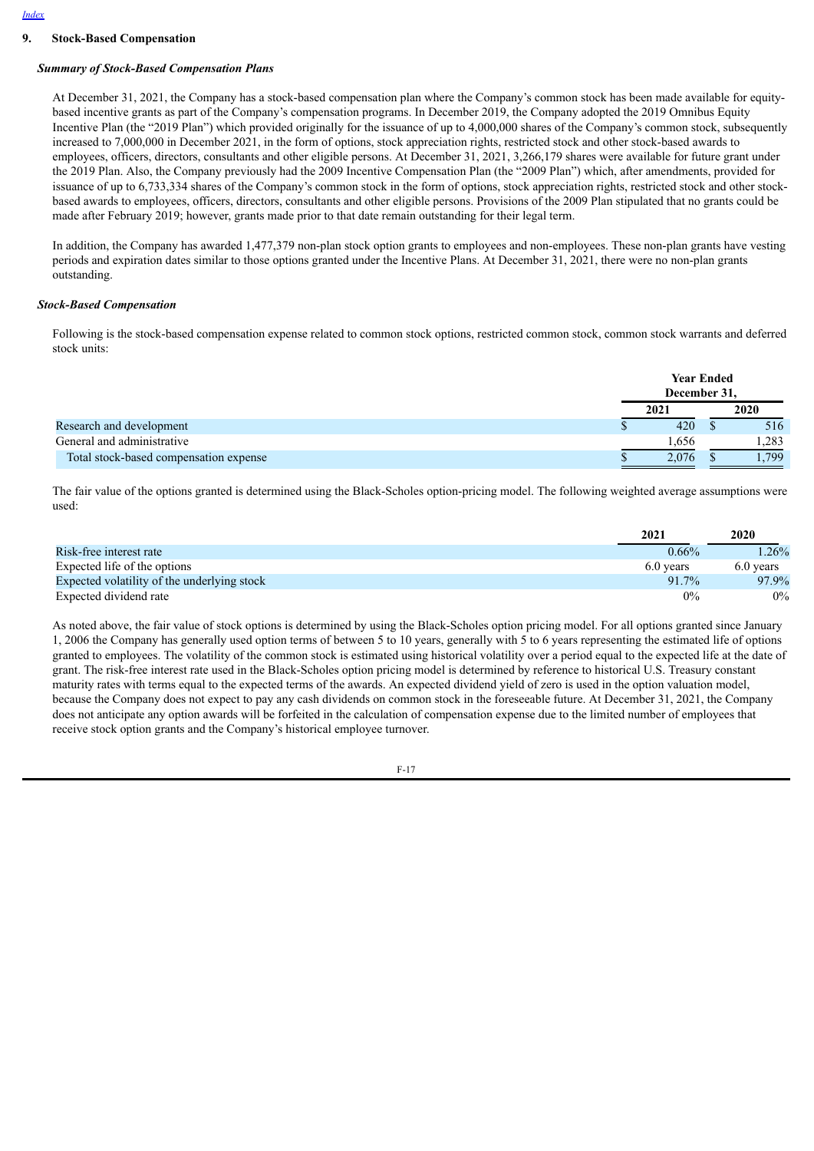# **9. Stock-Based Compensation**

#### *Summary of Stock-Based Compensation Plans*

At December 31, 2021, the Company has a stock-based compensation plan where the Company's common stock has been made available for equitybased incentive grants as part of the Company's compensation programs. In December 2019, the Company adopted the 2019 Omnibus Equity Incentive Plan (the "2019 Plan") which provided originally for the issuance of up to 4,000,000 shares of the Company's common stock, subsequently increased to 7,000,000 in December 2021, in the form of options, stock appreciation rights, restricted stock and other stock-based awards to employees, officers, directors, consultants and other eligible persons. At December 31, 2021, 3,266,179 shares were available for future grant under the 2019 Plan. Also, the Company previously had the 2009 Incentive Compensation Plan (the "2009 Plan") which, after amendments, provided for issuance of up to 6,733,334 shares of the Company's common stock in the form of options, stock appreciation rights, restricted stock and other stockbased awards to employees, officers, directors, consultants and other eligible persons. Provisions of the 2009 Plan stipulated that no grants could be made after February 2019; however, grants made prior to that date remain outstanding for their legal term.

In addition, the Company has awarded 1,477,379 non-plan stock option grants to employees and non-employees. These non-plan grants have vesting periods and expiration dates similar to those options granted under the Incentive Plans. At December 31, 2021, there were no non-plan grants outstanding.

#### *Stock-Based Compensation*

Following is the stock-based compensation expense related to common stock options, restricted common stock, common stock warrants and deferred stock units:

|                                        | <b>Year Ended</b><br>December 31, |      |
|----------------------------------------|-----------------------------------|------|
|                                        | 2021                              | 2020 |
| Research and development               | 420                               | 516  |
| General and administrative             | 1,656                             | .283 |
| Total stock-based compensation expense | 2.076                             | .799 |

The fair value of the options granted is determined using the Black-Scholes option-pricing model. The following weighted average assumptions were used:

|                                             | 2021        | 2020      |
|---------------------------------------------|-------------|-----------|
| Risk-free interest rate                     | $0.66\%$    | .26%      |
| Expected life of the options                | $6.0$ vears | 6.0 years |
| Expected volatility of the underlying stock | 91.7%       | 97.9%     |
| Expected dividend rate                      | $0\%$       | $0\%$     |

As noted above, the fair value of stock options is determined by using the Black-Scholes option pricing model. For all options granted since January 1, 2006 the Company has generally used option terms of between 5 to 10 years, generally with 5 to 6 years representing the estimated life of options granted to employees. The volatility of the common stock is estimated using historical volatility over a period equal to the expected life at the date of grant. The risk-free interest rate used in the Black-Scholes option pricing model is determined by reference to historical U.S. Treasury constant maturity rates with terms equal to the expected terms of the awards. An expected dividend yield of zero is used in the option valuation model, because the Company does not expect to pay any cash dividends on common stock in the foreseeable future. At December 31, 2021, the Company does not anticipate any option awards will be forfeited in the calculation of compensation expense due to the limited number of employees that receive stock option grants and the Company's historical employee turnover.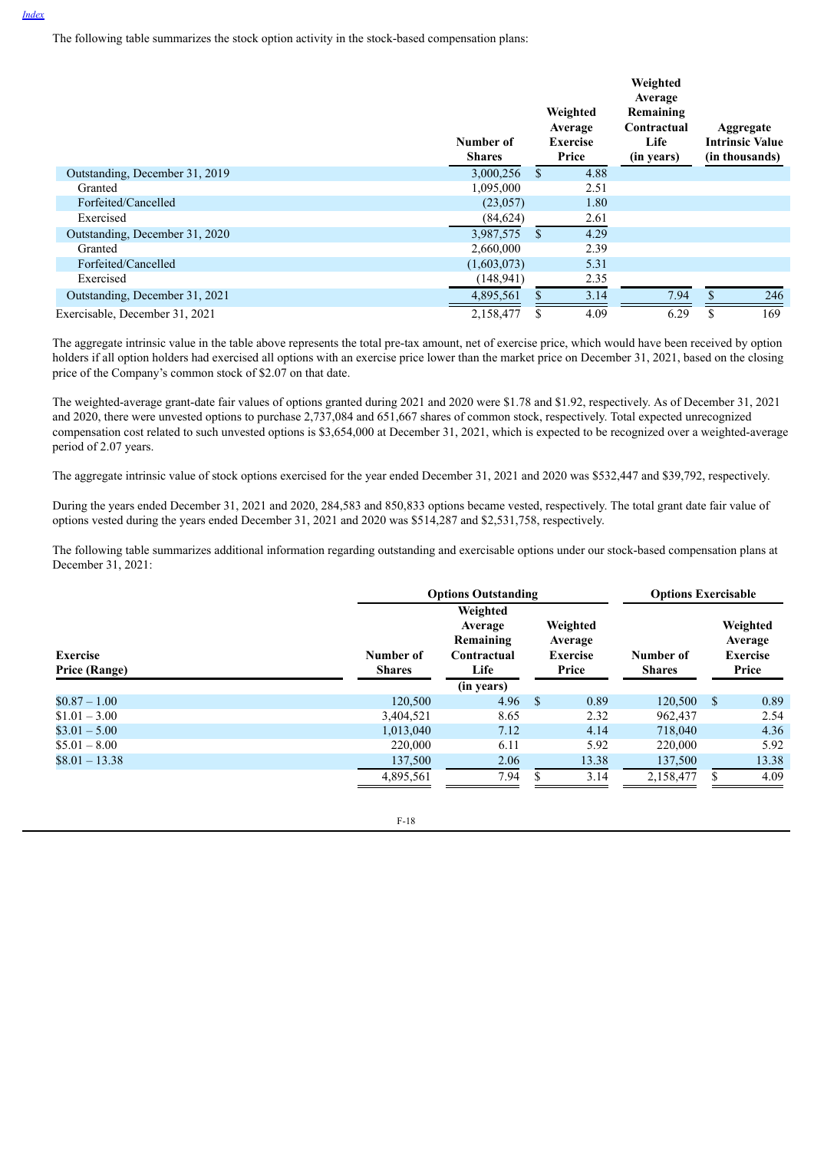The following table summarizes the stock option activity in the stock-based compensation plans:

|                                | Number of<br><b>Shares</b> |     | Weighted<br>Average<br><b>Exercise</b><br>Price | Weighted<br>Average<br>Remaining<br>Contractual<br>Life<br>(in years) | Aggregate<br><b>Intrinsic Value</b><br>(in thousands) |
|--------------------------------|----------------------------|-----|-------------------------------------------------|-----------------------------------------------------------------------|-------------------------------------------------------|
| Outstanding, December 31, 2019 | 3,000,256                  | \$. | 4.88                                            |                                                                       |                                                       |
| Granted                        | 1,095,000                  |     | 2.51                                            |                                                                       |                                                       |
| Forfeited/Cancelled            | (23,057)                   |     | 1.80                                            |                                                                       |                                                       |
| Exercised                      | (84, 624)                  |     | 2.61                                            |                                                                       |                                                       |
| Outstanding, December 31, 2020 | 3,987,575                  | \$. | 4.29                                            |                                                                       |                                                       |
| Granted                        | 2,660,000                  |     | 2.39                                            |                                                                       |                                                       |
| Forfeited/Cancelled            | (1,603,073)                |     | 5.31                                            |                                                                       |                                                       |
| Exercised                      | (148, 941)                 |     | 2.35                                            |                                                                       |                                                       |
| Outstanding, December 31, 2021 | 4,895,561                  |     | 3.14                                            | 7.94                                                                  | 246                                                   |
| Exercisable, December 31, 2021 | 2,158,477                  |     | 4.09                                            | 6.29                                                                  | 169                                                   |

The aggregate intrinsic value in the table above represents the total pre-tax amount, net of exercise price, which would have been received by option holders if all option holders had exercised all options with an exercise price lower than the market price on December 31, 2021, based on the closing price of the Company's common stock of \$2.07 on that date.

The weighted-average grant-date fair values of options granted during 2021 and 2020 were \$1.78 and \$1.92, respectively. As of December 31, 2021 and 2020, there were unvested options to purchase 2,737,084 and 651,667 shares of common stock, respectively. Total expected unrecognized compensation cost related to such unvested options is \$3,654,000 at December 31, 2021, which is expected to be recognized over a weighted-average period of 2.07 years.

The aggregate intrinsic value of stock options exercised for the year ended December 31, 2021 and 2020 was \$532,447 and \$39,792, respectively.

During the years ended December 31, 2021 and 2020, 284,583 and 850,833 options became vested, respectively. The total grant date fair value of options vested during the years ended December 31, 2021 and 2020 was \$514,287 and \$2,531,758, respectively.

The following table summarizes additional information regarding outstanding and exercisable options under our stock-based compensation plans at December 31, 2021:

|                                         | <b>Options Exercisable</b><br><b>Options Outstanding</b> |                                                         |    |                                                 |                            |              |                                                 |
|-----------------------------------------|----------------------------------------------------------|---------------------------------------------------------|----|-------------------------------------------------|----------------------------|--------------|-------------------------------------------------|
| <b>Exercise</b><br><b>Price (Range)</b> | Number of<br><b>Shares</b>                               | Weighted<br>Average<br>Remaining<br>Contractual<br>Life |    | Weighted<br>Average<br><b>Exercise</b><br>Price | Number of<br><b>Shares</b> |              | Weighted<br>Average<br><b>Exercise</b><br>Price |
|                                         |                                                          | (in years)                                              |    |                                                 |                            |              |                                                 |
| $\$0.87 - 1.00$                         | 120,500                                                  | 4.96                                                    | -S | 0.89                                            | 120,500                    | <sup>S</sup> | 0.89                                            |
| $$1.01 - 3.00$                          | 3,404,521                                                | 8.65                                                    |    | 2.32                                            | 962,437                    |              | 2.54                                            |
| $\$3.01 - 5.00$                         | 1.013.040                                                | 7.12                                                    |    | 4.14                                            | 718,040                    |              | 4.36                                            |
| $$5.01 - 8.00$                          | 220,000                                                  | 6.11                                                    |    | 5.92                                            | 220,000                    |              | 5.92                                            |
| $$8.01 - 13.38$                         | 137,500                                                  | 2.06                                                    |    | 13.38                                           | 137,500                    |              | 13.38                                           |
|                                         | 4,895,561                                                | 7.94                                                    |    | 3.14                                            | 2,158,477                  |              | 4.09                                            |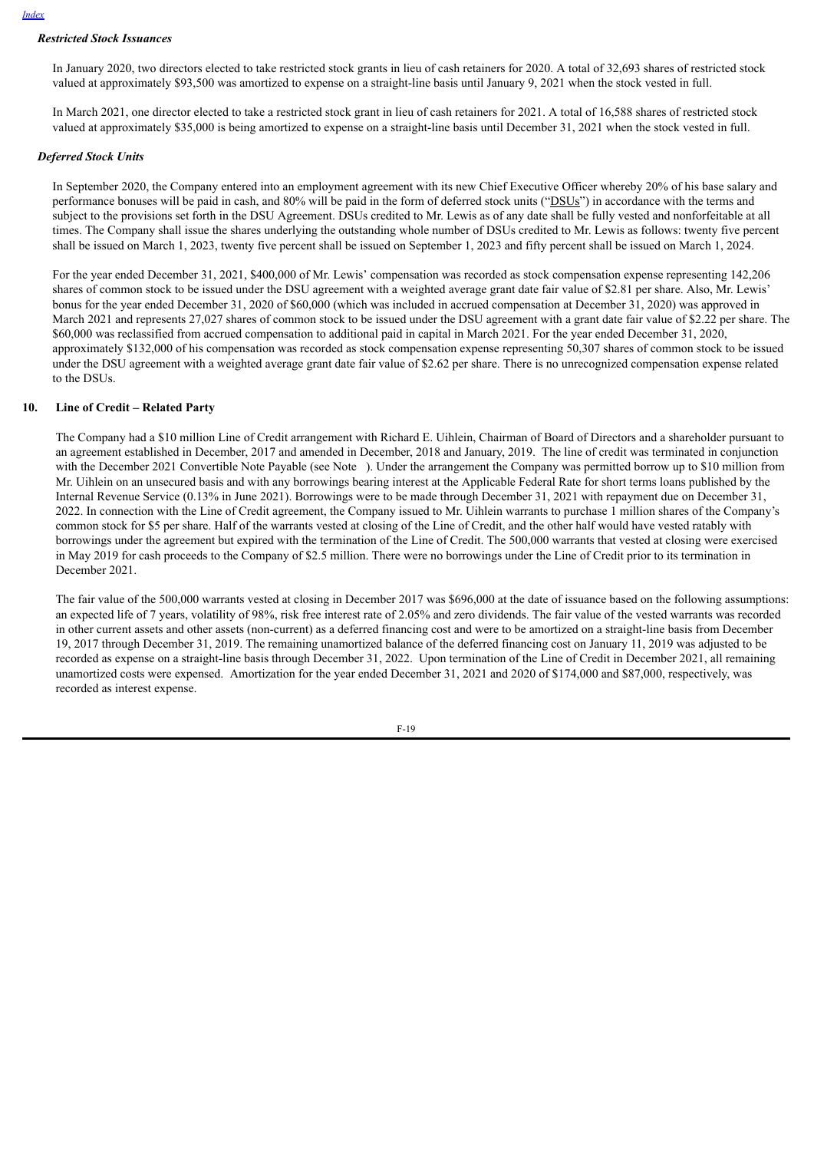## *Restricted Stock Issuances*

In January 2020, two directors elected to take restricted stock grants in lieu of cash retainers for 2020. A total of 32,693 shares of restricted stock valued at approximately \$93,500 was amortized to expense on a straight-line basis until January 9, 2021 when the stock vested in full.

In March 2021, one director elected to take a restricted stock grant in lieu of cash retainers for 2021. A total of 16,588 shares of restricted stock valued at approximately \$35,000 is being amortized to expense on a straight-line basis until December 31, 2021 when the stock vested in full.

#### *Deferred Stock Units*

In September 2020, the Company entered into an employment agreement with its new Chief Executive Officer whereby 20% of his base salary and performance bonuses will be paid in cash, and 80% will be paid in the form of deferred stock units ("DSUs") in accordance with the terms and subject to the provisions set forth in the DSU Agreement. DSUs credited to Mr. Lewis as of any date shall be fully vested and nonforfeitable at all times. The Company shall issue the shares underlying the outstanding whole number of DSUs credited to Mr. Lewis as follows: twenty five percent shall be issued on March 1, 2023, twenty five percent shall be issued on September 1, 2023 and fifty percent shall be issued on March 1, 2024.

For the year ended December 31, 2021, \$400,000 of Mr. Lewis' compensation was recorded as stock compensation expense representing 142,206 shares of common stock to be issued under the DSU agreement with a weighted average grant date fair value of \$2.81 per share. Also, Mr. Lewis' bonus for the year ended December 31, 2020 of \$60,000 (which was included in accrued compensation at December 31, 2020) was approved in March 2021 and represents 27,027 shares of common stock to be issued under the DSU agreement with a grant date fair value of \$2.22 per share. The \$60,000 was reclassified from accrued compensation to additional paid in capital in March 2021. For the year ended December 31, 2020, approximately \$132,000 of his compensation was recorded as stock compensation expense representing 50,307 shares of common stock to be issued under the DSU agreement with a weighted average grant date fair value of \$2.62 per share. There is no unrecognized compensation expense related to the DSUs.

#### **10. Line of Credit – Related Party**

The Company had a \$10 million Line of Credit arrangement with Richard E. Uihlein, Chairman of Board of Directors and a shareholder pursuant to an agreement established in December, 2017 and amended in December, 2018 and January, 2019. The line of credit was terminated in conjunction with the December 2021 Convertible Note Payable (see Note). Under the arrangement the Company was permitted borrow up to \$10 million from Mr. Uihlein on an unsecured basis and with any borrowings bearing interest at the Applicable Federal Rate for short terms loans published by the Internal Revenue Service (0.13% in June 2021). Borrowings were to be made through December 31, 2021 with repayment due on December 31, 2022. In connection with the Line of Credit agreement, the Company issued to Mr. Uihlein warrants to purchase 1 million shares of the Company's common stock for \$5 per share. Half of the warrants vested at closing of the Line of Credit, and the other half would have vested ratably with borrowings under the agreement but expired with the termination of the Line of Credit. The 500,000 warrants that vested at closing were exercised in May 2019 for cash proceeds to the Company of \$2.5 million. There were no borrowings under the Line of Credit prior to its termination in December 2021.

The fair value of the 500,000 warrants vested at closing in December 2017 was \$696,000 at the date of issuance based on the following assumptions: an expected life of 7 years, volatility of 98%, risk free interest rate of 2.05% and zero dividends. The fair value of the vested warrants was recorded in other current assets and other assets (non-current) as a deferred financing cost and were to be amortized on a straight-line basis from December 19, 2017 through December 31, 2019. The remaining unamortized balance of the deferred financing cost on January 11, 2019 was adjusted to be recorded as expense on a straight-line basis through December 31, 2022. Upon termination of the Line of Credit in December 2021, all remaining unamortized costs were expensed. Amortization for the year ended December 31, 2021 and 2020 of \$174,000 and \$87,000, respectively, was recorded as interest expense.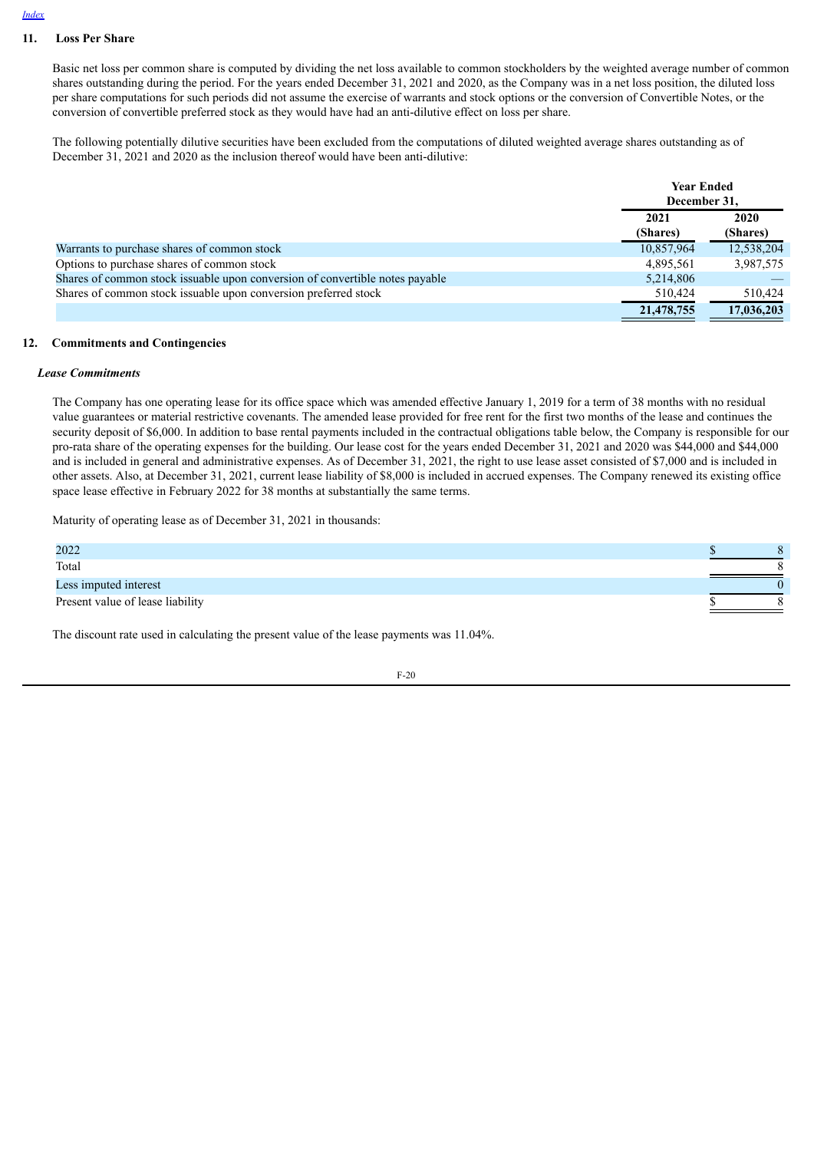### **11. Loss Per Share**

Basic net loss per common share is computed by dividing the net loss available to common stockholders by the weighted average number of common shares outstanding during the period. For the years ended December 31, 2021 and 2020, as the Company was in a net loss position, the diluted loss per share computations for such periods did not assume the exercise of warrants and stock options or the conversion of Convertible Notes, or the conversion of convertible preferred stock as they would have had an anti-dilutive effect on loss per share.

The following potentially dilutive securities have been excluded from the computations of diluted weighted average shares outstanding as of December 31, 2021 and 2020 as the inclusion thereof would have been anti-dilutive:

|                                                                              | <b>Year Ended</b><br>December 31. |                  |
|------------------------------------------------------------------------------|-----------------------------------|------------------|
|                                                                              | 2021<br>(Shares)                  | 2020<br>(Shares) |
| Warrants to purchase shares of common stock                                  | 10,857,964                        | 12,538,204       |
| Options to purchase shares of common stock                                   | 4,895,561                         | 3,987,575        |
| Shares of common stock issuable upon conversion of convertible notes payable | 5,214,806                         |                  |
| Shares of common stock issuable upon conversion preferred stock              | 510.424                           | 510,424          |
|                                                                              | 21,478,755                        | 17,036,203       |

#### **12. Commitments and Contingencies**

#### *Lease Commitments*

The Company has one operating lease for its office space which was amended effective January 1, 2019 for a term of 38 months with no residual value guarantees or material restrictive covenants. The amended lease provided for free rent for the first two months of the lease and continues the security deposit of \$6,000. In addition to base rental payments included in the contractual obligations table below, the Company is responsible for our pro-rata share of the operating expenses for the building. Our lease cost for the years ended December 31, 2021 and 2020 was \$44,000 and \$44,000 and is included in general and administrative expenses. As of December 31, 2021, the right to use lease asset consisted of \$7,000 and is included in other assets. Also, at December 31, 2021, current lease liability of \$8,000 is included in accrued expenses. The Company renewed its existing office space lease effective in February 2022 for 38 months at substantially the same terms.

Maturity of operating lease as of December 31, 2021 in thousands:

| 2022                             |  |
|----------------------------------|--|
| Total                            |  |
| Less imputed interest            |  |
| Present value of lease liability |  |
|                                  |  |

The discount rate used in calculating the present value of the lease payments was 11.04%.

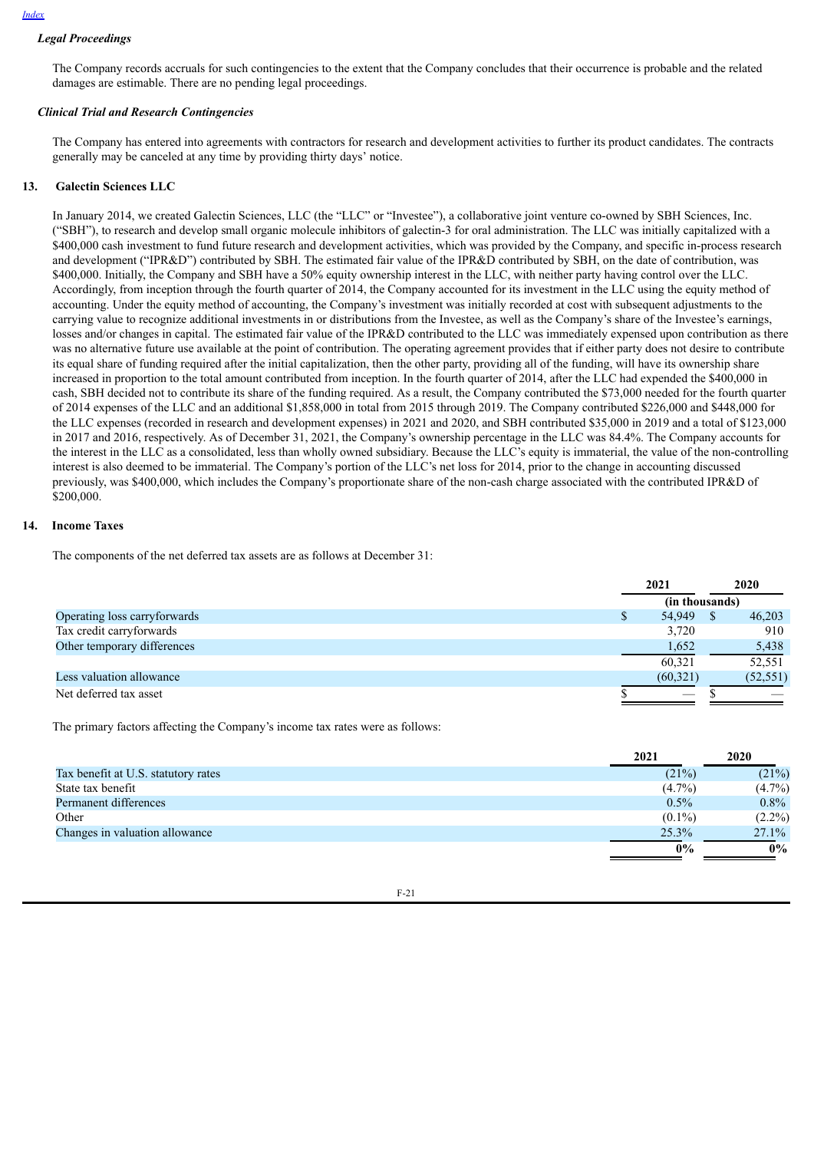### *Legal Proceedings*

The Company records accruals for such contingencies to the extent that the Company concludes that their occurrence is probable and the related damages are estimable. There are no pending legal proceedings.

#### *Clinical Trial and Research Contingencies*

The Company has entered into agreements with contractors for research and development activities to further its product candidates. The contracts generally may be canceled at any time by providing thirty days' notice.

#### **13. Galectin Sciences LLC**

In January 2014, we created Galectin Sciences, LLC (the "LLC" or "Investee"), a collaborative joint venture co-owned by SBH Sciences, Inc. ("SBH"), to research and develop small organic molecule inhibitors of galectin-3 for oral administration. The LLC was initially capitalized with a \$400,000 cash investment to fund future research and development activities, which was provided by the Company, and specific in-process research and development ("IPR&D") contributed by SBH. The estimated fair value of the IPR&D contributed by SBH, on the date of contribution, was \$400,000. Initially, the Company and SBH have a 50% equity ownership interest in the LLC, with neither party having control over the LLC. Accordingly, from inception through the fourth quarter of 2014, the Company accounted for its investment in the LLC using the equity method of accounting. Under the equity method of accounting, the Company's investment was initially recorded at cost with subsequent adjustments to the carrying value to recognize additional investments in or distributions from the Investee, as well as the Company's share of the Investee's earnings, losses and/or changes in capital. The estimated fair value of the IPR&D contributed to the LLC was immediately expensed upon contribution as there was no alternative future use available at the point of contribution. The operating agreement provides that if either party does not desire to contribute its equal share of funding required after the initial capitalization, then the other party, providing all of the funding, will have its ownership share increased in proportion to the total amount contributed from inception. In the fourth quarter of 2014, after the LLC had expended the \$400,000 in cash, SBH decided not to contribute its share of the funding required. As a result, the Company contributed the \$73,000 needed for the fourth quarter of 2014 expenses of the LLC and an additional \$1,858,000 in total from 2015 through 2019. The Company contributed \$226,000 and \$448,000 for the LLC expenses (recorded in research and development expenses) in 2021 and 2020, and SBH contributed \$35,000 in 2019 and a total of \$123,000 in 2017 and 2016, respectively. As of December 31, 2021, the Company's ownership percentage in the LLC was 84.4%. The Company accounts for the interest in the LLC as a consolidated, less than wholly owned subsidiary. Because the LLC's equity is immaterial, the value of the non-controlling interest is also deemed to be immaterial. The Company's portion of the LLC's net loss for 2014, prior to the change in accounting discussed previously, was \$400,000, which includes the Company's proportionate share of the non-cash charge associated with the contributed IPR&D of \$200,000.

#### **14. Income Taxes**

The components of the net deferred tax assets are as follows at December 31:

|                              | 2021        | 2020           |  |  |
|------------------------------|-------------|----------------|--|--|
|                              |             | (in thousands) |  |  |
| Operating loss carryforwards | 54,949<br>S | 46,203         |  |  |
| Tax credit carryforwards     | 3,720       | 910            |  |  |
| Other temporary differences  | 1,652       | 5,438          |  |  |
|                              | 60,321      | 52,551         |  |  |
| Less valuation allowance     | (60, 321)   | (52, 551)      |  |  |
| Net deferred tax asset       | __          |                |  |  |
|                              |             |                |  |  |

The primary factors affecting the Company's income tax rates were as follows:

|                                     | 2021      | 2020      |
|-------------------------------------|-----------|-----------|
| Tax benefit at U.S. statutory rates | (21%)     | (21%)     |
| State tax benefit                   | $(4.7\%)$ | $(4.7\%)$ |
| Permanent differences               | $0.5\%$   | $0.8\%$   |
| Other                               | $(0.1\%)$ | $(2.2\%)$ |
| Changes in valuation allowance      | 25.3%     | $27.1\%$  |
|                                     | $0\%$     | $0\%$     |

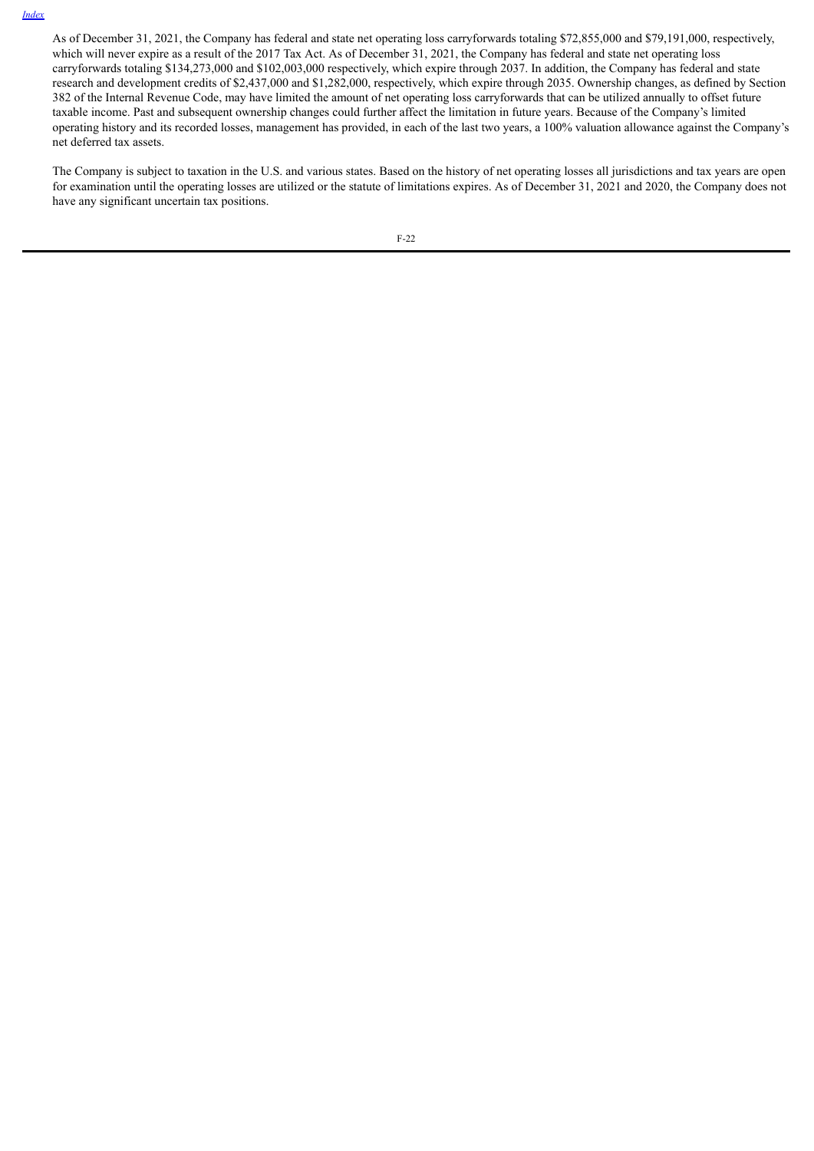As of December 31, 2021, the Company has federal and state net operating loss carryforwards totaling \$72,855,000 and \$79,191,000, respectively, which will never expire as a result of the 2017 Tax Act. As of December 31, 2021, the Company has federal and state net operating loss carryforwards totaling \$134,273,000 and \$102,003,000 respectively, which expire through 2037. In addition, the Company has federal and state research and development credits of \$2,437,000 and \$1,282,000, respectively, which expire through 2035. Ownership changes, as defined by Section 382 of the Internal Revenue Code, may have limited the amount of net operating loss carryforwards that can be utilized annually to offset future taxable income. Past and subsequent ownership changes could further affect the limitation in future years. Because of the Company's limited operating history and its recorded losses, management has provided, in each of the last two years, a 100% valuation allowance against the Company's net deferred tax assets.

The Company is subject to taxation in the U.S. and various states. Based on the history of net operating losses all jurisdictions and tax years are open for examination until the operating losses are utilized or the statute of limitations expires. As of December 31, 2021 and 2020, the Company does not have any significant uncertain tax positions.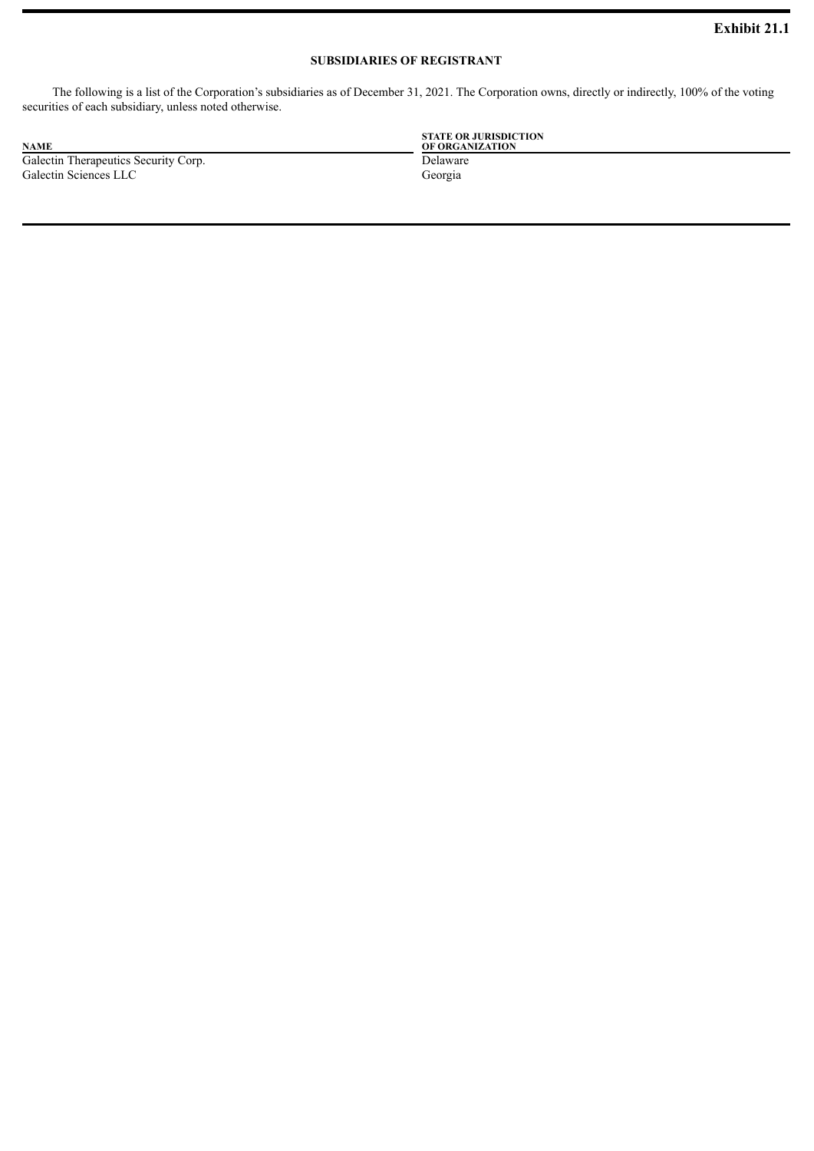# **SUBSIDIARIES OF REGISTRANT**

The following is a list of the Corporation's subsidiaries as of December 31, 2021. The Corporation owns, directly or indirectly, 100% of the voting securities of each subsidiary, unless noted otherwise.

| <b>NAME</b>                          | <b>STATE OR JURISDICTION</b><br>OF ORGANIZATION |
|--------------------------------------|-------------------------------------------------|
| Galectin Therapeutics Security Corp. | Delaware                                        |
| Galectin Sciences LLC                | Georgia                                         |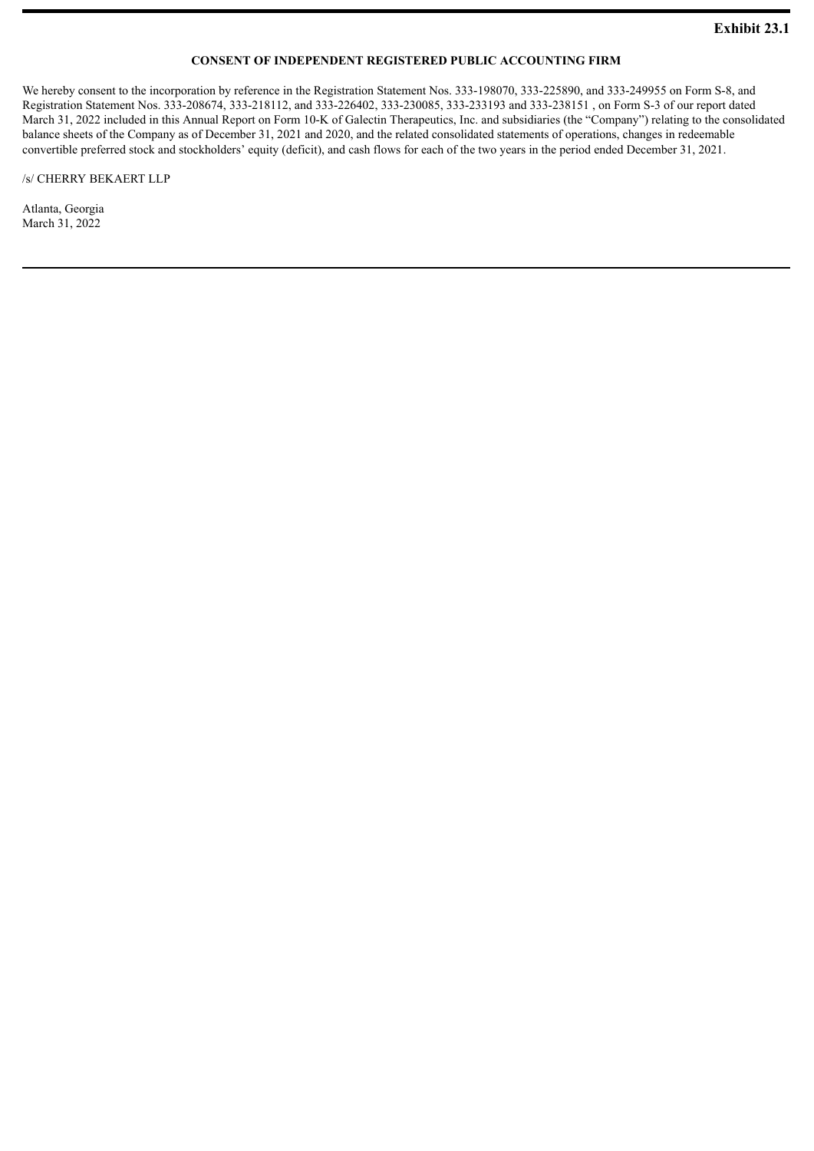### **CONSENT OF INDEPENDENT REGISTERED PUBLIC ACCOUNTING FIRM**

We hereby consent to the incorporation by reference in the Registration Statement Nos. 333-198070, 333-225890, and 333-249955 on Form S-8, and Registration Statement Nos. 333-208674, 333-218112, and 333-226402, 333-230085, 333-233193 and 333-238151 , on Form S-3 of our report dated March 31, 2022 included in this Annual Report on Form 10-K of Galectin Therapeutics, Inc. and subsidiaries (the "Company") relating to the consolidated balance sheets of the Company as of December 31, 2021 and 2020, and the related consolidated statements of operations, changes in redeemable convertible preferred stock and stockholders' equity (deficit), and cash flows for each of the two years in the period ended December 31, 2021.

/s/ CHERRY BEKAERT LLP

Atlanta, Georgia March 31, 2022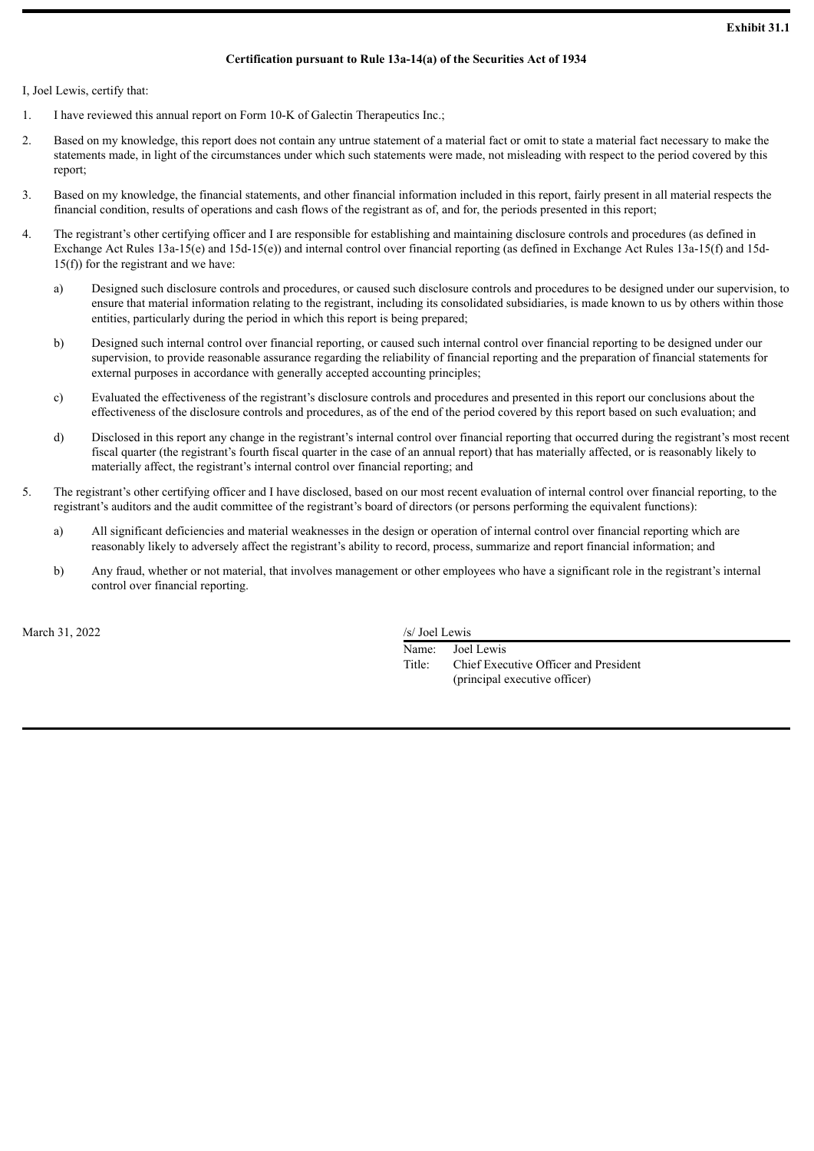#### **Certification pursuant to Rule 13a-14(a) of the Securities Act of 1934**

I, Joel Lewis, certify that:

- 1. I have reviewed this annual report on Form 10-K of Galectin Therapeutics Inc.;
- 2. Based on my knowledge, this report does not contain any untrue statement of a material fact or omit to state a material fact necessary to make the statements made, in light of the circumstances under which such statements were made, not misleading with respect to the period covered by this report;
- 3. Based on my knowledge, the financial statements, and other financial information included in this report, fairly present in all material respects the financial condition, results of operations and cash flows of the registrant as of, and for, the periods presented in this report;
- 4. The registrant's other certifying officer and I are responsible for establishing and maintaining disclosure controls and procedures (as defined in Exchange Act Rules 13a-15(e) and 15d-15(e)) and internal control over financial reporting (as defined in Exchange Act Rules 13a-15(f) and 15d-15(f)) for the registrant and we have:
	- a) Designed such disclosure controls and procedures, or caused such disclosure controls and procedures to be designed under our supervision, to ensure that material information relating to the registrant, including its consolidated subsidiaries, is made known to us by others within those entities, particularly during the period in which this report is being prepared;
	- b) Designed such internal control over financial reporting, or caused such internal control over financial reporting to be designed under our supervision, to provide reasonable assurance regarding the reliability of financial reporting and the preparation of financial statements for external purposes in accordance with generally accepted accounting principles;
	- c) Evaluated the effectiveness of the registrant's disclosure controls and procedures and presented in this report our conclusions about the effectiveness of the disclosure controls and procedures, as of the end of the period covered by this report based on such evaluation; and
	- d) Disclosed in this report any change in the registrant's internal control over financial reporting that occurred during the registrant's most recent fiscal quarter (the registrant's fourth fiscal quarter in the case of an annual report) that has materially affected, or is reasonably likely to materially affect, the registrant's internal control over financial reporting; and
- 5. The registrant's other certifying officer and I have disclosed, based on our most recent evaluation of internal control over financial reporting, to the registrant's auditors and the audit committee of the registrant's board of directors (or persons performing the equivalent functions):
	- a) All significant deficiencies and material weaknesses in the design or operation of internal control over financial reporting which are reasonably likely to adversely affect the registrant's ability to record, process, summarize and report financial information; and
	- b) Any fraud, whether or not material, that involves management or other employees who have a significant role in the registrant's internal control over financial reporting.

March 31, 2022 /s/ Joel Lewis

Name: Joel Lewis Title: Chief Executive Officer and President (principal executive officer)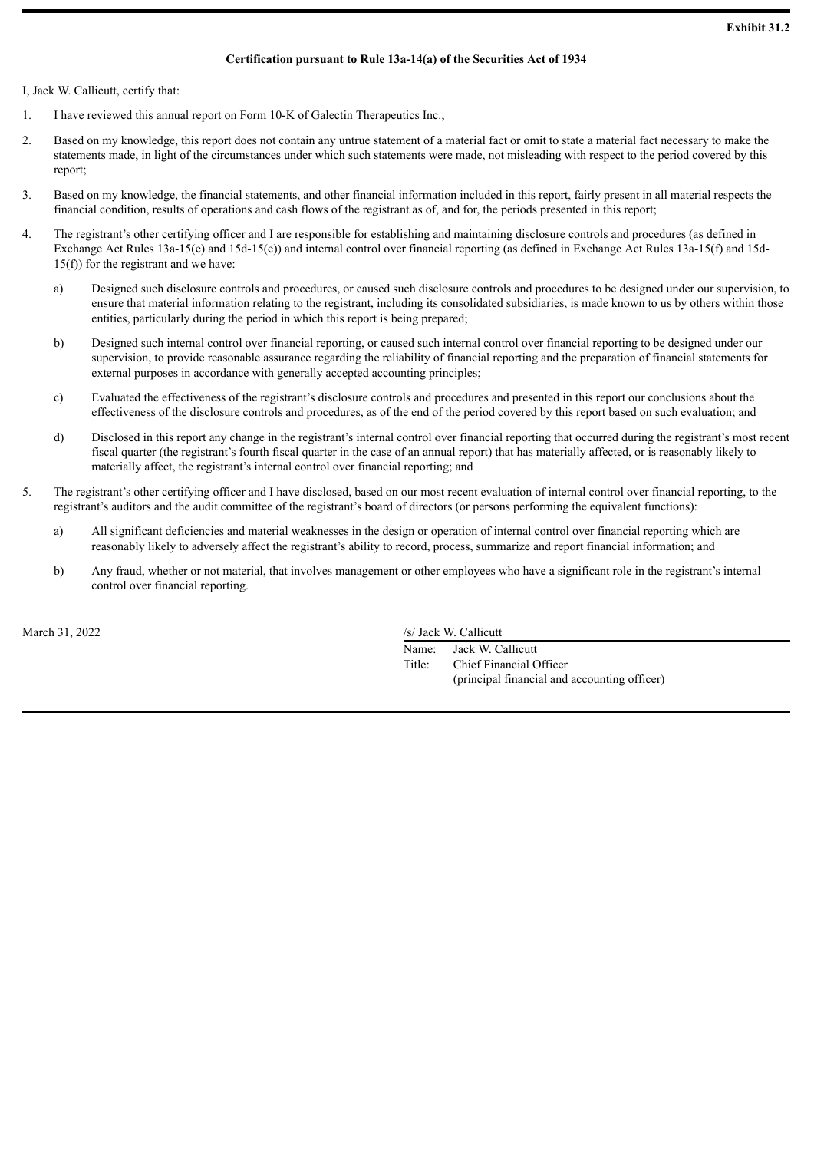#### **Certification pursuant to Rule 13a-14(a) of the Securities Act of 1934**

I, Jack W. Callicutt, certify that:

- 1. I have reviewed this annual report on Form 10-K of Galectin Therapeutics Inc.;
- 2. Based on my knowledge, this report does not contain any untrue statement of a material fact or omit to state a material fact necessary to make the statements made, in light of the circumstances under which such statements were made, not misleading with respect to the period covered by this report;
- 3. Based on my knowledge, the financial statements, and other financial information included in this report, fairly present in all material respects the financial condition, results of operations and cash flows of the registrant as of, and for, the periods presented in this report;
- 4. The registrant's other certifying officer and I are responsible for establishing and maintaining disclosure controls and procedures (as defined in Exchange Act Rules 13a-15(e) and 15d-15(e)) and internal control over financial reporting (as defined in Exchange Act Rules 13a-15(f) and 15d-15(f)) for the registrant and we have:
	- a) Designed such disclosure controls and procedures, or caused such disclosure controls and procedures to be designed under our supervision, to ensure that material information relating to the registrant, including its consolidated subsidiaries, is made known to us by others within those entities, particularly during the period in which this report is being prepared;
	- b) Designed such internal control over financial reporting, or caused such internal control over financial reporting to be designed under our supervision, to provide reasonable assurance regarding the reliability of financial reporting and the preparation of financial statements for external purposes in accordance with generally accepted accounting principles;
	- c) Evaluated the effectiveness of the registrant's disclosure controls and procedures and presented in this report our conclusions about the effectiveness of the disclosure controls and procedures, as of the end of the period covered by this report based on such evaluation; and
	- d) Disclosed in this report any change in the registrant's internal control over financial reporting that occurred during the registrant's most recent fiscal quarter (the registrant's fourth fiscal quarter in the case of an annual report) that has materially affected, or is reasonably likely to materially affect, the registrant's internal control over financial reporting; and
- 5. The registrant's other certifying officer and I have disclosed, based on our most recent evaluation of internal control over financial reporting, to the registrant's auditors and the audit committee of the registrant's board of directors (or persons performing the equivalent functions):
	- a) All significant deficiencies and material weaknesses in the design or operation of internal control over financial reporting which are reasonably likely to adversely affect the registrant's ability to record, process, summarize and report financial information; and
	- b) Any fraud, whether or not material, that involves management or other employees who have a significant role in the registrant's internal control over financial reporting.

March 31, 2022 /s/ Jack W. Callicutt

Name: Jack W. Callicutt Title: Chief Financial Officer (principal financial and accounting officer)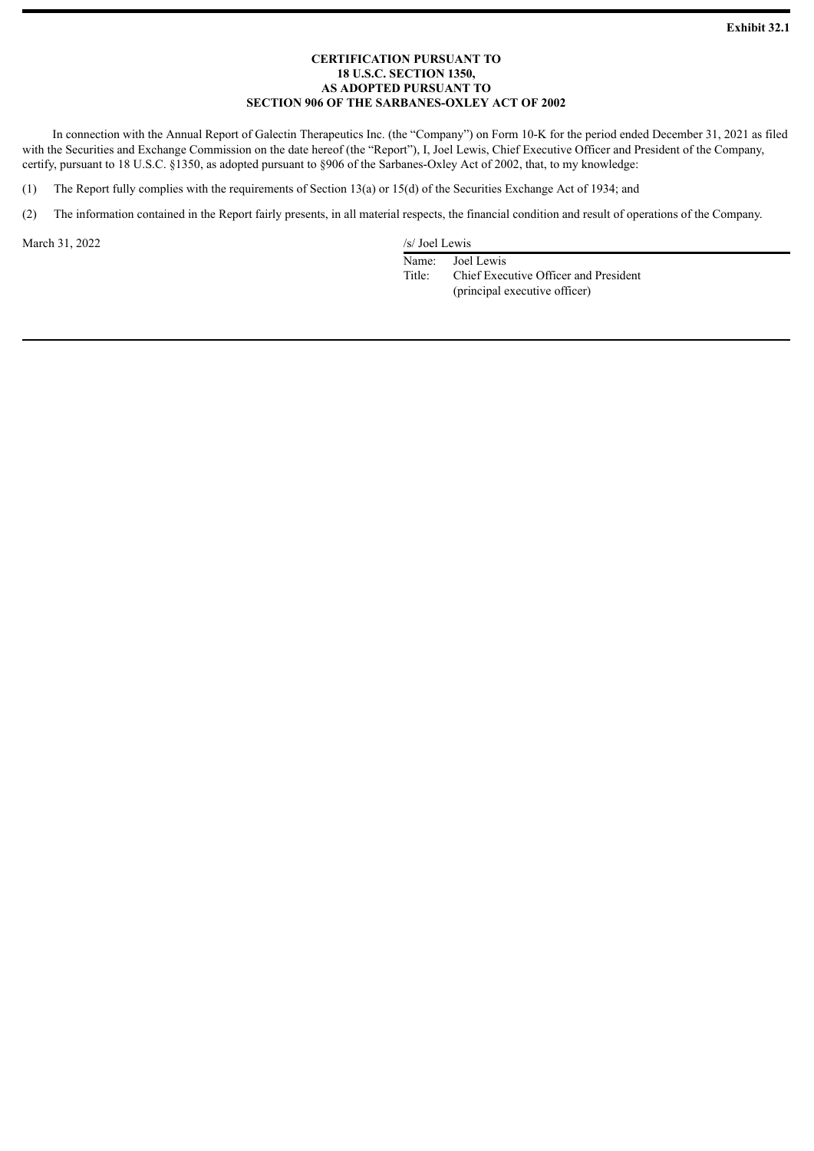### **CERTIFICATION PURSUANT TO 18 U.S.C. SECTION 1350, AS ADOPTED PURSUANT TO SECTION 906 OF THE SARBANES-OXLEY ACT OF 2002**

In connection with the Annual Report of Galectin Therapeutics Inc. (the "Company") on Form 10-K for the period ended December 31, 2021 as filed with the Securities and Exchange Commission on the date hereof (the "Report"), I, Joel Lewis, Chief Executive Officer and President of the Company, certify, pursuant to 18 U.S.C. §1350, as adopted pursuant to §906 of the Sarbanes-Oxley Act of 2002, that, to my knowledge:

(1) The Report fully complies with the requirements of Section 13(a) or 15(d) of the Securities Exchange Act of 1934; and

(2) The information contained in the Report fairly presents, in all material respects, the financial condition and result of operations of the Company.

March 31, 2022 /s/ Joel Lewis

Name: Joel Lewis Title: Chief Executive Officer and President (principal executive officer)